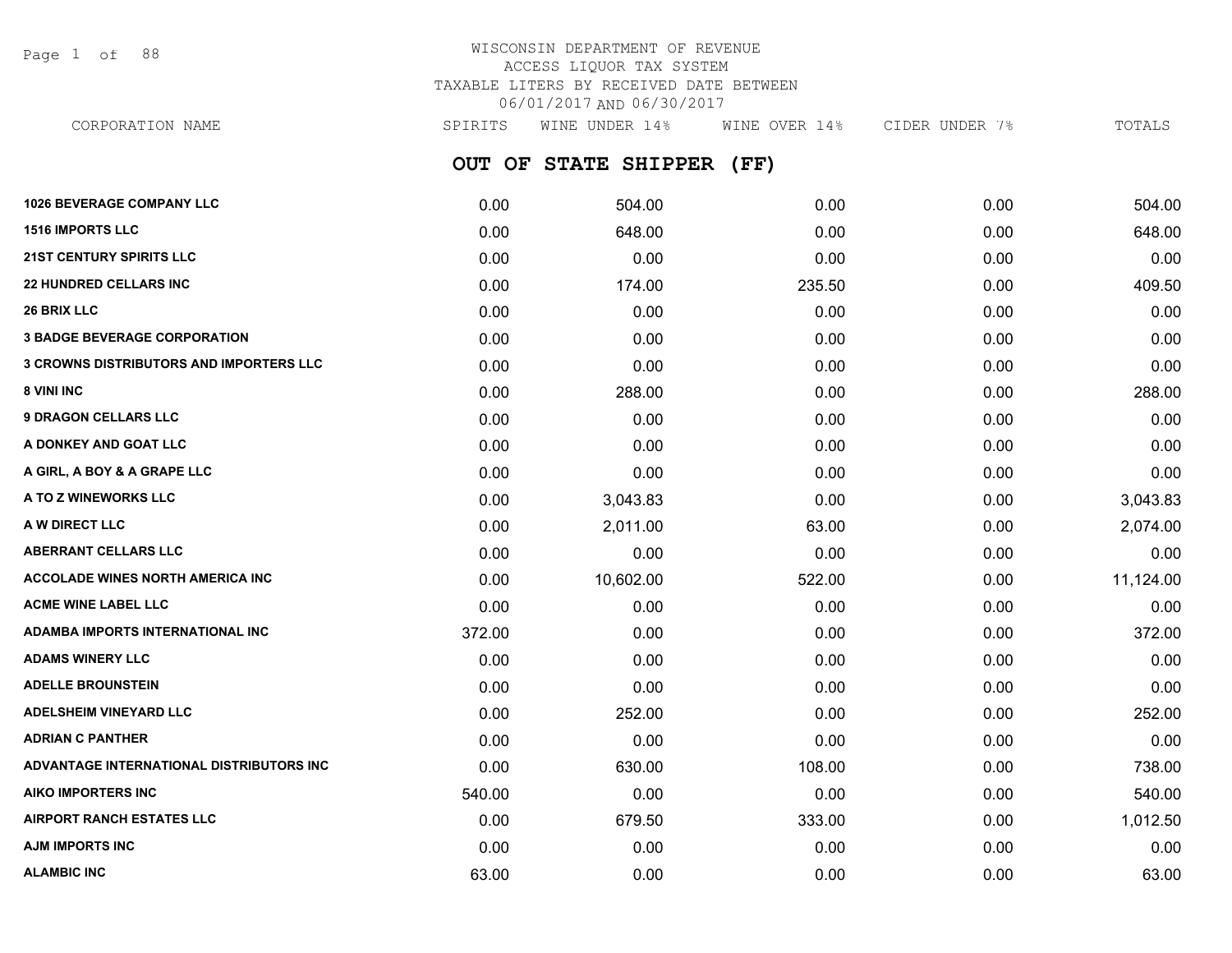Page 1 of 88

# WISCONSIN DEPARTMENT OF REVENUE ACCESS LIQUOR TAX SYSTEM TAXABLE LITERS BY RECEIVED DATE BETWEEN 06/01/2017 AND 06/30/2017

**OUT OF STATE SHIPPER (FF) 1026 BEVERAGE COMPANY LLC** 0.00 504.00 0.00 0.00 504.00 CORPORATION NAME SPIRITS WINE UNDER 14% WINE OVER 14% CIDER UNDER 7% TOTALS

| <b>1516 IMPORTS LLC</b>                        | 0.00   | 648.00    | 0.00   | 0.00 | 648.00    |
|------------------------------------------------|--------|-----------|--------|------|-----------|
| <b>21ST CENTURY SPIRITS LLC</b>                | 0.00   | 0.00      | 0.00   | 0.00 | 0.00      |
| <b>22 HUNDRED CELLARS INC</b>                  | 0.00   | 174.00    | 235.50 | 0.00 | 409.50    |
| <b>26 BRIX LLC</b>                             | 0.00   | 0.00      | 0.00   | 0.00 | 0.00      |
| <b>3 BADGE BEVERAGE CORPORATION</b>            | 0.00   | 0.00      | 0.00   | 0.00 | 0.00      |
| <b>3 CROWNS DISTRIBUTORS AND IMPORTERS LLC</b> | 0.00   | 0.00      | 0.00   | 0.00 | 0.00      |
| 8 VINI INC                                     | 0.00   | 288.00    | 0.00   | 0.00 | 288.00    |
| <b>9 DRAGON CELLARS LLC</b>                    | 0.00   | 0.00      | 0.00   | 0.00 | 0.00      |
| A DONKEY AND GOAT LLC                          | 0.00   | 0.00      | 0.00   | 0.00 | 0.00      |
| A GIRL, A BOY & A GRAPE LLC                    | 0.00   | 0.00      | 0.00   | 0.00 | 0.00      |
| A TO Z WINEWORKS LLC                           | 0.00   | 3,043.83  | 0.00   | 0.00 | 3,043.83  |
| A W DIRECT LLC                                 | 0.00   | 2,011.00  | 63.00  | 0.00 | 2,074.00  |
| <b>ABERRANT CELLARS LLC</b>                    | 0.00   | 0.00      | 0.00   | 0.00 | 0.00      |
| <b>ACCOLADE WINES NORTH AMERICA INC</b>        | 0.00   | 10,602.00 | 522.00 | 0.00 | 11,124.00 |
| <b>ACME WINE LABEL LLC</b>                     | 0.00   | 0.00      | 0.00   | 0.00 | 0.00      |
| ADAMBA IMPORTS INTERNATIONAL INC               | 372.00 | 0.00      | 0.00   | 0.00 | 372.00    |
| <b>ADAMS WINERY LLC</b>                        | 0.00   | 0.00      | 0.00   | 0.00 | 0.00      |
| <b>ADELLE BROUNSTEIN</b>                       | 0.00   | 0.00      | 0.00   | 0.00 | 0.00      |
| <b>ADELSHEIM VINEYARD LLC</b>                  | 0.00   | 252.00    | 0.00   | 0.00 | 252.00    |
| <b>ADRIAN C PANTHER</b>                        | 0.00   | 0.00      | 0.00   | 0.00 | 0.00      |
| ADVANTAGE INTERNATIONAL DISTRIBUTORS INC       | 0.00   | 630.00    | 108.00 | 0.00 | 738.00    |
| <b>AIKO IMPORTERS INC</b>                      | 540.00 | 0.00      | 0.00   | 0.00 | 540.00    |
| <b>AIRPORT RANCH ESTATES LLC</b>               | 0.00   | 679.50    | 333.00 | 0.00 | 1,012.50  |
| <b>AJM IMPORTS INC</b>                         | 0.00   | 0.00      | 0.00   | 0.00 | 0.00      |
| <b>ALAMBIC INC</b>                             | 63.00  | 0.00      | 0.00   | 0.00 | 63.00     |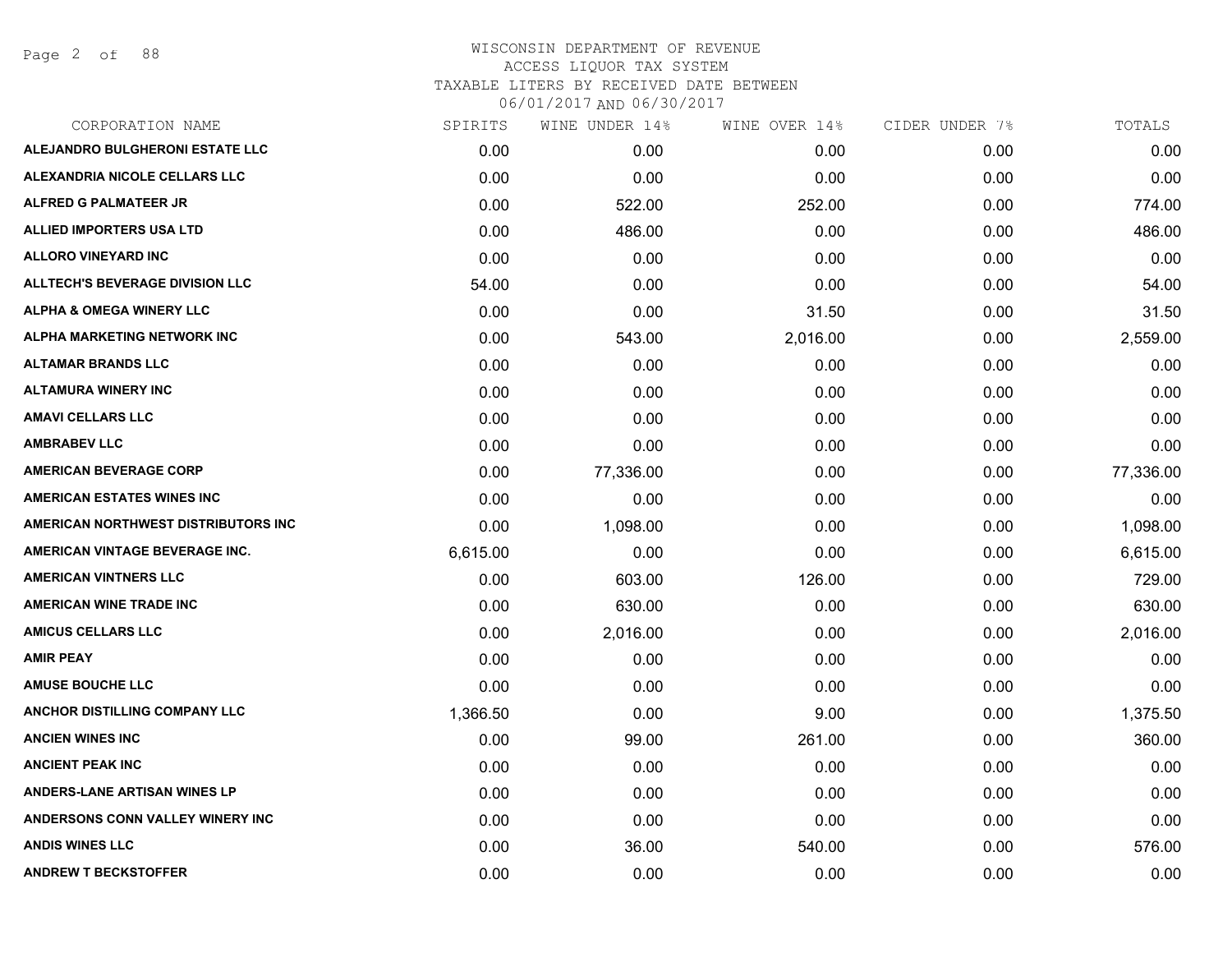Page 2 of 88

| CORPORATION NAME                       | SPIRITS  | WINE UNDER 14% | WINE OVER 14% | CIDER UNDER 7% | TOTALS    |
|----------------------------------------|----------|----------------|---------------|----------------|-----------|
| ALEJANDRO BULGHERONI ESTATE LLC        | 0.00     | 0.00           | 0.00          | 0.00           | 0.00      |
| <b>ALEXANDRIA NICOLE CELLARS LLC</b>   | 0.00     | 0.00           | 0.00          | 0.00           | 0.00      |
| ALFRED G PALMATEER JR                  | 0.00     | 522.00         | 252.00        | 0.00           | 774.00    |
| <b>ALLIED IMPORTERS USA LTD</b>        | 0.00     | 486.00         | 0.00          | 0.00           | 486.00    |
| <b>ALLORO VINEYARD INC</b>             | 0.00     | 0.00           | 0.00          | 0.00           | 0.00      |
| <b>ALLTECH'S BEVERAGE DIVISION LLC</b> | 54.00    | 0.00           | 0.00          | 0.00           | 54.00     |
| <b>ALPHA &amp; OMEGA WINERY LLC</b>    | 0.00     | 0.00           | 31.50         | 0.00           | 31.50     |
| ALPHA MARKETING NETWORK INC            | 0.00     | 543.00         | 2,016.00      | 0.00           | 2,559.00  |
| <b>ALTAMAR BRANDS LLC</b>              | 0.00     | 0.00           | 0.00          | 0.00           | 0.00      |
| <b>ALTAMURA WINERY INC</b>             | 0.00     | 0.00           | 0.00          | 0.00           | 0.00      |
| <b>AMAVI CELLARS LLC</b>               | 0.00     | 0.00           | 0.00          | 0.00           | 0.00      |
| <b>AMBRABEV LLC</b>                    | 0.00     | 0.00           | 0.00          | 0.00           | 0.00      |
| <b>AMERICAN BEVERAGE CORP</b>          | 0.00     | 77,336.00      | 0.00          | 0.00           | 77,336.00 |
| <b>AMERICAN ESTATES WINES INC</b>      | 0.00     | 0.00           | 0.00          | 0.00           | 0.00      |
| AMERICAN NORTHWEST DISTRIBUTORS INC    | 0.00     | 1,098.00       | 0.00          | 0.00           | 1,098.00  |
| AMERICAN VINTAGE BEVERAGE INC.         | 6,615.00 | 0.00           | 0.00          | 0.00           | 6,615.00  |
| <b>AMERICAN VINTNERS LLC</b>           | 0.00     | 603.00         | 126.00        | 0.00           | 729.00    |
| <b>AMERICAN WINE TRADE INC</b>         | 0.00     | 630.00         | 0.00          | 0.00           | 630.00    |
| <b>AMICUS CELLARS LLC</b>              | 0.00     | 2,016.00       | 0.00          | 0.00           | 2,016.00  |
| <b>AMIR PEAY</b>                       | 0.00     | 0.00           | 0.00          | 0.00           | 0.00      |
| <b>AMUSE BOUCHE LLC</b>                | 0.00     | 0.00           | 0.00          | 0.00           | 0.00      |
| ANCHOR DISTILLING COMPANY LLC          | 1,366.50 | 0.00           | 9.00          | 0.00           | 1,375.50  |
| <b>ANCIEN WINES INC</b>                | 0.00     | 99.00          | 261.00        | 0.00           | 360.00    |
| <b>ANCIENT PEAK INC</b>                | 0.00     | 0.00           | 0.00          | 0.00           | 0.00      |
| <b>ANDERS-LANE ARTISAN WINES LP</b>    | 0.00     | 0.00           | 0.00          | 0.00           | 0.00      |
| ANDERSONS CONN VALLEY WINERY INC       | 0.00     | 0.00           | 0.00          | 0.00           | 0.00      |
| <b>ANDIS WINES LLC</b>                 | 0.00     | 36.00          | 540.00        | 0.00           | 576.00    |
| <b>ANDREW T BECKSTOFFER</b>            | 0.00     | 0.00           | 0.00          | 0.00           | 0.00      |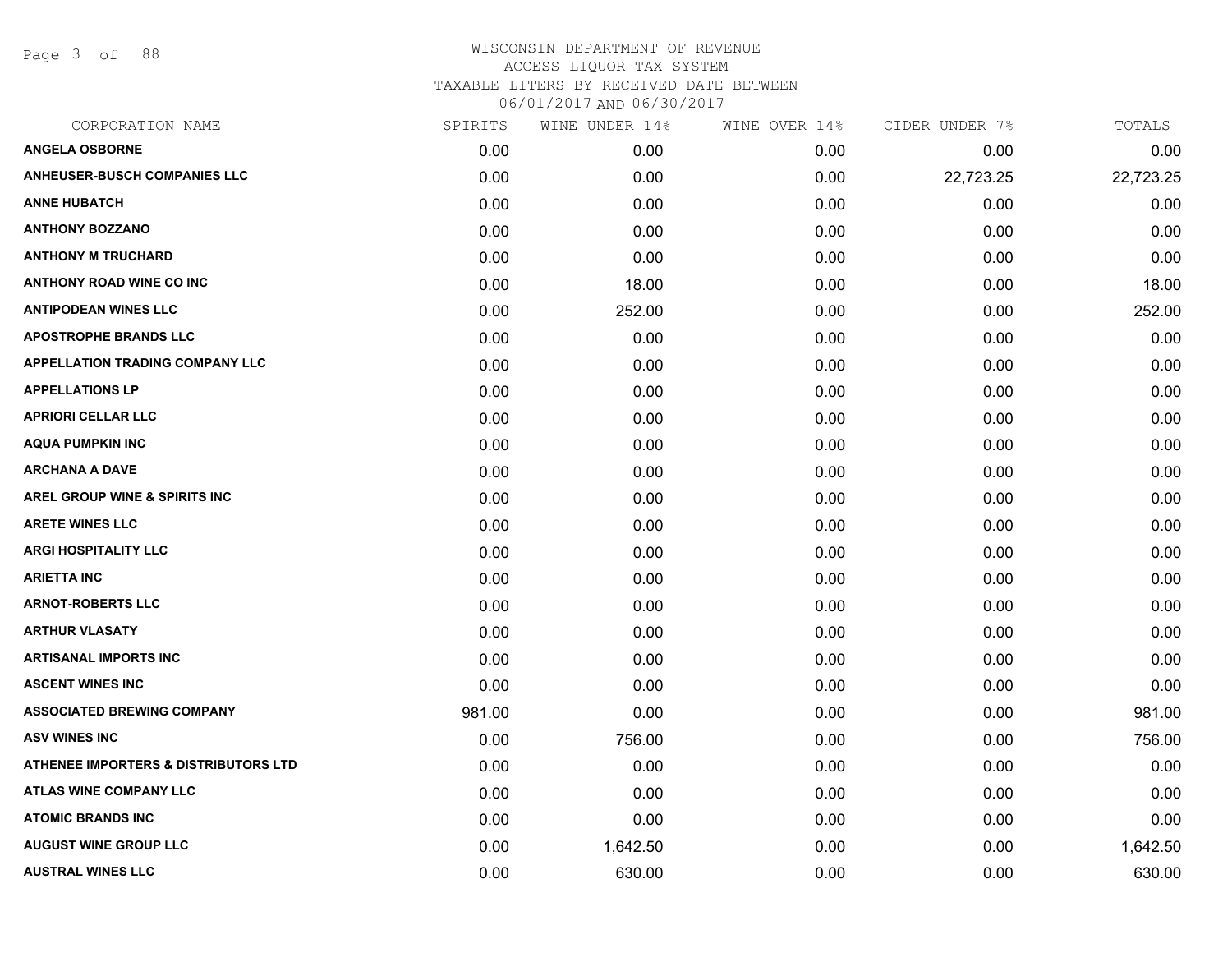Page 3 of 88

| CORPORATION NAME                                | SPIRITS | WINE UNDER 14% | WINE OVER 14% | CIDER UNDER 7% | TOTALS    |
|-------------------------------------------------|---------|----------------|---------------|----------------|-----------|
| <b>ANGELA OSBORNE</b>                           | 0.00    | 0.00           | 0.00          | 0.00           | 0.00      |
| <b>ANHEUSER-BUSCH COMPANIES LLC</b>             | 0.00    | 0.00           | 0.00          | 22,723.25      | 22,723.25 |
| <b>ANNE HUBATCH</b>                             | 0.00    | 0.00           | 0.00          | 0.00           | 0.00      |
| <b>ANTHONY BOZZANO</b>                          | 0.00    | 0.00           | 0.00          | 0.00           | 0.00      |
| <b>ANTHONY M TRUCHARD</b>                       | 0.00    | 0.00           | 0.00          | 0.00           | 0.00      |
| <b>ANTHONY ROAD WINE CO INC</b>                 | 0.00    | 18.00          | 0.00          | 0.00           | 18.00     |
| <b>ANTIPODEAN WINES LLC</b>                     | 0.00    | 252.00         | 0.00          | 0.00           | 252.00    |
| <b>APOSTROPHE BRANDS LLC</b>                    | 0.00    | 0.00           | 0.00          | 0.00           | 0.00      |
| <b>APPELLATION TRADING COMPANY LLC</b>          | 0.00    | 0.00           | 0.00          | 0.00           | 0.00      |
| <b>APPELLATIONS LP</b>                          | 0.00    | 0.00           | 0.00          | 0.00           | 0.00      |
| <b>APRIORI CELLAR LLC</b>                       | 0.00    | 0.00           | 0.00          | 0.00           | 0.00      |
| <b>AQUA PUMPKIN INC</b>                         | 0.00    | 0.00           | 0.00          | 0.00           | 0.00      |
| <b>ARCHANA A DAVE</b>                           | 0.00    | 0.00           | 0.00          | 0.00           | 0.00      |
| AREL GROUP WINE & SPIRITS INC                   | 0.00    | 0.00           | 0.00          | 0.00           | 0.00      |
| <b>ARETE WINES LLC</b>                          | 0.00    | 0.00           | 0.00          | 0.00           | 0.00      |
| <b>ARGI HOSPITALITY LLC</b>                     | 0.00    | 0.00           | 0.00          | 0.00           | 0.00      |
| <b>ARIETTA INC</b>                              | 0.00    | 0.00           | 0.00          | 0.00           | 0.00      |
| <b>ARNOT-ROBERTS LLC</b>                        | 0.00    | 0.00           | 0.00          | 0.00           | 0.00      |
| <b>ARTHUR VLASATY</b>                           | 0.00    | 0.00           | 0.00          | 0.00           | 0.00      |
| <b>ARTISANAL IMPORTS INC</b>                    | 0.00    | 0.00           | 0.00          | 0.00           | 0.00      |
| <b>ASCENT WINES INC</b>                         | 0.00    | 0.00           | 0.00          | 0.00           | 0.00      |
| <b>ASSOCIATED BREWING COMPANY</b>               | 981.00  | 0.00           | 0.00          | 0.00           | 981.00    |
| <b>ASV WINES INC</b>                            | 0.00    | 756.00         | 0.00          | 0.00           | 756.00    |
| <b>ATHENEE IMPORTERS &amp; DISTRIBUTORS LTD</b> | 0.00    | 0.00           | 0.00          | 0.00           | 0.00      |
| <b>ATLAS WINE COMPANY LLC</b>                   | 0.00    | 0.00           | 0.00          | 0.00           | 0.00      |
| <b>ATOMIC BRANDS INC</b>                        | 0.00    | 0.00           | 0.00          | 0.00           | 0.00      |
| <b>AUGUST WINE GROUP LLC</b>                    | 0.00    | 1,642.50       | 0.00          | 0.00           | 1,642.50  |
| <b>AUSTRAL WINES LLC</b>                        | 0.00    | 630.00         | 0.00          | 0.00           | 630.00    |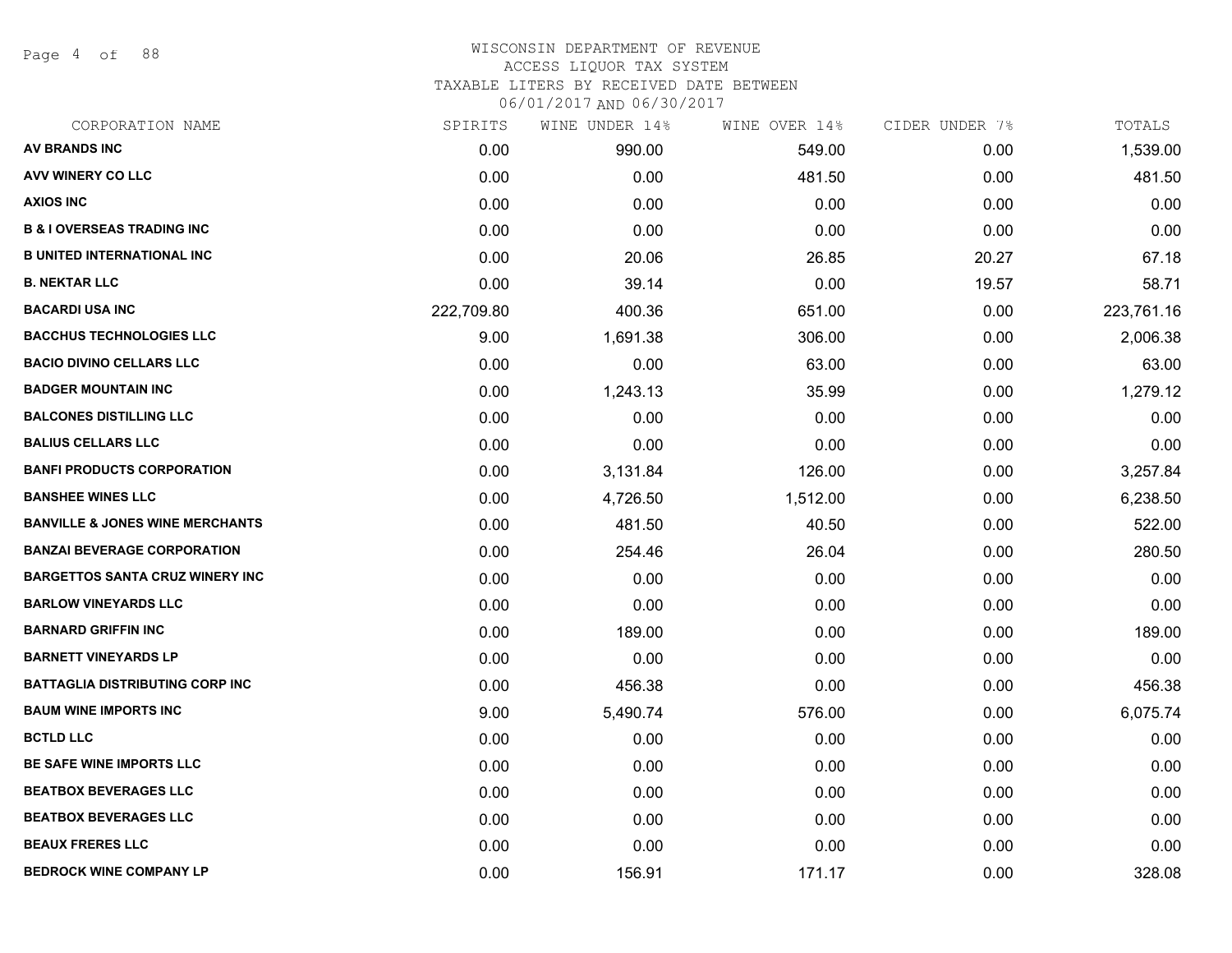Page 4 of 88

### WISCONSIN DEPARTMENT OF REVENUE ACCESS LIQUOR TAX SYSTEM TAXABLE LITERS BY RECEIVED DATE BETWEEN

| CORPORATION NAME                           | SPIRITS    | WINE UNDER 14% | WINE OVER 14% | CIDER UNDER 7% | TOTALS     |
|--------------------------------------------|------------|----------------|---------------|----------------|------------|
| AV BRANDS INC                              | 0.00       | 990.00         | 549.00        | 0.00           | 1,539.00   |
| <b>AVV WINERY CO LLC</b>                   | 0.00       | 0.00           | 481.50        | 0.00           | 481.50     |
| <b>AXIOS INC</b>                           | 0.00       | 0.00           | 0.00          | 0.00           | 0.00       |
| <b>B &amp; I OVERSEAS TRADING INC</b>      | 0.00       | 0.00           | 0.00          | 0.00           | 0.00       |
| <b>B UNITED INTERNATIONAL INC</b>          | 0.00       | 20.06          | 26.85         | 20.27          | 67.18      |
| <b>B. NEKTAR LLC</b>                       | 0.00       | 39.14          | 0.00          | 19.57          | 58.71      |
| <b>BACARDI USA INC</b>                     | 222,709.80 | 400.36         | 651.00        | 0.00           | 223,761.16 |
| <b>BACCHUS TECHNOLOGIES LLC</b>            | 9.00       | 1,691.38       | 306.00        | 0.00           | 2,006.38   |
| <b>BACIO DIVINO CELLARS LLC</b>            | 0.00       | 0.00           | 63.00         | 0.00           | 63.00      |
| <b>BADGER MOUNTAIN INC</b>                 | 0.00       | 1,243.13       | 35.99         | 0.00           | 1,279.12   |
| <b>BALCONES DISTILLING LLC</b>             | 0.00       | 0.00           | 0.00          | 0.00           | 0.00       |
| <b>BALIUS CELLARS LLC</b>                  | 0.00       | 0.00           | 0.00          | 0.00           | 0.00       |
| <b>BANFI PRODUCTS CORPORATION</b>          | 0.00       | 3,131.84       | 126.00        | 0.00           | 3,257.84   |
| <b>BANSHEE WINES LLC</b>                   | 0.00       | 4,726.50       | 1,512.00      | 0.00           | 6,238.50   |
| <b>BANVILLE &amp; JONES WINE MERCHANTS</b> | 0.00       | 481.50         | 40.50         | 0.00           | 522.00     |
| <b>BANZAI BEVERAGE CORPORATION</b>         | 0.00       | 254.46         | 26.04         | 0.00           | 280.50     |
| <b>BARGETTOS SANTA CRUZ WINERY INC</b>     | 0.00       | 0.00           | 0.00          | 0.00           | 0.00       |
| <b>BARLOW VINEYARDS LLC</b>                | 0.00       | 0.00           | 0.00          | 0.00           | 0.00       |
| <b>BARNARD GRIFFIN INC</b>                 | 0.00       | 189.00         | 0.00          | 0.00           | 189.00     |
| <b>BARNETT VINEYARDS LP</b>                | 0.00       | 0.00           | 0.00          | 0.00           | 0.00       |
| <b>BATTAGLIA DISTRIBUTING CORP INC</b>     | 0.00       | 456.38         | 0.00          | 0.00           | 456.38     |
| <b>BAUM WINE IMPORTS INC</b>               | 9.00       | 5,490.74       | 576.00        | 0.00           | 6,075.74   |
| <b>BCTLD LLC</b>                           | 0.00       | 0.00           | 0.00          | 0.00           | 0.00       |
| BE SAFE WINE IMPORTS LLC                   | 0.00       | 0.00           | 0.00          | 0.00           | 0.00       |
| <b>BEATBOX BEVERAGES LLC</b>               | 0.00       | 0.00           | 0.00          | 0.00           | 0.00       |
| <b>BEATBOX BEVERAGES LLC</b>               | 0.00       | 0.00           | 0.00          | 0.00           | 0.00       |
| <b>BEAUX FRERES LLC</b>                    | 0.00       | 0.00           | 0.00          | 0.00           | 0.00       |
| <b>BEDROCK WINE COMPANY LP</b>             | 0.00       | 156.91         | 171.17        | 0.00           | 328.08     |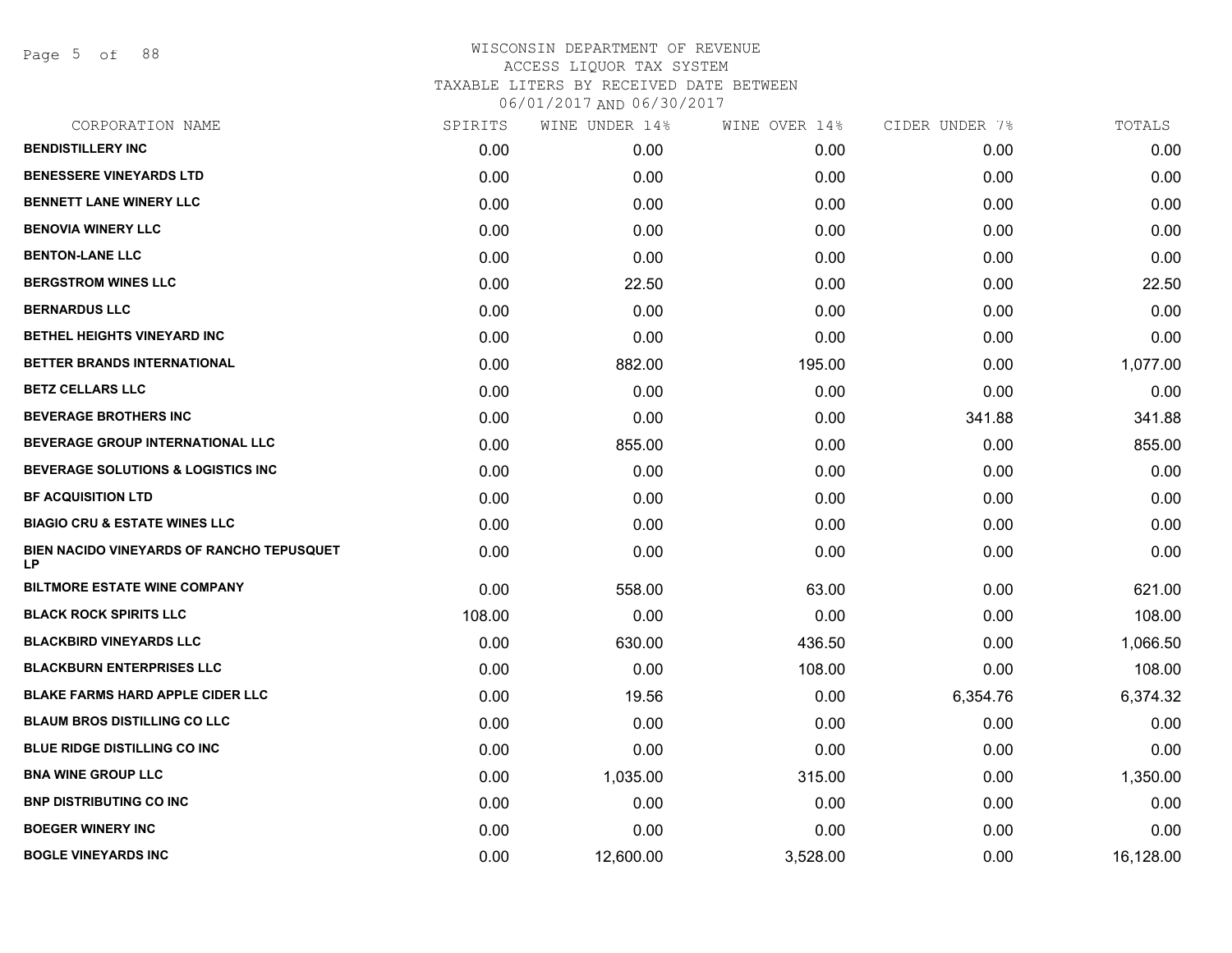Page 5 of 88

| CORPORATION NAME                                | SPIRITS | WINE UNDER 14% | WINE OVER 14% | CIDER UNDER 7% | TOTALS    |
|-------------------------------------------------|---------|----------------|---------------|----------------|-----------|
| <b>BENDISTILLERY INC</b>                        | 0.00    | 0.00           | 0.00          | 0.00           | 0.00      |
| <b>BENESSERE VINEYARDS LTD</b>                  | 0.00    | 0.00           | 0.00          | 0.00           | 0.00      |
| <b>BENNETT LANE WINERY LLC</b>                  | 0.00    | 0.00           | 0.00          | 0.00           | 0.00      |
| <b>BENOVIA WINERY LLC</b>                       | 0.00    | 0.00           | 0.00          | 0.00           | 0.00      |
| <b>BENTON-LANE LLC</b>                          | 0.00    | 0.00           | 0.00          | 0.00           | 0.00      |
| <b>BERGSTROM WINES LLC</b>                      | 0.00    | 22.50          | 0.00          | 0.00           | 22.50     |
| <b>BERNARDUS LLC</b>                            | 0.00    | 0.00           | 0.00          | 0.00           | 0.00      |
| <b>BETHEL HEIGHTS VINEYARD INC</b>              | 0.00    | 0.00           | 0.00          | 0.00           | 0.00      |
| BETTER BRANDS INTERNATIONAL                     | 0.00    | 882.00         | 195.00        | 0.00           | 1,077.00  |
| <b>BETZ CELLARS LLC</b>                         | 0.00    | 0.00           | 0.00          | 0.00           | 0.00      |
| <b>BEVERAGE BROTHERS INC</b>                    | 0.00    | 0.00           | 0.00          | 341.88         | 341.88    |
| <b>BEVERAGE GROUP INTERNATIONAL LLC</b>         | 0.00    | 855.00         | 0.00          | 0.00           | 855.00    |
| <b>BEVERAGE SOLUTIONS &amp; LOGISTICS INC</b>   | 0.00    | 0.00           | 0.00          | 0.00           | 0.00      |
| <b>BF ACQUISITION LTD</b>                       | 0.00    | 0.00           | 0.00          | 0.00           | 0.00      |
| <b>BIAGIO CRU &amp; ESTATE WINES LLC</b>        | 0.00    | 0.00           | 0.00          | 0.00           | 0.00      |
| BIEN NACIDO VINEYARDS OF RANCHO TEPUSQUET<br>LP | 0.00    | 0.00           | 0.00          | 0.00           | 0.00      |
| <b>BILTMORE ESTATE WINE COMPANY</b>             | 0.00    | 558.00         | 63.00         | 0.00           | 621.00    |
| <b>BLACK ROCK SPIRITS LLC</b>                   | 108.00  | 0.00           | 0.00          | 0.00           | 108.00    |
| <b>BLACKBIRD VINEYARDS LLC</b>                  | 0.00    | 630.00         | 436.50        | 0.00           | 1,066.50  |
| <b>BLACKBURN ENTERPRISES LLC</b>                | 0.00    | 0.00           | 108.00        | 0.00           | 108.00    |
| <b>BLAKE FARMS HARD APPLE CIDER LLC</b>         | 0.00    | 19.56          | 0.00          | 6,354.76       | 6,374.32  |
| <b>BLAUM BROS DISTILLING CO LLC</b>             | 0.00    | 0.00           | 0.00          | 0.00           | 0.00      |
| <b>BLUE RIDGE DISTILLING CO INC</b>             | 0.00    | 0.00           | 0.00          | 0.00           | 0.00      |
| <b>BNA WINE GROUP LLC</b>                       | 0.00    | 1,035.00       | 315.00        | 0.00           | 1,350.00  |
| <b>BNP DISTRIBUTING CO INC</b>                  | 0.00    | 0.00           | 0.00          | 0.00           | 0.00      |
| <b>BOEGER WINERY INC</b>                        | 0.00    | 0.00           | 0.00          | 0.00           | 0.00      |
| <b>BOGLE VINEYARDS INC</b>                      | 0.00    | 12,600.00      | 3,528.00      | 0.00           | 16,128.00 |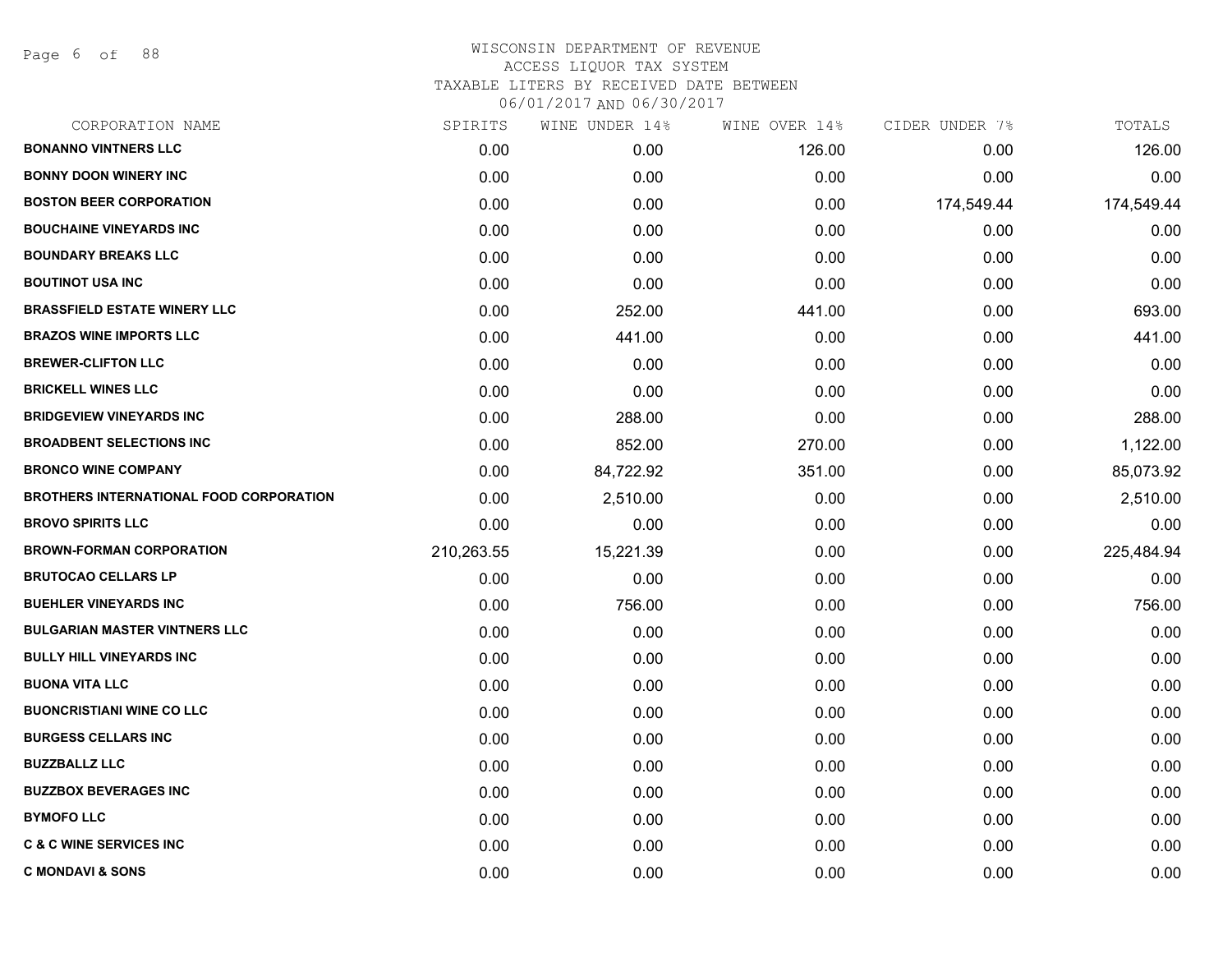Page 6 of 88

| CORPORATION NAME                               | SPIRITS    | WINE UNDER 14% | WINE OVER 14% | CIDER UNDER 7% | TOTALS     |
|------------------------------------------------|------------|----------------|---------------|----------------|------------|
| <b>BONANNO VINTNERS LLC</b>                    | 0.00       | 0.00           | 126.00        | 0.00           | 126.00     |
| <b>BONNY DOON WINERY INC</b>                   | 0.00       | 0.00           | 0.00          | 0.00           | 0.00       |
| <b>BOSTON BEER CORPORATION</b>                 | 0.00       | 0.00           | 0.00          | 174,549.44     | 174,549.44 |
| <b>BOUCHAINE VINEYARDS INC</b>                 | 0.00       | 0.00           | 0.00          | 0.00           | 0.00       |
| <b>BOUNDARY BREAKS LLC</b>                     | 0.00       | 0.00           | 0.00          | 0.00           | 0.00       |
| <b>BOUTINOT USA INC</b>                        | 0.00       | 0.00           | 0.00          | 0.00           | 0.00       |
| <b>BRASSFIELD ESTATE WINERY LLC</b>            | 0.00       | 252.00         | 441.00        | 0.00           | 693.00     |
| <b>BRAZOS WINE IMPORTS LLC</b>                 | 0.00       | 441.00         | 0.00          | 0.00           | 441.00     |
| <b>BREWER-CLIFTON LLC</b>                      | 0.00       | 0.00           | 0.00          | 0.00           | 0.00       |
| <b>BRICKELL WINES LLC</b>                      | 0.00       | 0.00           | 0.00          | 0.00           | 0.00       |
| <b>BRIDGEVIEW VINEYARDS INC</b>                | 0.00       | 288.00         | 0.00          | 0.00           | 288.00     |
| <b>BROADBENT SELECTIONS INC</b>                | 0.00       | 852.00         | 270.00        | 0.00           | 1,122.00   |
| <b>BRONCO WINE COMPANY</b>                     | 0.00       | 84,722.92      | 351.00        | 0.00           | 85,073.92  |
| <b>BROTHERS INTERNATIONAL FOOD CORPORATION</b> | 0.00       | 2,510.00       | 0.00          | 0.00           | 2,510.00   |
| <b>BROVO SPIRITS LLC</b>                       | 0.00       | 0.00           | 0.00          | 0.00           | 0.00       |
| <b>BROWN-FORMAN CORPORATION</b>                | 210,263.55 | 15,221.39      | 0.00          | 0.00           | 225,484.94 |
| <b>BRUTOCAO CELLARS LP</b>                     | 0.00       | 0.00           | 0.00          | 0.00           | 0.00       |
| <b>BUEHLER VINEYARDS INC</b>                   | 0.00       | 756.00         | 0.00          | 0.00           | 756.00     |
| <b>BULGARIAN MASTER VINTNERS LLC</b>           | 0.00       | 0.00           | 0.00          | 0.00           | 0.00       |
| <b>BULLY HILL VINEYARDS INC</b>                | 0.00       | 0.00           | 0.00          | 0.00           | 0.00       |
| <b>BUONA VITA LLC</b>                          | 0.00       | 0.00           | 0.00          | 0.00           | 0.00       |
| <b>BUONCRISTIANI WINE CO LLC</b>               | 0.00       | 0.00           | 0.00          | 0.00           | 0.00       |
| <b>BURGESS CELLARS INC</b>                     | 0.00       | 0.00           | 0.00          | 0.00           | 0.00       |
| <b>BUZZBALLZ LLC</b>                           | 0.00       | 0.00           | 0.00          | 0.00           | 0.00       |
| <b>BUZZBOX BEVERAGES INC</b>                   | 0.00       | 0.00           | 0.00          | 0.00           | 0.00       |
| <b>BYMOFO LLC</b>                              | 0.00       | 0.00           | 0.00          | 0.00           | 0.00       |
| <b>C &amp; C WINE SERVICES INC</b>             | 0.00       | 0.00           | 0.00          | 0.00           | 0.00       |
| <b>C MONDAVI &amp; SONS</b>                    | 0.00       | 0.00           | 0.00          | 0.00           | 0.00       |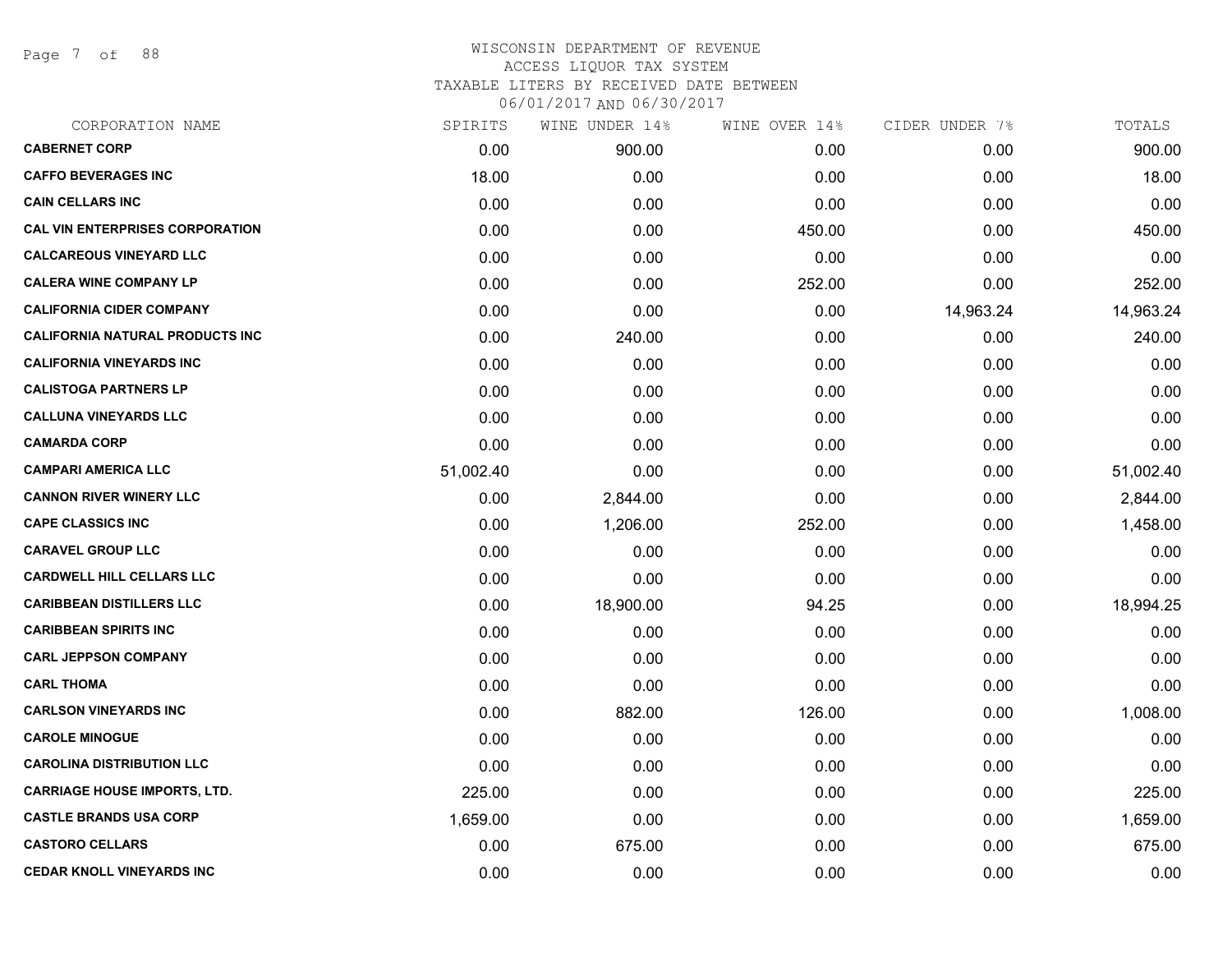Page 7 of 88

| SPIRITS   | WINE UNDER 14% | WINE OVER 14% | CIDER UNDER 7% | TOTALS    |
|-----------|----------------|---------------|----------------|-----------|
| 0.00      | 900.00         | 0.00          | 0.00           | 900.00    |
| 18.00     | 0.00           | 0.00          | 0.00           | 18.00     |
| 0.00      | 0.00           | 0.00          | 0.00           | 0.00      |
| 0.00      | 0.00           | 450.00        | 0.00           | 450.00    |
| 0.00      | 0.00           | 0.00          | 0.00           | 0.00      |
| 0.00      | 0.00           | 252.00        | 0.00           | 252.00    |
| 0.00      | 0.00           | 0.00          | 14,963.24      | 14,963.24 |
| 0.00      | 240.00         | 0.00          | 0.00           | 240.00    |
| 0.00      | 0.00           | 0.00          | 0.00           | 0.00      |
| 0.00      | 0.00           | 0.00          | 0.00           | 0.00      |
| 0.00      | 0.00           | 0.00          | 0.00           | 0.00      |
| 0.00      | 0.00           | 0.00          | 0.00           | 0.00      |
| 51,002.40 | 0.00           | 0.00          | 0.00           | 51,002.40 |
| 0.00      | 2,844.00       | 0.00          | 0.00           | 2,844.00  |
| 0.00      | 1,206.00       | 252.00        | 0.00           | 1,458.00  |
| 0.00      | 0.00           | 0.00          | 0.00           | 0.00      |
| 0.00      | 0.00           | 0.00          | 0.00           | 0.00      |
| 0.00      | 18,900.00      | 94.25         | 0.00           | 18,994.25 |
| 0.00      | 0.00           | 0.00          | 0.00           | 0.00      |
| 0.00      | 0.00           | 0.00          | 0.00           | 0.00      |
| 0.00      | 0.00           | 0.00          | 0.00           | 0.00      |
| 0.00      | 882.00         | 126.00        | 0.00           | 1,008.00  |
| 0.00      | 0.00           | 0.00          | 0.00           | 0.00      |
| 0.00      | 0.00           | 0.00          | 0.00           | 0.00      |
| 225.00    | 0.00           | 0.00          | 0.00           | 225.00    |
| 1,659.00  | 0.00           | 0.00          | 0.00           | 1,659.00  |
| 0.00      | 675.00         | 0.00          | 0.00           | 675.00    |
| 0.00      | 0.00           | 0.00          | 0.00           | 0.00      |
|           |                |               |                |           |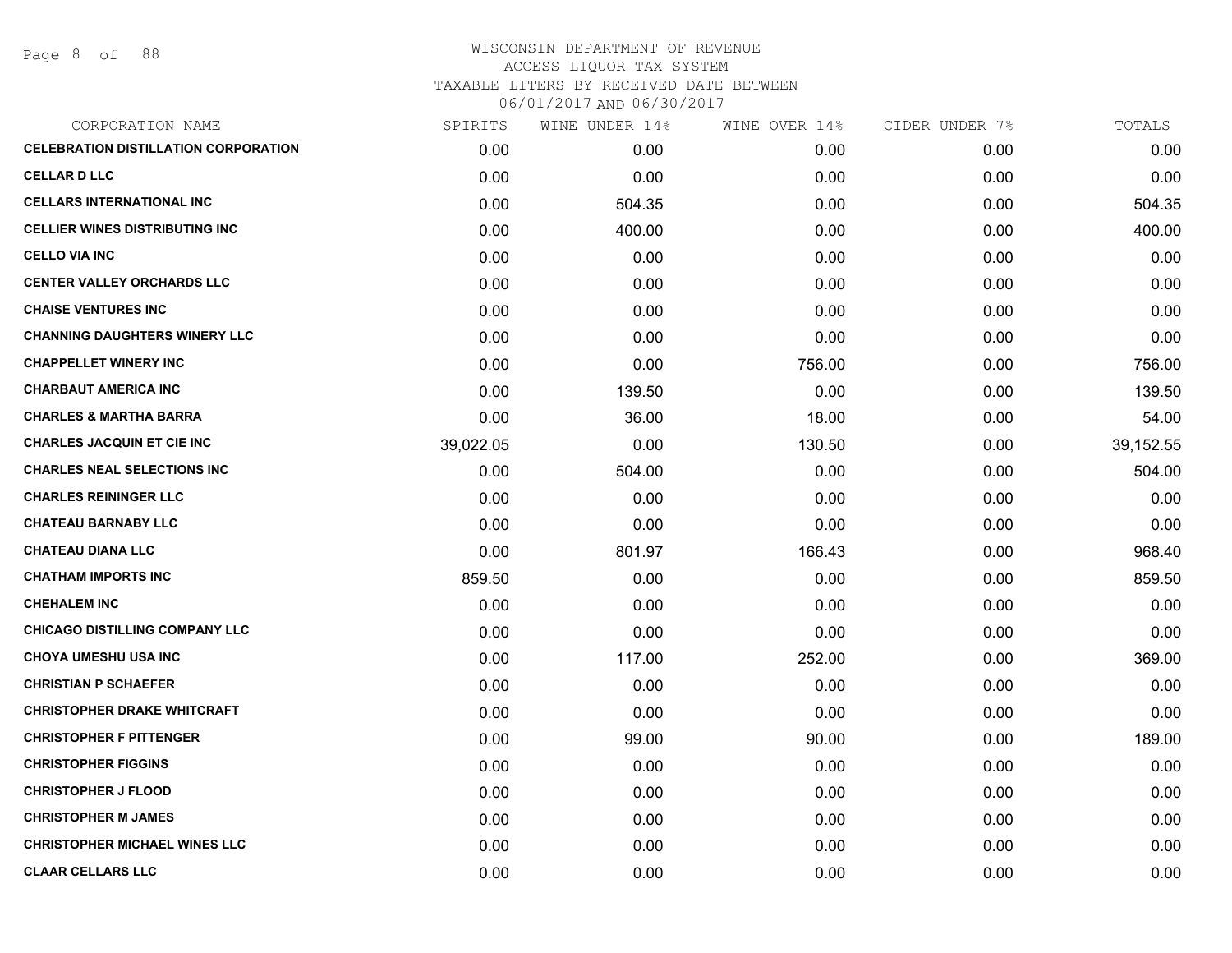| CORPORATION NAME                            | SPIRITS   | WINE UNDER 14% | WINE OVER 14% | CIDER UNDER 7% | TOTALS    |
|---------------------------------------------|-----------|----------------|---------------|----------------|-----------|
| <b>CELEBRATION DISTILLATION CORPORATION</b> | 0.00      | 0.00           | 0.00          | 0.00           | 0.00      |
| <b>CELLAR D LLC</b>                         | 0.00      | 0.00           | 0.00          | 0.00           | 0.00      |
| <b>CELLARS INTERNATIONAL INC</b>            | 0.00      | 504.35         | 0.00          | 0.00           | 504.35    |
| <b>CELLIER WINES DISTRIBUTING INC</b>       | 0.00      | 400.00         | 0.00          | 0.00           | 400.00    |
| <b>CELLO VIA INC</b>                        | 0.00      | 0.00           | 0.00          | 0.00           | 0.00      |
| <b>CENTER VALLEY ORCHARDS LLC</b>           | 0.00      | 0.00           | 0.00          | 0.00           | 0.00      |
| <b>CHAISE VENTURES INC</b>                  | 0.00      | 0.00           | 0.00          | 0.00           | 0.00      |
| <b>CHANNING DAUGHTERS WINERY LLC</b>        | 0.00      | 0.00           | 0.00          | 0.00           | 0.00      |
| <b>CHAPPELLET WINERY INC</b>                | 0.00      | 0.00           | 756.00        | 0.00           | 756.00    |
| <b>CHARBAUT AMERICA INC</b>                 | 0.00      | 139.50         | 0.00          | 0.00           | 139.50    |
| <b>CHARLES &amp; MARTHA BARRA</b>           | 0.00      | 36.00          | 18.00         | 0.00           | 54.00     |
| <b>CHARLES JACQUIN ET CIE INC</b>           | 39,022.05 | 0.00           | 130.50        | 0.00           | 39,152.55 |
| <b>CHARLES NEAL SELECTIONS INC</b>          | 0.00      | 504.00         | 0.00          | 0.00           | 504.00    |
| <b>CHARLES REININGER LLC</b>                | 0.00      | 0.00           | 0.00          | 0.00           | 0.00      |
| <b>CHATEAU BARNABY LLC</b>                  | 0.00      | 0.00           | 0.00          | 0.00           | 0.00      |
| <b>CHATEAU DIANA LLC</b>                    | 0.00      | 801.97         | 166.43        | 0.00           | 968.40    |
| <b>CHATHAM IMPORTS INC</b>                  | 859.50    | 0.00           | 0.00          | 0.00           | 859.50    |
| <b>CHEHALEM INC</b>                         | 0.00      | 0.00           | 0.00          | 0.00           | 0.00      |
| <b>CHICAGO DISTILLING COMPANY LLC</b>       | 0.00      | 0.00           | 0.00          | 0.00           | 0.00      |
| <b>CHOYA UMESHU USA INC</b>                 | 0.00      | 117.00         | 252.00        | 0.00           | 369.00    |
| <b>CHRISTIAN P SCHAEFER</b>                 | 0.00      | 0.00           | 0.00          | 0.00           | 0.00      |
| <b>CHRISTOPHER DRAKE WHITCRAFT</b>          | 0.00      | 0.00           | 0.00          | 0.00           | 0.00      |
| <b>CHRISTOPHER F PITTENGER</b>              | 0.00      | 99.00          | 90.00         | 0.00           | 189.00    |
| <b>CHRISTOPHER FIGGINS</b>                  | 0.00      | 0.00           | 0.00          | 0.00           | 0.00      |
| <b>CHRISTOPHER J FLOOD</b>                  | 0.00      | 0.00           | 0.00          | 0.00           | 0.00      |
| <b>CHRISTOPHER M JAMES</b>                  | 0.00      | 0.00           | 0.00          | 0.00           | 0.00      |
| <b>CHRISTOPHER MICHAEL WINES LLC</b>        | 0.00      | 0.00           | 0.00          | 0.00           | 0.00      |
| <b>CLAAR CELLARS LLC</b>                    | 0.00      | 0.00           | 0.00          | 0.00           | 0.00      |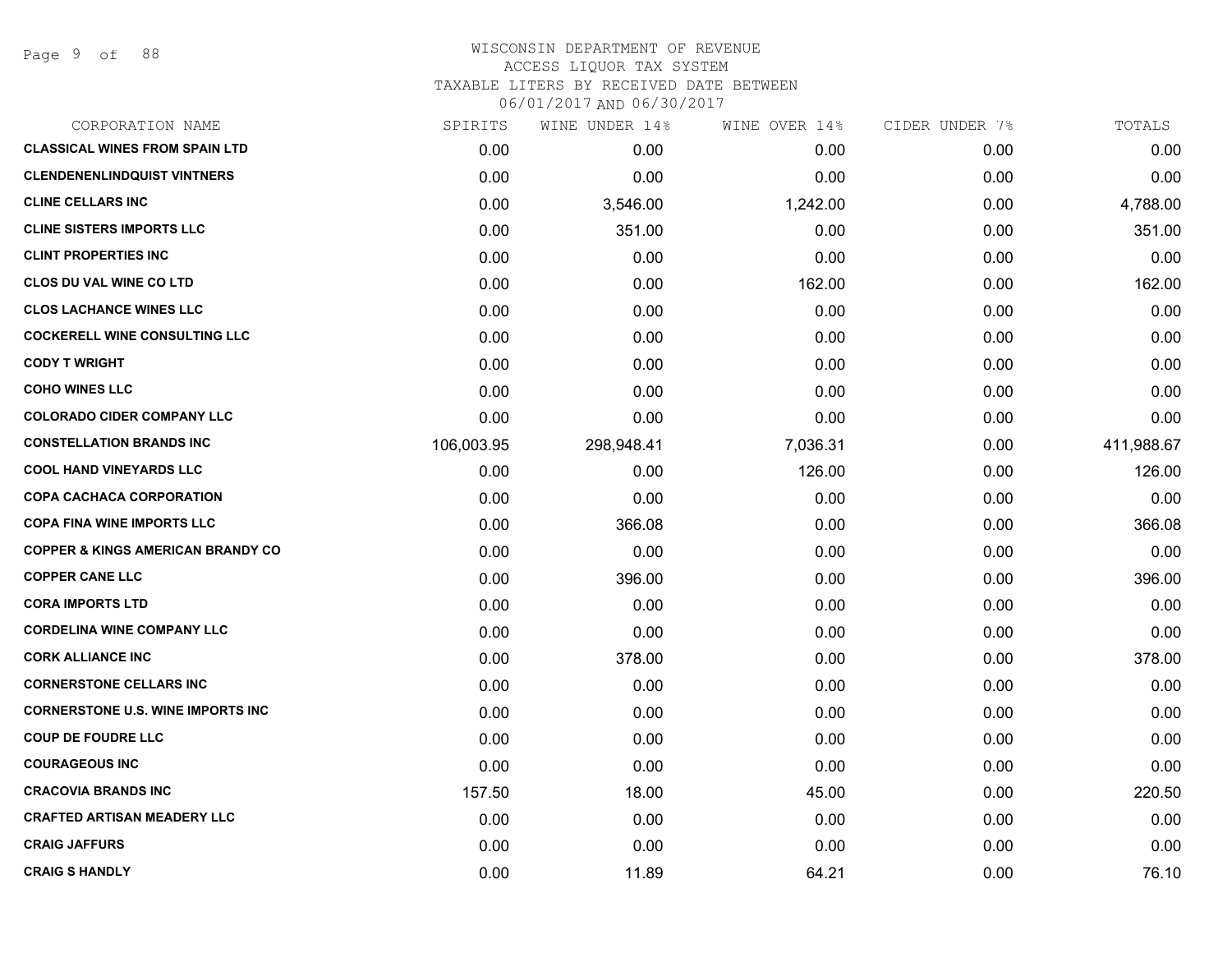| CORPORATION NAME                             | SPIRITS    | WINE UNDER 14% | WINE OVER 14% | CIDER UNDER 7% | TOTALS     |
|----------------------------------------------|------------|----------------|---------------|----------------|------------|
| <b>CLASSICAL WINES FROM SPAIN LTD</b>        | 0.00       | 0.00           | 0.00          | 0.00           | 0.00       |
| <b>CLENDENENLINDQUIST VINTNERS</b>           | 0.00       | 0.00           | 0.00          | 0.00           | 0.00       |
| <b>CLINE CELLARS INC</b>                     | 0.00       | 3,546.00       | 1,242.00      | 0.00           | 4,788.00   |
| <b>CLINE SISTERS IMPORTS LLC</b>             | 0.00       | 351.00         | 0.00          | 0.00           | 351.00     |
| <b>CLINT PROPERTIES INC</b>                  | 0.00       | 0.00           | 0.00          | 0.00           | 0.00       |
| <b>CLOS DU VAL WINE CO LTD</b>               | 0.00       | 0.00           | 162.00        | 0.00           | 162.00     |
| <b>CLOS LACHANCE WINES LLC</b>               | 0.00       | 0.00           | 0.00          | 0.00           | 0.00       |
| <b>COCKERELL WINE CONSULTING LLC</b>         | 0.00       | 0.00           | 0.00          | 0.00           | 0.00       |
| <b>CODY T WRIGHT</b>                         | 0.00       | 0.00           | 0.00          | 0.00           | 0.00       |
| <b>COHO WINES LLC</b>                        | 0.00       | 0.00           | 0.00          | 0.00           | 0.00       |
| <b>COLORADO CIDER COMPANY LLC</b>            | 0.00       | 0.00           | 0.00          | 0.00           | 0.00       |
| <b>CONSTELLATION BRANDS INC</b>              | 106,003.95 | 298,948.41     | 7,036.31      | 0.00           | 411,988.67 |
| <b>COOL HAND VINEYARDS LLC</b>               | 0.00       | 0.00           | 126.00        | 0.00           | 126.00     |
| <b>COPA CACHACA CORPORATION</b>              | 0.00       | 0.00           | 0.00          | 0.00           | 0.00       |
| <b>COPA FINA WINE IMPORTS LLC</b>            | 0.00       | 366.08         | 0.00          | 0.00           | 366.08     |
| <b>COPPER &amp; KINGS AMERICAN BRANDY CO</b> | 0.00       | 0.00           | 0.00          | 0.00           | 0.00       |
| <b>COPPER CANE LLC</b>                       | 0.00       | 396.00         | 0.00          | 0.00           | 396.00     |
| <b>CORA IMPORTS LTD</b>                      | 0.00       | 0.00           | 0.00          | 0.00           | 0.00       |
| <b>CORDELINA WINE COMPANY LLC</b>            | 0.00       | 0.00           | 0.00          | 0.00           | 0.00       |
| <b>CORK ALLIANCE INC</b>                     | 0.00       | 378.00         | 0.00          | 0.00           | 378.00     |
| <b>CORNERSTONE CELLARS INC</b>               | 0.00       | 0.00           | 0.00          | 0.00           | 0.00       |
| <b>CORNERSTONE U.S. WINE IMPORTS INC</b>     | 0.00       | 0.00           | 0.00          | 0.00           | 0.00       |
| <b>COUP DE FOUDRE LLC</b>                    | 0.00       | 0.00           | 0.00          | 0.00           | 0.00       |
| <b>COURAGEOUS INC</b>                        | 0.00       | 0.00           | 0.00          | 0.00           | 0.00       |
| <b>CRACOVIA BRANDS INC</b>                   | 157.50     | 18.00          | 45.00         | 0.00           | 220.50     |
| <b>CRAFTED ARTISAN MEADERY LLC</b>           | 0.00       | 0.00           | 0.00          | 0.00           | 0.00       |
| <b>CRAIG JAFFURS</b>                         | 0.00       | 0.00           | 0.00          | 0.00           | 0.00       |
| <b>CRAIG S HANDLY</b>                        | 0.00       | 11.89          | 64.21         | 0.00           | 76.10      |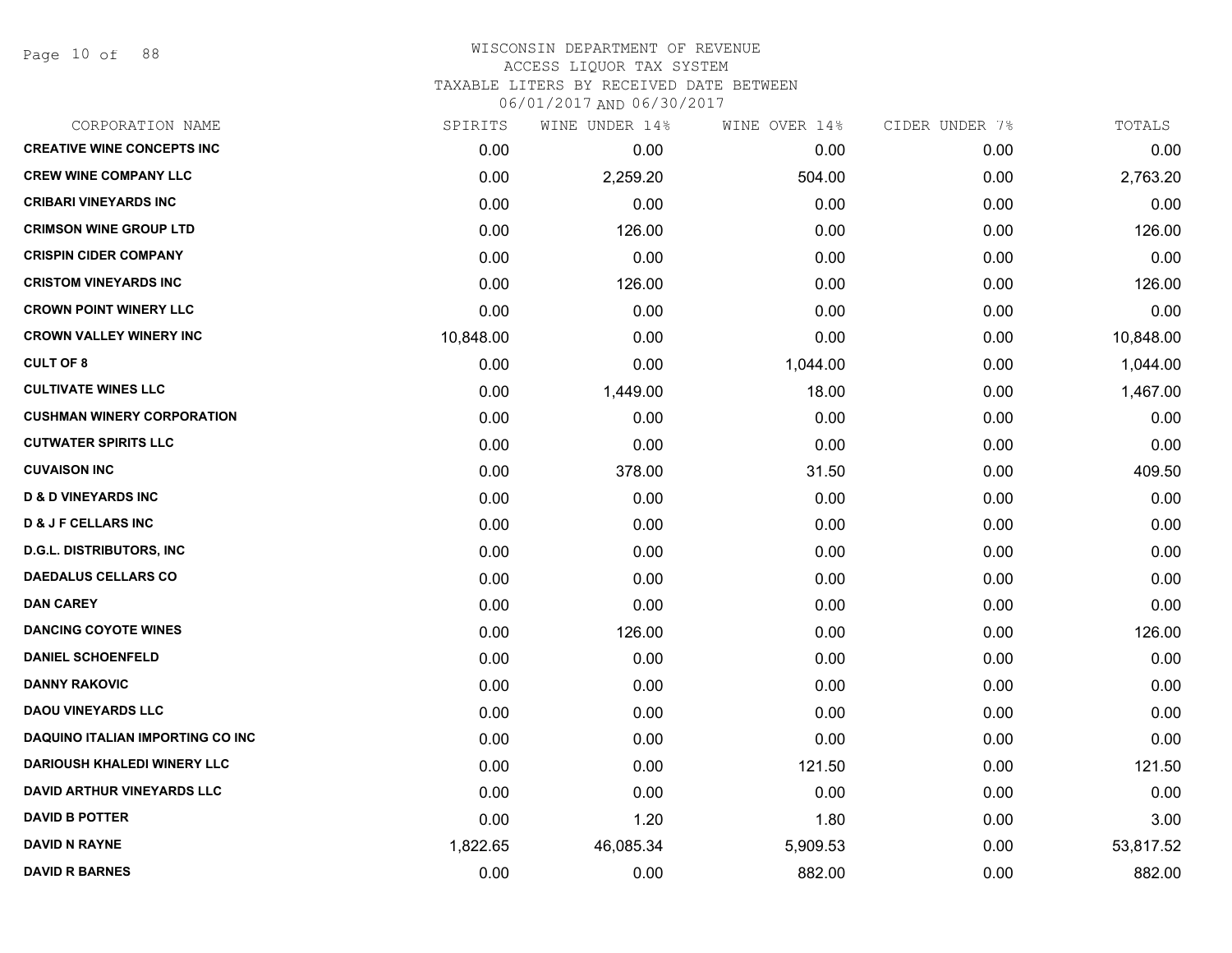Page 10 of 88

# WISCONSIN DEPARTMENT OF REVENUE ACCESS LIQUOR TAX SYSTEM TAXABLE LITERS BY RECEIVED DATE BETWEEN

| CORPORATION NAME                        | SPIRITS   | WINE UNDER 14% | WINE OVER 14% | CIDER UNDER 7% | TOTALS    |
|-----------------------------------------|-----------|----------------|---------------|----------------|-----------|
| <b>CREATIVE WINE CONCEPTS INC</b>       | 0.00      | 0.00           | 0.00          | 0.00           | 0.00      |
| <b>CREW WINE COMPANY LLC</b>            | 0.00      | 2,259.20       | 504.00        | 0.00           | 2,763.20  |
| <b>CRIBARI VINEYARDS INC</b>            | 0.00      | 0.00           | 0.00          | 0.00           | 0.00      |
| <b>CRIMSON WINE GROUP LTD</b>           | 0.00      | 126.00         | 0.00          | 0.00           | 126.00    |
| <b>CRISPIN CIDER COMPANY</b>            | 0.00      | 0.00           | 0.00          | 0.00           | 0.00      |
| <b>CRISTOM VINEYARDS INC</b>            | 0.00      | 126.00         | 0.00          | 0.00           | 126.00    |
| <b>CROWN POINT WINERY LLC</b>           | 0.00      | 0.00           | 0.00          | 0.00           | 0.00      |
| <b>CROWN VALLEY WINERY INC</b>          | 10,848.00 | 0.00           | 0.00          | 0.00           | 10,848.00 |
| <b>CULT OF 8</b>                        | 0.00      | 0.00           | 1,044.00      | 0.00           | 1,044.00  |
| <b>CULTIVATE WINES LLC</b>              | 0.00      | 1,449.00       | 18.00         | 0.00           | 1,467.00  |
| <b>CUSHMAN WINERY CORPORATION</b>       | 0.00      | 0.00           | 0.00          | 0.00           | 0.00      |
| <b>CUTWATER SPIRITS LLC</b>             | 0.00      | 0.00           | 0.00          | 0.00           | 0.00      |
| <b>CUVAISON INC</b>                     | 0.00      | 378.00         | 31.50         | 0.00           | 409.50    |
| <b>D &amp; D VINEYARDS INC</b>          | 0.00      | 0.00           | 0.00          | 0.00           | 0.00      |
| <b>D &amp; J F CELLARS INC</b>          | 0.00      | 0.00           | 0.00          | 0.00           | 0.00      |
| <b>D.G.L. DISTRIBUTORS, INC</b>         | 0.00      | 0.00           | 0.00          | 0.00           | 0.00      |
| <b>DAEDALUS CELLARS CO</b>              | 0.00      | 0.00           | 0.00          | 0.00           | 0.00      |
| <b>DAN CAREY</b>                        | 0.00      | 0.00           | 0.00          | 0.00           | 0.00      |
| <b>DANCING COYOTE WINES</b>             | 0.00      | 126.00         | 0.00          | 0.00           | 126.00    |
| <b>DANIEL SCHOENFELD</b>                | 0.00      | 0.00           | 0.00          | 0.00           | 0.00      |
| <b>DANNY RAKOVIC</b>                    | 0.00      | 0.00           | 0.00          | 0.00           | 0.00      |
| <b>DAOU VINEYARDS LLC</b>               | 0.00      | 0.00           | 0.00          | 0.00           | 0.00      |
| <b>DAQUINO ITALIAN IMPORTING CO INC</b> | 0.00      | 0.00           | 0.00          | 0.00           | 0.00      |
| <b>DARIOUSH KHALEDI WINERY LLC</b>      | 0.00      | 0.00           | 121.50        | 0.00           | 121.50    |
| <b>DAVID ARTHUR VINEYARDS LLC</b>       | 0.00      | 0.00           | 0.00          | 0.00           | 0.00      |
| <b>DAVID B POTTER</b>                   | 0.00      | 1.20           | 1.80          | 0.00           | 3.00      |
| <b>DAVID N RAYNE</b>                    | 1,822.65  | 46,085.34      | 5,909.53      | 0.00           | 53,817.52 |
| <b>DAVID R BARNES</b>                   | 0.00      | 0.00           | 882.00        | 0.00           | 882.00    |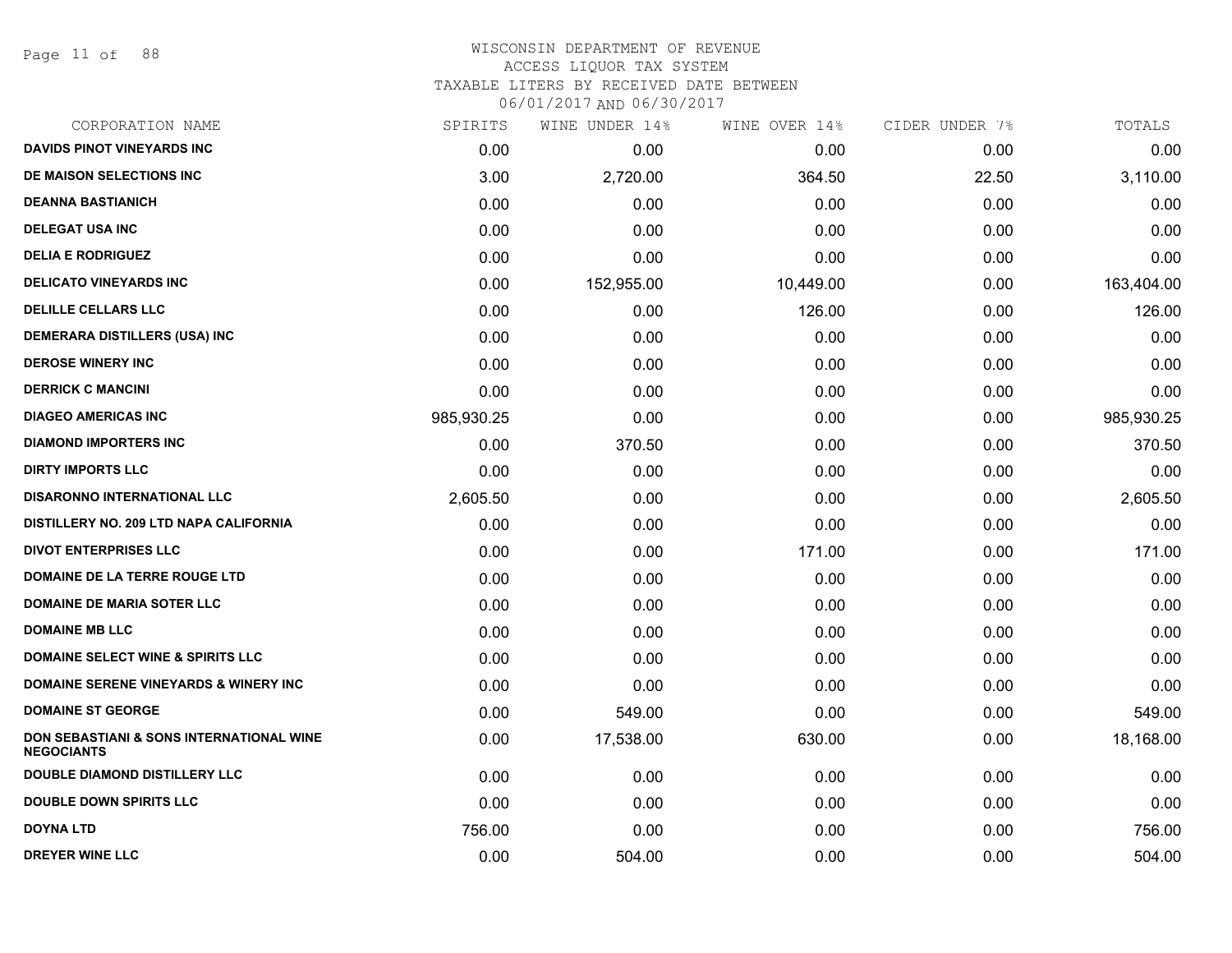Page 11 of 88

# WISCONSIN DEPARTMENT OF REVENUE ACCESS LIQUOR TAX SYSTEM TAXABLE LITERS BY RECEIVED DATE BETWEEN

| CORPORATION NAME                                              | SPIRITS    | WINE UNDER 14% | WINE OVER 14% | CIDER UNDER 7% | TOTALS     |
|---------------------------------------------------------------|------------|----------------|---------------|----------------|------------|
| <b>DAVIDS PINOT VINEYARDS INC</b>                             | 0.00       | 0.00           | 0.00          | 0.00           | 0.00       |
| DE MAISON SELECTIONS INC                                      | 3.00       | 2,720.00       | 364.50        | 22.50          | 3,110.00   |
| <b>DEANNA BASTIANICH</b>                                      | 0.00       | 0.00           | 0.00          | 0.00           | 0.00       |
| <b>DELEGAT USA INC</b>                                        | 0.00       | 0.00           | 0.00          | 0.00           | 0.00       |
| <b>DELIA E RODRIGUEZ</b>                                      | 0.00       | 0.00           | 0.00          | 0.00           | 0.00       |
| <b>DELICATO VINEYARDS INC</b>                                 | 0.00       | 152,955.00     | 10,449.00     | 0.00           | 163,404.00 |
| <b>DELILLE CELLARS LLC</b>                                    | 0.00       | 0.00           | 126.00        | 0.00           | 126.00     |
| <b>DEMERARA DISTILLERS (USA) INC</b>                          | 0.00       | 0.00           | 0.00          | 0.00           | 0.00       |
| <b>DEROSE WINERY INC</b>                                      | 0.00       | 0.00           | 0.00          | 0.00           | 0.00       |
| <b>DERRICK C MANCINI</b>                                      | 0.00       | 0.00           | 0.00          | 0.00           | 0.00       |
| <b>DIAGEO AMERICAS INC</b>                                    | 985,930.25 | 0.00           | 0.00          | 0.00           | 985,930.25 |
| <b>DIAMOND IMPORTERS INC</b>                                  | 0.00       | 370.50         | 0.00          | 0.00           | 370.50     |
| <b>DIRTY IMPORTS LLC</b>                                      | 0.00       | 0.00           | 0.00          | 0.00           | 0.00       |
| <b>DISARONNO INTERNATIONAL LLC</b>                            | 2,605.50   | 0.00           | 0.00          | 0.00           | 2,605.50   |
| DISTILLERY NO. 209 LTD NAPA CALIFORNIA                        | 0.00       | 0.00           | 0.00          | 0.00           | 0.00       |
| <b>DIVOT ENTERPRISES LLC</b>                                  | 0.00       | 0.00           | 171.00        | 0.00           | 171.00     |
| DOMAINE DE LA TERRE ROUGE LTD                                 | 0.00       | 0.00           | 0.00          | 0.00           | 0.00       |
| <b>DOMAINE DE MARIA SOTER LLC</b>                             | 0.00       | 0.00           | 0.00          | 0.00           | 0.00       |
| <b>DOMAINE MB LLC</b>                                         | 0.00       | 0.00           | 0.00          | 0.00           | 0.00       |
| <b>DOMAINE SELECT WINE &amp; SPIRITS LLC</b>                  | 0.00       | 0.00           | 0.00          | 0.00           | 0.00       |
| <b>DOMAINE SERENE VINEYARDS &amp; WINERY INC</b>              | 0.00       | 0.00           | 0.00          | 0.00           | 0.00       |
| <b>DOMAINE ST GEORGE</b>                                      | 0.00       | 549.00         | 0.00          | 0.00           | 549.00     |
| DON SEBASTIANI & SONS INTERNATIONAL WINE<br><b>NEGOCIANTS</b> | 0.00       | 17,538.00      | 630.00        | 0.00           | 18,168.00  |
| <b>DOUBLE DIAMOND DISTILLERY LLC</b>                          | 0.00       | 0.00           | 0.00          | 0.00           | 0.00       |
| <b>DOUBLE DOWN SPIRITS LLC</b>                                | 0.00       | 0.00           | 0.00          | 0.00           | 0.00       |
| <b>DOYNA LTD</b>                                              | 756.00     | 0.00           | 0.00          | 0.00           | 756.00     |
| <b>DREYER WINE LLC</b>                                        | 0.00       | 504.00         | 0.00          | 0.00           | 504.00     |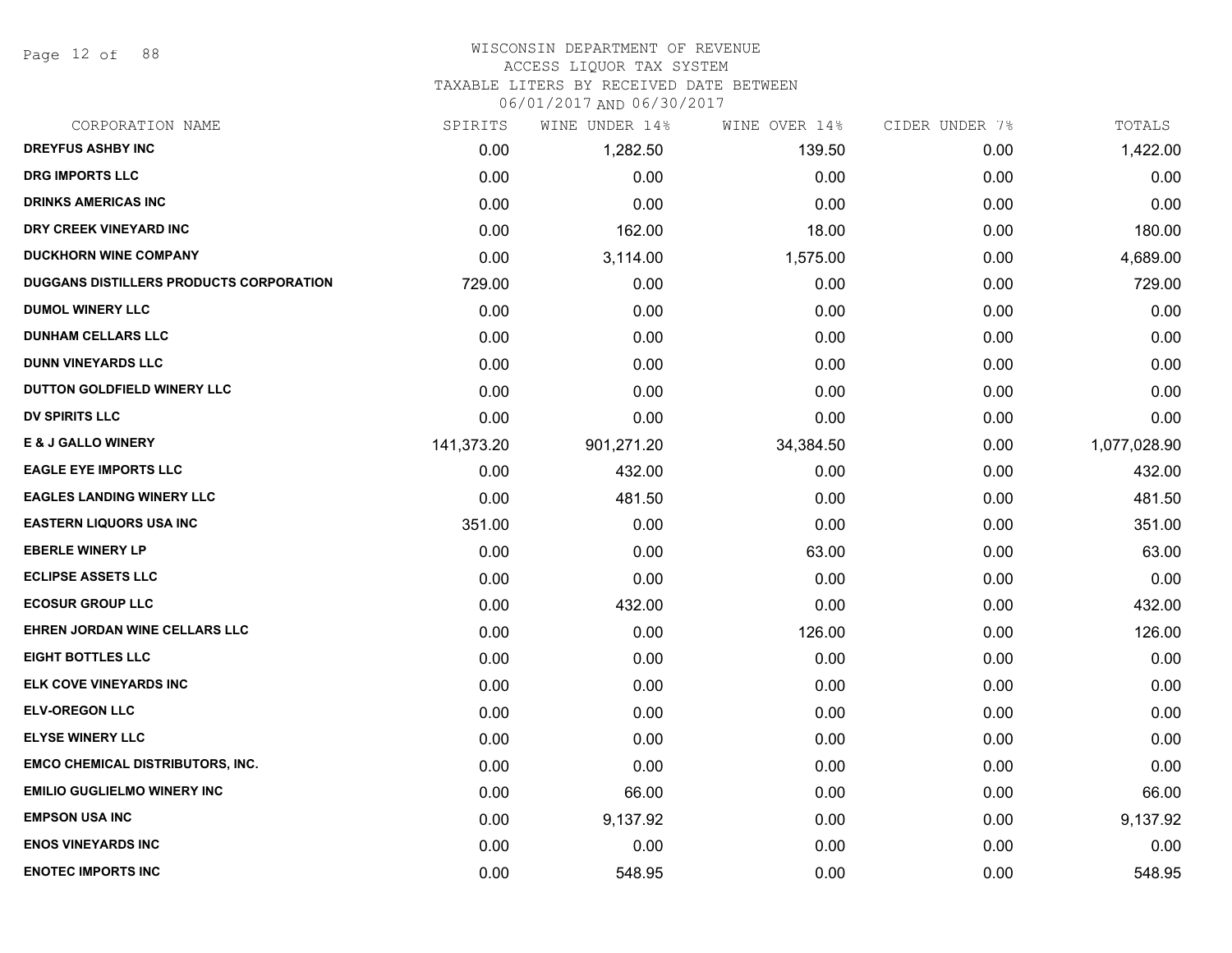Page 12 of 88

# WISCONSIN DEPARTMENT OF REVENUE

# ACCESS LIQUOR TAX SYSTEM

TAXABLE LITERS BY RECEIVED DATE BETWEEN

| CORPORATION NAME                        | SPIRITS    | WINE UNDER 14% | WINE OVER 14% | CIDER UNDER 7% | TOTALS       |
|-----------------------------------------|------------|----------------|---------------|----------------|--------------|
| <b>DREYFUS ASHBY INC</b>                | 0.00       | 1,282.50       | 139.50        | 0.00           | 1,422.00     |
| <b>DRG IMPORTS LLC</b>                  | 0.00       | 0.00           | 0.00          | 0.00           | 0.00         |
| <b>DRINKS AMERICAS INC</b>              | 0.00       | 0.00           | 0.00          | 0.00           | 0.00         |
| DRY CREEK VINEYARD INC                  | 0.00       | 162.00         | 18.00         | 0.00           | 180.00       |
| <b>DUCKHORN WINE COMPANY</b>            | 0.00       | 3,114.00       | 1,575.00      | 0.00           | 4,689.00     |
| DUGGANS DISTILLERS PRODUCTS CORPORATION | 729.00     | 0.00           | 0.00          | 0.00           | 729.00       |
| <b>DUMOL WINERY LLC</b>                 | 0.00       | 0.00           | 0.00          | 0.00           | 0.00         |
| <b>DUNHAM CELLARS LLC</b>               | 0.00       | 0.00           | 0.00          | 0.00           | 0.00         |
| <b>DUNN VINEYARDS LLC</b>               | 0.00       | 0.00           | 0.00          | 0.00           | 0.00         |
| DUTTON GOLDFIELD WINERY LLC             | 0.00       | 0.00           | 0.00          | 0.00           | 0.00         |
| <b>DV SPIRITS LLC</b>                   | 0.00       | 0.00           | 0.00          | 0.00           | 0.00         |
| <b>E &amp; J GALLO WINERY</b>           | 141,373.20 | 901,271.20     | 34,384.50     | 0.00           | 1,077,028.90 |
| <b>EAGLE EYE IMPORTS LLC</b>            | 0.00       | 432.00         | 0.00          | 0.00           | 432.00       |
| <b>EAGLES LANDING WINERY LLC</b>        | 0.00       | 481.50         | 0.00          | 0.00           | 481.50       |
| <b>EASTERN LIQUORS USA INC</b>          | 351.00     | 0.00           | 0.00          | 0.00           | 351.00       |
| <b>EBERLE WINERY LP</b>                 | 0.00       | 0.00           | 63.00         | 0.00           | 63.00        |
| <b>ECLIPSE ASSETS LLC</b>               | 0.00       | 0.00           | 0.00          | 0.00           | 0.00         |
| <b>ECOSUR GROUP LLC</b>                 | 0.00       | 432.00         | 0.00          | 0.00           | 432.00       |
| EHREN JORDAN WINE CELLARS LLC           | 0.00       | 0.00           | 126.00        | 0.00           | 126.00       |
| <b>EIGHT BOTTLES LLC</b>                | 0.00       | 0.00           | 0.00          | 0.00           | 0.00         |
| ELK COVE VINEYARDS INC                  | 0.00       | 0.00           | 0.00          | 0.00           | 0.00         |
| <b>ELV-OREGON LLC</b>                   | 0.00       | 0.00           | 0.00          | 0.00           | 0.00         |
| <b>ELYSE WINERY LLC</b>                 | 0.00       | 0.00           | 0.00          | 0.00           | 0.00         |
| <b>EMCO CHEMICAL DISTRIBUTORS, INC.</b> | 0.00       | 0.00           | 0.00          | 0.00           | 0.00         |
| <b>EMILIO GUGLIELMO WINERY INC</b>      | 0.00       | 66.00          | 0.00          | 0.00           | 66.00        |
| <b>EMPSON USA INC</b>                   | 0.00       | 9,137.92       | 0.00          | 0.00           | 9,137.92     |
| <b>ENOS VINEYARDS INC</b>               | 0.00       | 0.00           | 0.00          | 0.00           | 0.00         |
| <b>ENOTEC IMPORTS INC</b>               | 0.00       | 548.95         | 0.00          | 0.00           | 548.95       |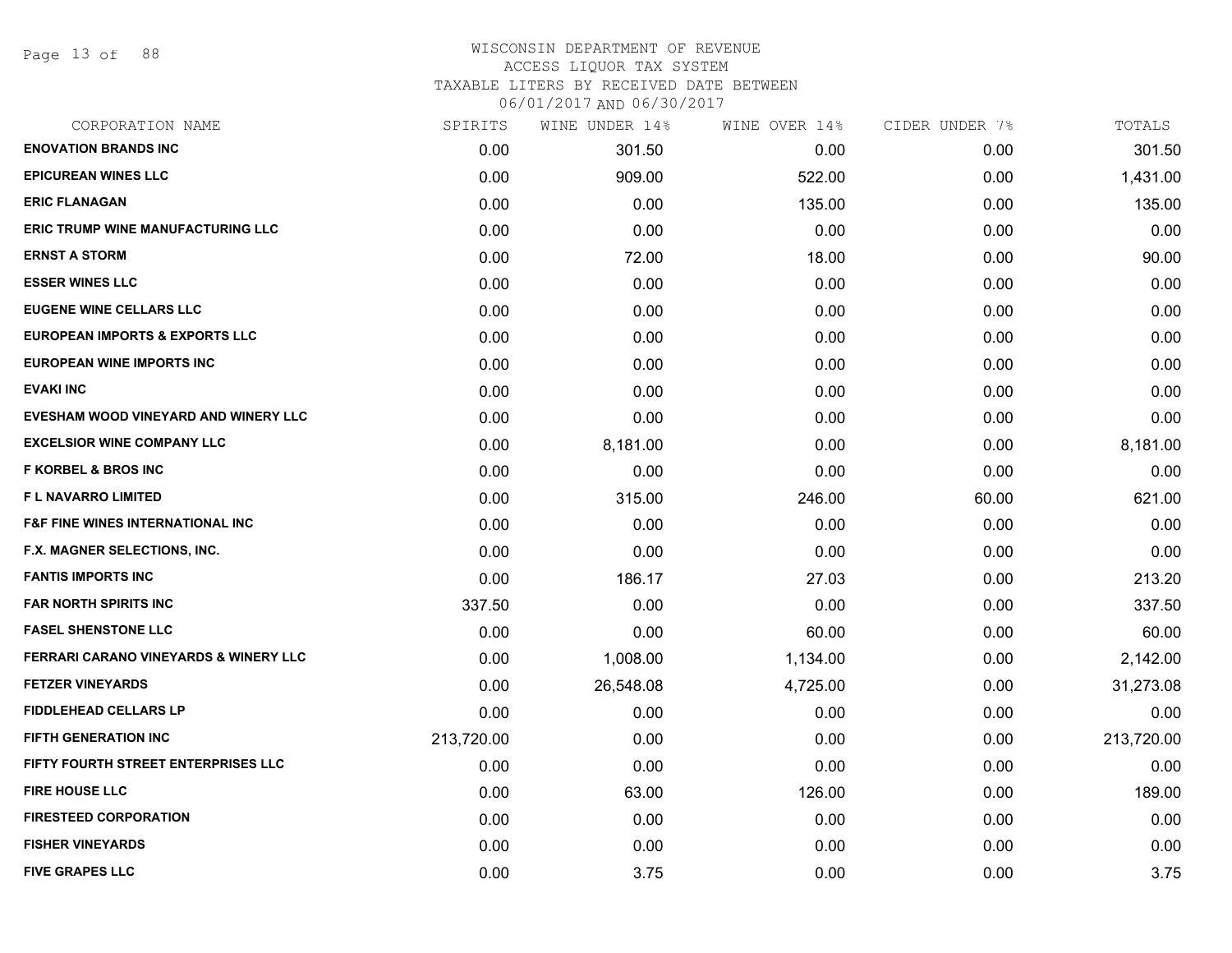Page 13 of 88

#### WISCONSIN DEPARTMENT OF REVENUE ACCESS LIQUOR TAX SYSTEM TAXABLE LITERS BY RECEIVED DATE BETWEEN

| CORPORATION NAME                                 | SPIRITS    | WINE UNDER 14% | WINE OVER 14% | CIDER UNDER 7% | TOTALS     |
|--------------------------------------------------|------------|----------------|---------------|----------------|------------|
| <b>ENOVATION BRANDS INC</b>                      | 0.00       | 301.50         | 0.00          | 0.00           | 301.50     |
| <b>EPICUREAN WINES LLC</b>                       | 0.00       | 909.00         | 522.00        | 0.00           | 1,431.00   |
| <b>ERIC FLANAGAN</b>                             | 0.00       | 0.00           | 135.00        | 0.00           | 135.00     |
| <b>ERIC TRUMP WINE MANUFACTURING LLC</b>         | 0.00       | 0.00           | 0.00          | 0.00           | 0.00       |
| <b>ERNST A STORM</b>                             | 0.00       | 72.00          | 18.00         | 0.00           | 90.00      |
| <b>ESSER WINES LLC</b>                           | 0.00       | 0.00           | 0.00          | 0.00           | 0.00       |
| <b>EUGENE WINE CELLARS LLC</b>                   | 0.00       | 0.00           | 0.00          | 0.00           | 0.00       |
| <b>EUROPEAN IMPORTS &amp; EXPORTS LLC</b>        | 0.00       | 0.00           | 0.00          | 0.00           | 0.00       |
| <b>EUROPEAN WINE IMPORTS INC</b>                 | 0.00       | 0.00           | 0.00          | 0.00           | 0.00       |
| <b>EVAKI INC</b>                                 | 0.00       | 0.00           | 0.00          | 0.00           | 0.00       |
| EVESHAM WOOD VINEYARD AND WINERY LLC             | 0.00       | 0.00           | 0.00          | 0.00           | 0.00       |
| <b>EXCELSIOR WINE COMPANY LLC</b>                | 0.00       | 8,181.00       | 0.00          | 0.00           | 8,181.00   |
| <b>F KORBEL &amp; BROS INC</b>                   | 0.00       | 0.00           | 0.00          | 0.00           | 0.00       |
| <b>FL NAVARRO LIMITED</b>                        | 0.00       | 315.00         | 246.00        | 60.00          | 621.00     |
| <b>F&amp;F FINE WINES INTERNATIONAL INC</b>      | 0.00       | 0.00           | 0.00          | 0.00           | 0.00       |
| F.X. MAGNER SELECTIONS, INC.                     | 0.00       | 0.00           | 0.00          | 0.00           | 0.00       |
| <b>FANTIS IMPORTS INC</b>                        | 0.00       | 186.17         | 27.03         | 0.00           | 213.20     |
| <b>FAR NORTH SPIRITS INC</b>                     | 337.50     | 0.00           | 0.00          | 0.00           | 337.50     |
| <b>FASEL SHENSTONE LLC</b>                       | 0.00       | 0.00           | 60.00         | 0.00           | 60.00      |
| <b>FERRARI CARANO VINEYARDS &amp; WINERY LLC</b> | 0.00       | 1,008.00       | 1,134.00      | 0.00           | 2,142.00   |
| <b>FETZER VINEYARDS</b>                          | 0.00       | 26,548.08      | 4,725.00      | 0.00           | 31,273.08  |
| <b>FIDDLEHEAD CELLARS LP</b>                     | 0.00       | 0.00           | 0.00          | 0.00           | 0.00       |
| <b>FIFTH GENERATION INC</b>                      | 213,720.00 | 0.00           | 0.00          | 0.00           | 213,720.00 |
| FIFTY FOURTH STREET ENTERPRISES LLC              | 0.00       | 0.00           | 0.00          | 0.00           | 0.00       |
| <b>FIRE HOUSE LLC</b>                            | 0.00       | 63.00          | 126.00        | 0.00           | 189.00     |
| <b>FIRESTEED CORPORATION</b>                     | 0.00       | 0.00           | 0.00          | 0.00           | 0.00       |
| <b>FISHER VINEYARDS</b>                          | 0.00       | 0.00           | 0.00          | 0.00           | 0.00       |
| <b>FIVE GRAPES LLC</b>                           | 0.00       | 3.75           | 0.00          | 0.00           | 3.75       |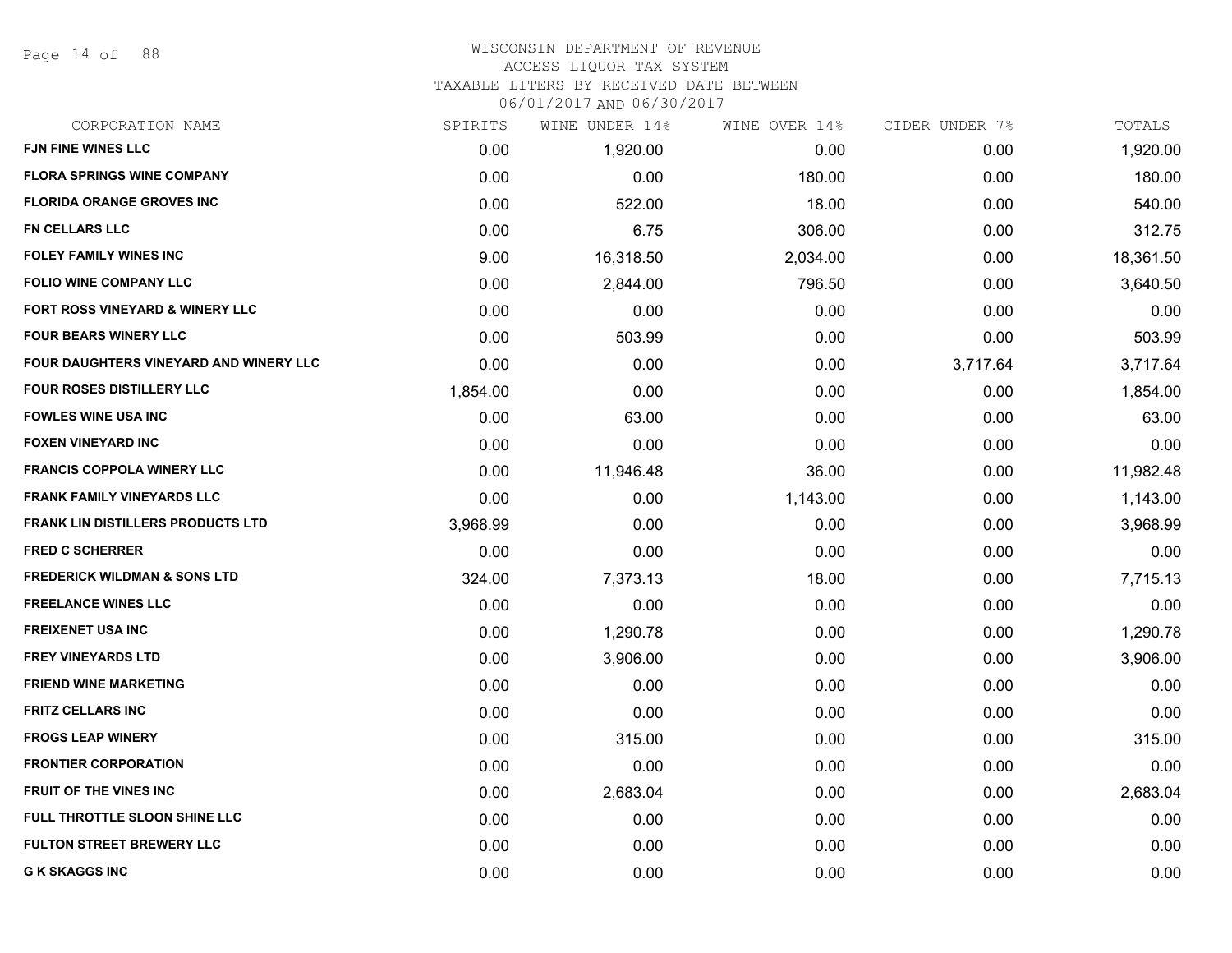Page 14 of 88

## WISCONSIN DEPARTMENT OF REVENUE ACCESS LIQUOR TAX SYSTEM TAXABLE LITERS BY RECEIVED DATE BETWEEN

| CORPORATION NAME                         | SPIRITS  | WINE UNDER 14% | WINE OVER 14% | CIDER UNDER 7% | TOTALS    |
|------------------------------------------|----------|----------------|---------------|----------------|-----------|
| <b>FJN FINE WINES LLC</b>                | 0.00     | 1,920.00       | 0.00          | 0.00           | 1,920.00  |
| <b>FLORA SPRINGS WINE COMPANY</b>        | 0.00     | 0.00           | 180.00        | 0.00           | 180.00    |
| <b>FLORIDA ORANGE GROVES INC</b>         | 0.00     | 522.00         | 18.00         | 0.00           | 540.00    |
| FN CELLARS LLC                           | 0.00     | 6.75           | 306.00        | 0.00           | 312.75    |
| <b>FOLEY FAMILY WINES INC</b>            | 9.00     | 16,318.50      | 2,034.00      | 0.00           | 18,361.50 |
| FOLIO WINE COMPANY LLC                   | 0.00     | 2,844.00       | 796.50        | 0.00           | 3,640.50  |
| FORT ROSS VINEYARD & WINERY LLC          | 0.00     | 0.00           | 0.00          | 0.00           | 0.00      |
| <b>FOUR BEARS WINERY LLC</b>             | 0.00     | 503.99         | 0.00          | 0.00           | 503.99    |
| FOUR DAUGHTERS VINEYARD AND WINERY LLC   | 0.00     | 0.00           | 0.00          | 3,717.64       | 3,717.64  |
| FOUR ROSES DISTILLERY LLC                | 1,854.00 | 0.00           | 0.00          | 0.00           | 1,854.00  |
| <b>FOWLES WINE USA INC</b>               | 0.00     | 63.00          | 0.00          | 0.00           | 63.00     |
| <b>FOXEN VINEYARD INC</b>                | 0.00     | 0.00           | 0.00          | 0.00           | 0.00      |
| <b>FRANCIS COPPOLA WINERY LLC</b>        | 0.00     | 11,946.48      | 36.00         | 0.00           | 11,982.48 |
| <b>FRANK FAMILY VINEYARDS LLC</b>        | 0.00     | 0.00           | 1,143.00      | 0.00           | 1,143.00  |
| <b>FRANK LIN DISTILLERS PRODUCTS LTD</b> | 3,968.99 | 0.00           | 0.00          | 0.00           | 3,968.99  |
| <b>FRED C SCHERRER</b>                   | 0.00     | 0.00           | 0.00          | 0.00           | 0.00      |
| <b>FREDERICK WILDMAN &amp; SONS LTD</b>  | 324.00   | 7,373.13       | 18.00         | 0.00           | 7,715.13  |
| <b>FREELANCE WINES LLC</b>               | 0.00     | 0.00           | 0.00          | 0.00           | 0.00      |
| <b>FREIXENET USA INC</b>                 | 0.00     | 1,290.78       | 0.00          | 0.00           | 1,290.78  |
| <b>FREY VINEYARDS LTD</b>                | 0.00     | 3,906.00       | 0.00          | 0.00           | 3,906.00  |
| <b>FRIEND WINE MARKETING</b>             | 0.00     | 0.00           | 0.00          | 0.00           | 0.00      |
| <b>FRITZ CELLARS INC</b>                 | 0.00     | 0.00           | 0.00          | 0.00           | 0.00      |
| <b>FROGS LEAP WINERY</b>                 | 0.00     | 315.00         | 0.00          | 0.00           | 315.00    |
| <b>FRONTIER CORPORATION</b>              | 0.00     | 0.00           | 0.00          | 0.00           | 0.00      |
| <b>FRUIT OF THE VINES INC</b>            | 0.00     | 2,683.04       | 0.00          | 0.00           | 2,683.04  |
| FULL THROTTLE SLOON SHINE LLC            | 0.00     | 0.00           | 0.00          | 0.00           | 0.00      |
| <b>FULTON STREET BREWERY LLC</b>         | 0.00     | 0.00           | 0.00          | 0.00           | 0.00      |
| <b>G K SKAGGS INC</b>                    | 0.00     | 0.00           | 0.00          | 0.00           | 0.00      |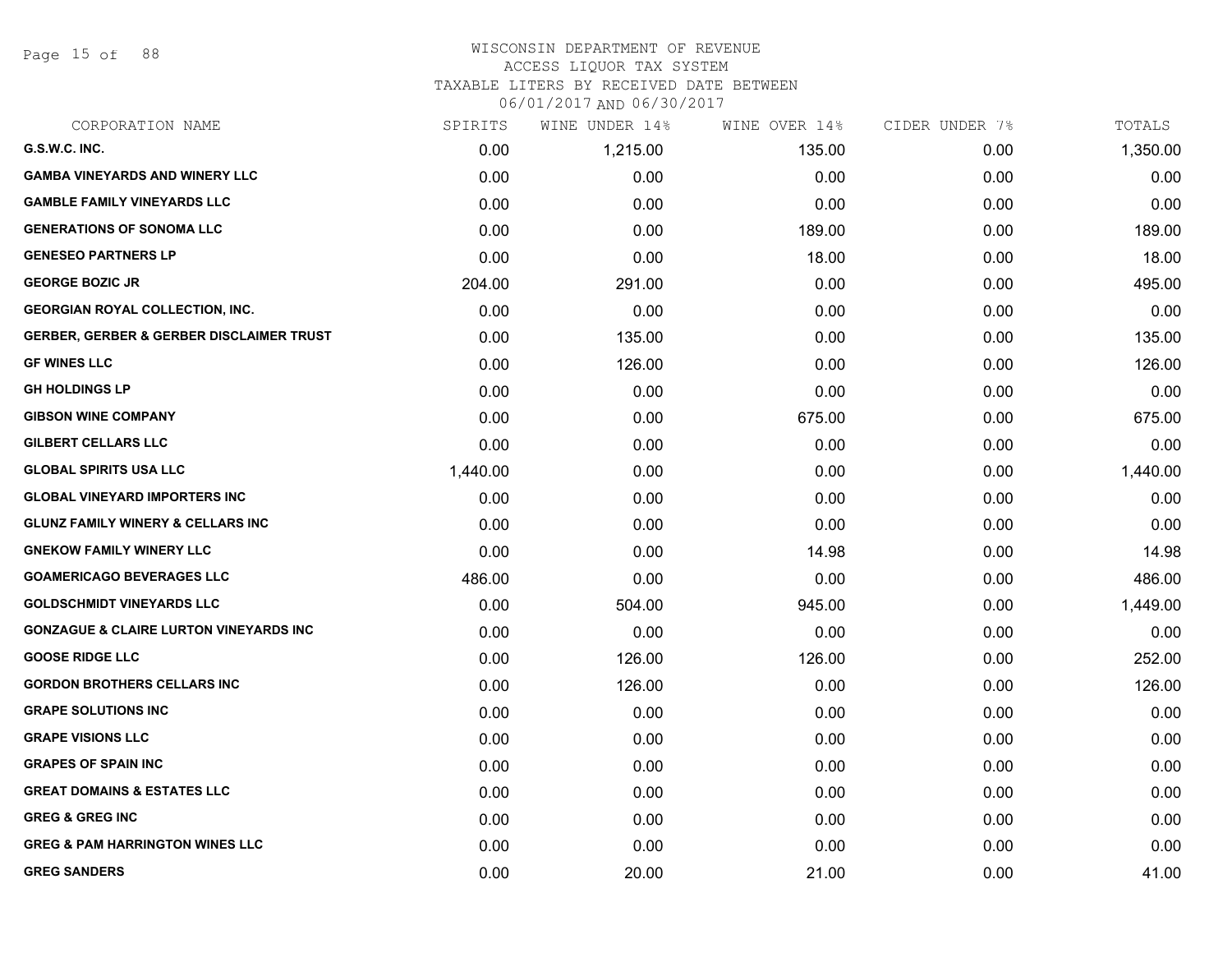Page 15 of 88

#### WISCONSIN DEPARTMENT OF REVENUE ACCESS LIQUOR TAX SYSTEM

#### TAXABLE LITERS BY RECEIVED DATE BETWEEN

| CORPORATION NAME                                    | SPIRITS  | WINE UNDER 14% | WINE OVER 14% | CIDER UNDER 7% | TOTALS   |
|-----------------------------------------------------|----------|----------------|---------------|----------------|----------|
| G.S.W.C. INC.                                       | 0.00     | 1,215.00       | 135.00        | 0.00           | 1,350.00 |
| <b>GAMBA VINEYARDS AND WINERY LLC</b>               | 0.00     | 0.00           | 0.00          | 0.00           | 0.00     |
| <b>GAMBLE FAMILY VINEYARDS LLC</b>                  | 0.00     | 0.00           | 0.00          | 0.00           | 0.00     |
| <b>GENERATIONS OF SONOMA LLC</b>                    | 0.00     | 0.00           | 189.00        | 0.00           | 189.00   |
| <b>GENESEO PARTNERS LP</b>                          | 0.00     | 0.00           | 18.00         | 0.00           | 18.00    |
| <b>GEORGE BOZIC JR</b>                              | 204.00   | 291.00         | 0.00          | 0.00           | 495.00   |
| <b>GEORGIAN ROYAL COLLECTION, INC.</b>              | 0.00     | 0.00           | 0.00          | 0.00           | 0.00     |
| <b>GERBER, GERBER &amp; GERBER DISCLAIMER TRUST</b> | 0.00     | 135.00         | 0.00          | 0.00           | 135.00   |
| <b>GF WINES LLC</b>                                 | 0.00     | 126.00         | 0.00          | 0.00           | 126.00   |
| <b>GH HOLDINGS LP</b>                               | 0.00     | 0.00           | 0.00          | 0.00           | 0.00     |
| <b>GIBSON WINE COMPANY</b>                          | 0.00     | 0.00           | 675.00        | 0.00           | 675.00   |
| <b>GILBERT CELLARS LLC</b>                          | 0.00     | 0.00           | 0.00          | 0.00           | 0.00     |
| <b>GLOBAL SPIRITS USA LLC</b>                       | 1,440.00 | 0.00           | 0.00          | 0.00           | 1,440.00 |
| <b>GLOBAL VINEYARD IMPORTERS INC</b>                | 0.00     | 0.00           | 0.00          | 0.00           | 0.00     |
| <b>GLUNZ FAMILY WINERY &amp; CELLARS INC</b>        | 0.00     | 0.00           | 0.00          | 0.00           | 0.00     |
| <b>GNEKOW FAMILY WINERY LLC</b>                     | 0.00     | 0.00           | 14.98         | 0.00           | 14.98    |
| <b>GOAMERICAGO BEVERAGES LLC</b>                    | 486.00   | 0.00           | 0.00          | 0.00           | 486.00   |
| <b>GOLDSCHMIDT VINEYARDS LLC</b>                    | 0.00     | 504.00         | 945.00        | 0.00           | 1,449.00 |
| <b>GONZAGUE &amp; CLAIRE LURTON VINEYARDS INC</b>   | 0.00     | 0.00           | 0.00          | 0.00           | 0.00     |
| <b>GOOSE RIDGE LLC</b>                              | 0.00     | 126.00         | 126.00        | 0.00           | 252.00   |
| <b>GORDON BROTHERS CELLARS INC</b>                  | 0.00     | 126.00         | 0.00          | 0.00           | 126.00   |
| <b>GRAPE SOLUTIONS INC</b>                          | 0.00     | 0.00           | 0.00          | 0.00           | 0.00     |
| <b>GRAPE VISIONS LLC</b>                            | 0.00     | 0.00           | 0.00          | 0.00           | 0.00     |
| <b>GRAPES OF SPAIN INC</b>                          | 0.00     | 0.00           | 0.00          | 0.00           | 0.00     |
| <b>GREAT DOMAINS &amp; ESTATES LLC</b>              | 0.00     | 0.00           | 0.00          | 0.00           | 0.00     |
| <b>GREG &amp; GREG INC</b>                          | 0.00     | 0.00           | 0.00          | 0.00           | 0.00     |
| <b>GREG &amp; PAM HARRINGTON WINES LLC</b>          | 0.00     | 0.00           | 0.00          | 0.00           | 0.00     |
| <b>GREG SANDERS</b>                                 | 0.00     | 20.00          | 21.00         | 0.00           | 41.00    |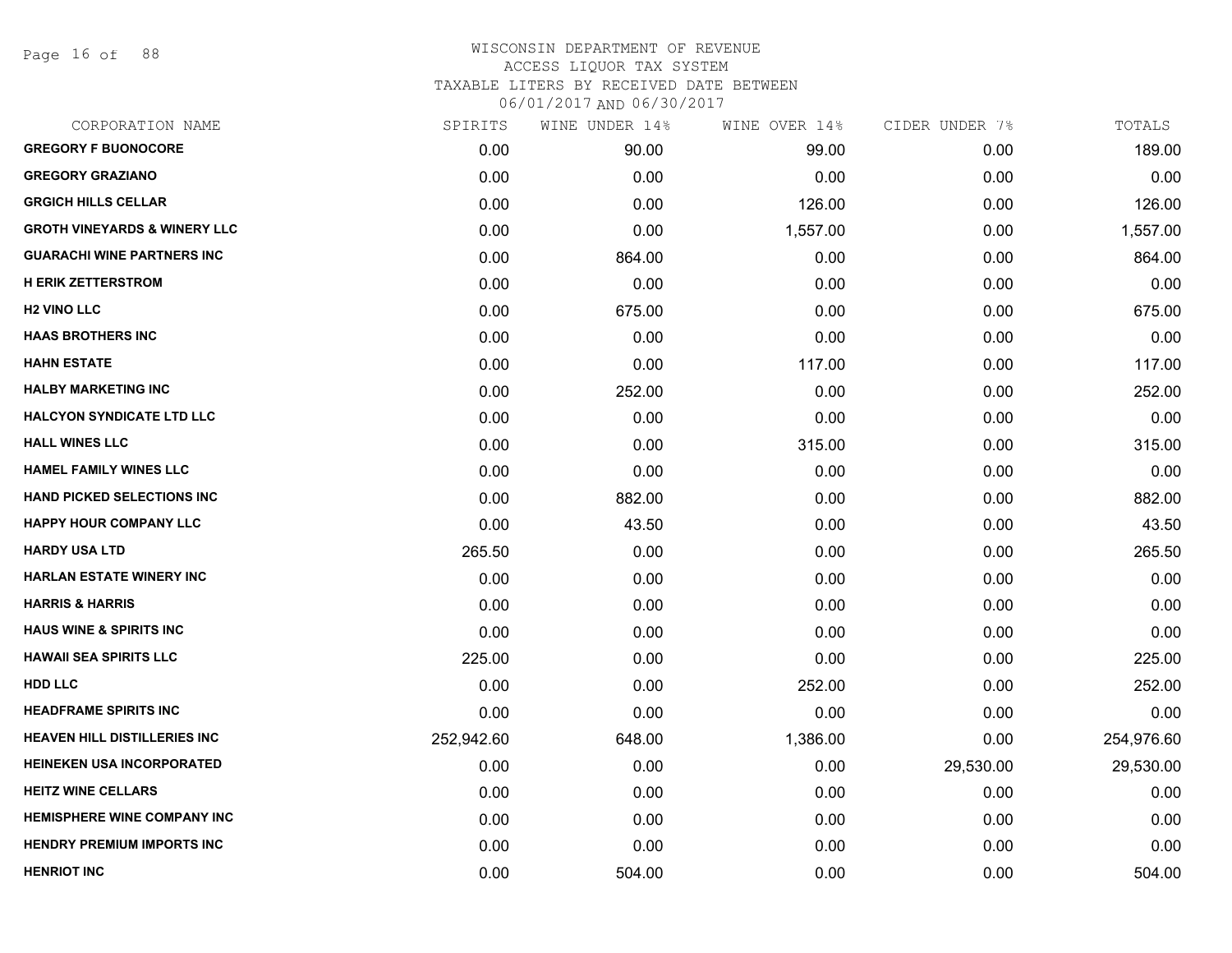Page 16 of 88

|            | WINE UNDER 14% | WINE OVER 14% | CIDER UNDER 7% | TOTALS     |
|------------|----------------|---------------|----------------|------------|
| 0.00       | 90.00          | 99.00         | 0.00           | 189.00     |
| 0.00       | 0.00           | 0.00          | 0.00           | 0.00       |
| 0.00       | 0.00           | 126.00        | 0.00           | 126.00     |
| 0.00       | 0.00           | 1,557.00      | 0.00           | 1,557.00   |
| 0.00       | 864.00         | 0.00          | 0.00           | 864.00     |
| 0.00       | 0.00           | 0.00          | 0.00           | 0.00       |
| 0.00       | 675.00         | 0.00          | 0.00           | 675.00     |
| 0.00       | 0.00           | 0.00          | 0.00           | 0.00       |
| 0.00       | 0.00           | 117.00        | 0.00           | 117.00     |
| 0.00       | 252.00         | 0.00          | 0.00           | 252.00     |
| 0.00       | 0.00           | 0.00          | 0.00           | 0.00       |
| 0.00       | 0.00           | 315.00        | 0.00           | 315.00     |
| 0.00       | 0.00           | 0.00          | 0.00           | 0.00       |
| 0.00       | 882.00         | 0.00          | 0.00           | 882.00     |
| 0.00       | 43.50          | 0.00          | 0.00           | 43.50      |
| 265.50     | 0.00           | 0.00          | 0.00           | 265.50     |
| 0.00       | 0.00           | 0.00          | 0.00           | 0.00       |
| 0.00       | 0.00           | 0.00          | 0.00           | 0.00       |
| 0.00       | 0.00           | 0.00          | 0.00           | 0.00       |
| 225.00     | 0.00           | 0.00          | 0.00           | 225.00     |
| 0.00       | 0.00           | 252.00        | 0.00           | 252.00     |
| 0.00       | 0.00           | 0.00          | 0.00           | 0.00       |
| 252,942.60 | 648.00         | 1,386.00      | 0.00           | 254,976.60 |
| 0.00       | 0.00           | 0.00          | 29,530.00      | 29,530.00  |
| 0.00       | 0.00           | 0.00          | 0.00           | 0.00       |
| 0.00       | 0.00           | 0.00          | 0.00           | 0.00       |
| 0.00       | 0.00           | 0.00          | 0.00           | 0.00       |
| 0.00       | 504.00         | 0.00          | 0.00           | 504.00     |
|            | SPIRITS        |               |                |            |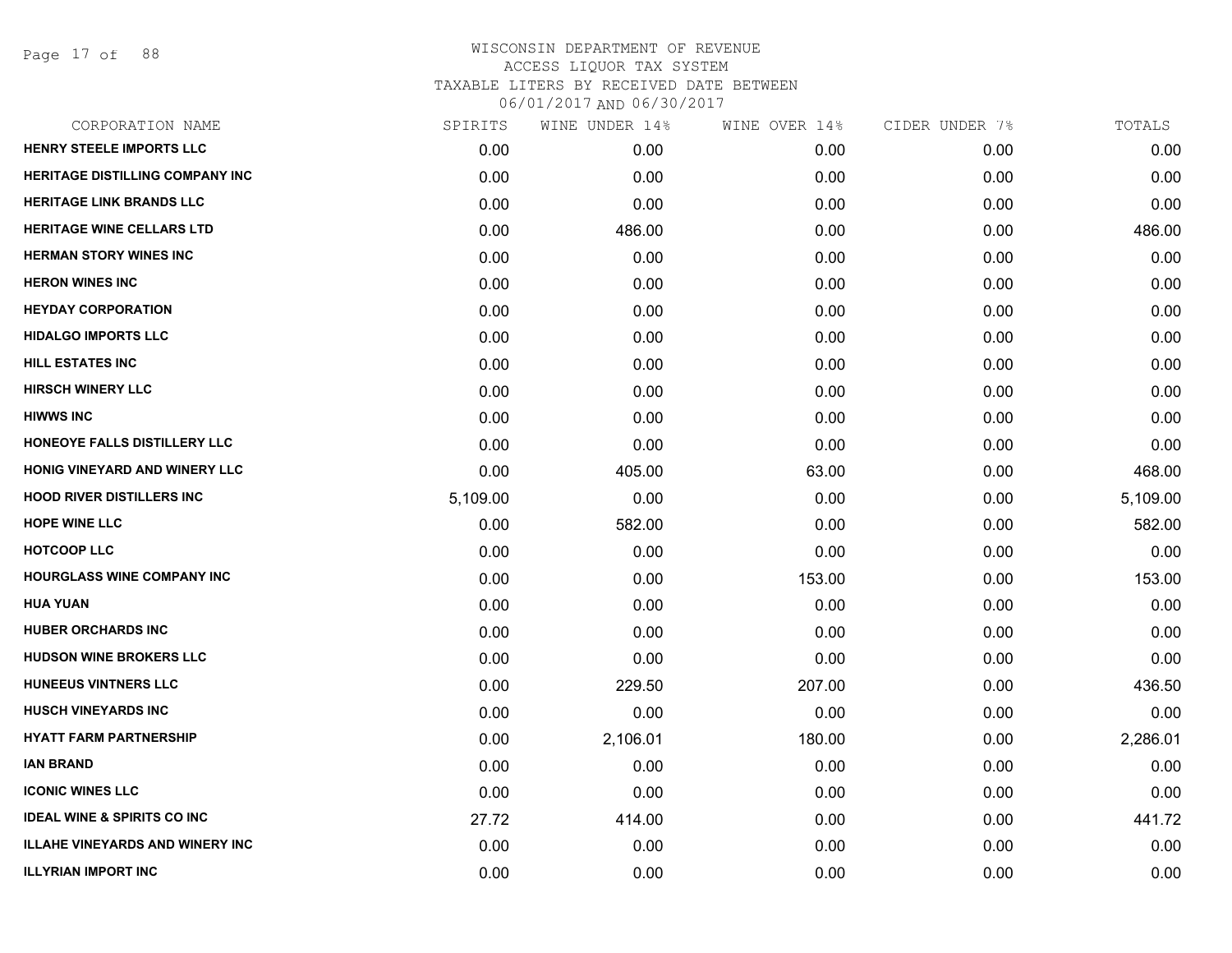Page 17 of 88

| SPIRITS  | WINE UNDER 14% | WINE OVER 14% | CIDER UNDER 7% | TOTALS   |
|----------|----------------|---------------|----------------|----------|
| 0.00     | 0.00           | 0.00          | 0.00           | 0.00     |
| 0.00     | 0.00           | 0.00          | 0.00           | 0.00     |
| 0.00     | 0.00           | 0.00          | 0.00           | 0.00     |
| 0.00     | 486.00         | 0.00          | 0.00           | 486.00   |
| 0.00     | 0.00           | 0.00          | 0.00           | 0.00     |
| 0.00     | 0.00           | 0.00          | 0.00           | 0.00     |
| 0.00     | 0.00           | 0.00          | 0.00           | 0.00     |
| 0.00     | 0.00           | 0.00          | 0.00           | 0.00     |
| 0.00     | 0.00           | 0.00          | 0.00           | 0.00     |
| 0.00     | 0.00           | 0.00          | 0.00           | 0.00     |
| 0.00     | 0.00           | 0.00          | 0.00           | 0.00     |
| 0.00     | 0.00           | 0.00          | 0.00           | 0.00     |
| 0.00     | 405.00         | 63.00         | 0.00           | 468.00   |
| 5,109.00 | 0.00           | 0.00          | 0.00           | 5,109.00 |
| 0.00     | 582.00         | 0.00          | 0.00           | 582.00   |
| 0.00     | 0.00           | 0.00          | 0.00           | 0.00     |
| 0.00     | 0.00           | 153.00        | 0.00           | 153.00   |
| 0.00     | 0.00           | 0.00          | 0.00           | 0.00     |
| 0.00     | 0.00           | 0.00          | 0.00           | 0.00     |
| 0.00     | 0.00           | 0.00          | 0.00           | 0.00     |
| 0.00     | 229.50         | 207.00        | 0.00           | 436.50   |
| 0.00     | 0.00           | 0.00          | 0.00           | 0.00     |
| 0.00     | 2,106.01       | 180.00        | 0.00           | 2,286.01 |
| 0.00     | 0.00           | 0.00          | 0.00           | 0.00     |
| 0.00     | 0.00           | 0.00          | 0.00           | 0.00     |
| 27.72    | 414.00         | 0.00          | 0.00           | 441.72   |
| 0.00     | 0.00           | 0.00          | 0.00           | 0.00     |
| 0.00     | 0.00           | 0.00          | 0.00           | 0.00     |
|          |                |               |                |          |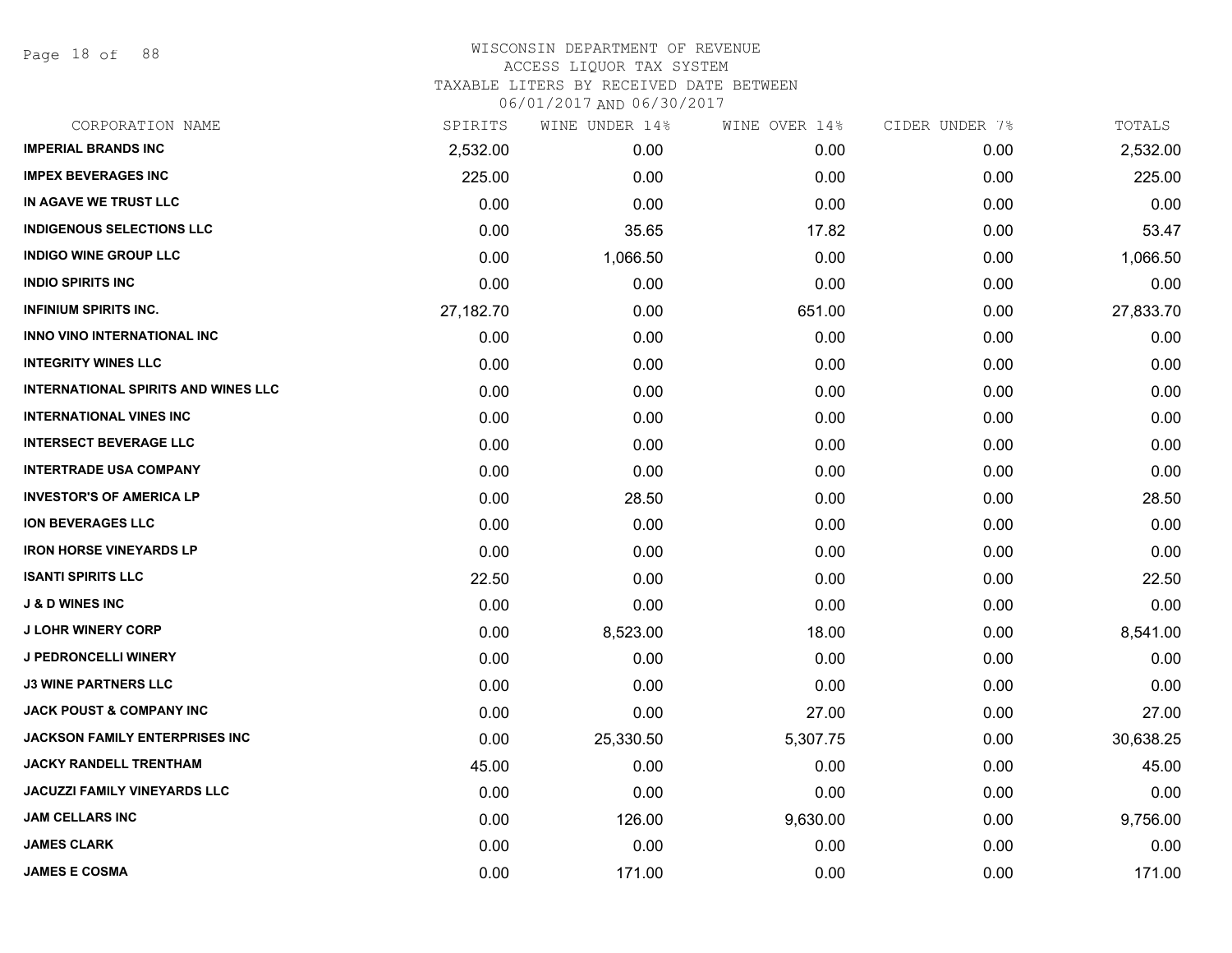Page 18 of 88

| CORPORATION NAME                           | SPIRITS   | WINE UNDER 14% | WINE OVER 14% | CIDER UNDER 7% | TOTALS    |
|--------------------------------------------|-----------|----------------|---------------|----------------|-----------|
| <b>IMPERIAL BRANDS INC</b>                 | 2,532.00  | 0.00           | 0.00          | 0.00           | 2,532.00  |
| <b>IMPEX BEVERAGES INC</b>                 | 225.00    | 0.00           | 0.00          | 0.00           | 225.00    |
| IN AGAVE WE TRUST LLC                      | 0.00      | 0.00           | 0.00          | 0.00           | 0.00      |
| <b>INDIGENOUS SELECTIONS LLC</b>           | 0.00      | 35.65          | 17.82         | 0.00           | 53.47     |
| <b>INDIGO WINE GROUP LLC</b>               | 0.00      | 1,066.50       | 0.00          | 0.00           | 1,066.50  |
| <b>INDIO SPIRITS INC</b>                   | 0.00      | 0.00           | 0.00          | 0.00           | 0.00      |
| <b>INFINIUM SPIRITS INC.</b>               | 27,182.70 | 0.00           | 651.00        | 0.00           | 27,833.70 |
| <b>INNO VINO INTERNATIONAL INC</b>         | 0.00      | 0.00           | 0.00          | 0.00           | 0.00      |
| <b>INTEGRITY WINES LLC</b>                 | 0.00      | 0.00           | 0.00          | 0.00           | 0.00      |
| <b>INTERNATIONAL SPIRITS AND WINES LLC</b> | 0.00      | 0.00           | 0.00          | 0.00           | 0.00      |
| <b>INTERNATIONAL VINES INC</b>             | 0.00      | 0.00           | 0.00          | 0.00           | 0.00      |
| <b>INTERSECT BEVERAGE LLC</b>              | 0.00      | 0.00           | 0.00          | 0.00           | 0.00      |
| <b>INTERTRADE USA COMPANY</b>              | 0.00      | 0.00           | 0.00          | 0.00           | 0.00      |
| <b>INVESTOR'S OF AMERICA LP</b>            | 0.00      | 28.50          | 0.00          | 0.00           | 28.50     |
| <b>ION BEVERAGES LLC</b>                   | 0.00      | 0.00           | 0.00          | 0.00           | 0.00      |
| <b>IRON HORSE VINEYARDS LP</b>             | 0.00      | 0.00           | 0.00          | 0.00           | 0.00      |
| <b>ISANTI SPIRITS LLC</b>                  | 22.50     | 0.00           | 0.00          | 0.00           | 22.50     |
| <b>J &amp; D WINES INC</b>                 | 0.00      | 0.00           | 0.00          | 0.00           | 0.00      |
| <b>J LOHR WINERY CORP</b>                  | 0.00      | 8,523.00       | 18.00         | 0.00           | 8,541.00  |
| J PEDRONCELLI WINERY                       | 0.00      | 0.00           | 0.00          | 0.00           | 0.00      |
| <b>J3 WINE PARTNERS LLC</b>                | 0.00      | 0.00           | 0.00          | 0.00           | 0.00      |
| <b>JACK POUST &amp; COMPANY INC</b>        | 0.00      | 0.00           | 27.00         | 0.00           | 27.00     |
| <b>JACKSON FAMILY ENTERPRISES INC</b>      | 0.00      | 25,330.50      | 5,307.75      | 0.00           | 30,638.25 |
| <b>JACKY RANDELL TRENTHAM</b>              | 45.00     | 0.00           | 0.00          | 0.00           | 45.00     |
| <b>JACUZZI FAMILY VINEYARDS LLC</b>        | 0.00      | 0.00           | 0.00          | 0.00           | 0.00      |
| <b>JAM CELLARS INC</b>                     | 0.00      | 126.00         | 9,630.00      | 0.00           | 9,756.00  |
| <b>JAMES CLARK</b>                         | 0.00      | 0.00           | 0.00          | 0.00           | 0.00      |
| <b>JAMES E COSMA</b>                       | 0.00      | 171.00         | 0.00          | 0.00           | 171.00    |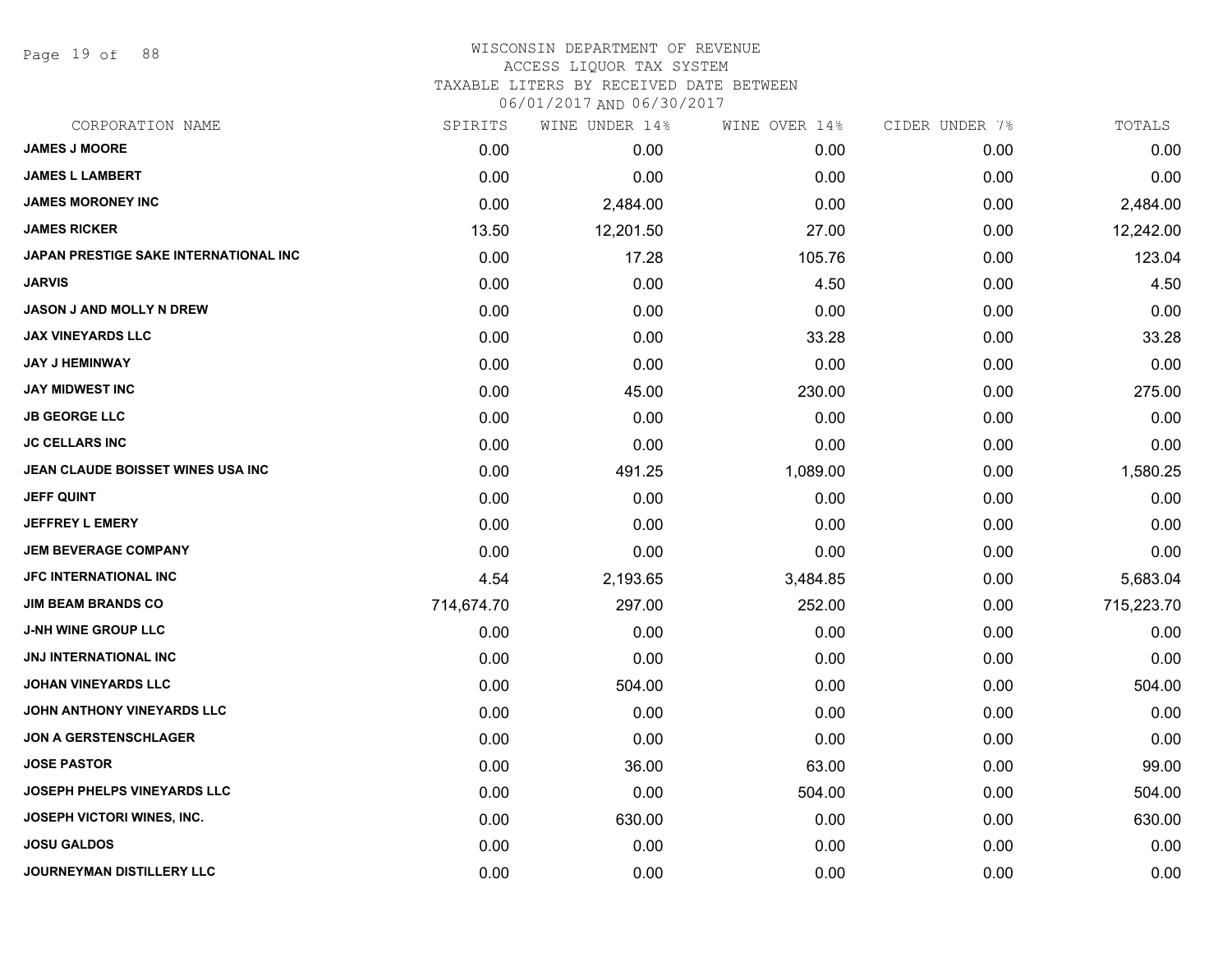Page 19 of 88

### WISCONSIN DEPARTMENT OF REVENUE ACCESS LIQUOR TAX SYSTEM TAXABLE LITERS BY RECEIVED DATE BETWEEN

| CORPORATION NAME                      | SPIRITS    | WINE UNDER 14% | WINE OVER 14% | CIDER UNDER 7% | TOTALS     |
|---------------------------------------|------------|----------------|---------------|----------------|------------|
| <b>JAMES J MOORE</b>                  | 0.00       | 0.00           | 0.00          | 0.00           | 0.00       |
| <b>JAMES L LAMBERT</b>                | 0.00       | 0.00           | 0.00          | 0.00           | 0.00       |
| <b>JAMES MORONEY INC</b>              | 0.00       | 2,484.00       | 0.00          | 0.00           | 2,484.00   |
| <b>JAMES RICKER</b>                   | 13.50      | 12,201.50      | 27.00         | 0.00           | 12,242.00  |
| JAPAN PRESTIGE SAKE INTERNATIONAL INC | 0.00       | 17.28          | 105.76        | 0.00           | 123.04     |
| <b>JARVIS</b>                         | 0.00       | 0.00           | 4.50          | 0.00           | 4.50       |
| JASON J AND MOLLY N DREW              | 0.00       | 0.00           | 0.00          | 0.00           | 0.00       |
| <b>JAX VINEYARDS LLC</b>              | 0.00       | 0.00           | 33.28         | 0.00           | 33.28      |
| <b>JAY J HEMINWAY</b>                 | 0.00       | 0.00           | 0.00          | 0.00           | 0.00       |
| <b>JAY MIDWEST INC</b>                | 0.00       | 45.00          | 230.00        | 0.00           | 275.00     |
| <b>JB GEORGE LLC</b>                  | 0.00       | 0.00           | 0.00          | 0.00           | 0.00       |
| <b>JC CELLARS INC</b>                 | 0.00       | 0.00           | 0.00          | 0.00           | 0.00       |
| JEAN CLAUDE BOISSET WINES USA INC     | 0.00       | 491.25         | 1,089.00      | 0.00           | 1,580.25   |
| <b>JEFF QUINT</b>                     | 0.00       | 0.00           | 0.00          | 0.00           | 0.00       |
| <b>JEFFREY L EMERY</b>                | 0.00       | 0.00           | 0.00          | 0.00           | 0.00       |
| <b>JEM BEVERAGE COMPANY</b>           | 0.00       | 0.00           | 0.00          | 0.00           | 0.00       |
| <b>JFC INTERNATIONAL INC</b>          | 4.54       | 2,193.65       | 3,484.85      | 0.00           | 5,683.04   |
| <b>JIM BEAM BRANDS CO</b>             | 714,674.70 | 297.00         | 252.00        | 0.00           | 715,223.70 |
| <b>J-NH WINE GROUP LLC</b>            | 0.00       | 0.00           | 0.00          | 0.00           | 0.00       |
| <b>JNJ INTERNATIONAL INC</b>          | 0.00       | 0.00           | 0.00          | 0.00           | 0.00       |
| <b>JOHAN VINEYARDS LLC</b>            | 0.00       | 504.00         | 0.00          | 0.00           | 504.00     |
| JOHN ANTHONY VINEYARDS LLC            | 0.00       | 0.00           | 0.00          | 0.00           | 0.00       |
| <b>JON A GERSTENSCHLAGER</b>          | 0.00       | 0.00           | 0.00          | 0.00           | 0.00       |
| <b>JOSE PASTOR</b>                    | 0.00       | 36.00          | 63.00         | 0.00           | 99.00      |
| <b>JOSEPH PHELPS VINEYARDS LLC</b>    | 0.00       | 0.00           | 504.00        | 0.00           | 504.00     |
| <b>JOSEPH VICTORI WINES, INC.</b>     | 0.00       | 630.00         | 0.00          | 0.00           | 630.00     |
| <b>JOSU GALDOS</b>                    | 0.00       | 0.00           | 0.00          | 0.00           | 0.00       |
| JOURNEYMAN DISTILLERY LLC             | 0.00       | 0.00           | 0.00          | 0.00           | 0.00       |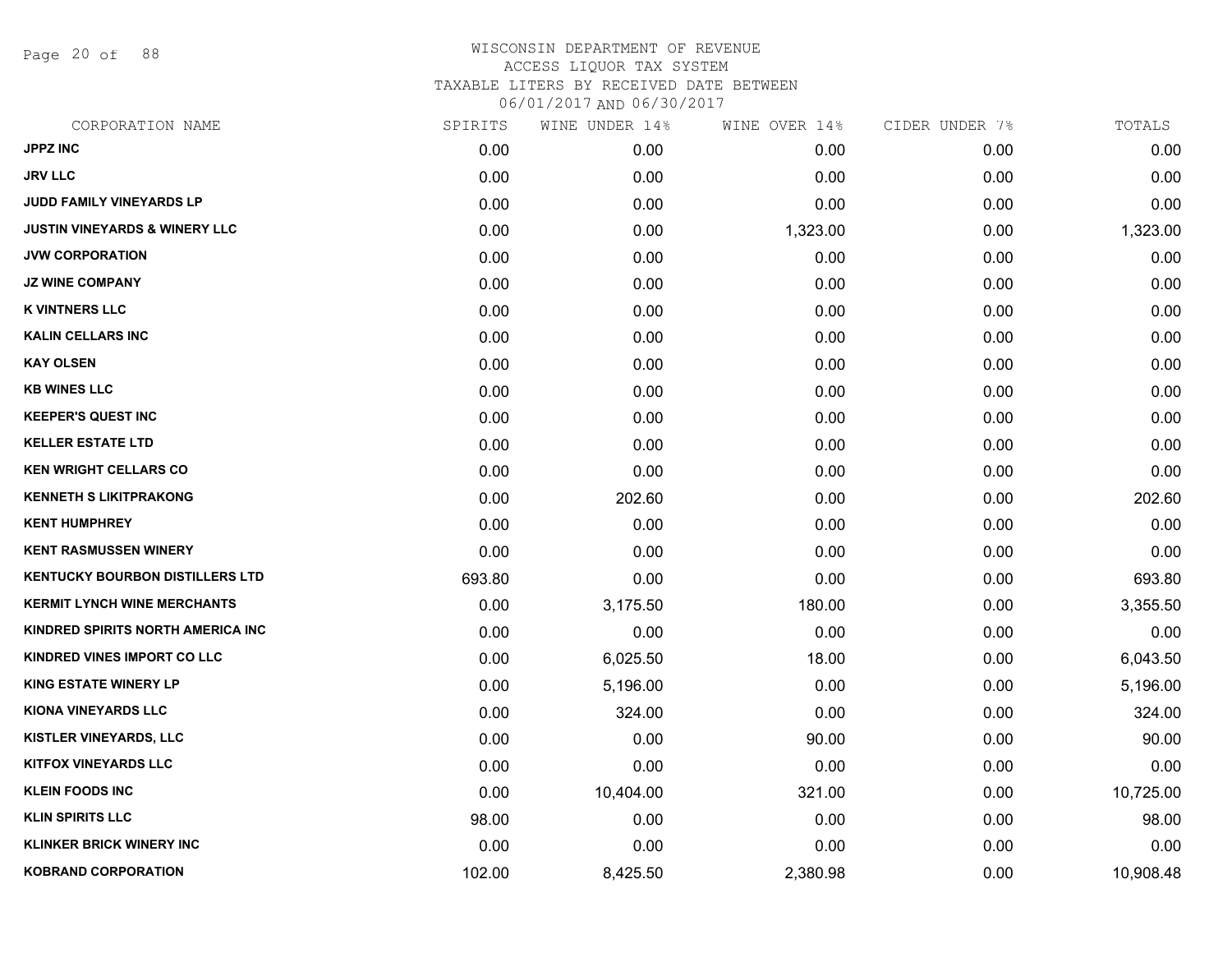Page 20 of 88

| CORPORATION NAME                         | SPIRITS | WINE UNDER 14% | WINE OVER 14% | CIDER UNDER 7% | TOTALS    |
|------------------------------------------|---------|----------------|---------------|----------------|-----------|
| <b>JPPZ INC</b>                          | 0.00    | 0.00           | 0.00          | 0.00           | 0.00      |
| <b>JRV LLC</b>                           | 0.00    | 0.00           | 0.00          | 0.00           | 0.00      |
| JUDD FAMILY VINEYARDS LP                 | 0.00    | 0.00           | 0.00          | 0.00           | 0.00      |
| <b>JUSTIN VINEYARDS &amp; WINERY LLC</b> | 0.00    | 0.00           | 1,323.00      | 0.00           | 1,323.00  |
| <b>JVW CORPORATION</b>                   | 0.00    | 0.00           | 0.00          | 0.00           | 0.00      |
| <b>JZ WINE COMPANY</b>                   | 0.00    | 0.00           | 0.00          | 0.00           | 0.00      |
| <b>K VINTNERS LLC</b>                    | 0.00    | 0.00           | 0.00          | 0.00           | 0.00      |
| <b>KALIN CELLARS INC</b>                 | 0.00    | 0.00           | 0.00          | 0.00           | 0.00      |
| <b>KAY OLSEN</b>                         | 0.00    | 0.00           | 0.00          | 0.00           | 0.00      |
| <b>KB WINES LLC</b>                      | 0.00    | 0.00           | 0.00          | 0.00           | 0.00      |
| <b>KEEPER'S QUEST INC</b>                | 0.00    | 0.00           | 0.00          | 0.00           | 0.00      |
| <b>KELLER ESTATE LTD</b>                 | 0.00    | 0.00           | 0.00          | 0.00           | 0.00      |
| <b>KEN WRIGHT CELLARS CO</b>             | 0.00    | 0.00           | 0.00          | 0.00           | 0.00      |
| <b>KENNETH S LIKITPRAKONG</b>            | 0.00    | 202.60         | 0.00          | 0.00           | 202.60    |
| <b>KENT HUMPHREY</b>                     | 0.00    | 0.00           | 0.00          | 0.00           | 0.00      |
| <b>KENT RASMUSSEN WINERY</b>             | 0.00    | 0.00           | 0.00          | 0.00           | 0.00      |
| <b>KENTUCKY BOURBON DISTILLERS LTD</b>   | 693.80  | 0.00           | 0.00          | 0.00           | 693.80    |
| <b>KERMIT LYNCH WINE MERCHANTS</b>       | 0.00    | 3,175.50       | 180.00        | 0.00           | 3,355.50  |
| KINDRED SPIRITS NORTH AMERICA INC        | 0.00    | 0.00           | 0.00          | 0.00           | 0.00      |
| <b>KINDRED VINES IMPORT CO LLC</b>       | 0.00    | 6,025.50       | 18.00         | 0.00           | 6,043.50  |
| <b>KING ESTATE WINERY LP</b>             | 0.00    | 5,196.00       | 0.00          | 0.00           | 5,196.00  |
| <b>KIONA VINEYARDS LLC</b>               | 0.00    | 324.00         | 0.00          | 0.00           | 324.00    |
| KISTLER VINEYARDS, LLC                   | 0.00    | 0.00           | 90.00         | 0.00           | 90.00     |
| <b>KITFOX VINEYARDS LLC</b>              | 0.00    | 0.00           | 0.00          | 0.00           | 0.00      |
| <b>KLEIN FOODS INC</b>                   | 0.00    | 10,404.00      | 321.00        | 0.00           | 10,725.00 |
| <b>KLIN SPIRITS LLC</b>                  | 98.00   | 0.00           | 0.00          | 0.00           | 98.00     |
| <b>KLINKER BRICK WINERY INC</b>          | 0.00    | 0.00           | 0.00          | 0.00           | 0.00      |
| <b>KOBRAND CORPORATION</b>               | 102.00  | 8,425.50       | 2,380.98      | 0.00           | 10,908.48 |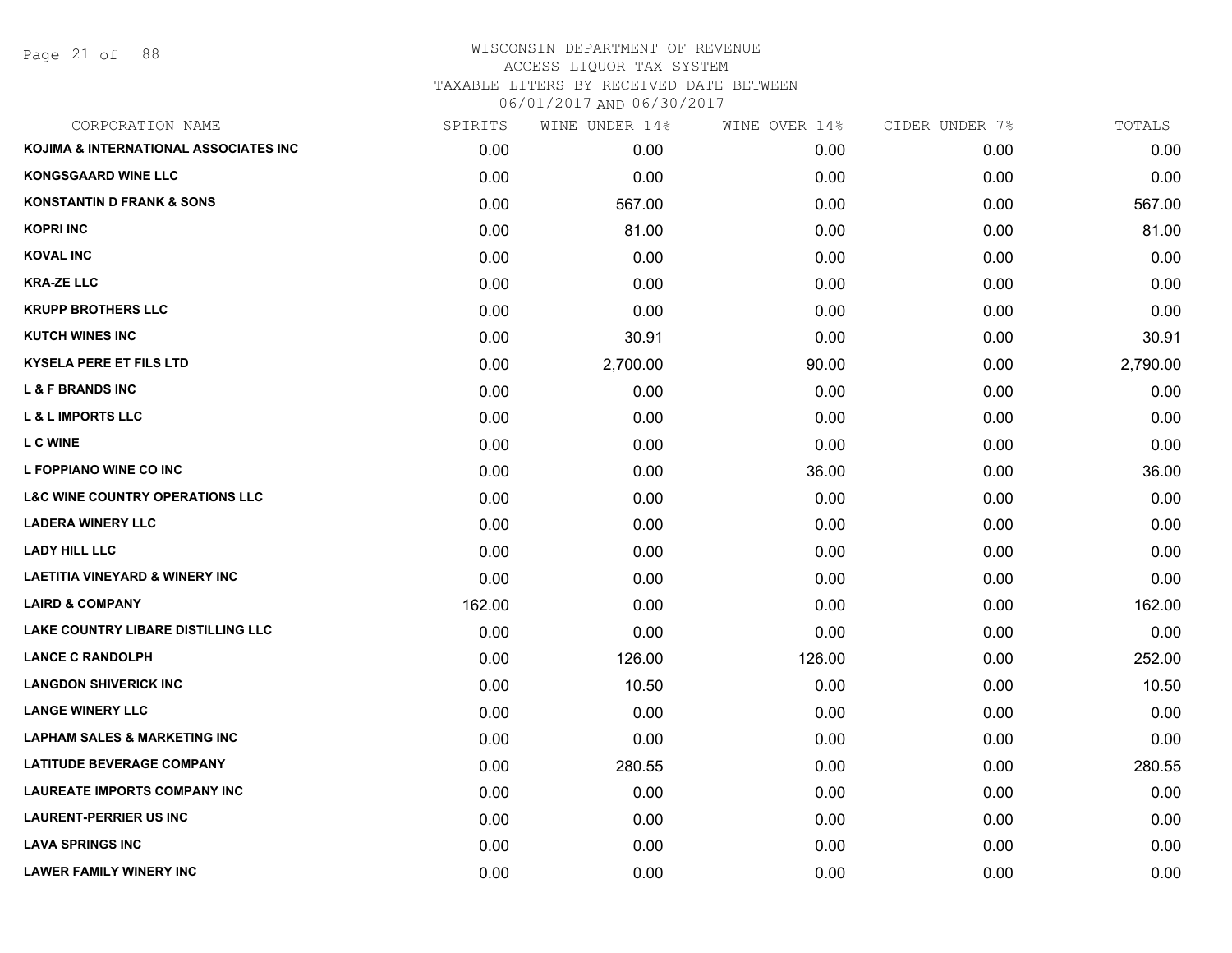Page 21 of 88

# WISCONSIN DEPARTMENT OF REVENUE ACCESS LIQUOR TAX SYSTEM TAXABLE LITERS BY RECEIVED DATE BETWEEN

| CORPORATION NAME                           | SPIRITS | WINE UNDER 14% | WINE OVER 14% | CIDER UNDER 7% | TOTALS   |
|--------------------------------------------|---------|----------------|---------------|----------------|----------|
| KOJIMA & INTERNATIONAL ASSOCIATES INC      | 0.00    | 0.00           | 0.00          | 0.00           | 0.00     |
| <b>KONGSGAARD WINE LLC</b>                 | 0.00    | 0.00           | 0.00          | 0.00           | 0.00     |
| <b>KONSTANTIN D FRANK &amp; SONS</b>       | 0.00    | 567.00         | 0.00          | 0.00           | 567.00   |
| <b>KOPRI INC</b>                           | 0.00    | 81.00          | 0.00          | 0.00           | 81.00    |
| <b>KOVAL INC</b>                           | 0.00    | 0.00           | 0.00          | 0.00           | 0.00     |
| <b>KRA-ZE LLC</b>                          | 0.00    | 0.00           | 0.00          | 0.00           | 0.00     |
| <b>KRUPP BROTHERS LLC</b>                  | 0.00    | 0.00           | 0.00          | 0.00           | 0.00     |
| <b>KUTCH WINES INC</b>                     | 0.00    | 30.91          | 0.00          | 0.00           | 30.91    |
| <b>KYSELA PERE ET FILS LTD</b>             | 0.00    | 2,700.00       | 90.00         | 0.00           | 2,790.00 |
| <b>L &amp; F BRANDS INC</b>                | 0.00    | 0.00           | 0.00          | 0.00           | 0.00     |
| <b>L &amp; L IMPORTS LLC</b>               | 0.00    | 0.00           | 0.00          | 0.00           | 0.00     |
| <b>LC WINE</b>                             | 0.00    | 0.00           | 0.00          | 0.00           | 0.00     |
| L FOPPIANO WINE CO INC                     | 0.00    | 0.00           | 36.00         | 0.00           | 36.00    |
| <b>L&amp;C WINE COUNTRY OPERATIONS LLC</b> | 0.00    | 0.00           | 0.00          | 0.00           | 0.00     |
| <b>LADERA WINERY LLC</b>                   | 0.00    | 0.00           | 0.00          | 0.00           | 0.00     |
| <b>LADY HILL LLC</b>                       | 0.00    | 0.00           | 0.00          | 0.00           | 0.00     |
| <b>LAETITIA VINEYARD &amp; WINERY INC</b>  | 0.00    | 0.00           | 0.00          | 0.00           | 0.00     |
| <b>LAIRD &amp; COMPANY</b>                 | 162.00  | 0.00           | 0.00          | 0.00           | 162.00   |
| LAKE COUNTRY LIBARE DISTILLING LLC         | 0.00    | 0.00           | 0.00          | 0.00           | 0.00     |
| <b>LANCE C RANDOLPH</b>                    | 0.00    | 126.00         | 126.00        | 0.00           | 252.00   |
| <b>LANGDON SHIVERICK INC</b>               | 0.00    | 10.50          | 0.00          | 0.00           | 10.50    |
| <b>LANGE WINERY LLC</b>                    | 0.00    | 0.00           | 0.00          | 0.00           | 0.00     |
| <b>LAPHAM SALES &amp; MARKETING INC</b>    | 0.00    | 0.00           | 0.00          | 0.00           | 0.00     |
| <b>LATITUDE BEVERAGE COMPANY</b>           | 0.00    | 280.55         | 0.00          | 0.00           | 280.55   |
| <b>LAUREATE IMPORTS COMPANY INC</b>        | 0.00    | 0.00           | 0.00          | 0.00           | 0.00     |
| <b>LAURENT-PERRIER US INC</b>              | 0.00    | 0.00           | 0.00          | 0.00           | 0.00     |
| <b>LAVA SPRINGS INC</b>                    | 0.00    | 0.00           | 0.00          | 0.00           | 0.00     |
| <b>LAWER FAMILY WINERY INC</b>             | 0.00    | 0.00           | 0.00          | 0.00           | 0.00     |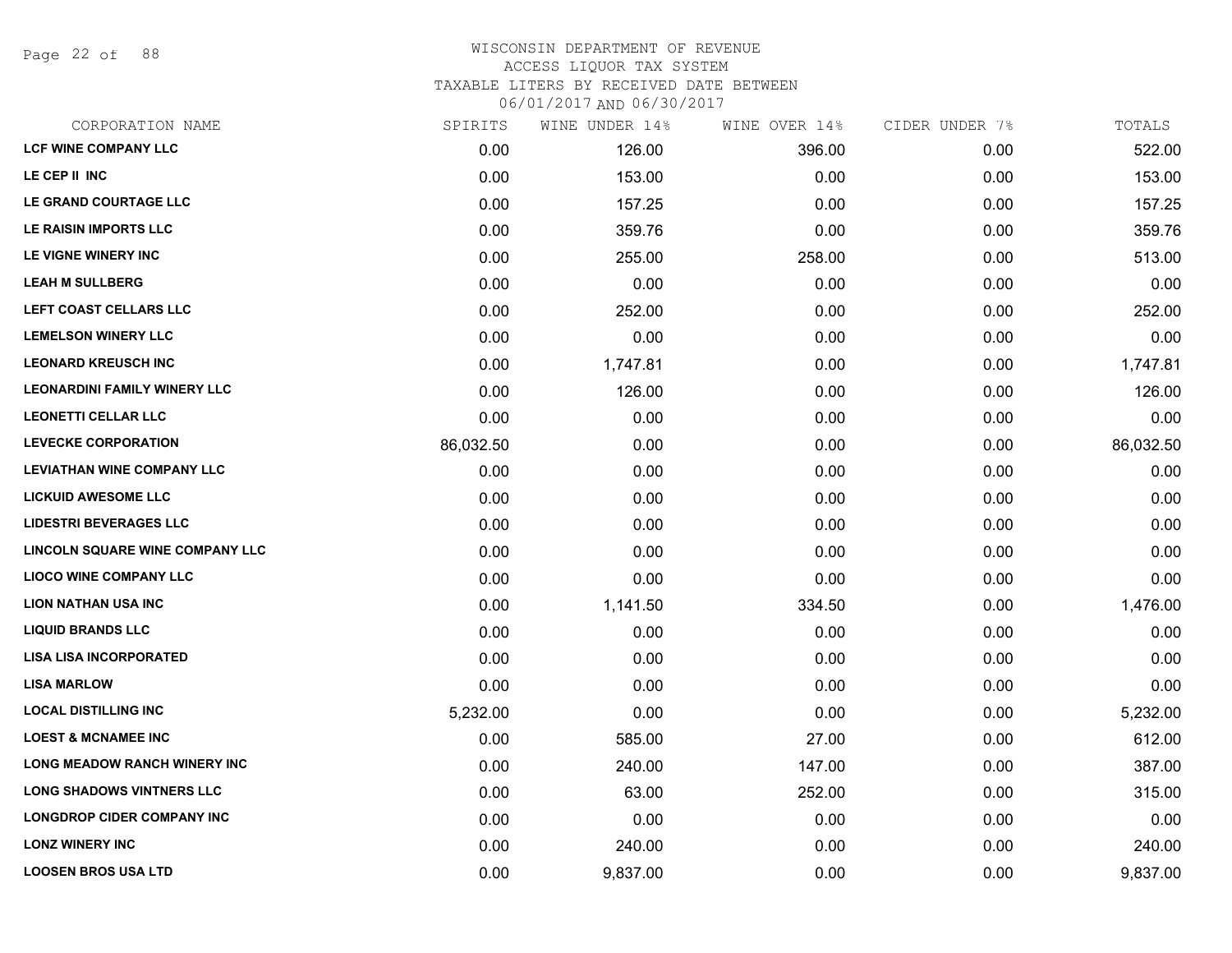Page 22 of 88

#### WISCONSIN DEPARTMENT OF REVENUE ACCESS LIQUOR TAX SYSTEM TAXABLE LITERS BY RECEIVED DATE BETWEEN

| CORPORATION NAME                       | SPIRITS   | WINE UNDER 14% | WINE OVER 14% | CIDER UNDER 7% | TOTALS    |
|----------------------------------------|-----------|----------------|---------------|----------------|-----------|
| <b>LCF WINE COMPANY LLC</b>            | 0.00      | 126.00         | 396.00        | 0.00           | 522.00    |
| LE CEP II INC                          | 0.00      | 153.00         | 0.00          | 0.00           | 153.00    |
| LE GRAND COURTAGE LLC                  | 0.00      | 157.25         | 0.00          | 0.00           | 157.25    |
| LE RAISIN IMPORTS LLC                  | 0.00      | 359.76         | 0.00          | 0.00           | 359.76    |
| LE VIGNE WINERY INC                    | 0.00      | 255.00         | 258.00        | 0.00           | 513.00    |
| <b>LEAH M SULLBERG</b>                 | 0.00      | 0.00           | 0.00          | 0.00           | 0.00      |
| LEFT COAST CELLARS LLC                 | 0.00      | 252.00         | 0.00          | 0.00           | 252.00    |
| <b>LEMELSON WINERY LLC</b>             | 0.00      | 0.00           | 0.00          | 0.00           | 0.00      |
| <b>LEONARD KREUSCH INC</b>             | 0.00      | 1,747.81       | 0.00          | 0.00           | 1,747.81  |
| <b>LEONARDINI FAMILY WINERY LLC</b>    | 0.00      | 126.00         | 0.00          | 0.00           | 126.00    |
| <b>LEONETTI CELLAR LLC</b>             | 0.00      | 0.00           | 0.00          | 0.00           | 0.00      |
| <b>LEVECKE CORPORATION</b>             | 86,032.50 | 0.00           | 0.00          | 0.00           | 86,032.50 |
| <b>LEVIATHAN WINE COMPANY LLC</b>      | 0.00      | 0.00           | 0.00          | 0.00           | 0.00      |
| <b>LICKUID AWESOME LLC</b>             | 0.00      | 0.00           | 0.00          | 0.00           | 0.00      |
| <b>LIDESTRI BEVERAGES LLC</b>          | 0.00      | 0.00           | 0.00          | 0.00           | 0.00      |
| <b>LINCOLN SQUARE WINE COMPANY LLC</b> | 0.00      | 0.00           | 0.00          | 0.00           | 0.00      |
| <b>LIOCO WINE COMPANY LLC</b>          | 0.00      | 0.00           | 0.00          | 0.00           | 0.00      |
| <b>LION NATHAN USA INC</b>             | 0.00      | 1,141.50       | 334.50        | 0.00           | 1,476.00  |
| <b>LIQUID BRANDS LLC</b>               | 0.00      | 0.00           | 0.00          | 0.00           | 0.00      |
| <b>LISA LISA INCORPORATED</b>          | 0.00      | 0.00           | 0.00          | 0.00           | 0.00      |
| <b>LISA MARLOW</b>                     | 0.00      | 0.00           | 0.00          | 0.00           | 0.00      |
| <b>LOCAL DISTILLING INC</b>            | 5,232.00  | 0.00           | 0.00          | 0.00           | 5,232.00  |
| <b>LOEST &amp; MCNAMEE INC</b>         | 0.00      | 585.00         | 27.00         | 0.00           | 612.00    |
| <b>LONG MEADOW RANCH WINERY INC</b>    | 0.00      | 240.00         | 147.00        | 0.00           | 387.00    |
| <b>LONG SHADOWS VINTNERS LLC</b>       | 0.00      | 63.00          | 252.00        | 0.00           | 315.00    |
| <b>LONGDROP CIDER COMPANY INC</b>      | 0.00      | 0.00           | 0.00          | 0.00           | 0.00      |
| <b>LONZ WINERY INC</b>                 | 0.00      | 240.00         | 0.00          | 0.00           | 240.00    |
| <b>LOOSEN BROS USA LTD</b>             | 0.00      | 9,837.00       | 0.00          | 0.00           | 9,837.00  |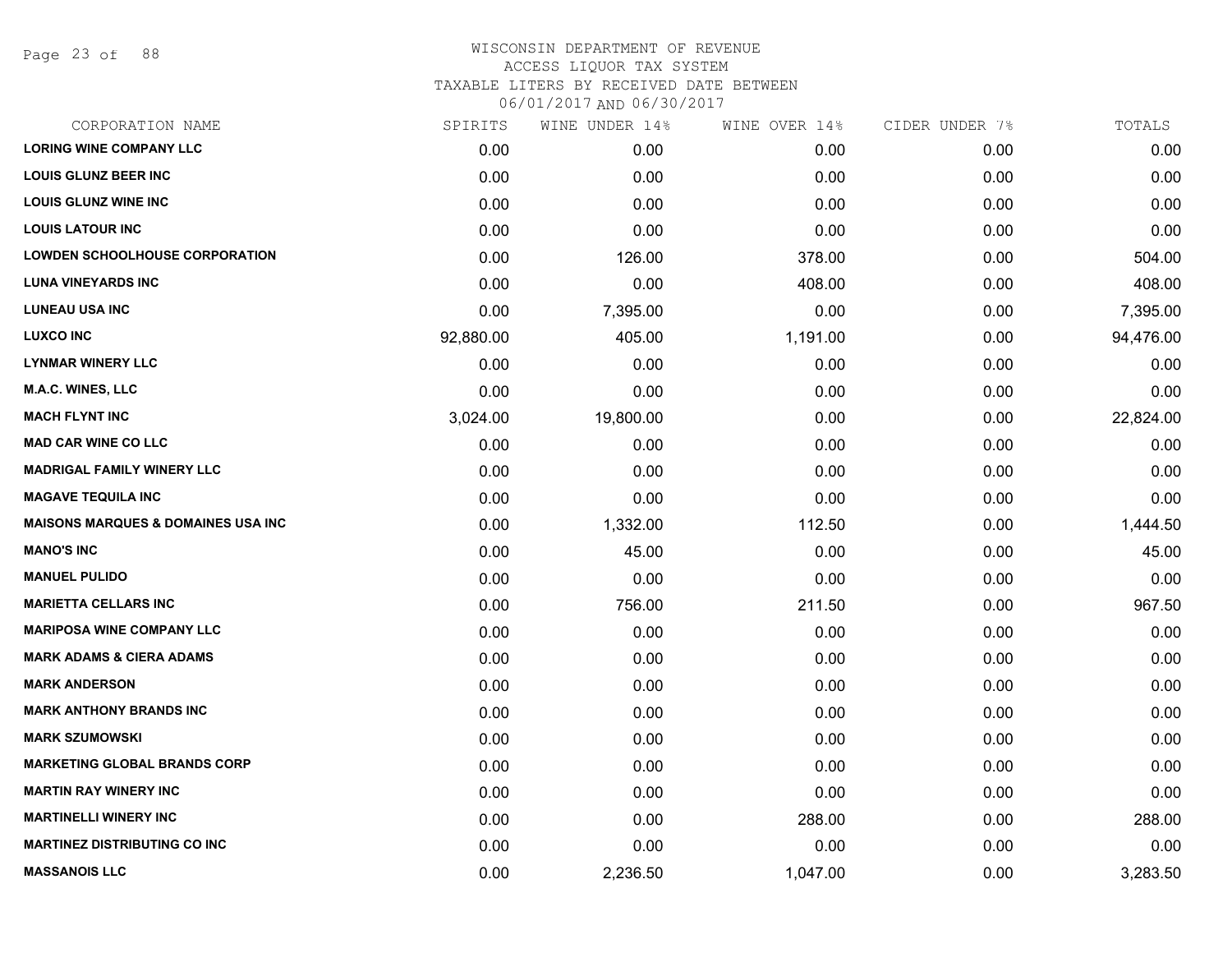Page 23 of 88

#### WISCONSIN DEPARTMENT OF REVENUE ACCESS LIQUOR TAX SYSTEM TAXABLE LITERS BY RECEIVED DATE BETWEEN

| CORPORATION NAME                              | SPIRITS   | WINE UNDER 14% | WINE OVER 14% | CIDER UNDER 7% | TOTALS    |
|-----------------------------------------------|-----------|----------------|---------------|----------------|-----------|
| <b>LORING WINE COMPANY LLC</b>                | 0.00      | 0.00           | 0.00          | 0.00           | 0.00      |
| <b>LOUIS GLUNZ BEER INC</b>                   | 0.00      | 0.00           | 0.00          | 0.00           | 0.00      |
| <b>LOUIS GLUNZ WINE INC</b>                   | 0.00      | 0.00           | 0.00          | 0.00           | 0.00      |
| <b>LOUIS LATOUR INC</b>                       | 0.00      | 0.00           | 0.00          | 0.00           | 0.00      |
| <b>LOWDEN SCHOOLHOUSE CORPORATION</b>         | 0.00      | 126.00         | 378.00        | 0.00           | 504.00    |
| <b>LUNA VINEYARDS INC</b>                     | 0.00      | 0.00           | 408.00        | 0.00           | 408.00    |
| <b>LUNEAU USA INC</b>                         | 0.00      | 7,395.00       | 0.00          | 0.00           | 7,395.00  |
| <b>LUXCO INC</b>                              | 92,880.00 | 405.00         | 1,191.00      | 0.00           | 94,476.00 |
| <b>LYNMAR WINERY LLC</b>                      | 0.00      | 0.00           | 0.00          | 0.00           | 0.00      |
| M.A.C. WINES, LLC                             | 0.00      | 0.00           | 0.00          | 0.00           | 0.00      |
| <b>MACH FLYNT INC</b>                         | 3,024.00  | 19,800.00      | 0.00          | 0.00           | 22,824.00 |
| <b>MAD CAR WINE CO LLC</b>                    | 0.00      | 0.00           | 0.00          | 0.00           | 0.00      |
| <b>MADRIGAL FAMILY WINERY LLC</b>             | 0.00      | 0.00           | 0.00          | 0.00           | 0.00      |
| <b>MAGAVE TEQUILA INC</b>                     | 0.00      | 0.00           | 0.00          | 0.00           | 0.00      |
| <b>MAISONS MARQUES &amp; DOMAINES USA INC</b> | 0.00      | 1,332.00       | 112.50        | 0.00           | 1,444.50  |
| <b>MANO'S INC</b>                             | 0.00      | 45.00          | 0.00          | 0.00           | 45.00     |
| <b>MANUEL PULIDO</b>                          | 0.00      | 0.00           | 0.00          | 0.00           | 0.00      |
| <b>MARIETTA CELLARS INC</b>                   | 0.00      | 756.00         | 211.50        | 0.00           | 967.50    |
| <b>MARIPOSA WINE COMPANY LLC</b>              | 0.00      | 0.00           | 0.00          | 0.00           | 0.00      |
| <b>MARK ADAMS &amp; CIERA ADAMS</b>           | 0.00      | 0.00           | 0.00          | 0.00           | 0.00      |
| <b>MARK ANDERSON</b>                          | 0.00      | 0.00           | 0.00          | 0.00           | 0.00      |
| <b>MARK ANTHONY BRANDS INC</b>                | 0.00      | 0.00           | 0.00          | 0.00           | 0.00      |
| <b>MARK SZUMOWSKI</b>                         | 0.00      | 0.00           | 0.00          | 0.00           | 0.00      |
| <b>MARKETING GLOBAL BRANDS CORP</b>           | 0.00      | 0.00           | 0.00          | 0.00           | 0.00      |
| <b>MARTIN RAY WINERY INC</b>                  | 0.00      | 0.00           | 0.00          | 0.00           | 0.00      |
| <b>MARTINELLI WINERY INC</b>                  | 0.00      | 0.00           | 288.00        | 0.00           | 288.00    |
| <b>MARTINEZ DISTRIBUTING CO INC</b>           | 0.00      | 0.00           | 0.00          | 0.00           | 0.00      |
| <b>MASSANOIS LLC</b>                          | 0.00      | 2,236.50       | 1,047.00      | 0.00           | 3,283.50  |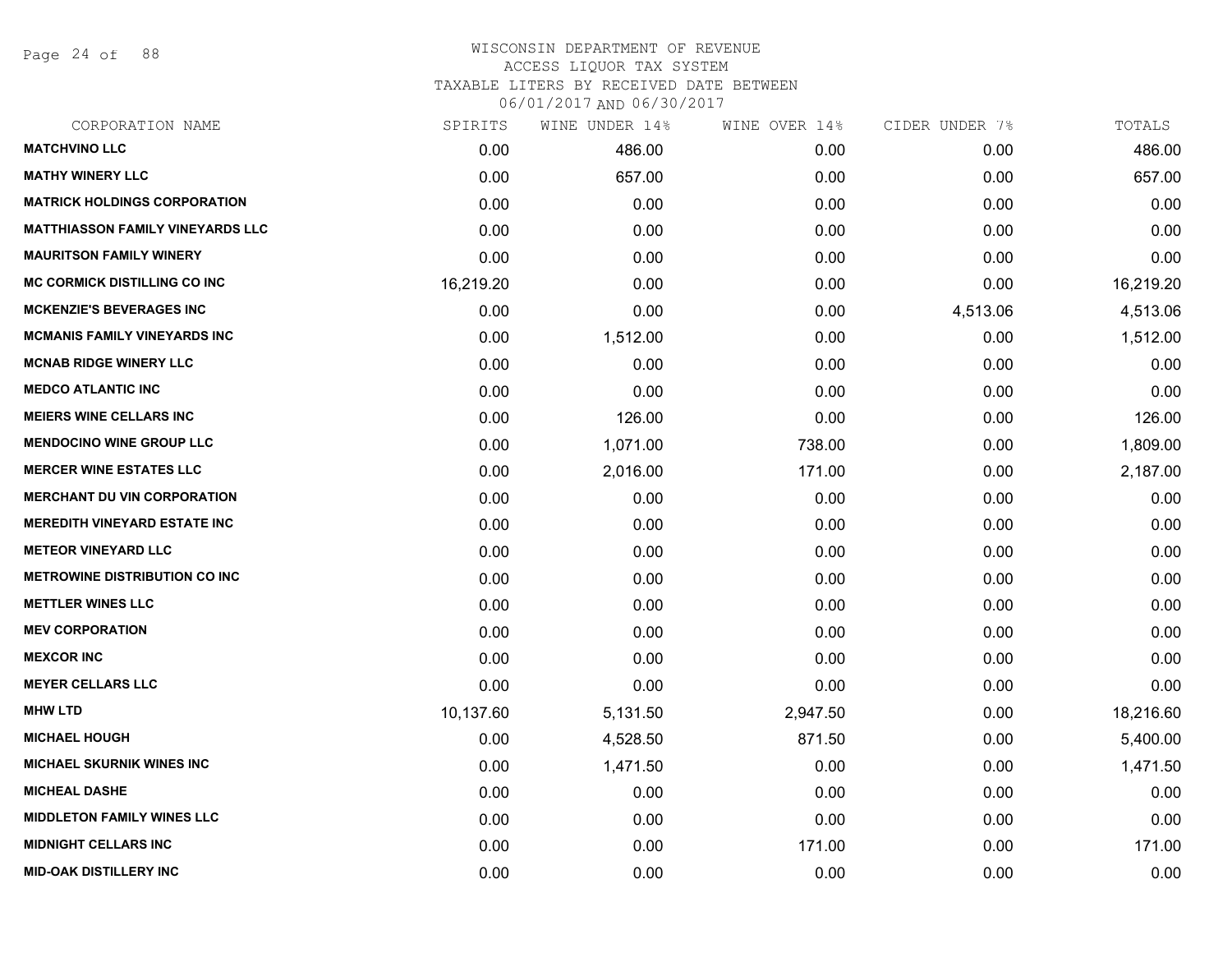Page 24 of 88

| CORPORATION NAME                        | SPIRITS   | WINE UNDER 14% | WINE OVER 14% | CIDER UNDER 7% | TOTALS    |
|-----------------------------------------|-----------|----------------|---------------|----------------|-----------|
| <b>MATCHVINO LLC</b>                    | 0.00      | 486.00         | 0.00          | 0.00           | 486.00    |
| <b>MATHY WINERY LLC</b>                 | 0.00      | 657.00         | 0.00          | 0.00           | 657.00    |
| <b>MATRICK HOLDINGS CORPORATION</b>     | 0.00      | 0.00           | 0.00          | 0.00           | 0.00      |
| <b>MATTHIASSON FAMILY VINEYARDS LLC</b> | 0.00      | 0.00           | 0.00          | 0.00           | 0.00      |
| <b>MAURITSON FAMILY WINERY</b>          | 0.00      | 0.00           | 0.00          | 0.00           | 0.00      |
| <b>MC CORMICK DISTILLING CO INC</b>     | 16,219.20 | 0.00           | 0.00          | 0.00           | 16,219.20 |
| <b>MCKENZIE'S BEVERAGES INC</b>         | 0.00      | 0.00           | 0.00          | 4,513.06       | 4,513.06  |
| <b>MCMANIS FAMILY VINEYARDS INC</b>     | 0.00      | 1,512.00       | 0.00          | 0.00           | 1,512.00  |
| <b>MCNAB RIDGE WINERY LLC</b>           | 0.00      | 0.00           | 0.00          | 0.00           | 0.00      |
| <b>MEDCO ATLANTIC INC</b>               | 0.00      | 0.00           | 0.00          | 0.00           | 0.00      |
| <b>MEIERS WINE CELLARS INC</b>          | 0.00      | 126.00         | 0.00          | 0.00           | 126.00    |
| <b>MENDOCINO WINE GROUP LLC</b>         | 0.00      | 1,071.00       | 738.00        | 0.00           | 1,809.00  |
| <b>MERCER WINE ESTATES LLC</b>          | 0.00      | 2,016.00       | 171.00        | 0.00           | 2,187.00  |
| <b>MERCHANT DU VIN CORPORATION</b>      | 0.00      | 0.00           | 0.00          | 0.00           | 0.00      |
| <b>MEREDITH VINEYARD ESTATE INC</b>     | 0.00      | 0.00           | 0.00          | 0.00           | 0.00      |
| <b>METEOR VINEYARD LLC</b>              | 0.00      | 0.00           | 0.00          | 0.00           | 0.00      |
| <b>METROWINE DISTRIBUTION CO INC</b>    | 0.00      | 0.00           | 0.00          | 0.00           | 0.00      |
| <b>METTLER WINES LLC</b>                | 0.00      | 0.00           | 0.00          | 0.00           | 0.00      |
| <b>MEV CORPORATION</b>                  | 0.00      | 0.00           | 0.00          | 0.00           | 0.00      |
| <b>MEXCOR INC</b>                       | 0.00      | 0.00           | 0.00          | 0.00           | 0.00      |
| <b>MEYER CELLARS LLC</b>                | 0.00      | 0.00           | 0.00          | 0.00           | 0.00      |
| <b>MHW LTD</b>                          | 10,137.60 | 5,131.50       | 2,947.50      | 0.00           | 18,216.60 |
| <b>MICHAEL HOUGH</b>                    | 0.00      | 4,528.50       | 871.50        | 0.00           | 5,400.00  |
| <b>MICHAEL SKURNIK WINES INC</b>        | 0.00      | 1,471.50       | 0.00          | 0.00           | 1,471.50  |
| <b>MICHEAL DASHE</b>                    | 0.00      | 0.00           | 0.00          | 0.00           | 0.00      |
| <b>MIDDLETON FAMILY WINES LLC</b>       | 0.00      | 0.00           | 0.00          | 0.00           | 0.00      |
| <b>MIDNIGHT CELLARS INC</b>             | 0.00      | 0.00           | 171.00        | 0.00           | 171.00    |
| <b>MID-OAK DISTILLERY INC</b>           | 0.00      | 0.00           | 0.00          | 0.00           | 0.00      |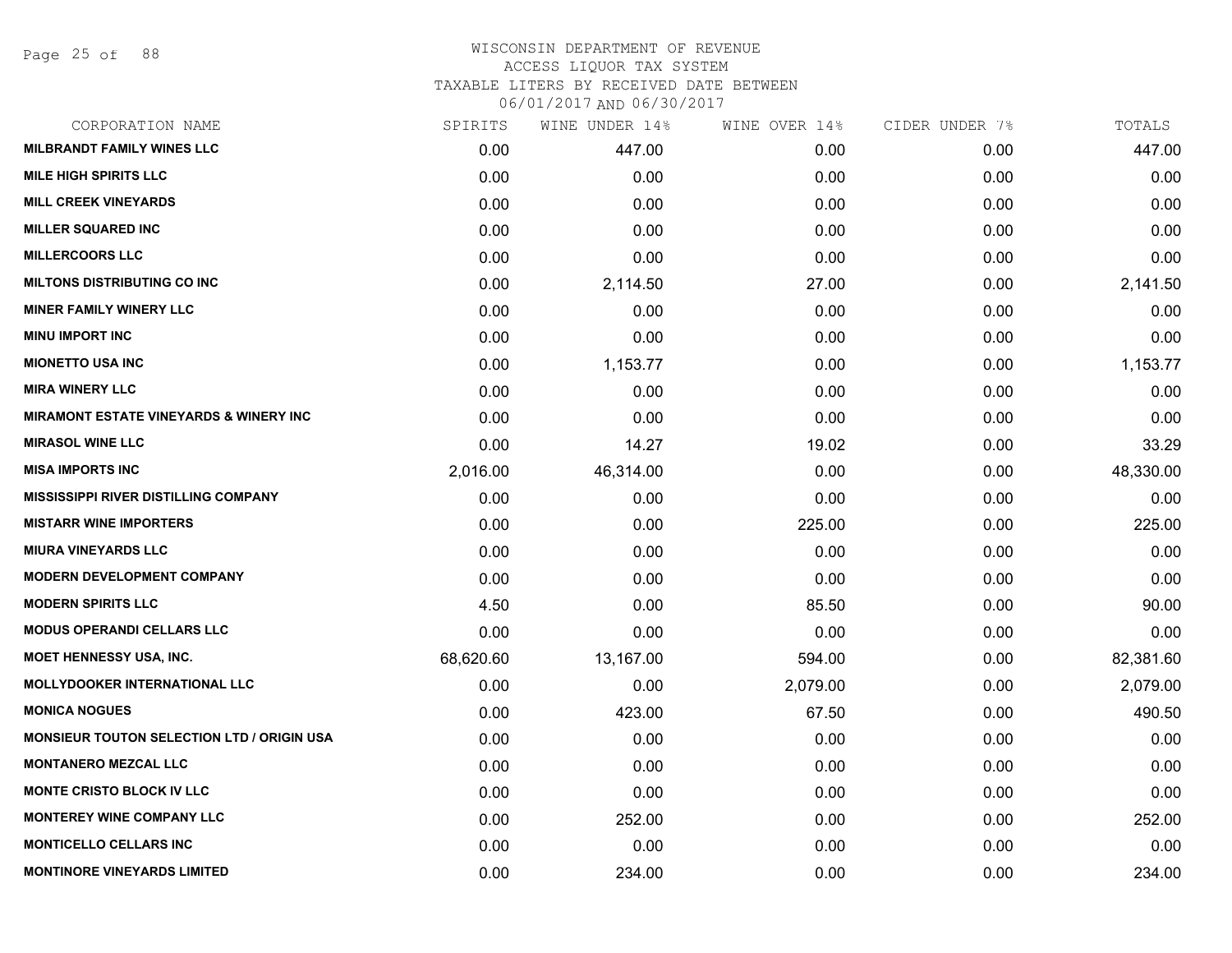Page 25 of 88

#### WISCONSIN DEPARTMENT OF REVENUE ACCESS LIQUOR TAX SYSTEM

TAXABLE LITERS BY RECEIVED DATE BETWEEN

| CORPORATION NAME                                  | SPIRITS   | WINE UNDER 14% | WINE OVER 14% | CIDER UNDER 7% | TOTALS    |
|---------------------------------------------------|-----------|----------------|---------------|----------------|-----------|
| <b>MILBRANDT FAMILY WINES LLC</b>                 | 0.00      | 447.00         | 0.00          | 0.00           | 447.00    |
| <b>MILE HIGH SPIRITS LLC</b>                      | 0.00      | 0.00           | 0.00          | 0.00           | 0.00      |
| <b>MILL CREEK VINEYARDS</b>                       | 0.00      | 0.00           | 0.00          | 0.00           | 0.00      |
| <b>MILLER SQUARED INC</b>                         | 0.00      | 0.00           | 0.00          | 0.00           | 0.00      |
| <b>MILLERCOORS LLC</b>                            | 0.00      | 0.00           | 0.00          | 0.00           | 0.00      |
| MILTONS DISTRIBUTING CO INC                       | 0.00      | 2,114.50       | 27.00         | 0.00           | 2,141.50  |
| <b>MINER FAMILY WINERY LLC</b>                    | 0.00      | 0.00           | 0.00          | 0.00           | 0.00      |
| <b>MINU IMPORT INC</b>                            | 0.00      | 0.00           | 0.00          | 0.00           | 0.00      |
| <b>MIONETTO USA INC</b>                           | 0.00      | 1,153.77       | 0.00          | 0.00           | 1,153.77  |
| <b>MIRA WINERY LLC</b>                            | 0.00      | 0.00           | 0.00          | 0.00           | 0.00      |
| <b>MIRAMONT ESTATE VINEYARDS &amp; WINERY INC</b> | 0.00      | 0.00           | 0.00          | 0.00           | 0.00      |
| <b>MIRASOL WINE LLC</b>                           | 0.00      | 14.27          | 19.02         | 0.00           | 33.29     |
| <b>MISA IMPORTS INC</b>                           | 2,016.00  | 46,314.00      | 0.00          | 0.00           | 48,330.00 |
| <b>MISSISSIPPI RIVER DISTILLING COMPANY</b>       | 0.00      | 0.00           | 0.00          | 0.00           | 0.00      |
| <b>MISTARR WINE IMPORTERS</b>                     | 0.00      | 0.00           | 225.00        | 0.00           | 225.00    |
| <b>MIURA VINEYARDS LLC</b>                        | 0.00      | 0.00           | 0.00          | 0.00           | 0.00      |
| <b>MODERN DEVELOPMENT COMPANY</b>                 | 0.00      | 0.00           | 0.00          | 0.00           | 0.00      |
| <b>MODERN SPIRITS LLC</b>                         | 4.50      | 0.00           | 85.50         | 0.00           | 90.00     |
| <b>MODUS OPERANDI CELLARS LLC</b>                 | 0.00      | 0.00           | 0.00          | 0.00           | 0.00      |
| <b>MOET HENNESSY USA, INC.</b>                    | 68,620.60 | 13,167.00      | 594.00        | 0.00           | 82,381.60 |
| <b>MOLLYDOOKER INTERNATIONAL LLC</b>              | 0.00      | 0.00           | 2,079.00      | 0.00           | 2,079.00  |
| <b>MONICA NOGUES</b>                              | 0.00      | 423.00         | 67.50         | 0.00           | 490.50    |
| <b>MONSIEUR TOUTON SELECTION LTD / ORIGIN USA</b> | 0.00      | 0.00           | 0.00          | 0.00           | 0.00      |
| <b>MONTANERO MEZCAL LLC</b>                       | 0.00      | 0.00           | 0.00          | 0.00           | 0.00      |
| <b>MONTE CRISTO BLOCK IV LLC</b>                  | 0.00      | 0.00           | 0.00          | 0.00           | 0.00      |
| <b>MONTEREY WINE COMPANY LLC</b>                  | 0.00      | 252.00         | 0.00          | 0.00           | 252.00    |
| <b>MONTICELLO CELLARS INC</b>                     | 0.00      | 0.00           | 0.00          | 0.00           | 0.00      |
| <b>MONTINORE VINEYARDS LIMITED</b>                | 0.00      | 234.00         | 0.00          | 0.00           | 234.00    |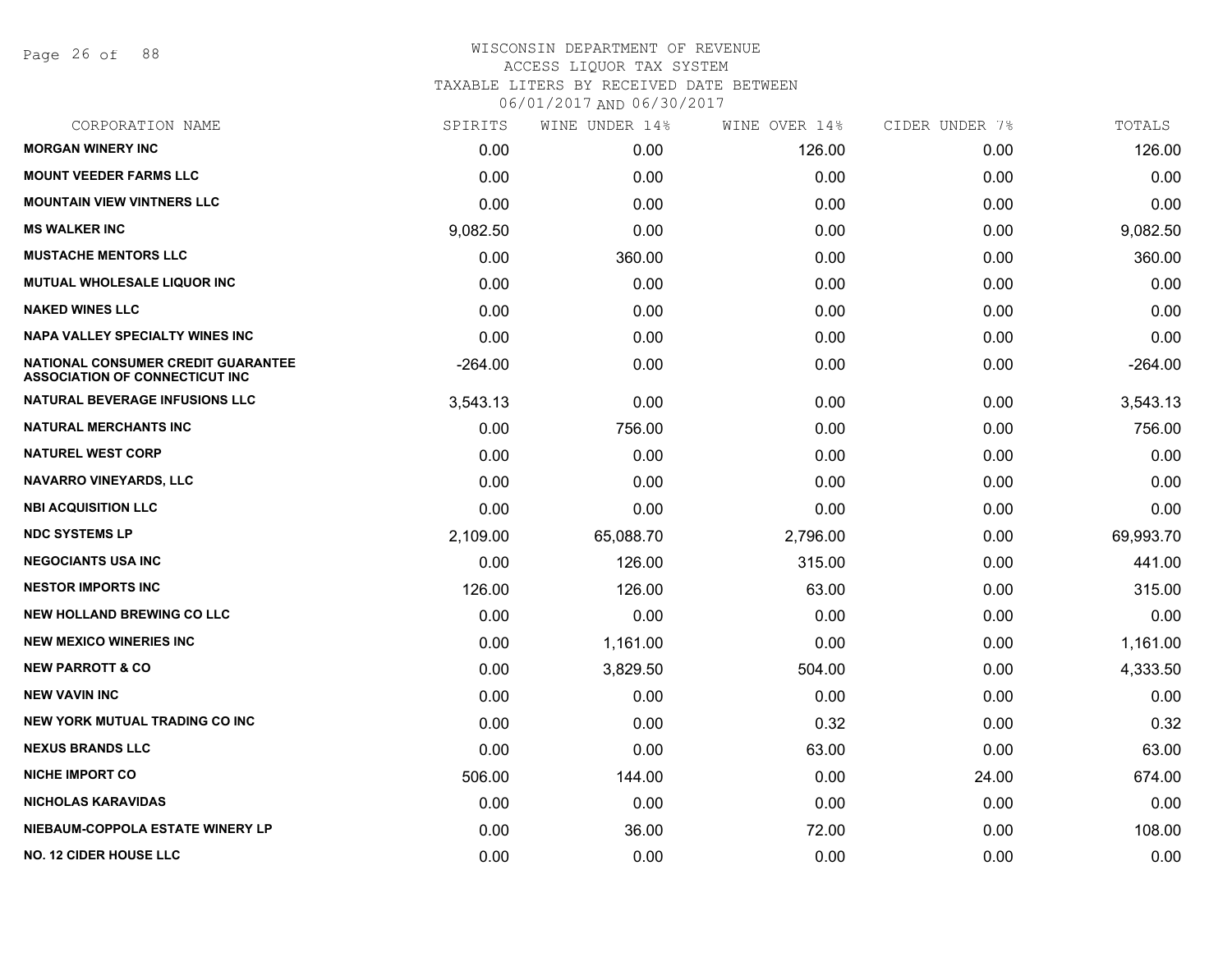Page 26 of 88

| CORPORATION NAME                                                            | SPIRITS   | WINE UNDER 14% | WINE OVER 14% | CIDER UNDER 7% | TOTALS    |
|-----------------------------------------------------------------------------|-----------|----------------|---------------|----------------|-----------|
| <b>MORGAN WINERY INC</b>                                                    | 0.00      | 0.00           | 126.00        | 0.00           | 126.00    |
| <b>MOUNT VEEDER FARMS LLC</b>                                               | 0.00      | 0.00           | 0.00          | 0.00           | 0.00      |
| <b>MOUNTAIN VIEW VINTNERS LLC</b>                                           | 0.00      | 0.00           | 0.00          | 0.00           | 0.00      |
| <b>MS WALKER INC</b>                                                        | 9,082.50  | 0.00           | 0.00          | 0.00           | 9,082.50  |
| <b>MUSTACHE MENTORS LLC</b>                                                 | 0.00      | 360.00         | 0.00          | 0.00           | 360.00    |
| <b>MUTUAL WHOLESALE LIQUOR INC</b>                                          | 0.00      | 0.00           | 0.00          | 0.00           | 0.00      |
| <b>NAKED WINES LLC</b>                                                      | 0.00      | 0.00           | 0.00          | 0.00           | 0.00      |
| NAPA VALLEY SPECIALTY WINES INC                                             | 0.00      | 0.00           | 0.00          | 0.00           | 0.00      |
| NATIONAL CONSUMER CREDIT GUARANTEE<br><b>ASSOCIATION OF CONNECTICUT INC</b> | $-264.00$ | 0.00           | 0.00          | 0.00           | $-264.00$ |
| NATURAL BEVERAGE INFUSIONS LLC                                              | 3,543.13  | 0.00           | 0.00          | 0.00           | 3,543.13  |
| <b>NATURAL MERCHANTS INC</b>                                                | 0.00      | 756.00         | 0.00          | 0.00           | 756.00    |
| <b>NATUREL WEST CORP</b>                                                    | 0.00      | 0.00           | 0.00          | 0.00           | 0.00      |
| <b>NAVARRO VINEYARDS, LLC</b>                                               | 0.00      | 0.00           | 0.00          | 0.00           | 0.00      |
| <b>NBI ACQUISITION LLC</b>                                                  | 0.00      | 0.00           | 0.00          | 0.00           | 0.00      |
| <b>NDC SYSTEMS LP</b>                                                       | 2,109.00  | 65,088.70      | 2,796.00      | 0.00           | 69,993.70 |
| <b>NEGOCIANTS USA INC</b>                                                   | 0.00      | 126.00         | 315.00        | 0.00           | 441.00    |
| <b>NESTOR IMPORTS INC</b>                                                   | 126.00    | 126.00         | 63.00         | 0.00           | 315.00    |
| <b>NEW HOLLAND BREWING CO LLC</b>                                           | 0.00      | 0.00           | 0.00          | 0.00           | 0.00      |
| <b>NEW MEXICO WINERIES INC</b>                                              | 0.00      | 1,161.00       | 0.00          | 0.00           | 1,161.00  |
| <b>NEW PARROTT &amp; CO</b>                                                 | 0.00      | 3,829.50       | 504.00        | 0.00           | 4,333.50  |
| <b>NEW VAVIN INC</b>                                                        | 0.00      | 0.00           | 0.00          | 0.00           | 0.00      |
| <b>NEW YORK MUTUAL TRADING CO INC.</b>                                      | 0.00      | 0.00           | 0.32          | 0.00           | 0.32      |
| <b>NEXUS BRANDS LLC</b>                                                     | 0.00      | 0.00           | 63.00         | 0.00           | 63.00     |
| <b>NICHE IMPORT CO</b>                                                      | 506.00    | 144.00         | 0.00          | 24.00          | 674.00    |
| <b>NICHOLAS KARAVIDAS</b>                                                   | 0.00      | 0.00           | 0.00          | 0.00           | 0.00      |
| NIEBAUM-COPPOLA ESTATE WINERY LP                                            | 0.00      | 36.00          | 72.00         | 0.00           | 108.00    |
| <b>NO. 12 CIDER HOUSE LLC</b>                                               | 0.00      | 0.00           | 0.00          | 0.00           | 0.00      |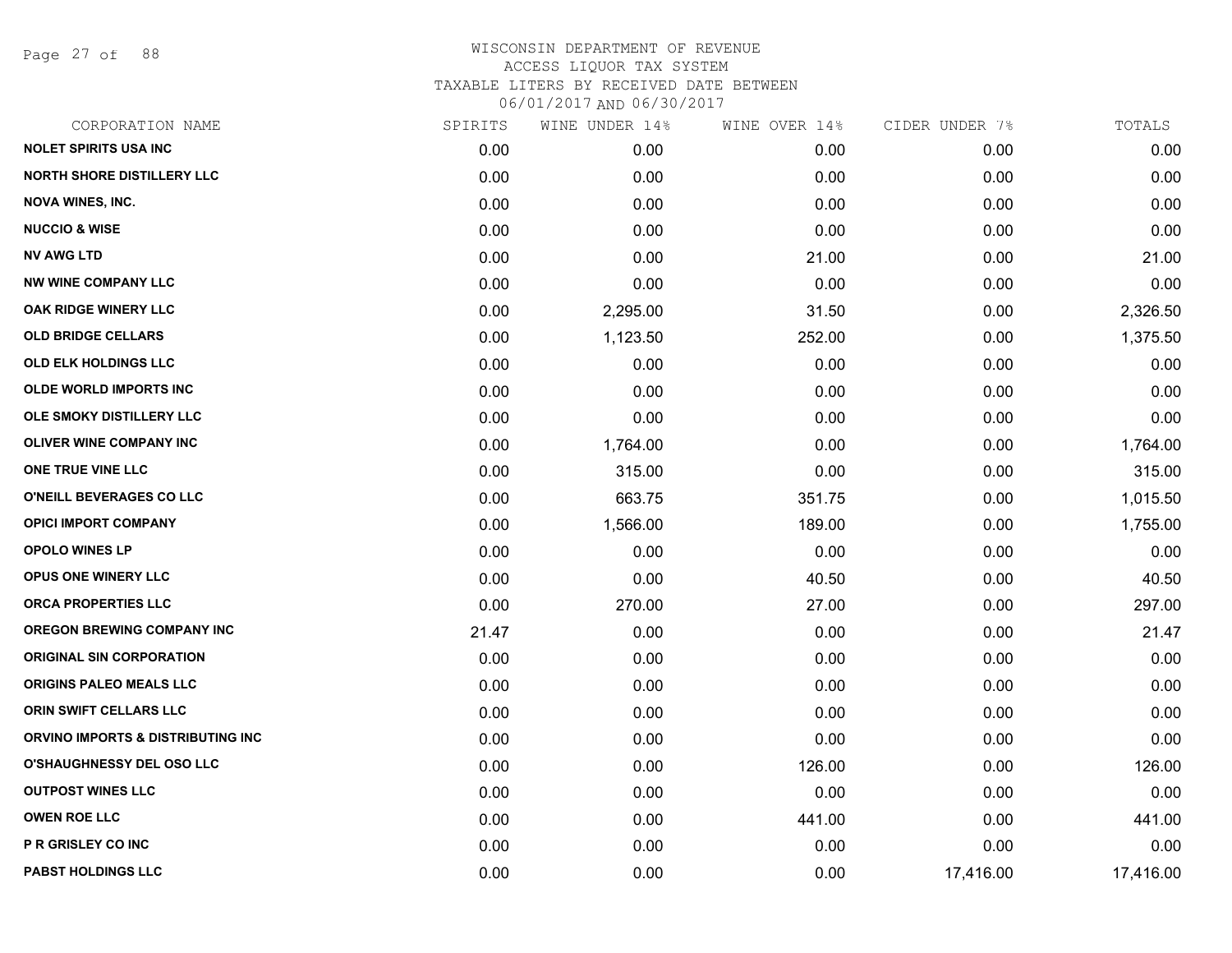Page 27 of 88

| CORPORATION NAME                  | SPIRITS | WINE UNDER 14% | WINE OVER 14% | CIDER UNDER 7% | TOTALS    |
|-----------------------------------|---------|----------------|---------------|----------------|-----------|
| <b>NOLET SPIRITS USA INC</b>      | 0.00    | 0.00           | 0.00          | 0.00           | 0.00      |
| <b>NORTH SHORE DISTILLERY LLC</b> | 0.00    | 0.00           | 0.00          | 0.00           | 0.00      |
| <b>NOVA WINES, INC.</b>           | 0.00    | 0.00           | 0.00          | 0.00           | 0.00      |
| <b>NUCCIO &amp; WISE</b>          | 0.00    | 0.00           | 0.00          | 0.00           | 0.00      |
| <b>NV AWG LTD</b>                 | 0.00    | 0.00           | 21.00         | 0.00           | 21.00     |
| <b>NW WINE COMPANY LLC</b>        | 0.00    | 0.00           | 0.00          | 0.00           | 0.00      |
| OAK RIDGE WINERY LLC              | 0.00    | 2,295.00       | 31.50         | 0.00           | 2,326.50  |
| <b>OLD BRIDGE CELLARS</b>         | 0.00    | 1,123.50       | 252.00        | 0.00           | 1,375.50  |
| <b>OLD ELK HOLDINGS LLC</b>       | 0.00    | 0.00           | 0.00          | 0.00           | 0.00      |
| <b>OLDE WORLD IMPORTS INC</b>     | 0.00    | 0.00           | 0.00          | 0.00           | 0.00      |
| OLE SMOKY DISTILLERY LLC          | 0.00    | 0.00           | 0.00          | 0.00           | 0.00      |
| <b>OLIVER WINE COMPANY INC</b>    | 0.00    | 1,764.00       | 0.00          | 0.00           | 1,764.00  |
| ONE TRUE VINE LLC                 | 0.00    | 315.00         | 0.00          | 0.00           | 315.00    |
| O'NEILL BEVERAGES CO LLC          | 0.00    | 663.75         | 351.75        | 0.00           | 1,015.50  |
| <b>OPICI IMPORT COMPANY</b>       | 0.00    | 1,566.00       | 189.00        | 0.00           | 1,755.00  |
| <b>OPOLO WINES LP</b>             | 0.00    | 0.00           | 0.00          | 0.00           | 0.00      |
| <b>OPUS ONE WINERY LLC</b>        | 0.00    | 0.00           | 40.50         | 0.00           | 40.50     |
| ORCA PROPERTIES LLC               | 0.00    | 270.00         | 27.00         | 0.00           | 297.00    |
| <b>OREGON BREWING COMPANY INC</b> | 21.47   | 0.00           | 0.00          | 0.00           | 21.47     |
| <b>ORIGINAL SIN CORPORATION</b>   | 0.00    | 0.00           | 0.00          | 0.00           | 0.00      |
| ORIGINS PALEO MEALS LLC           | 0.00    | 0.00           | 0.00          | 0.00           | 0.00      |
| ORIN SWIFT CELLARS LLC            | 0.00    | 0.00           | 0.00          | 0.00           | 0.00      |
| ORVINO IMPORTS & DISTRIBUTING INC | 0.00    | 0.00           | 0.00          | 0.00           | 0.00      |
| <b>O'SHAUGHNESSY DEL OSO LLC</b>  | 0.00    | 0.00           | 126.00        | 0.00           | 126.00    |
| <b>OUTPOST WINES LLC</b>          | 0.00    | 0.00           | 0.00          | 0.00           | 0.00      |
| <b>OWEN ROE LLC</b>               | 0.00    | 0.00           | 441.00        | 0.00           | 441.00    |
| <b>P R GRISLEY CO INC</b>         | 0.00    | 0.00           | 0.00          | 0.00           | 0.00      |
| <b>PABST HOLDINGS LLC</b>         | 0.00    | 0.00           | 0.00          | 17,416.00      | 17,416.00 |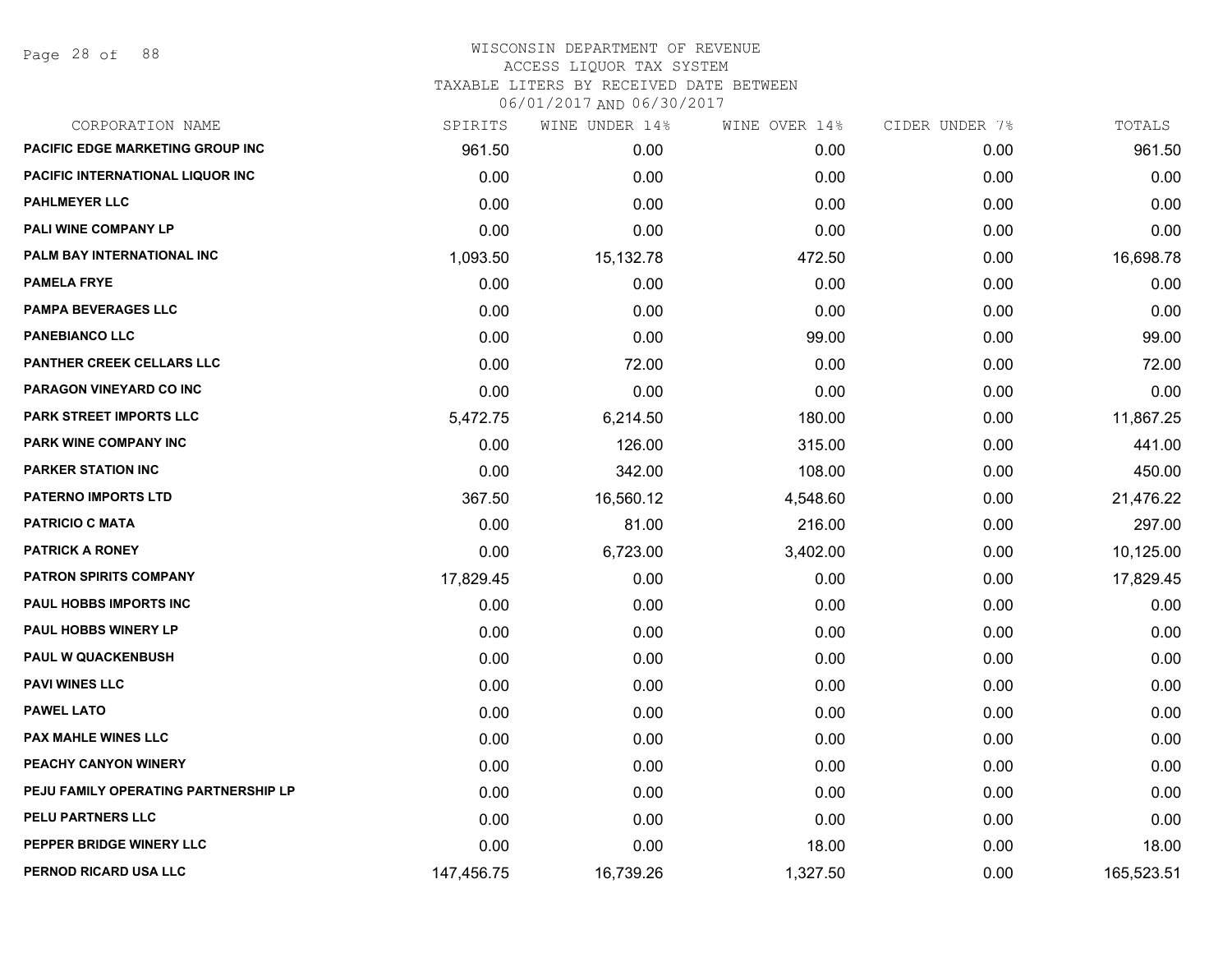Page 28 of 88

## WISCONSIN DEPARTMENT OF REVENUE ACCESS LIQUOR TAX SYSTEM TAXABLE LITERS BY RECEIVED DATE BETWEEN

| CORPORATION NAME                     | SPIRITS    | WINE UNDER 14% | WINE OVER 14% | CIDER UNDER 7% | TOTALS     |
|--------------------------------------|------------|----------------|---------------|----------------|------------|
| PACIFIC EDGE MARKETING GROUP INC     | 961.50     | 0.00           | 0.00          | 0.00           | 961.50     |
| PACIFIC INTERNATIONAL LIQUOR INC     | 0.00       | 0.00           | 0.00          | 0.00           | 0.00       |
| <b>PAHLMEYER LLC</b>                 | 0.00       | 0.00           | 0.00          | 0.00           | 0.00       |
| <b>PALI WINE COMPANY LP</b>          | 0.00       | 0.00           | 0.00          | 0.00           | 0.00       |
| PALM BAY INTERNATIONAL INC           | 1,093.50   | 15,132.78      | 472.50        | 0.00           | 16,698.78  |
| <b>PAMELA FRYE</b>                   | 0.00       | 0.00           | 0.00          | 0.00           | 0.00       |
| <b>PAMPA BEVERAGES LLC</b>           | 0.00       | 0.00           | 0.00          | 0.00           | 0.00       |
| <b>PANEBIANCO LLC</b>                | 0.00       | 0.00           | 99.00         | 0.00           | 99.00      |
| PANTHER CREEK CELLARS LLC            | 0.00       | 72.00          | 0.00          | 0.00           | 72.00      |
| PARAGON VINEYARD CO INC              | 0.00       | 0.00           | 0.00          | 0.00           | 0.00       |
| PARK STREET IMPORTS LLC              | 5,472.75   | 6,214.50       | 180.00        | 0.00           | 11,867.25  |
| PARK WINE COMPANY INC                | 0.00       | 126.00         | 315.00        | 0.00           | 441.00     |
| <b>PARKER STATION INC</b>            | 0.00       | 342.00         | 108.00        | 0.00           | 450.00     |
| <b>PATERNO IMPORTS LTD</b>           | 367.50     | 16,560.12      | 4,548.60      | 0.00           | 21,476.22  |
| <b>PATRICIO C MATA</b>               | 0.00       | 81.00          | 216.00        | 0.00           | 297.00     |
| <b>PATRICK A RONEY</b>               | 0.00       | 6,723.00       | 3,402.00      | 0.00           | 10,125.00  |
| <b>PATRON SPIRITS COMPANY</b>        | 17,829.45  | 0.00           | 0.00          | 0.00           | 17,829.45  |
| <b>PAUL HOBBS IMPORTS INC</b>        | 0.00       | 0.00           | 0.00          | 0.00           | 0.00       |
| <b>PAUL HOBBS WINERY LP</b>          | 0.00       | 0.00           | 0.00          | 0.00           | 0.00       |
| <b>PAUL W QUACKENBUSH</b>            | 0.00       | 0.00           | 0.00          | 0.00           | 0.00       |
| <b>PAVI WINES LLC</b>                | 0.00       | 0.00           | 0.00          | 0.00           | 0.00       |
| <b>PAWEL LATO</b>                    | 0.00       | 0.00           | 0.00          | 0.00           | 0.00       |
| <b>PAX MAHLE WINES LLC</b>           | 0.00       | 0.00           | 0.00          | 0.00           | 0.00       |
| PEACHY CANYON WINERY                 | 0.00       | 0.00           | 0.00          | 0.00           | 0.00       |
| PEJU FAMILY OPERATING PARTNERSHIP LP | 0.00       | 0.00           | 0.00          | 0.00           | 0.00       |
| PELU PARTNERS LLC                    | 0.00       | 0.00           | 0.00          | 0.00           | 0.00       |
| PEPPER BRIDGE WINERY LLC             | 0.00       | 0.00           | 18.00         | 0.00           | 18.00      |
| PERNOD RICARD USA LLC                | 147,456.75 | 16,739.26      | 1,327.50      | 0.00           | 165,523.51 |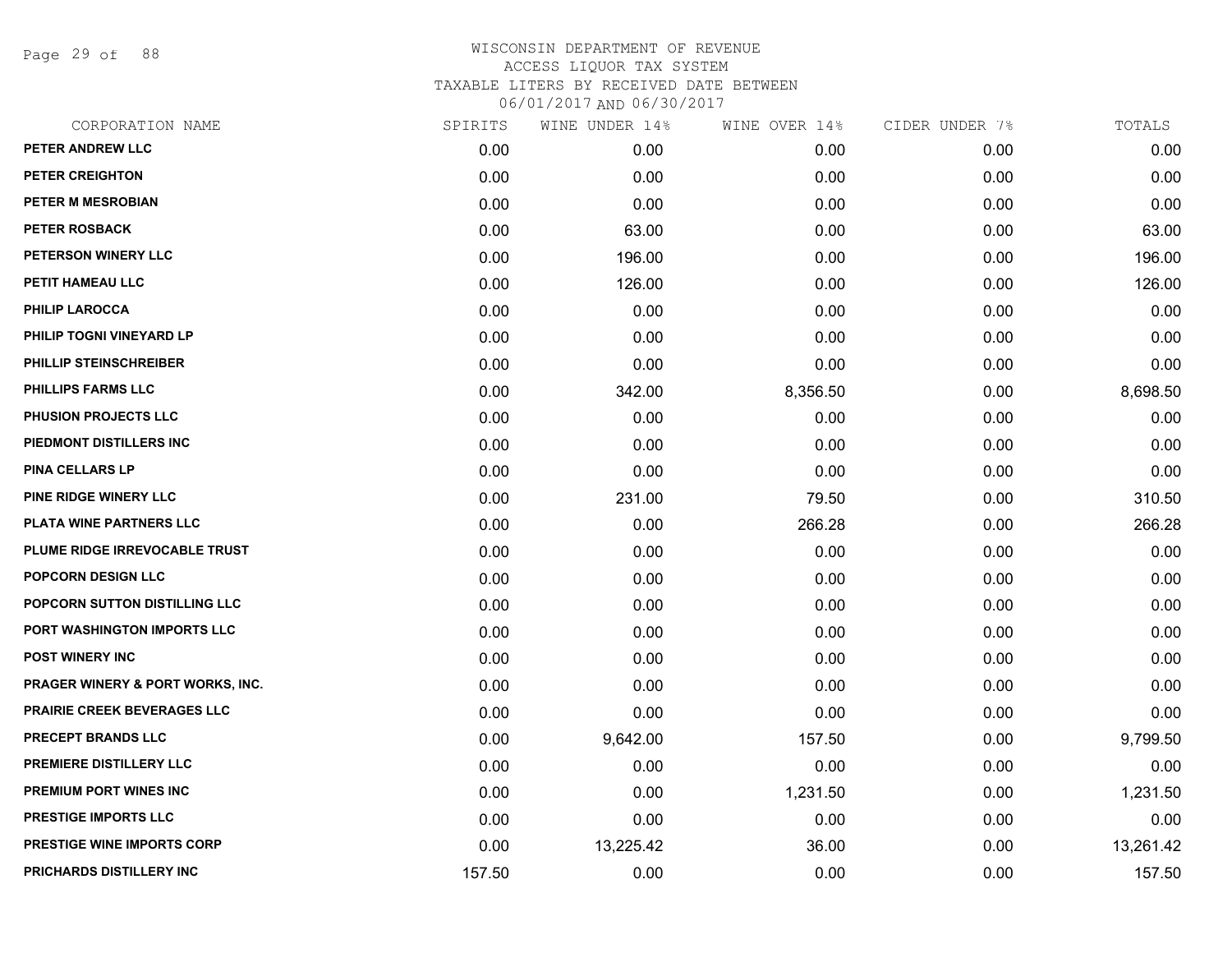Page 29 of 88

| CORPORATION NAME                  | SPIRITS | WINE UNDER 14% | WINE OVER 14% | CIDER UNDER 7% | TOTALS    |
|-----------------------------------|---------|----------------|---------------|----------------|-----------|
| PETER ANDREW LLC                  | 0.00    | 0.00           | 0.00          | 0.00           | 0.00      |
| <b>PETER CREIGHTON</b>            | 0.00    | 0.00           | 0.00          | 0.00           | 0.00      |
| PETER M MESROBIAN                 | 0.00    | 0.00           | 0.00          | 0.00           | 0.00      |
| <b>PETER ROSBACK</b>              | 0.00    | 63.00          | 0.00          | 0.00           | 63.00     |
| PETERSON WINERY LLC               | 0.00    | 196.00         | 0.00          | 0.00           | 196.00    |
| PETIT HAMEAU LLC                  | 0.00    | 126.00         | 0.00          | 0.00           | 126.00    |
| <b>PHILIP LAROCCA</b>             | 0.00    | 0.00           | 0.00          | 0.00           | 0.00      |
| PHILIP TOGNI VINEYARD LP          | 0.00    | 0.00           | 0.00          | 0.00           | 0.00      |
| PHILLIP STEINSCHREIBER            | 0.00    | 0.00           | 0.00          | 0.00           | 0.00      |
| PHILLIPS FARMS LLC                | 0.00    | 342.00         | 8,356.50      | 0.00           | 8,698.50  |
| PHUSION PROJECTS LLC              | 0.00    | 0.00           | 0.00          | 0.00           | 0.00      |
| PIEDMONT DISTILLERS INC           | 0.00    | 0.00           | 0.00          | 0.00           | 0.00      |
| <b>PINA CELLARS LP</b>            | 0.00    | 0.00           | 0.00          | 0.00           | 0.00      |
| PINE RIDGE WINERY LLC             | 0.00    | 231.00         | 79.50         | 0.00           | 310.50    |
| PLATA WINE PARTNERS LLC           | 0.00    | 0.00           | 266.28        | 0.00           | 266.28    |
| PLUME RIDGE IRREVOCABLE TRUST     | 0.00    | 0.00           | 0.00          | 0.00           | 0.00      |
| <b>POPCORN DESIGN LLC</b>         | 0.00    | 0.00           | 0.00          | 0.00           | 0.00      |
| POPCORN SUTTON DISTILLING LLC     | 0.00    | 0.00           | 0.00          | 0.00           | 0.00      |
| PORT WASHINGTON IMPORTS LLC       | 0.00    | 0.00           | 0.00          | 0.00           | 0.00      |
| POST WINERY INC                   | 0.00    | 0.00           | 0.00          | 0.00           | 0.00      |
| PRAGER WINERY & PORT WORKS, INC.  | 0.00    | 0.00           | 0.00          | 0.00           | 0.00      |
| PRAIRIE CREEK BEVERAGES LLC       | 0.00    | 0.00           | 0.00          | 0.00           | 0.00      |
| PRECEPT BRANDS LLC                | 0.00    | 9,642.00       | 157.50        | 0.00           | 9,799.50  |
| PREMIERE DISTILLERY LLC           | 0.00    | 0.00           | 0.00          | 0.00           | 0.00      |
| PREMIUM PORT WINES INC            | 0.00    | 0.00           | 1,231.50      | 0.00           | 1,231.50  |
| <b>PRESTIGE IMPORTS LLC</b>       | 0.00    | 0.00           | 0.00          | 0.00           | 0.00      |
| <b>PRESTIGE WINE IMPORTS CORP</b> | 0.00    | 13,225.42      | 36.00         | 0.00           | 13,261.42 |
| PRICHARDS DISTILLERY INC          | 157.50  | 0.00           | 0.00          | 0.00           | 157.50    |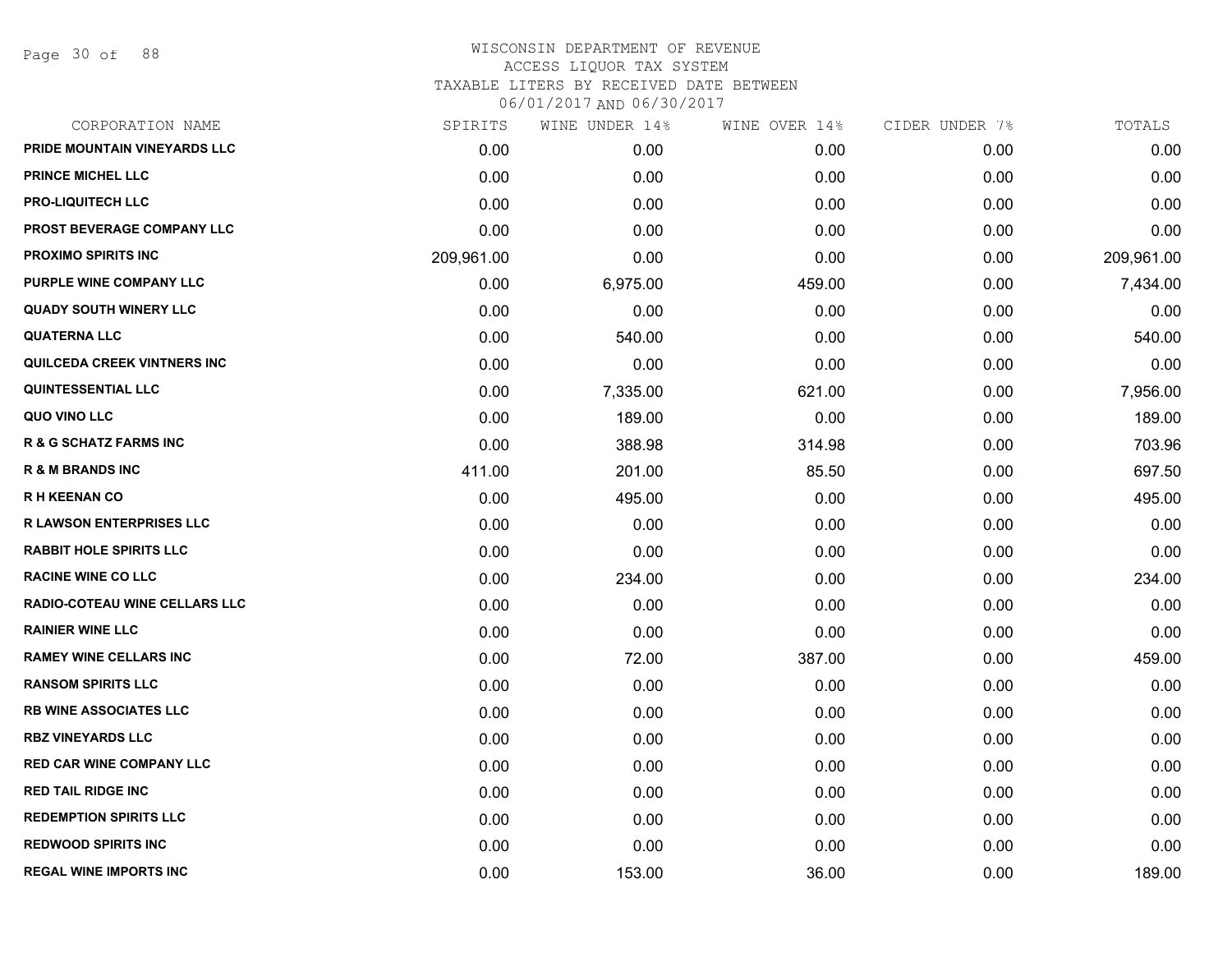Page 30 of 88

### WISCONSIN DEPARTMENT OF REVENUE ACCESS LIQUOR TAX SYSTEM TAXABLE LITERS BY RECEIVED DATE BETWEEN

| CORPORATION NAME                     | SPIRITS    | WINE UNDER 14% | WINE OVER 14% | CIDER UNDER 7% | TOTALS     |
|--------------------------------------|------------|----------------|---------------|----------------|------------|
| PRIDE MOUNTAIN VINEYARDS LLC         | 0.00       | 0.00           | 0.00          | 0.00           | 0.00       |
| <b>PRINCE MICHEL LLC</b>             | 0.00       | 0.00           | 0.00          | 0.00           | 0.00       |
| <b>PRO-LIQUITECH LLC</b>             | 0.00       | 0.00           | 0.00          | 0.00           | 0.00       |
| <b>PROST BEVERAGE COMPANY LLC</b>    | 0.00       | 0.00           | 0.00          | 0.00           | 0.00       |
| <b>PROXIMO SPIRITS INC</b>           | 209,961.00 | 0.00           | 0.00          | 0.00           | 209,961.00 |
| PURPLE WINE COMPANY LLC              | 0.00       | 6,975.00       | 459.00        | 0.00           | 7,434.00   |
| <b>QUADY SOUTH WINERY LLC</b>        | 0.00       | 0.00           | 0.00          | 0.00           | 0.00       |
| <b>QUATERNA LLC</b>                  | 0.00       | 540.00         | 0.00          | 0.00           | 540.00     |
| QUILCEDA CREEK VINTNERS INC          | 0.00       | 0.00           | 0.00          | 0.00           | 0.00       |
| <b>QUINTESSENTIAL LLC</b>            | 0.00       | 7,335.00       | 621.00        | 0.00           | 7,956.00   |
| QUO VINO LLC                         | 0.00       | 189.00         | 0.00          | 0.00           | 189.00     |
| <b>R &amp; G SCHATZ FARMS INC</b>    | 0.00       | 388.98         | 314.98        | 0.00           | 703.96     |
| <b>R &amp; M BRANDS INC</b>          | 411.00     | 201.00         | 85.50         | 0.00           | 697.50     |
| <b>RH KEENAN CO</b>                  | 0.00       | 495.00         | 0.00          | 0.00           | 495.00     |
| <b>R LAWSON ENTERPRISES LLC</b>      | 0.00       | 0.00           | 0.00          | 0.00           | 0.00       |
| <b>RABBIT HOLE SPIRITS LLC</b>       | 0.00       | 0.00           | 0.00          | 0.00           | 0.00       |
| <b>RACINE WINE CO LLC</b>            | 0.00       | 234.00         | 0.00          | 0.00           | 234.00     |
| <b>RADIO-COTEAU WINE CELLARS LLC</b> | 0.00       | 0.00           | 0.00          | 0.00           | 0.00       |
| <b>RAINIER WINE LLC</b>              | 0.00       | 0.00           | 0.00          | 0.00           | 0.00       |
| <b>RAMEY WINE CELLARS INC</b>        | 0.00       | 72.00          | 387.00        | 0.00           | 459.00     |
| <b>RANSOM SPIRITS LLC</b>            | 0.00       | 0.00           | 0.00          | 0.00           | 0.00       |
| <b>RB WINE ASSOCIATES LLC</b>        | 0.00       | 0.00           | 0.00          | 0.00           | 0.00       |
| <b>RBZ VINEYARDS LLC</b>             | 0.00       | 0.00           | 0.00          | 0.00           | 0.00       |
| RED CAR WINE COMPANY LLC             | 0.00       | 0.00           | 0.00          | 0.00           | 0.00       |
| <b>RED TAIL RIDGE INC</b>            | 0.00       | 0.00           | 0.00          | 0.00           | 0.00       |
| <b>REDEMPTION SPIRITS LLC</b>        | 0.00       | 0.00           | 0.00          | 0.00           | 0.00       |
| <b>REDWOOD SPIRITS INC</b>           | 0.00       | 0.00           | 0.00          | 0.00           | 0.00       |
| <b>REGAL WINE IMPORTS INC</b>        | 0.00       | 153.00         | 36.00         | 0.00           | 189.00     |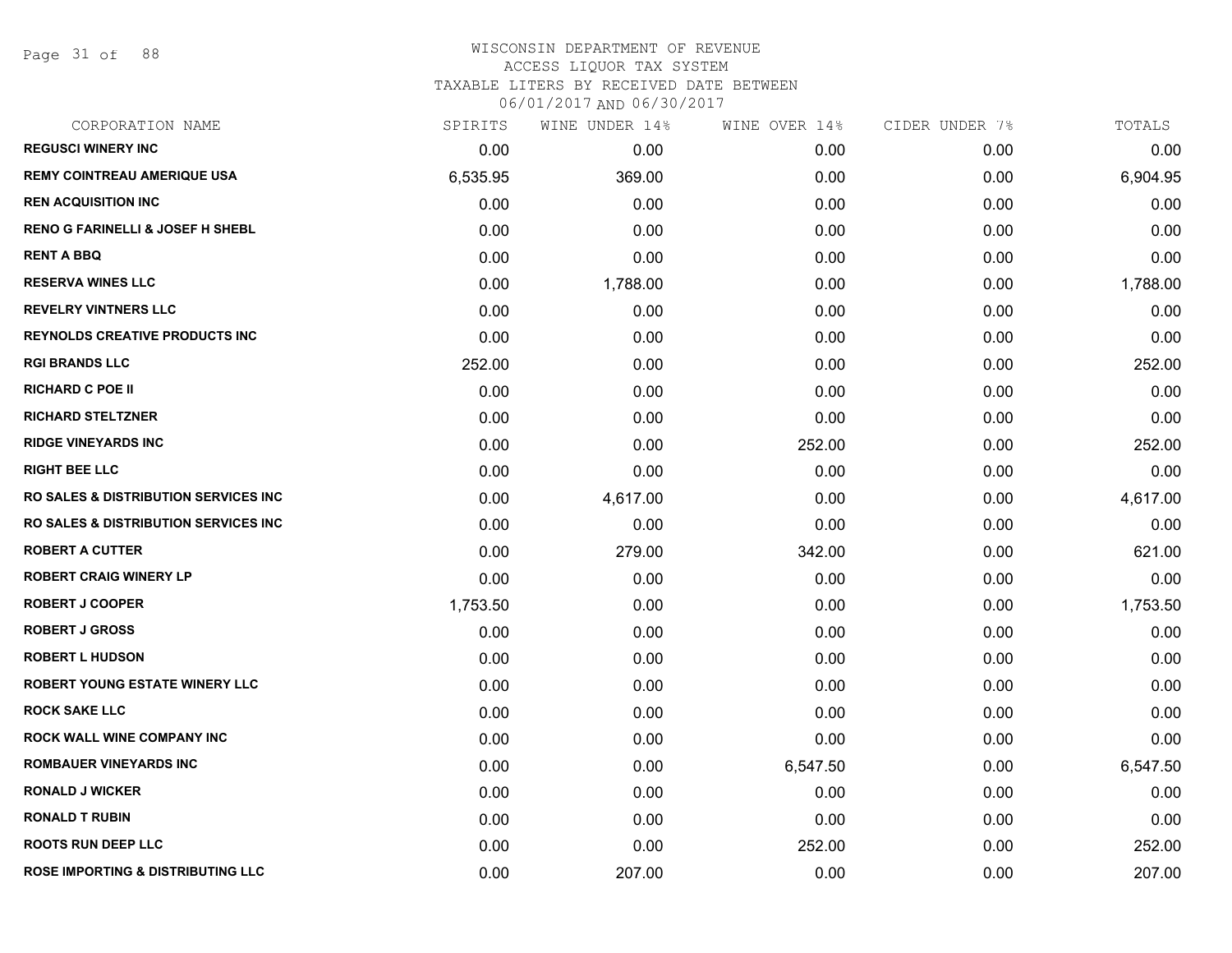Page 31 of 88

#### WISCONSIN DEPARTMENT OF REVENUE ACCESS LIQUOR TAX SYSTEM

TAXABLE LITERS BY RECEIVED DATE BETWEEN

| CORPORATION NAME                                 | SPIRITS  | WINE UNDER 14% | WINE OVER 14% | CIDER UNDER 7% | TOTALS   |
|--------------------------------------------------|----------|----------------|---------------|----------------|----------|
| <b>REGUSCI WINERY INC</b>                        | 0.00     | 0.00           | 0.00          | 0.00           | 0.00     |
| <b>REMY COINTREAU AMERIQUE USA</b>               | 6,535.95 | 369.00         | 0.00          | 0.00           | 6,904.95 |
| <b>REN ACQUISITION INC</b>                       | 0.00     | 0.00           | 0.00          | 0.00           | 0.00     |
| <b>RENO G FARINELLI &amp; JOSEF H SHEBL</b>      | 0.00     | 0.00           | 0.00          | 0.00           | 0.00     |
| <b>RENT A BBQ</b>                                | 0.00     | 0.00           | 0.00          | 0.00           | 0.00     |
| <b>RESERVA WINES LLC</b>                         | 0.00     | 1,788.00       | 0.00          | 0.00           | 1,788.00 |
| <b>REVELRY VINTNERS LLC</b>                      | 0.00     | 0.00           | 0.00          | 0.00           | 0.00     |
| <b>REYNOLDS CREATIVE PRODUCTS INC</b>            | 0.00     | 0.00           | 0.00          | 0.00           | 0.00     |
| <b>RGI BRANDS LLC</b>                            | 252.00   | 0.00           | 0.00          | 0.00           | 252.00   |
| <b>RICHARD C POE II</b>                          | 0.00     | 0.00           | 0.00          | 0.00           | 0.00     |
| <b>RICHARD STELTZNER</b>                         | 0.00     | 0.00           | 0.00          | 0.00           | 0.00     |
| <b>RIDGE VINEYARDS INC</b>                       | 0.00     | 0.00           | 252.00        | 0.00           | 252.00   |
| <b>RIGHT BEE LLC</b>                             | 0.00     | 0.00           | 0.00          | 0.00           | 0.00     |
| <b>RO SALES &amp; DISTRIBUTION SERVICES INC.</b> | 0.00     | 4,617.00       | 0.00          | 0.00           | 4,617.00 |
| <b>RO SALES &amp; DISTRIBUTION SERVICES INC.</b> | 0.00     | 0.00           | 0.00          | 0.00           | 0.00     |
| <b>ROBERT A CUTTER</b>                           | 0.00     | 279.00         | 342.00        | 0.00           | 621.00   |
| <b>ROBERT CRAIG WINERY LP</b>                    | 0.00     | 0.00           | 0.00          | 0.00           | 0.00     |
| <b>ROBERT J COOPER</b>                           | 1,753.50 | 0.00           | 0.00          | 0.00           | 1,753.50 |
| <b>ROBERT J GROSS</b>                            | 0.00     | 0.00           | 0.00          | 0.00           | 0.00     |
| <b>ROBERT L HUDSON</b>                           | 0.00     | 0.00           | 0.00          | 0.00           | 0.00     |
| ROBERT YOUNG ESTATE WINERY LLC                   | 0.00     | 0.00           | 0.00          | 0.00           | 0.00     |
| <b>ROCK SAKE LLC</b>                             | 0.00     | 0.00           | 0.00          | 0.00           | 0.00     |
| <b>ROCK WALL WINE COMPANY INC</b>                | 0.00     | 0.00           | 0.00          | 0.00           | 0.00     |
| <b>ROMBAUER VINEYARDS INC</b>                    | 0.00     | 0.00           | 6,547.50      | 0.00           | 6,547.50 |
| <b>RONALD J WICKER</b>                           | 0.00     | 0.00           | 0.00          | 0.00           | 0.00     |
| <b>RONALD T RUBIN</b>                            | 0.00     | 0.00           | 0.00          | 0.00           | 0.00     |
| <b>ROOTS RUN DEEP LLC</b>                        | 0.00     | 0.00           | 252.00        | 0.00           | 252.00   |
| <b>ROSE IMPORTING &amp; DISTRIBUTING LLC</b>     | 0.00     | 207.00         | 0.00          | 0.00           | 207.00   |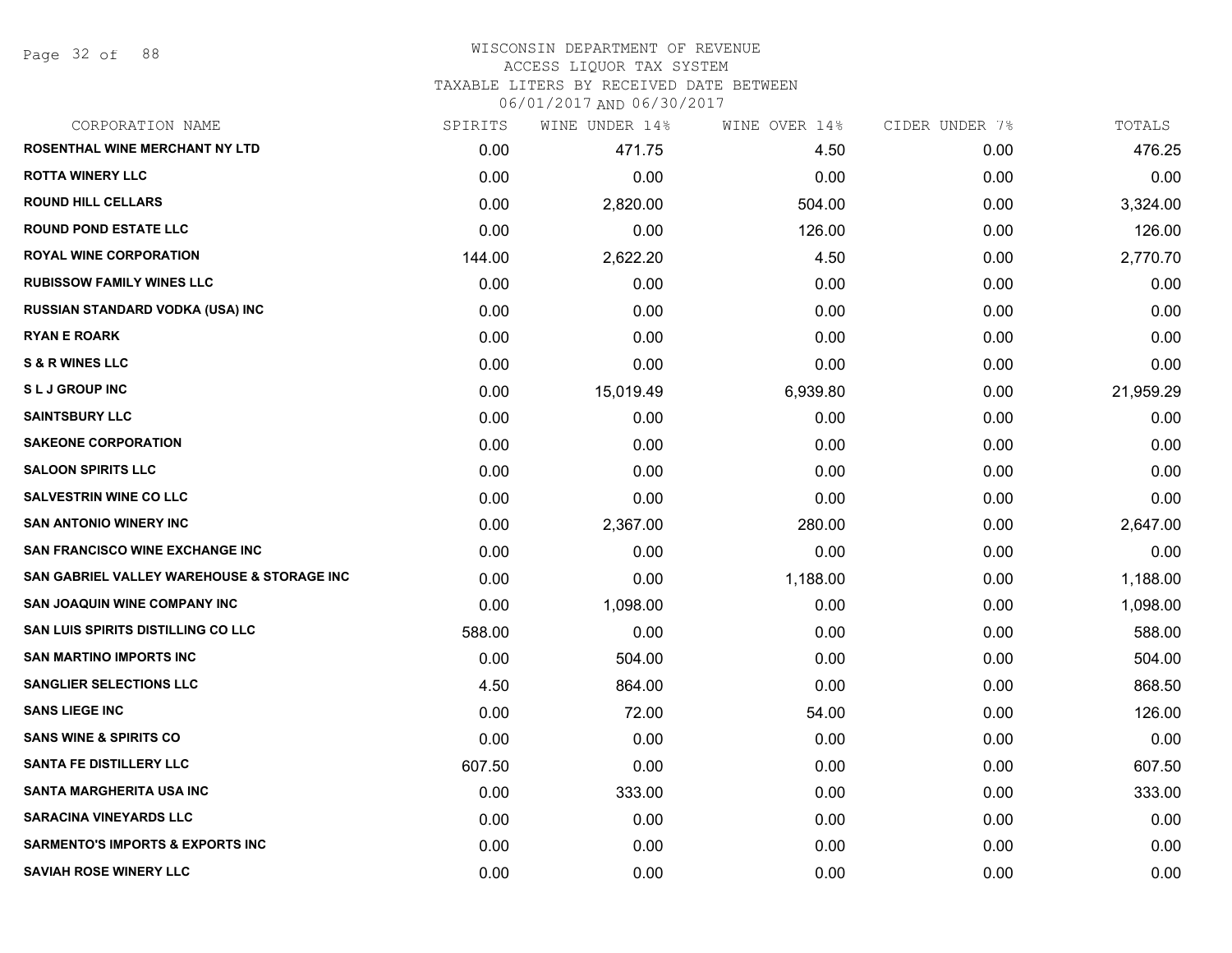Page 32 of 88

#### WISCONSIN DEPARTMENT OF REVENUE ACCESS LIQUOR TAX SYSTEM

TAXABLE LITERS BY RECEIVED DATE BETWEEN

| CORPORATION NAME                            | SPIRITS | WINE UNDER 14% | WINE OVER 14% | CIDER UNDER 7% | TOTALS    |
|---------------------------------------------|---------|----------------|---------------|----------------|-----------|
| ROSENTHAL WINE MERCHANT NY LTD              | 0.00    | 471.75         | 4.50          | 0.00           | 476.25    |
| <b>ROTTA WINERY LLC</b>                     | 0.00    | 0.00           | 0.00          | 0.00           | 0.00      |
| <b>ROUND HILL CELLARS</b>                   | 0.00    | 2,820.00       | 504.00        | 0.00           | 3,324.00  |
| <b>ROUND POND ESTATE LLC</b>                | 0.00    | 0.00           | 126.00        | 0.00           | 126.00    |
| <b>ROYAL WINE CORPORATION</b>               | 144.00  | 2,622.20       | 4.50          | 0.00           | 2,770.70  |
| <b>RUBISSOW FAMILY WINES LLC</b>            | 0.00    | 0.00           | 0.00          | 0.00           | 0.00      |
| RUSSIAN STANDARD VODKA (USA) INC            | 0.00    | 0.00           | 0.00          | 0.00           | 0.00      |
| <b>RYAN E ROARK</b>                         | 0.00    | 0.00           | 0.00          | 0.00           | 0.00      |
| <b>S &amp; R WINES LLC</b>                  | 0.00    | 0.00           | 0.00          | 0.00           | 0.00      |
| <b>SLJ GROUP INC</b>                        | 0.00    | 15,019.49      | 6,939.80      | 0.00           | 21,959.29 |
| <b>SAINTSBURY LLC</b>                       | 0.00    | 0.00           | 0.00          | 0.00           | 0.00      |
| <b>SAKEONE CORPORATION</b>                  | 0.00    | 0.00           | 0.00          | 0.00           | 0.00      |
| <b>SALOON SPIRITS LLC</b>                   | 0.00    | 0.00           | 0.00          | 0.00           | 0.00      |
| <b>SALVESTRIN WINE CO LLC</b>               | 0.00    | 0.00           | 0.00          | 0.00           | 0.00      |
| <b>SAN ANTONIO WINERY INC</b>               | 0.00    | 2,367.00       | 280.00        | 0.00           | 2,647.00  |
| SAN FRANCISCO WINE EXCHANGE INC             | 0.00    | 0.00           | 0.00          | 0.00           | 0.00      |
| SAN GABRIEL VALLEY WAREHOUSE & STORAGE INC  | 0.00    | 0.00           | 1,188.00      | 0.00           | 1,188.00  |
| SAN JOAQUIN WINE COMPANY INC                | 0.00    | 1,098.00       | 0.00          | 0.00           | 1,098.00  |
| SAN LUIS SPIRITS DISTILLING CO LLC          | 588.00  | 0.00           | 0.00          | 0.00           | 588.00    |
| <b>SAN MARTINO IMPORTS INC</b>              | 0.00    | 504.00         | 0.00          | 0.00           | 504.00    |
| <b>SANGLIER SELECTIONS LLC</b>              | 4.50    | 864.00         | 0.00          | 0.00           | 868.50    |
| <b>SANS LIEGE INC</b>                       | 0.00    | 72.00          | 54.00         | 0.00           | 126.00    |
| <b>SANS WINE &amp; SPIRITS CO</b>           | 0.00    | 0.00           | 0.00          | 0.00           | 0.00      |
| <b>SANTA FE DISTILLERY LLC</b>              | 607.50  | 0.00           | 0.00          | 0.00           | 607.50    |
| <b>SANTA MARGHERITA USA INC</b>             | 0.00    | 333.00         | 0.00          | 0.00           | 333.00    |
| <b>SARACINA VINEYARDS LLC</b>               | 0.00    | 0.00           | 0.00          | 0.00           | 0.00      |
| <b>SARMENTO'S IMPORTS &amp; EXPORTS INC</b> | 0.00    | 0.00           | 0.00          | 0.00           | 0.00      |
| <b>SAVIAH ROSE WINERY LLC</b>               | 0.00    | 0.00           | 0.00          | 0.00           | 0.00      |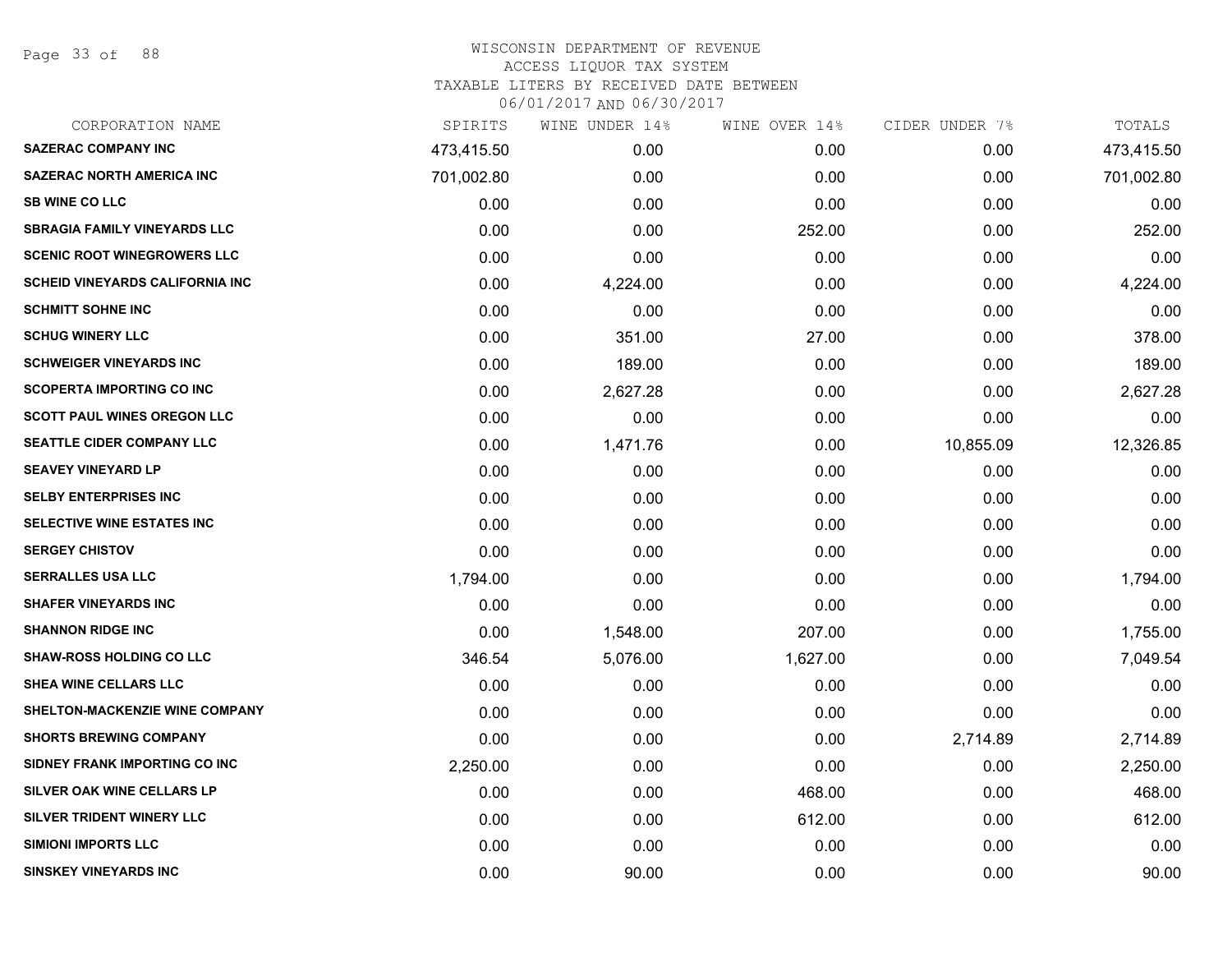Page 33 of 88

| CORPORATION NAME                       | SPIRITS    | WINE UNDER 14% | WINE OVER 14% | CIDER UNDER 7% | TOTALS     |
|----------------------------------------|------------|----------------|---------------|----------------|------------|
| <b>SAZERAC COMPANY INC</b>             | 473,415.50 | 0.00           | 0.00          | 0.00           | 473,415.50 |
| <b>SAZERAC NORTH AMERICA INC</b>       | 701,002.80 | 0.00           | 0.00          | 0.00           | 701,002.80 |
| <b>SB WINE CO LLC</b>                  | 0.00       | 0.00           | 0.00          | 0.00           | 0.00       |
| <b>SBRAGIA FAMILY VINEYARDS LLC</b>    | 0.00       | 0.00           | 252.00        | 0.00           | 252.00     |
| <b>SCENIC ROOT WINEGROWERS LLC</b>     | 0.00       | 0.00           | 0.00          | 0.00           | 0.00       |
| <b>SCHEID VINEYARDS CALIFORNIA INC</b> | 0.00       | 4,224.00       | 0.00          | 0.00           | 4,224.00   |
| <b>SCHMITT SOHNE INC</b>               | 0.00       | 0.00           | 0.00          | 0.00           | 0.00       |
| <b>SCHUG WINERY LLC</b>                | 0.00       | 351.00         | 27.00         | 0.00           | 378.00     |
| <b>SCHWEIGER VINEYARDS INC</b>         | 0.00       | 189.00         | 0.00          | 0.00           | 189.00     |
| <b>SCOPERTA IMPORTING CO INC</b>       | 0.00       | 2,627.28       | 0.00          | 0.00           | 2,627.28   |
| <b>SCOTT PAUL WINES OREGON LLC</b>     | 0.00       | 0.00           | 0.00          | 0.00           | 0.00       |
| SEATTLE CIDER COMPANY LLC              | 0.00       | 1,471.76       | 0.00          | 10,855.09      | 12,326.85  |
| <b>SEAVEY VINEYARD LP</b>              | 0.00       | 0.00           | 0.00          | 0.00           | 0.00       |
| <b>SELBY ENTERPRISES INC</b>           | 0.00       | 0.00           | 0.00          | 0.00           | 0.00       |
| SELECTIVE WINE ESTATES INC             | 0.00       | 0.00           | 0.00          | 0.00           | 0.00       |
| <b>SERGEY CHISTOV</b>                  | 0.00       | 0.00           | 0.00          | 0.00           | 0.00       |
| <b>SERRALLES USA LLC</b>               | 1,794.00   | 0.00           | 0.00          | 0.00           | 1,794.00   |
| <b>SHAFER VINEYARDS INC</b>            | 0.00       | 0.00           | 0.00          | 0.00           | 0.00       |
| <b>SHANNON RIDGE INC</b>               | 0.00       | 1,548.00       | 207.00        | 0.00           | 1,755.00   |
| <b>SHAW-ROSS HOLDING CO LLC</b>        | 346.54     | 5,076.00       | 1,627.00      | 0.00           | 7,049.54   |
| SHEA WINE CELLARS LLC                  | 0.00       | 0.00           | 0.00          | 0.00           | 0.00       |
| SHELTON-MACKENZIE WINE COMPANY         | 0.00       | 0.00           | 0.00          | 0.00           | 0.00       |
| <b>SHORTS BREWING COMPANY</b>          | 0.00       | 0.00           | 0.00          | 2,714.89       | 2,714.89   |
| SIDNEY FRANK IMPORTING CO INC          | 2,250.00   | 0.00           | 0.00          | 0.00           | 2,250.00   |
| SILVER OAK WINE CELLARS LP             | 0.00       | 0.00           | 468.00        | 0.00           | 468.00     |
| SILVER TRIDENT WINERY LLC              | 0.00       | 0.00           | 612.00        | 0.00           | 612.00     |
| <b>SIMIONI IMPORTS LLC</b>             | 0.00       | 0.00           | 0.00          | 0.00           | 0.00       |
| <b>SINSKEY VINEYARDS INC</b>           | 0.00       | 90.00          | 0.00          | 0.00           | 90.00      |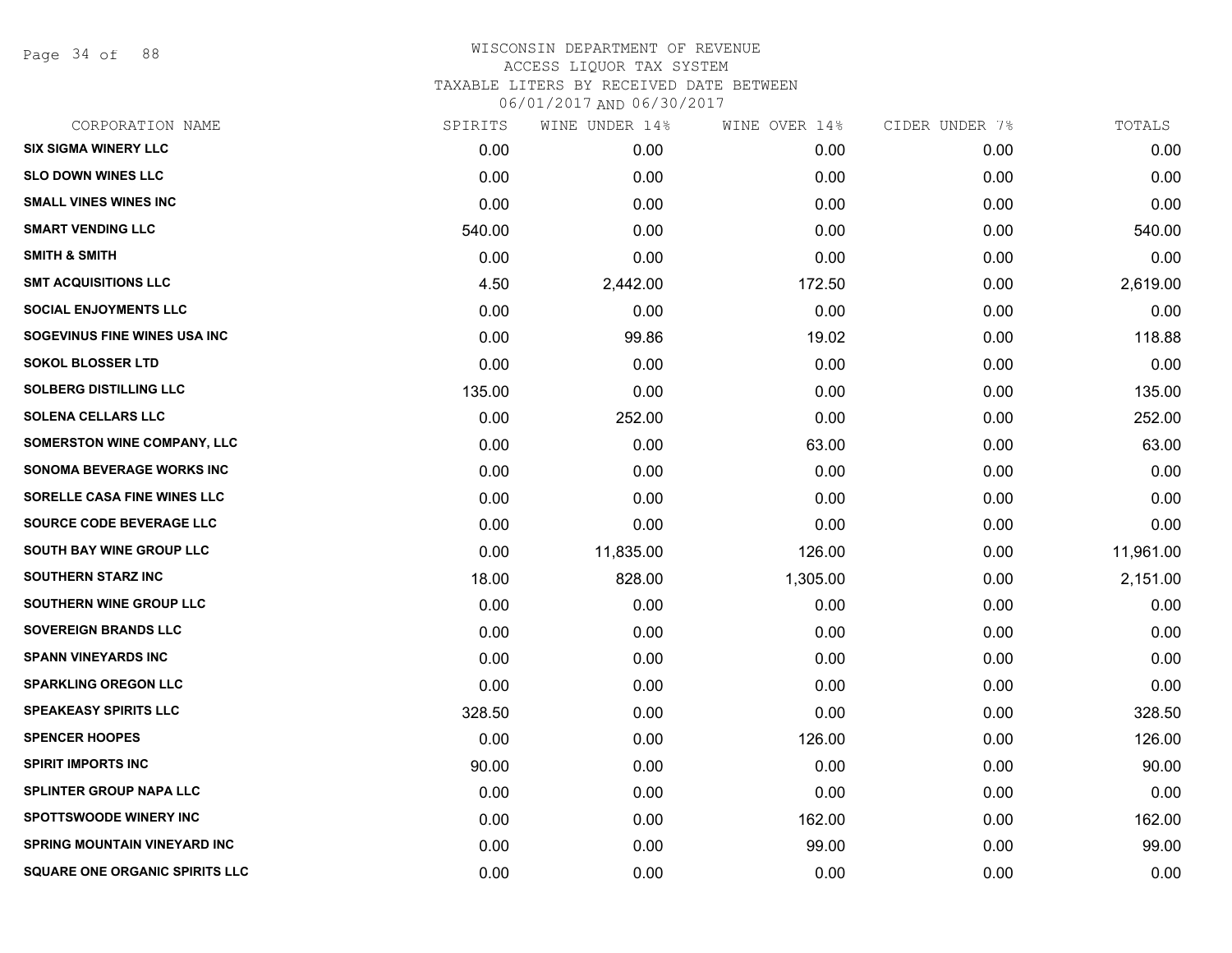Page 34 of 88

| CORPORATION NAME                      | SPIRITS | WINE UNDER 14% | WINE OVER 14% | CIDER UNDER 7% | TOTALS    |
|---------------------------------------|---------|----------------|---------------|----------------|-----------|
| <b>SIX SIGMA WINERY LLC</b>           | 0.00    | 0.00           | 0.00          | 0.00           | 0.00      |
| <b>SLO DOWN WINES LLC</b>             | 0.00    | 0.00           | 0.00          | 0.00           | 0.00      |
| <b>SMALL VINES WINES INC</b>          | 0.00    | 0.00           | 0.00          | 0.00           | 0.00      |
| <b>SMART VENDING LLC</b>              | 540.00  | 0.00           | 0.00          | 0.00           | 540.00    |
| <b>SMITH &amp; SMITH</b>              | 0.00    | 0.00           | 0.00          | 0.00           | 0.00      |
| <b>SMT ACQUISITIONS LLC</b>           | 4.50    | 2,442.00       | 172.50        | 0.00           | 2,619.00  |
| <b>SOCIAL ENJOYMENTS LLC</b>          | 0.00    | 0.00           | 0.00          | 0.00           | 0.00      |
| SOGEVINUS FINE WINES USA INC          | 0.00    | 99.86          | 19.02         | 0.00           | 118.88    |
| <b>SOKOL BLOSSER LTD</b>              | 0.00    | 0.00           | 0.00          | 0.00           | 0.00      |
| <b>SOLBERG DISTILLING LLC</b>         | 135.00  | 0.00           | 0.00          | 0.00           | 135.00    |
| <b>SOLENA CELLARS LLC</b>             | 0.00    | 252.00         | 0.00          | 0.00           | 252.00    |
| SOMERSTON WINE COMPANY, LLC           | 0.00    | 0.00           | 63.00         | 0.00           | 63.00     |
| SONOMA BEVERAGE WORKS INC             | 0.00    | 0.00           | 0.00          | 0.00           | 0.00      |
| SORELLE CASA FINE WINES LLC           | 0.00    | 0.00           | 0.00          | 0.00           | 0.00      |
| SOURCE CODE BEVERAGE LLC              | 0.00    | 0.00           | 0.00          | 0.00           | 0.00      |
| SOUTH BAY WINE GROUP LLC              | 0.00    | 11,835.00      | 126.00        | 0.00           | 11,961.00 |
| <b>SOUTHERN STARZ INC</b>             | 18.00   | 828.00         | 1,305.00      | 0.00           | 2,151.00  |
| SOUTHERN WINE GROUP LLC               | 0.00    | 0.00           | 0.00          | 0.00           | 0.00      |
| <b>SOVEREIGN BRANDS LLC</b>           | 0.00    | 0.00           | 0.00          | 0.00           | 0.00      |
| <b>SPANN VINEYARDS INC</b>            | 0.00    | 0.00           | 0.00          | 0.00           | 0.00      |
| <b>SPARKLING OREGON LLC</b>           | 0.00    | 0.00           | 0.00          | 0.00           | 0.00      |
| <b>SPEAKEASY SPIRITS LLC</b>          | 328.50  | 0.00           | 0.00          | 0.00           | 328.50    |
| <b>SPENCER HOOPES</b>                 | 0.00    | 0.00           | 126.00        | 0.00           | 126.00    |
| <b>SPIRIT IMPORTS INC</b>             | 90.00   | 0.00           | 0.00          | 0.00           | 90.00     |
| <b>SPLINTER GROUP NAPA LLC</b>        | 0.00    | 0.00           | 0.00          | 0.00           | 0.00      |
| <b>SPOTTSWOODE WINERY INC</b>         | 0.00    | 0.00           | 162.00        | 0.00           | 162.00    |
| <b>SPRING MOUNTAIN VINEYARD INC</b>   | 0.00    | 0.00           | 99.00         | 0.00           | 99.00     |
| <b>SQUARE ONE ORGANIC SPIRITS LLC</b> | 0.00    | 0.00           | 0.00          | 0.00           | 0.00      |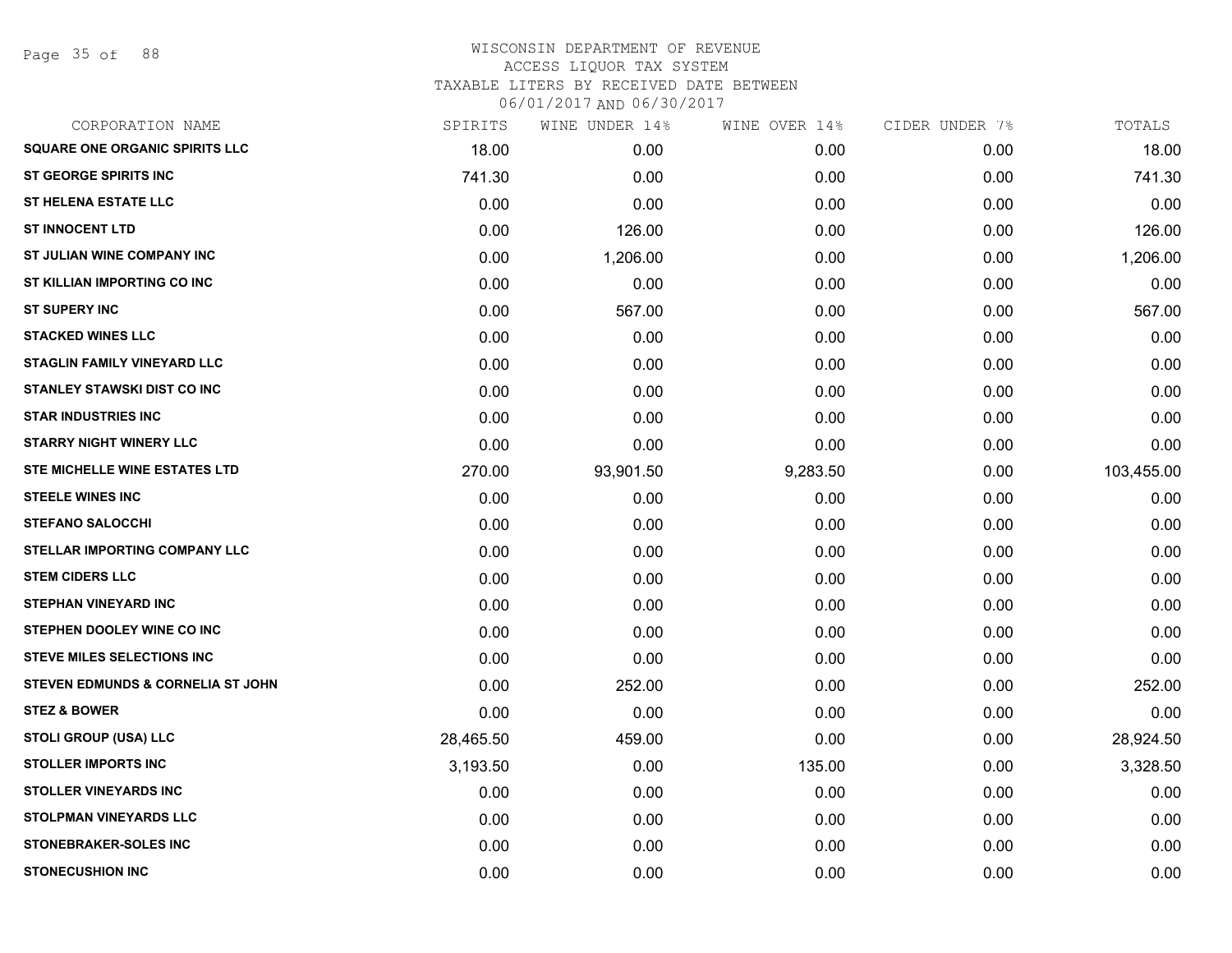| CORPORATION NAME                      | SPIRITS   | WINE UNDER 14% | WINE OVER 14% | CIDER UNDER 7% | TOTALS     |
|---------------------------------------|-----------|----------------|---------------|----------------|------------|
| <b>SQUARE ONE ORGANIC SPIRITS LLC</b> | 18.00     | 0.00           | 0.00          | 0.00           | 18.00      |
| <b>ST GEORGE SPIRITS INC</b>          | 741.30    | 0.00           | 0.00          | 0.00           | 741.30     |
| <b>ST HELENA ESTATE LLC</b>           | 0.00      | 0.00           | 0.00          | 0.00           | 0.00       |
| <b>ST INNOCENT LTD</b>                | 0.00      | 126.00         | 0.00          | 0.00           | 126.00     |
| ST JULIAN WINE COMPANY INC            | 0.00      | 1,206.00       | 0.00          | 0.00           | 1,206.00   |
| ST KILLIAN IMPORTING CO INC           | 0.00      | 0.00           | 0.00          | 0.00           | 0.00       |
| <b>ST SUPERY INC</b>                  | 0.00      | 567.00         | 0.00          | 0.00           | 567.00     |
| <b>STACKED WINES LLC</b>              | 0.00      | 0.00           | 0.00          | 0.00           | 0.00       |
| <b>STAGLIN FAMILY VINEYARD LLC</b>    | 0.00      | 0.00           | 0.00          | 0.00           | 0.00       |
| <b>STANLEY STAWSKI DIST CO INC</b>    | 0.00      | 0.00           | 0.00          | 0.00           | 0.00       |
| <b>STAR INDUSTRIES INC</b>            | 0.00      | 0.00           | 0.00          | 0.00           | 0.00       |
| <b>STARRY NIGHT WINERY LLC</b>        | 0.00      | 0.00           | 0.00          | 0.00           | 0.00       |
| STE MICHELLE WINE ESTATES LTD         | 270.00    | 93,901.50      | 9,283.50      | 0.00           | 103,455.00 |
| <b>STEELE WINES INC</b>               | 0.00      | 0.00           | 0.00          | 0.00           | 0.00       |
| <b>STEFANO SALOCCHI</b>               | 0.00      | 0.00           | 0.00          | 0.00           | 0.00       |
| <b>STELLAR IMPORTING COMPANY LLC</b>  | 0.00      | 0.00           | 0.00          | 0.00           | 0.00       |
| <b>STEM CIDERS LLC</b>                | 0.00      | 0.00           | 0.00          | 0.00           | 0.00       |
| <b>STEPHAN VINEYARD INC</b>           | 0.00      | 0.00           | 0.00          | 0.00           | 0.00       |
| STEPHEN DOOLEY WINE CO INC            | 0.00      | 0.00           | 0.00          | 0.00           | 0.00       |
| <b>STEVE MILES SELECTIONS INC</b>     | 0.00      | 0.00           | 0.00          | 0.00           | 0.00       |
| STEVEN EDMUNDS & CORNELIA ST JOHN     | 0.00      | 252.00         | 0.00          | 0.00           | 252.00     |
| <b>STEZ &amp; BOWER</b>               | 0.00      | 0.00           | 0.00          | 0.00           | 0.00       |
| STOLI GROUP (USA) LLC                 | 28,465.50 | 459.00         | 0.00          | 0.00           | 28,924.50  |
| <b>STOLLER IMPORTS INC</b>            | 3,193.50  | 0.00           | 135.00        | 0.00           | 3,328.50   |
| <b>STOLLER VINEYARDS INC</b>          | 0.00      | 0.00           | 0.00          | 0.00           | 0.00       |
| <b>STOLPMAN VINEYARDS LLC</b>         | 0.00      | 0.00           | 0.00          | 0.00           | 0.00       |
| <b>STONEBRAKER-SOLES INC</b>          | 0.00      | 0.00           | 0.00          | 0.00           | 0.00       |
| <b>STONECUSHION INC</b>               | 0.00      | 0.00           | 0.00          | 0.00           | 0.00       |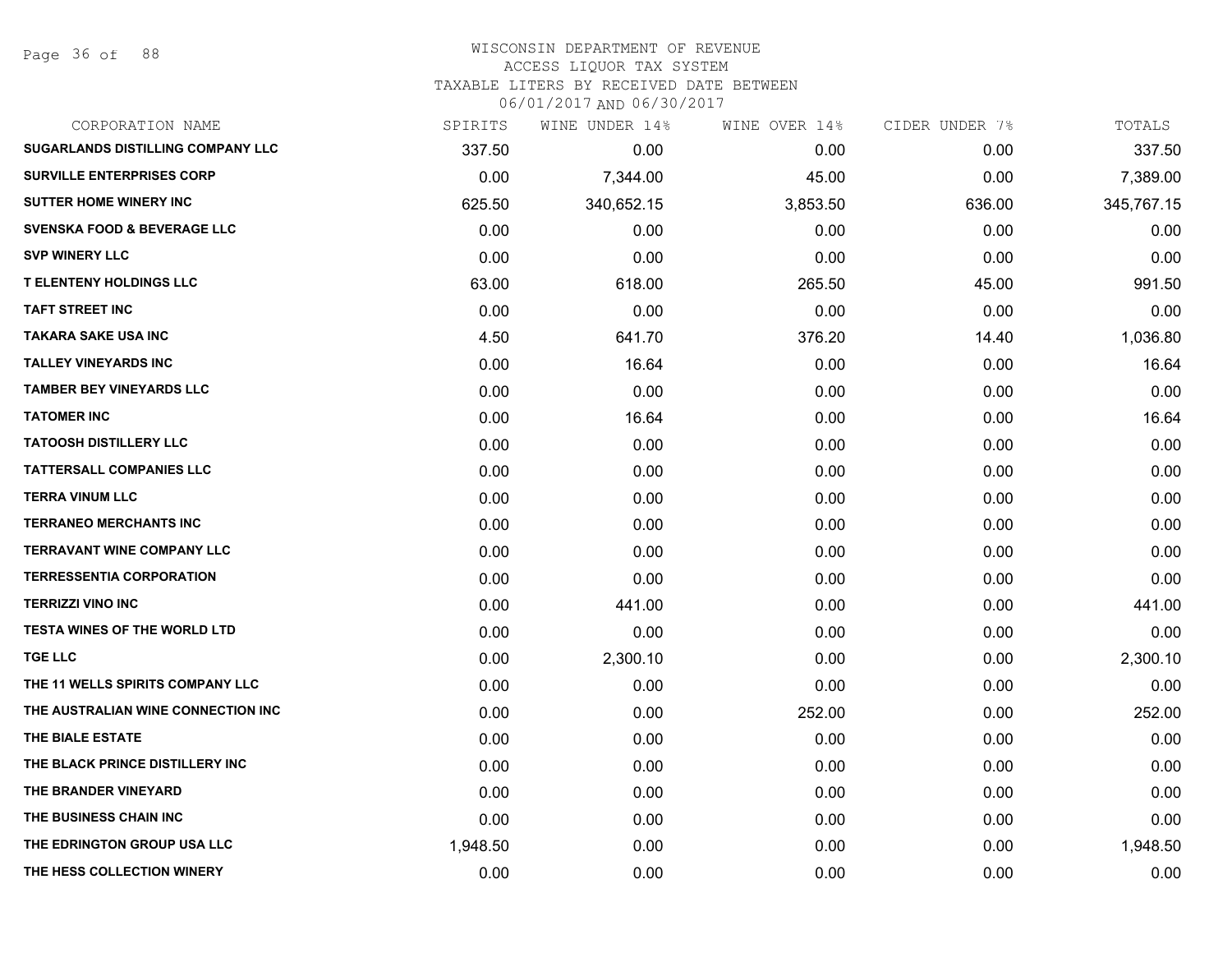Page 36 of 88

| CORPORATION NAME                         | SPIRITS  | WINE UNDER 14% | WINE OVER 14% | CIDER UNDER 7% | TOTALS     |
|------------------------------------------|----------|----------------|---------------|----------------|------------|
| <b>SUGARLANDS DISTILLING COMPANY LLC</b> | 337.50   | 0.00           | 0.00          | 0.00           | 337.50     |
| <b>SURVILLE ENTERPRISES CORP</b>         | 0.00     | 7,344.00       | 45.00         | 0.00           | 7,389.00   |
| <b>SUTTER HOME WINERY INC</b>            | 625.50   | 340,652.15     | 3,853.50      | 636.00         | 345,767.15 |
| <b>SVENSKA FOOD &amp; BEVERAGE LLC</b>   | 0.00     | 0.00           | 0.00          | 0.00           | 0.00       |
| <b>SVP WINERY LLC</b>                    | 0.00     | 0.00           | 0.00          | 0.00           | 0.00       |
| <b>T ELENTENY HOLDINGS LLC</b>           | 63.00    | 618.00         | 265.50        | 45.00          | 991.50     |
| <b>TAFT STREET INC</b>                   | 0.00     | 0.00           | 0.00          | 0.00           | 0.00       |
| <b>TAKARA SAKE USA INC</b>               | 4.50     | 641.70         | 376.20        | 14.40          | 1,036.80   |
| <b>TALLEY VINEYARDS INC</b>              | 0.00     | 16.64          | 0.00          | 0.00           | 16.64      |
| <b>TAMBER BEY VINEYARDS LLC</b>          | 0.00     | 0.00           | 0.00          | 0.00           | 0.00       |
| <b>TATOMER INC</b>                       | 0.00     | 16.64          | 0.00          | 0.00           | 16.64      |
| <b>TATOOSH DISTILLERY LLC</b>            | 0.00     | 0.00           | 0.00          | 0.00           | 0.00       |
| <b>TATTERSALL COMPANIES LLC</b>          | 0.00     | 0.00           | 0.00          | 0.00           | 0.00       |
| <b>TERRA VINUM LLC</b>                   | 0.00     | 0.00           | 0.00          | 0.00           | 0.00       |
| <b>TERRANEO MERCHANTS INC</b>            | 0.00     | 0.00           | 0.00          | 0.00           | 0.00       |
| <b>TERRAVANT WINE COMPANY LLC</b>        | 0.00     | 0.00           | 0.00          | 0.00           | 0.00       |
| <b>TERRESSENTIA CORPORATION</b>          | 0.00     | 0.00           | 0.00          | 0.00           | 0.00       |
| <b>TERRIZZI VINO INC</b>                 | 0.00     | 441.00         | 0.00          | 0.00           | 441.00     |
| <b>TESTA WINES OF THE WORLD LTD</b>      | 0.00     | 0.00           | 0.00          | 0.00           | 0.00       |
| <b>TGE LLC</b>                           | 0.00     | 2,300.10       | 0.00          | 0.00           | 2,300.10   |
| THE 11 WELLS SPIRITS COMPANY LLC         | 0.00     | 0.00           | 0.00          | 0.00           | 0.00       |
| THE AUSTRALIAN WINE CONNECTION INC       | 0.00     | 0.00           | 252.00        | 0.00           | 252.00     |
| THE BIALE ESTATE                         | 0.00     | 0.00           | 0.00          | 0.00           | 0.00       |
| THE BLACK PRINCE DISTILLERY INC          | 0.00     | 0.00           | 0.00          | 0.00           | 0.00       |
| THE BRANDER VINEYARD                     | 0.00     | 0.00           | 0.00          | 0.00           | 0.00       |
| THE BUSINESS CHAIN INC                   | 0.00     | 0.00           | 0.00          | 0.00           | 0.00       |
| THE EDRINGTON GROUP USA LLC              | 1,948.50 | 0.00           | 0.00          | 0.00           | 1,948.50   |
| THE HESS COLLECTION WINERY               | 0.00     | 0.00           | 0.00          | 0.00           | 0.00       |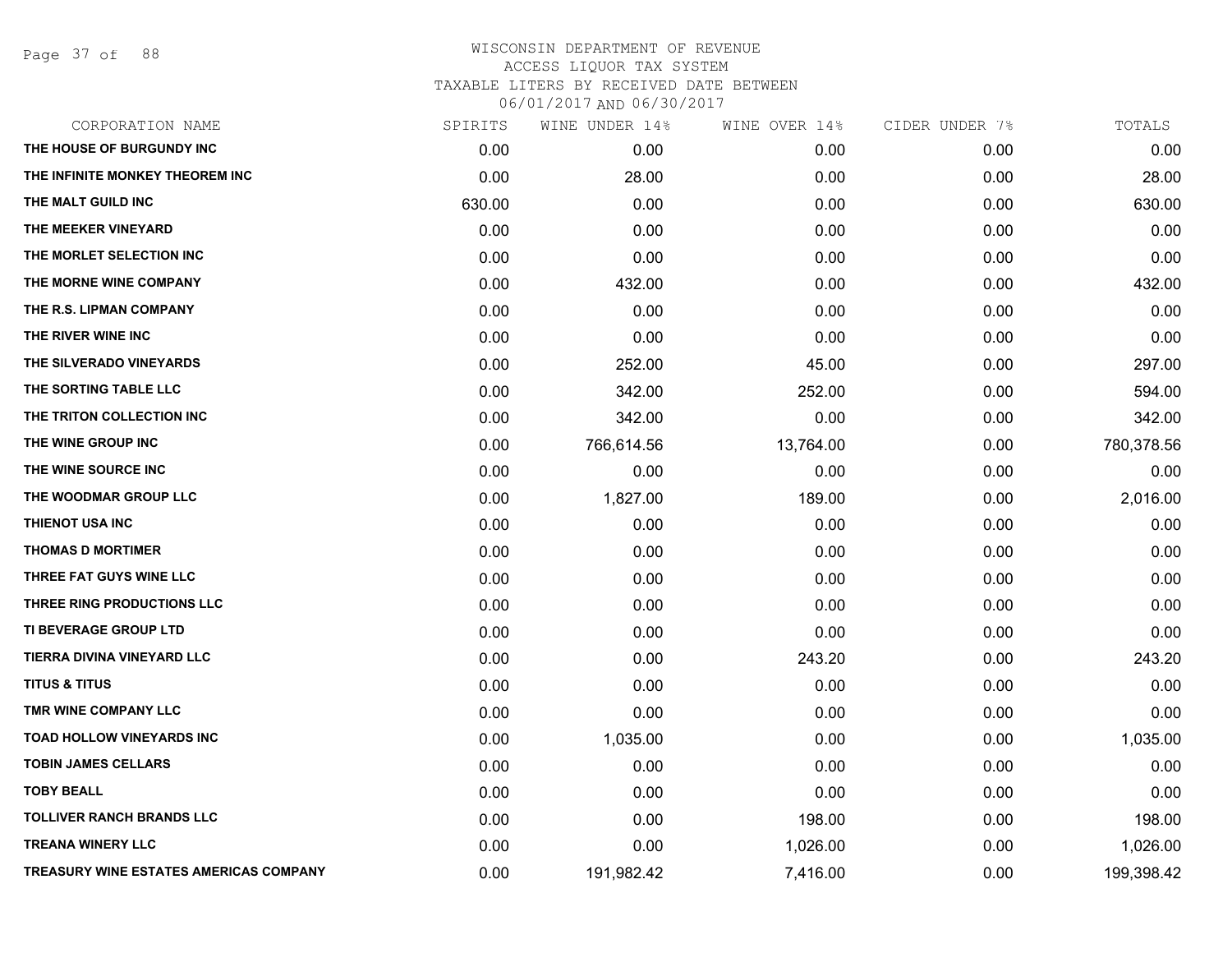Page 37 of 88

| CORPORATION NAME                       | SPIRITS | WINE UNDER 14% | WINE OVER 14% | CIDER UNDER 7% | TOTALS     |
|----------------------------------------|---------|----------------|---------------|----------------|------------|
| THE HOUSE OF BURGUNDY INC              | 0.00    | 0.00           | 0.00          | 0.00           | 0.00       |
| THE INFINITE MONKEY THEOREM INC        | 0.00    | 28.00          | 0.00          | 0.00           | 28.00      |
| THE MALT GUILD INC                     | 630.00  | 0.00           | 0.00          | 0.00           | 630.00     |
| THE MEEKER VINEYARD                    | 0.00    | 0.00           | 0.00          | 0.00           | 0.00       |
| THE MORLET SELECTION INC               | 0.00    | 0.00           | 0.00          | 0.00           | 0.00       |
| THE MORNE WINE COMPANY                 | 0.00    | 432.00         | 0.00          | 0.00           | 432.00     |
| THE R.S. LIPMAN COMPANY                | 0.00    | 0.00           | 0.00          | 0.00           | 0.00       |
| THE RIVER WINE INC                     | 0.00    | 0.00           | 0.00          | 0.00           | 0.00       |
| THE SILVERADO VINEYARDS                | 0.00    | 252.00         | 45.00         | 0.00           | 297.00     |
| THE SORTING TABLE LLC                  | 0.00    | 342.00         | 252.00        | 0.00           | 594.00     |
| THE TRITON COLLECTION INC              | 0.00    | 342.00         | 0.00          | 0.00           | 342.00     |
| THE WINE GROUP INC                     | 0.00    | 766,614.56     | 13,764.00     | 0.00           | 780,378.56 |
| THE WINE SOURCE INC                    | 0.00    | 0.00           | 0.00          | 0.00           | 0.00       |
| THE WOODMAR GROUP LLC                  | 0.00    | 1,827.00       | 189.00        | 0.00           | 2,016.00   |
| THIENOT USA INC                        | 0.00    | 0.00           | 0.00          | 0.00           | 0.00       |
| <b>THOMAS D MORTIMER</b>               | 0.00    | 0.00           | 0.00          | 0.00           | 0.00       |
| THREE FAT GUYS WINE LLC                | 0.00    | 0.00           | 0.00          | 0.00           | 0.00       |
| THREE RING PRODUCTIONS LLC             | 0.00    | 0.00           | 0.00          | 0.00           | 0.00       |
| TI BEVERAGE GROUP LTD                  | 0.00    | 0.00           | 0.00          | 0.00           | 0.00       |
| TIERRA DIVINA VINEYARD LLC             | 0.00    | 0.00           | 243.20        | 0.00           | 243.20     |
| <b>TITUS &amp; TITUS</b>               | 0.00    | 0.00           | 0.00          | 0.00           | 0.00       |
| TMR WINE COMPANY LLC                   | 0.00    | 0.00           | 0.00          | 0.00           | 0.00       |
| TOAD HOLLOW VINEYARDS INC              | 0.00    | 1,035.00       | 0.00          | 0.00           | 1,035.00   |
| <b>TOBIN JAMES CELLARS</b>             | 0.00    | 0.00           | 0.00          | 0.00           | 0.00       |
| <b>TOBY BEALL</b>                      | 0.00    | 0.00           | 0.00          | 0.00           | 0.00       |
| <b>TOLLIVER RANCH BRANDS LLC</b>       | 0.00    | 0.00           | 198.00        | 0.00           | 198.00     |
| <b>TREANA WINERY LLC</b>               | 0.00    | 0.00           | 1,026.00      | 0.00           | 1,026.00   |
| TREASURY WINE ESTATES AMERICAS COMPANY | 0.00    | 191,982.42     | 7,416.00      | 0.00           | 199,398.42 |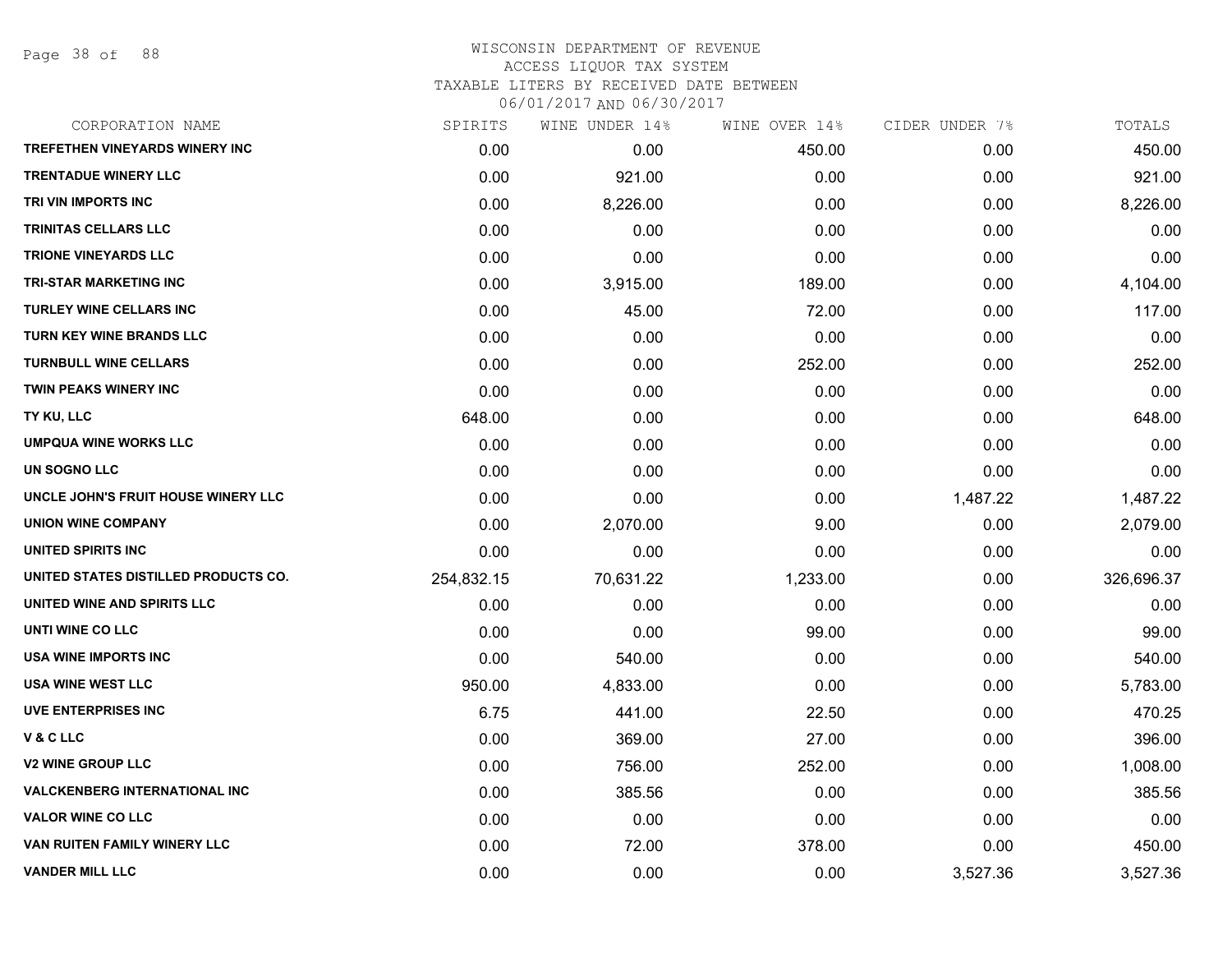Page 38 of 88

### WISCONSIN DEPARTMENT OF REVENUE ACCESS LIQUOR TAX SYSTEM TAXABLE LITERS BY RECEIVED DATE BETWEEN

| CORPORATION NAME                      | SPIRITS    | WINE UNDER 14% | WINE OVER 14% | CIDER UNDER 7% | TOTALS     |
|---------------------------------------|------------|----------------|---------------|----------------|------------|
| <b>TREFETHEN VINEYARDS WINERY INC</b> | 0.00       | 0.00           | 450.00        | 0.00           | 450.00     |
| <b>TRENTADUE WINERY LLC</b>           | 0.00       | 921.00         | 0.00          | 0.00           | 921.00     |
| TRI VIN IMPORTS INC                   | 0.00       | 8,226.00       | 0.00          | 0.00           | 8,226.00   |
| <b>TRINITAS CELLARS LLC</b>           | 0.00       | 0.00           | 0.00          | 0.00           | 0.00       |
| <b>TRIONE VINEYARDS LLC</b>           | 0.00       | 0.00           | 0.00          | 0.00           | 0.00       |
| <b>TRI-STAR MARKETING INC</b>         | 0.00       | 3,915.00       | 189.00        | 0.00           | 4,104.00   |
| <b>TURLEY WINE CELLARS INC</b>        | 0.00       | 45.00          | 72.00         | 0.00           | 117.00     |
| <b>TURN KEY WINE BRANDS LLC</b>       | 0.00       | 0.00           | 0.00          | 0.00           | 0.00       |
| <b>TURNBULL WINE CELLARS</b>          | 0.00       | 0.00           | 252.00        | 0.00           | 252.00     |
| <b>TWIN PEAKS WINERY INC</b>          | 0.00       | 0.00           | 0.00          | 0.00           | 0.00       |
| TY KU, LLC                            | 648.00     | 0.00           | 0.00          | 0.00           | 648.00     |
| <b>UMPQUA WINE WORKS LLC</b>          | 0.00       | 0.00           | 0.00          | 0.00           | 0.00       |
| UN SOGNO LLC                          | 0.00       | 0.00           | 0.00          | 0.00           | 0.00       |
| UNCLE JOHN'S FRUIT HOUSE WINERY LLC   | 0.00       | 0.00           | 0.00          | 1,487.22       | 1,487.22   |
| <b>UNION WINE COMPANY</b>             | 0.00       | 2,070.00       | 9.00          | 0.00           | 2,079.00   |
| UNITED SPIRITS INC                    | 0.00       | 0.00           | 0.00          | 0.00           | 0.00       |
| UNITED STATES DISTILLED PRODUCTS CO.  | 254,832.15 | 70,631.22      | 1,233.00      | 0.00           | 326,696.37 |
| UNITED WINE AND SPIRITS LLC           | 0.00       | 0.00           | 0.00          | 0.00           | 0.00       |
| UNTI WINE CO LLC                      | 0.00       | 0.00           | 99.00         | 0.00           | 99.00      |
| USA WINE IMPORTS INC                  | 0.00       | 540.00         | 0.00          | 0.00           | 540.00     |
| <b>USA WINE WEST LLC</b>              | 950.00     | 4,833.00       | 0.00          | 0.00           | 5,783.00   |
| <b>UVE ENTERPRISES INC</b>            | 6.75       | 441.00         | 22.50         | 0.00           | 470.25     |
| V & C LLC                             | 0.00       | 369.00         | 27.00         | 0.00           | 396.00     |
| <b>V2 WINE GROUP LLC</b>              | 0.00       | 756.00         | 252.00        | 0.00           | 1,008.00   |
| <b>VALCKENBERG INTERNATIONAL INC</b>  | 0.00       | 385.56         | 0.00          | 0.00           | 385.56     |
| <b>VALOR WINE CO LLC</b>              | 0.00       | 0.00           | 0.00          | 0.00           | 0.00       |
| VAN RUITEN FAMILY WINERY LLC          | 0.00       | 72.00          | 378.00        | 0.00           | 450.00     |
| <b>VANDER MILL LLC</b>                | 0.00       | 0.00           | 0.00          | 3,527.36       | 3,527.36   |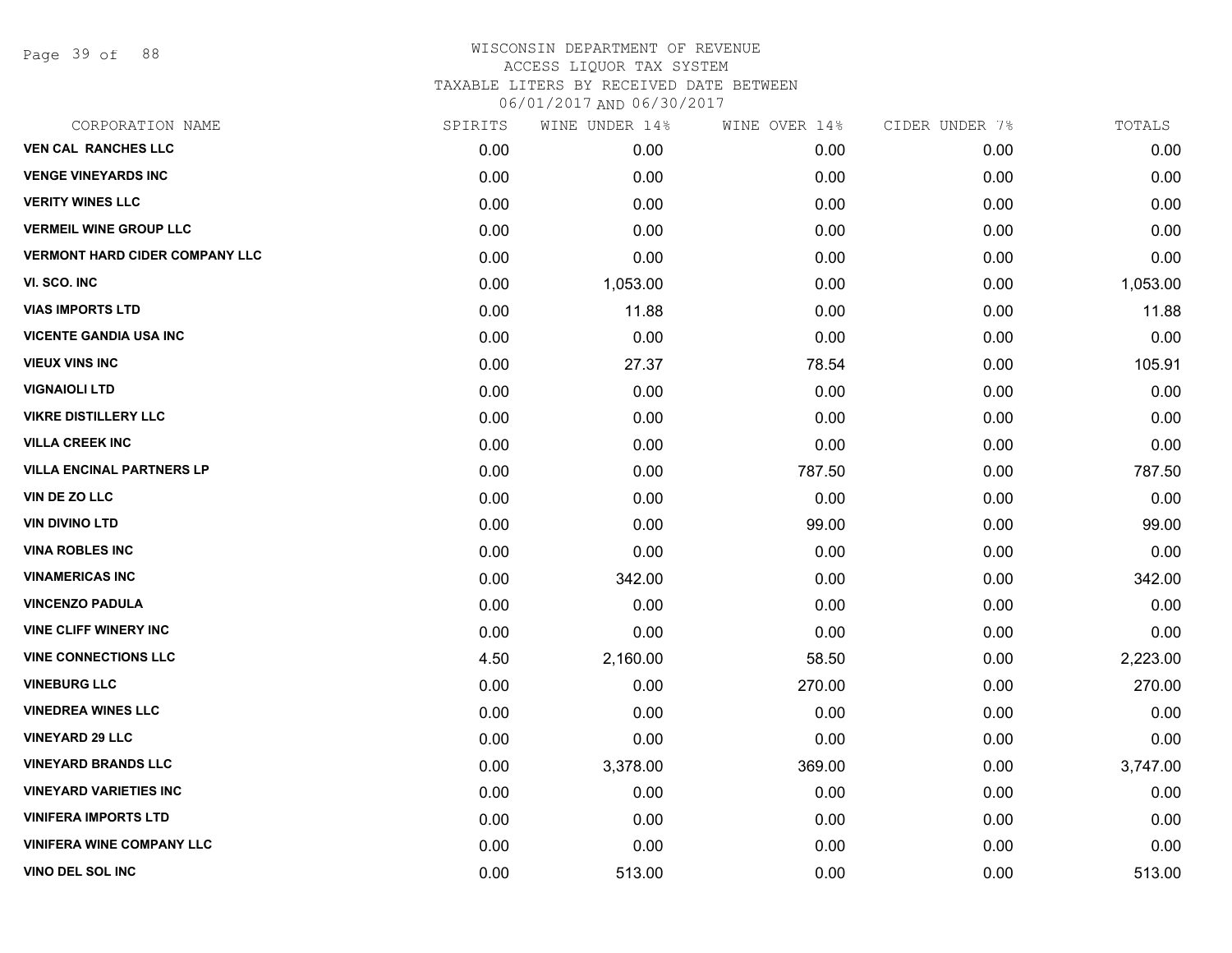Page 39 of 88

#### WISCONSIN DEPARTMENT OF REVENUE ACCESS LIQUOR TAX SYSTEM TAXABLE LITERS BY RECEIVED DATE BETWEEN

| CORPORATION NAME                      | SPIRITS | WINE UNDER 14% | WINE OVER 14% | CIDER UNDER 7% | TOTALS   |
|---------------------------------------|---------|----------------|---------------|----------------|----------|
| <b>VEN CAL RANCHES LLC</b>            | 0.00    | 0.00           | 0.00          | 0.00           | 0.00     |
| <b>VENGE VINEYARDS INC</b>            | 0.00    | 0.00           | 0.00          | 0.00           | 0.00     |
| <b>VERITY WINES LLC</b>               | 0.00    | 0.00           | 0.00          | 0.00           | 0.00     |
| <b>VERMEIL WINE GROUP LLC</b>         | 0.00    | 0.00           | 0.00          | 0.00           | 0.00     |
| <b>VERMONT HARD CIDER COMPANY LLC</b> | 0.00    | 0.00           | 0.00          | 0.00           | 0.00     |
| VI. SCO. INC                          | 0.00    | 1,053.00       | 0.00          | 0.00           | 1,053.00 |
| <b>VIAS IMPORTS LTD</b>               | 0.00    | 11.88          | 0.00          | 0.00           | 11.88    |
| <b>VICENTE GANDIA USA INC</b>         | 0.00    | 0.00           | 0.00          | 0.00           | 0.00     |
| <b>VIEUX VINS INC</b>                 | 0.00    | 27.37          | 78.54         | 0.00           | 105.91   |
| <b>VIGNAIOLI LTD</b>                  | 0.00    | 0.00           | 0.00          | 0.00           | 0.00     |
| <b>VIKRE DISTILLERY LLC</b>           | 0.00    | 0.00           | 0.00          | 0.00           | 0.00     |
| <b>VILLA CREEK INC</b>                | 0.00    | 0.00           | 0.00          | 0.00           | 0.00     |
| <b>VILLA ENCINAL PARTNERS LP</b>      | 0.00    | 0.00           | 787.50        | 0.00           | 787.50   |
| VIN DE ZO LLC                         | 0.00    | 0.00           | 0.00          | 0.00           | 0.00     |
| <b>VIN DIVINO LTD</b>                 | 0.00    | 0.00           | 99.00         | 0.00           | 99.00    |
| <b>VINA ROBLES INC</b>                | 0.00    | 0.00           | 0.00          | 0.00           | 0.00     |
| <b>VINAMERICAS INC</b>                | 0.00    | 342.00         | 0.00          | 0.00           | 342.00   |
| <b>VINCENZO PADULA</b>                | 0.00    | 0.00           | 0.00          | 0.00           | 0.00     |
| <b>VINE CLIFF WINERY INC</b>          | 0.00    | 0.00           | 0.00          | 0.00           | 0.00     |
| <b>VINE CONNECTIONS LLC</b>           | 4.50    | 2,160.00       | 58.50         | 0.00           | 2,223.00 |
| <b>VINEBURG LLC</b>                   | 0.00    | 0.00           | 270.00        | 0.00           | 270.00   |
| <b>VINEDREA WINES LLC</b>             | 0.00    | 0.00           | 0.00          | 0.00           | 0.00     |
| <b>VINEYARD 29 LLC</b>                | 0.00    | 0.00           | 0.00          | 0.00           | 0.00     |
| <b>VINEYARD BRANDS LLC</b>            | 0.00    | 3,378.00       | 369.00        | 0.00           | 3,747.00 |
| <b>VINEYARD VARIETIES INC</b>         | 0.00    | 0.00           | 0.00          | 0.00           | 0.00     |
| <b>VINIFERA IMPORTS LTD</b>           | 0.00    | 0.00           | 0.00          | 0.00           | 0.00     |
| <b>VINIFERA WINE COMPANY LLC</b>      | 0.00    | 0.00           | 0.00          | 0.00           | 0.00     |
| VINO DEL SOL INC                      | 0.00    | 513.00         | 0.00          | 0.00           | 513.00   |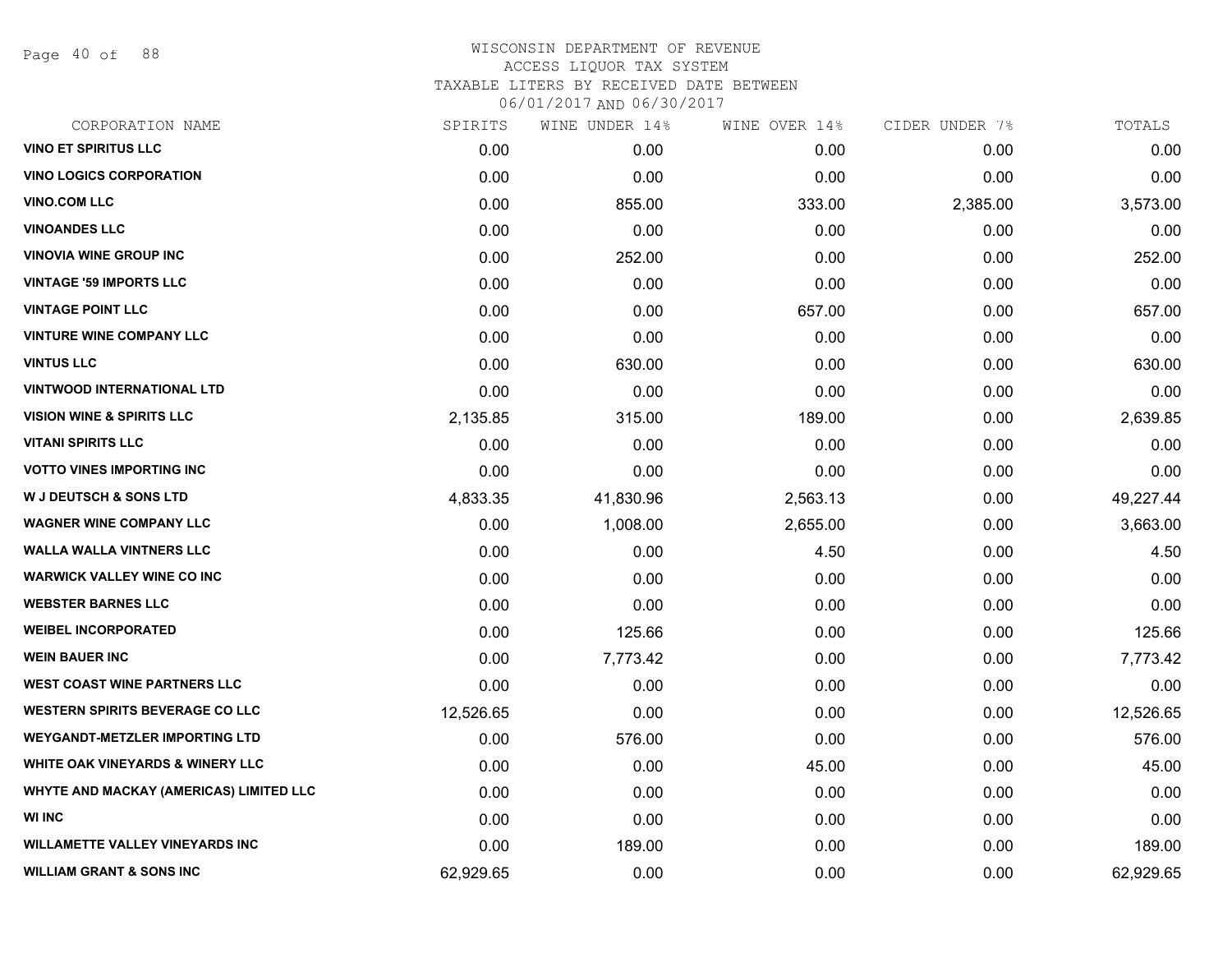Page 40 of 88

| CORPORATION NAME                            | SPIRITS   | WINE UNDER 14% | WINE OVER 14% | CIDER UNDER 7% | TOTALS    |
|---------------------------------------------|-----------|----------------|---------------|----------------|-----------|
| <b>VINO ET SPIRITUS LLC</b>                 | 0.00      | 0.00           | 0.00          | 0.00           | 0.00      |
| <b>VINO LOGICS CORPORATION</b>              | 0.00      | 0.00           | 0.00          | 0.00           | 0.00      |
| <b>VINO.COM LLC</b>                         | 0.00      | 855.00         | 333.00        | 2,385.00       | 3,573.00  |
| <b>VINOANDES LLC</b>                        | 0.00      | 0.00           | 0.00          | 0.00           | 0.00      |
| <b>VINOVIA WINE GROUP INC</b>               | 0.00      | 252.00         | 0.00          | 0.00           | 252.00    |
| <b>VINTAGE '59 IMPORTS LLC</b>              | 0.00      | 0.00           | 0.00          | 0.00           | 0.00      |
| <b>VINTAGE POINT LLC</b>                    | 0.00      | 0.00           | 657.00        | 0.00           | 657.00    |
| <b>VINTURE WINE COMPANY LLC</b>             | 0.00      | 0.00           | 0.00          | 0.00           | 0.00      |
| <b>VINTUS LLC</b>                           | 0.00      | 630.00         | 0.00          | 0.00           | 630.00    |
| <b>VINTWOOD INTERNATIONAL LTD</b>           | 0.00      | 0.00           | 0.00          | 0.00           | 0.00      |
| <b>VISION WINE &amp; SPIRITS LLC</b>        | 2,135.85  | 315.00         | 189.00        | 0.00           | 2,639.85  |
| <b>VITANI SPIRITS LLC</b>                   | 0.00      | 0.00           | 0.00          | 0.00           | 0.00      |
| <b>VOTTO VINES IMPORTING INC</b>            | 0.00      | 0.00           | 0.00          | 0.00           | 0.00      |
| <b>W J DEUTSCH &amp; SONS LTD</b>           | 4,833.35  | 41,830.96      | 2,563.13      | 0.00           | 49,227.44 |
| <b>WAGNER WINE COMPANY LLC</b>              | 0.00      | 1,008.00       | 2,655.00      | 0.00           | 3,663.00  |
| <b>WALLA WALLA VINTNERS LLC</b>             | 0.00      | 0.00           | 4.50          | 0.00           | 4.50      |
| <b>WARWICK VALLEY WINE CO INC</b>           | 0.00      | 0.00           | 0.00          | 0.00           | 0.00      |
| <b>WEBSTER BARNES LLC</b>                   | 0.00      | 0.00           | 0.00          | 0.00           | 0.00      |
| <b>WEIBEL INCORPORATED</b>                  | 0.00      | 125.66         | 0.00          | 0.00           | 125.66    |
| <b>WEIN BAUER INC</b>                       | 0.00      | 7,773.42       | 0.00          | 0.00           | 7,773.42  |
| <b>WEST COAST WINE PARTNERS LLC</b>         | 0.00      | 0.00           | 0.00          | 0.00           | 0.00      |
| <b>WESTERN SPIRITS BEVERAGE CO LLC</b>      | 12,526.65 | 0.00           | 0.00          | 0.00           | 12,526.65 |
| <b>WEYGANDT-METZLER IMPORTING LTD</b>       | 0.00      | 576.00         | 0.00          | 0.00           | 576.00    |
| <b>WHITE OAK VINEYARDS &amp; WINERY LLC</b> | 0.00      | 0.00           | 45.00         | 0.00           | 45.00     |
| WHYTE AND MACKAY (AMERICAS) LIMITED LLC     | 0.00      | 0.00           | 0.00          | 0.00           | 0.00      |
| <b>WI INC</b>                               | 0.00      | 0.00           | 0.00          | 0.00           | 0.00      |
| <b>WILLAMETTE VALLEY VINEYARDS INC</b>      | 0.00      | 189.00         | 0.00          | 0.00           | 189.00    |
| <b>WILLIAM GRANT &amp; SONS INC</b>         | 62,929.65 | 0.00           | 0.00          | 0.00           | 62,929.65 |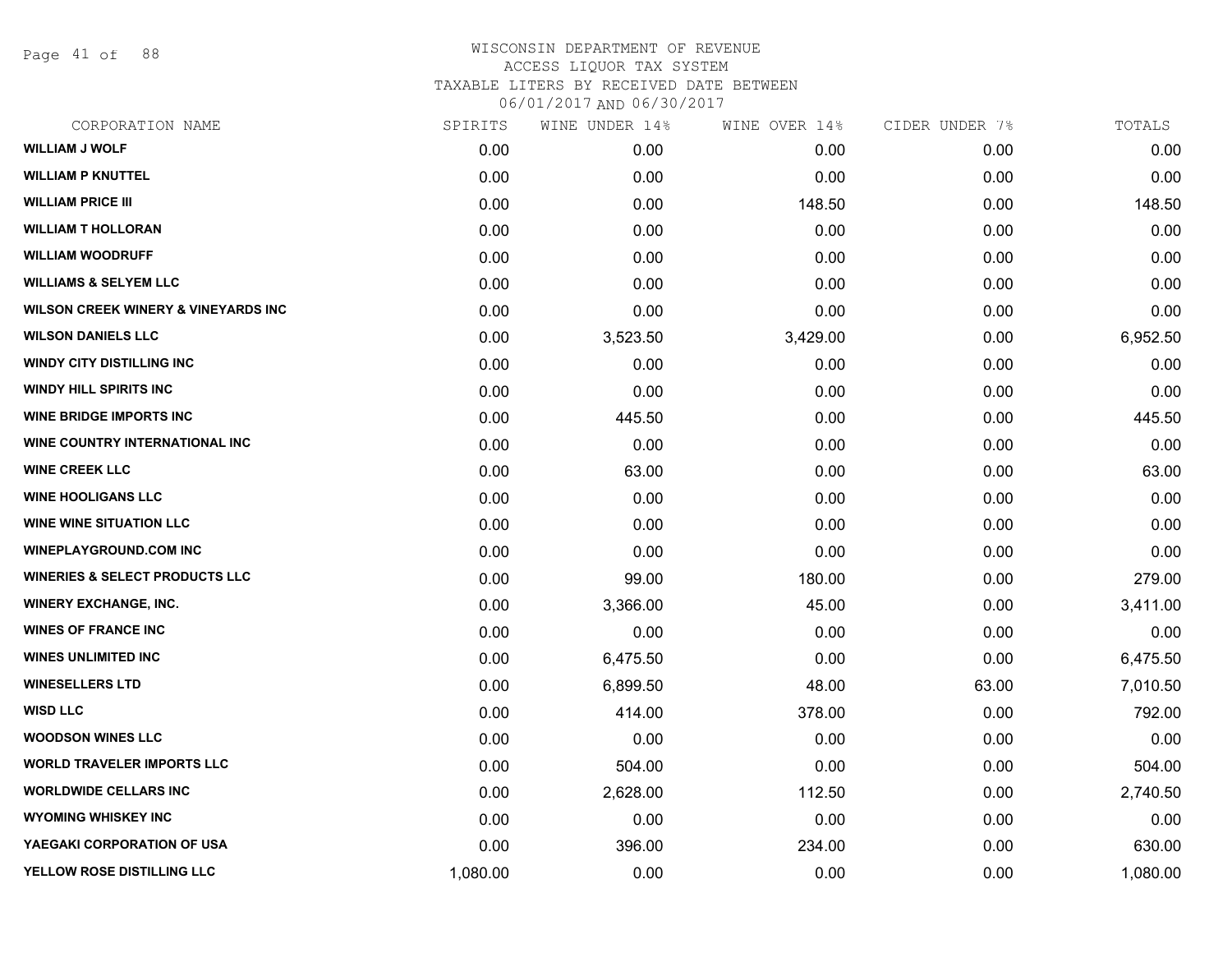Page 41 of 88

# WISCONSIN DEPARTMENT OF REVENUE ACCESS LIQUOR TAX SYSTEM TAXABLE LITERS BY RECEIVED DATE BETWEEN

| CORPORATION NAME                                | SPIRITS  | WINE UNDER 14% | WINE OVER 14% | CIDER UNDER 7% | TOTALS   |
|-------------------------------------------------|----------|----------------|---------------|----------------|----------|
| <b>WILLIAM J WOLF</b>                           | 0.00     | 0.00           | 0.00          | 0.00           | 0.00     |
| <b>WILLIAM P KNUTTEL</b>                        | 0.00     | 0.00           | 0.00          | 0.00           | 0.00     |
| <b>WILLIAM PRICE III</b>                        | 0.00     | 0.00           | 148.50        | 0.00           | 148.50   |
| <b>WILLIAM T HOLLORAN</b>                       | 0.00     | 0.00           | 0.00          | 0.00           | 0.00     |
| <b>WILLIAM WOODRUFF</b>                         | 0.00     | 0.00           | 0.00          | 0.00           | 0.00     |
| <b>WILLIAMS &amp; SELYEM LLC</b>                | 0.00     | 0.00           | 0.00          | 0.00           | 0.00     |
| <b>WILSON CREEK WINERY &amp; VINEYARDS INC.</b> | 0.00     | 0.00           | 0.00          | 0.00           | 0.00     |
| <b>WILSON DANIELS LLC</b>                       | 0.00     | 3,523.50       | 3,429.00      | 0.00           | 6,952.50 |
| <b>WINDY CITY DISTILLING INC</b>                | 0.00     | 0.00           | 0.00          | 0.00           | 0.00     |
| <b>WINDY HILL SPIRITS INC</b>                   | 0.00     | 0.00           | 0.00          | 0.00           | 0.00     |
| <b>WINE BRIDGE IMPORTS INC</b>                  | 0.00     | 445.50         | 0.00          | 0.00           | 445.50   |
| WINE COUNTRY INTERNATIONAL INC                  | 0.00     | 0.00           | 0.00          | 0.00           | 0.00     |
| <b>WINE CREEK LLC</b>                           | 0.00     | 63.00          | 0.00          | 0.00           | 63.00    |
| <b>WINE HOOLIGANS LLC</b>                       | 0.00     | 0.00           | 0.00          | 0.00           | 0.00     |
| <b>WINE WINE SITUATION LLC</b>                  | 0.00     | 0.00           | 0.00          | 0.00           | 0.00     |
| <b>WINEPLAYGROUND.COM INC</b>                   | 0.00     | 0.00           | 0.00          | 0.00           | 0.00     |
| <b>WINERIES &amp; SELECT PRODUCTS LLC</b>       | 0.00     | 99.00          | 180.00        | 0.00           | 279.00   |
| <b>WINERY EXCHANGE, INC.</b>                    | 0.00     | 3,366.00       | 45.00         | 0.00           | 3,411.00 |
| <b>WINES OF FRANCE INC</b>                      | 0.00     | 0.00           | 0.00          | 0.00           | 0.00     |
| <b>WINES UNLIMITED INC</b>                      | 0.00     | 6,475.50       | 0.00          | 0.00           | 6,475.50 |
| <b>WINESELLERS LTD</b>                          | 0.00     | 6,899.50       | 48.00         | 63.00          | 7,010.50 |
| <b>WISD LLC</b>                                 | 0.00     | 414.00         | 378.00        | 0.00           | 792.00   |
| <b>WOODSON WINES LLC</b>                        | 0.00     | 0.00           | 0.00          | 0.00           | 0.00     |
| <b>WORLD TRAVELER IMPORTS LLC</b>               | 0.00     | 504.00         | 0.00          | 0.00           | 504.00   |
| <b>WORLDWIDE CELLARS INC</b>                    | 0.00     | 2,628.00       | 112.50        | 0.00           | 2,740.50 |
| <b>WYOMING WHISKEY INC</b>                      | 0.00     | 0.00           | 0.00          | 0.00           | 0.00     |
| YAEGAKI CORPORATION OF USA                      | 0.00     | 396.00         | 234.00        | 0.00           | 630.00   |
| YELLOW ROSE DISTILLING LLC                      | 1,080.00 | 0.00           | 0.00          | 0.00           | 1,080.00 |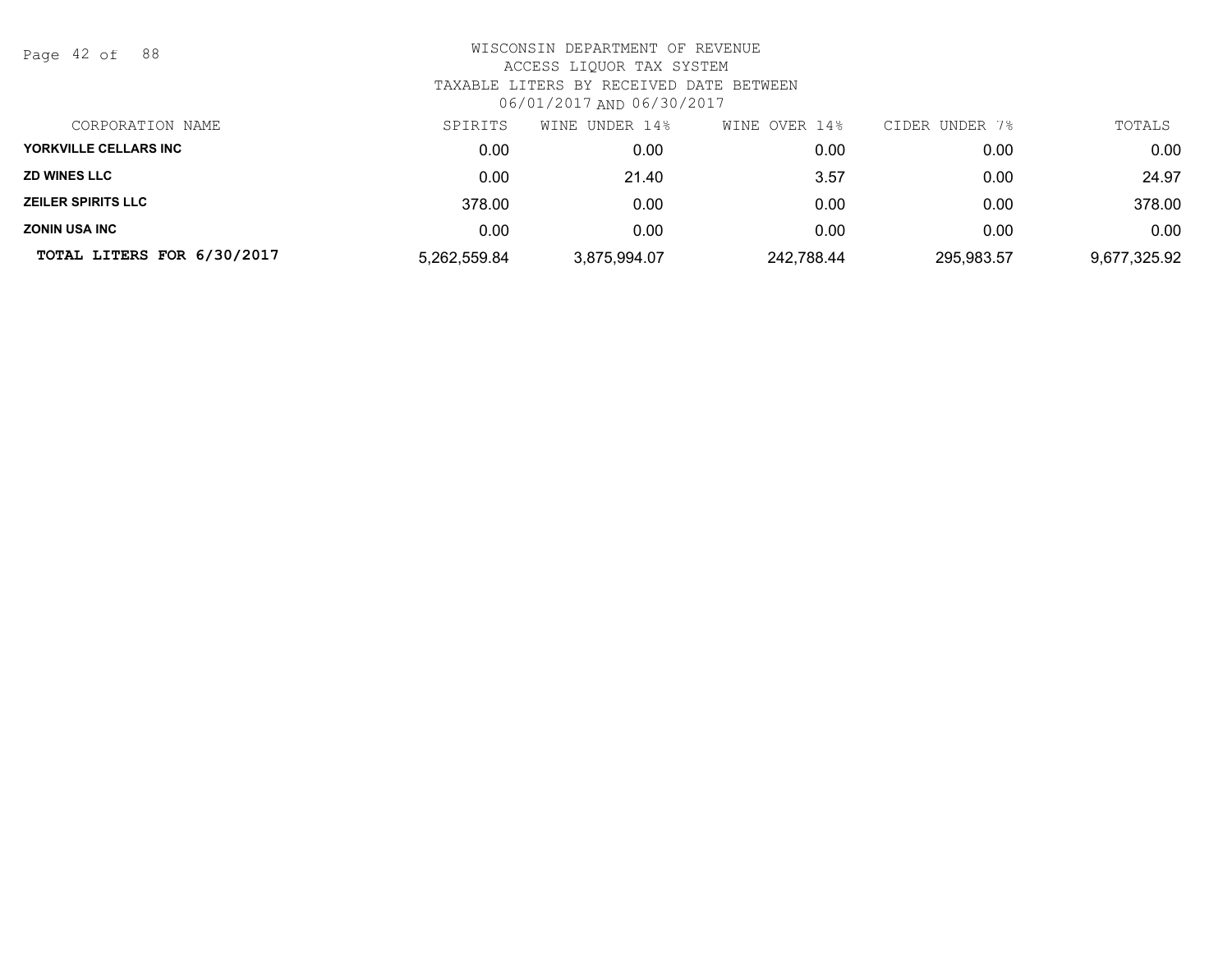Page 42 of 88

| CORPORATION NAME           | SPIRITS      | WINE UNDER 14% | WINE OVER 14% | CIDER UNDER 7% | TOTALS       |
|----------------------------|--------------|----------------|---------------|----------------|--------------|
| YORKVILLE CELLARS INC      | 0.00         | 0.00           | 0.00          | 0.00           | 0.00         |
| <b>ZD WINES LLC</b>        | 0.00         | 21.40          | 3.57          | 0.00           | 24.97        |
| <b>ZEILER SPIRITS LLC</b>  | 378.00       | 0.00           | 0.00          | 0.00           | 378.00       |
| <b>ZONIN USA INC</b>       | 0.00         | 0.00           | 0.00          | 0.00           | 0.00         |
| TOTAL LITERS FOR 6/30/2017 | 5,262,559.84 | 3,875,994.07   | 242,788.44    | 295,983.57     | 9,677,325.92 |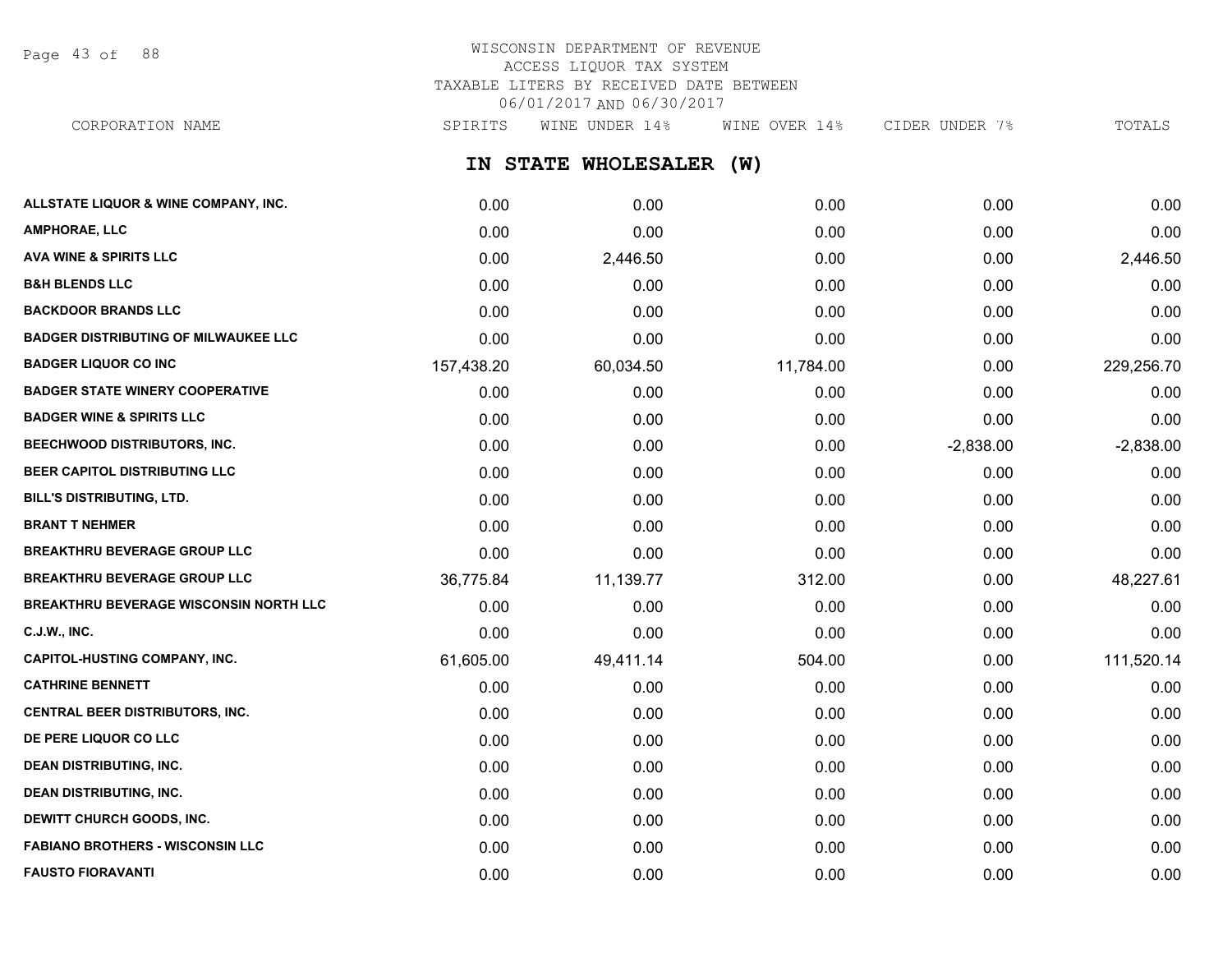Page 43 of 88

# WISCONSIN DEPARTMENT OF REVENUE ACCESS LIQUOR TAX SYSTEM TAXABLE LITERS BY RECEIVED DATE BETWEEN 06/01/2017 AND 06/30/2017

**IN STATE WHOLESALER (W) ALLSTATE LIQUOR & WINE COMPANY, INC.** 0.00 0.00 0.00 0.00 0.00 **AMPHORAE, LLC** 0.00 0.00 0.00 0.00 0.00 **AVA WINE & SPIRITS LLC** 0.00 2,446.50 0.00 0.00 2,446.50 **B&H BLENDS LLC** 0.00 0.00 0.00 0.00 0.00 CORPORATION NAME SPIRITS WINE UNDER 14% WINE OVER 14% CIDER UNDER 7% TOTALS

| <b>BACKDOOR BRANDS LLC</b>                    | 0.00       | 0.00      | 0.00      | 0.00        | 0.00        |
|-----------------------------------------------|------------|-----------|-----------|-------------|-------------|
| <b>BADGER DISTRIBUTING OF MILWAUKEE LLC</b>   | 0.00       | 0.00      | 0.00      | 0.00        | 0.00        |
| <b>BADGER LIQUOR CO INC</b>                   | 157,438.20 | 60,034.50 | 11,784.00 | 0.00        | 229,256.70  |
| <b>BADGER STATE WINERY COOPERATIVE</b>        | 0.00       | 0.00      | 0.00      | 0.00        | 0.00        |
| <b>BADGER WINE &amp; SPIRITS LLC</b>          | 0.00       | 0.00      | 0.00      | 0.00        | 0.00        |
| BEECHWOOD DISTRIBUTORS, INC.                  | 0.00       | 0.00      | 0.00      | $-2,838.00$ | $-2,838.00$ |
| BEER CAPITOL DISTRIBUTING LLC                 | 0.00       | 0.00      | 0.00      | 0.00        | 0.00        |
| <b>BILL'S DISTRIBUTING, LTD.</b>              | 0.00       | 0.00      | 0.00      | 0.00        | 0.00        |
| <b>BRANT T NEHMER</b>                         | 0.00       | 0.00      | 0.00      | 0.00        | 0.00        |
| <b>BREAKTHRU BEVERAGE GROUP LLC</b>           | 0.00       | 0.00      | 0.00      | 0.00        | 0.00        |
| <b>BREAKTHRU BEVERAGE GROUP LLC</b>           | 36,775.84  | 11,139.77 | 312.00    | 0.00        | 48,227.61   |
| <b>BREAKTHRU BEVERAGE WISCONSIN NORTH LLC</b> | 0.00       | 0.00      | 0.00      | 0.00        | 0.00        |
| C.J.W., INC.                                  | 0.00       | 0.00      | 0.00      | 0.00        | 0.00        |
| <b>CAPITOL-HUSTING COMPANY, INC.</b>          | 61,605.00  | 49,411.14 | 504.00    | 0.00        | 111,520.14  |
| <b>CATHRINE BENNETT</b>                       | 0.00       | 0.00      | 0.00      | 0.00        | 0.00        |
| CENTRAL BEER DISTRIBUTORS, INC.               | 0.00       | 0.00      | 0.00      | 0.00        | 0.00        |
| DE PERE LIQUOR CO LLC                         | 0.00       | 0.00      | 0.00      | 0.00        | 0.00        |
| <b>DEAN DISTRIBUTING, INC.</b>                | 0.00       | 0.00      | 0.00      | 0.00        | 0.00        |
| <b>DEAN DISTRIBUTING, INC.</b>                | 0.00       | 0.00      | 0.00      | 0.00        | 0.00        |
| DEWITT CHURCH GOODS, INC.                     | 0.00       | 0.00      | 0.00      | 0.00        | 0.00        |
| <b>FABIANO BROTHERS - WISCONSIN LLC</b>       | 0.00       | 0.00      | 0.00      | 0.00        | 0.00        |
| <b>FAUSTO FIORAVANTI</b>                      | 0.00       | 0.00      | 0.00      | 0.00        | 0.00        |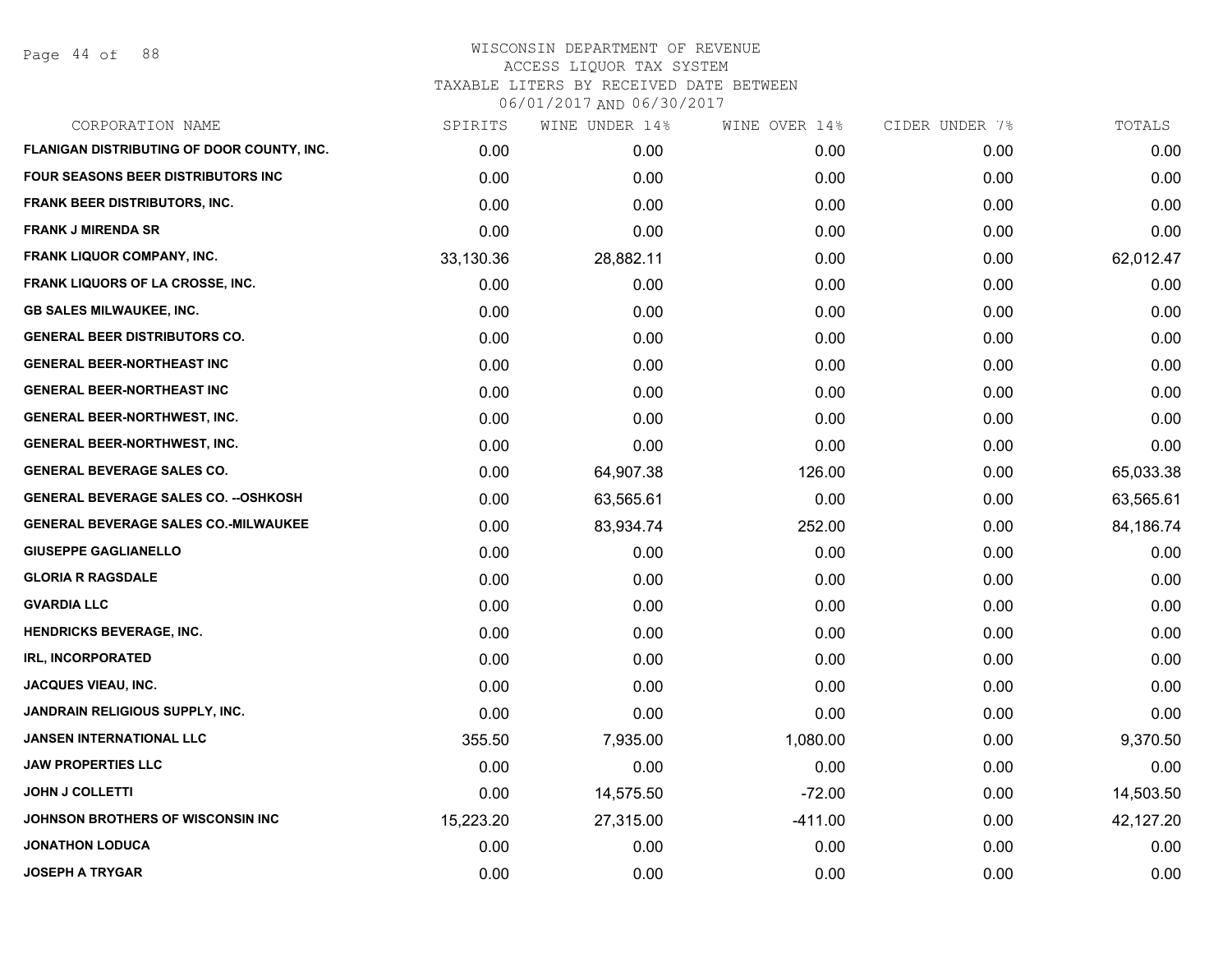Page 44 of 88

| CORPORATION NAME                             | SPIRITS   | WINE UNDER 14% | WINE OVER 14% | CIDER UNDER 7% | TOTALS    |
|----------------------------------------------|-----------|----------------|---------------|----------------|-----------|
| FLANIGAN DISTRIBUTING OF DOOR COUNTY, INC.   | 0.00      | 0.00           | 0.00          | 0.00           | 0.00      |
| FOUR SEASONS BEER DISTRIBUTORS INC           | 0.00      | 0.00           | 0.00          | 0.00           | 0.00      |
| <b>FRANK BEER DISTRIBUTORS, INC.</b>         | 0.00      | 0.00           | 0.00          | 0.00           | 0.00      |
| <b>FRANK J MIRENDA SR</b>                    | 0.00      | 0.00           | 0.00          | 0.00           | 0.00      |
| FRANK LIQUOR COMPANY, INC.                   | 33,130.36 | 28,882.11      | 0.00          | 0.00           | 62,012.47 |
| FRANK LIQUORS OF LA CROSSE, INC.             | 0.00      | 0.00           | 0.00          | 0.00           | 0.00      |
| <b>GB SALES MILWAUKEE, INC.</b>              | 0.00      | 0.00           | 0.00          | 0.00           | 0.00      |
| <b>GENERAL BEER DISTRIBUTORS CO.</b>         | 0.00      | 0.00           | 0.00          | 0.00           | 0.00      |
| <b>GENERAL BEER-NORTHEAST INC</b>            | 0.00      | 0.00           | 0.00          | 0.00           | 0.00      |
| <b>GENERAL BEER-NORTHEAST INC</b>            | 0.00      | 0.00           | 0.00          | 0.00           | 0.00      |
| <b>GENERAL BEER-NORTHWEST, INC.</b>          | 0.00      | 0.00           | 0.00          | 0.00           | 0.00      |
| <b>GENERAL BEER-NORTHWEST, INC.</b>          | 0.00      | 0.00           | 0.00          | 0.00           | 0.00      |
| <b>GENERAL BEVERAGE SALES CO.</b>            | 0.00      | 64,907.38      | 126.00        | 0.00           | 65,033.38 |
| <b>GENERAL BEVERAGE SALES CO. -- OSHKOSH</b> | 0.00      | 63,565.61      | 0.00          | 0.00           | 63,565.61 |
| <b>GENERAL BEVERAGE SALES CO.-MILWAUKEE</b>  | 0.00      | 83,934.74      | 252.00        | 0.00           | 84,186.74 |
| <b>GIUSEPPE GAGLIANELLO</b>                  | 0.00      | 0.00           | 0.00          | 0.00           | 0.00      |
| <b>GLORIA R RAGSDALE</b>                     | 0.00      | 0.00           | 0.00          | 0.00           | 0.00      |
| <b>GVARDIA LLC</b>                           | 0.00      | 0.00           | 0.00          | 0.00           | 0.00      |
| HENDRICKS BEVERAGE, INC.                     | 0.00      | 0.00           | 0.00          | 0.00           | 0.00      |
| <b>IRL, INCORPORATED</b>                     | 0.00      | 0.00           | 0.00          | 0.00           | 0.00      |
| JACQUES VIEAU, INC.                          | 0.00      | 0.00           | 0.00          | 0.00           | 0.00      |
| JANDRAIN RELIGIOUS SUPPLY, INC.              | 0.00      | 0.00           | 0.00          | 0.00           | 0.00      |
| JANSEN INTERNATIONAL LLC                     | 355.50    | 7,935.00       | 1,080.00      | 0.00           | 9,370.50  |
| <b>JAW PROPERTIES LLC</b>                    | 0.00      | 0.00           | 0.00          | 0.00           | 0.00      |
| <b>JOHN J COLLETTI</b>                       | 0.00      | 14,575.50      | $-72.00$      | 0.00           | 14,503.50 |
| <b>JOHNSON BROTHERS OF WISCONSIN INC</b>     | 15,223.20 | 27,315.00      | $-411.00$     | 0.00           | 42,127.20 |
| <b>JONATHON LODUCA</b>                       | 0.00      | 0.00           | 0.00          | 0.00           | 0.00      |
| <b>JOSEPH A TRYGAR</b>                       | 0.00      | 0.00           | 0.00          | 0.00           | 0.00      |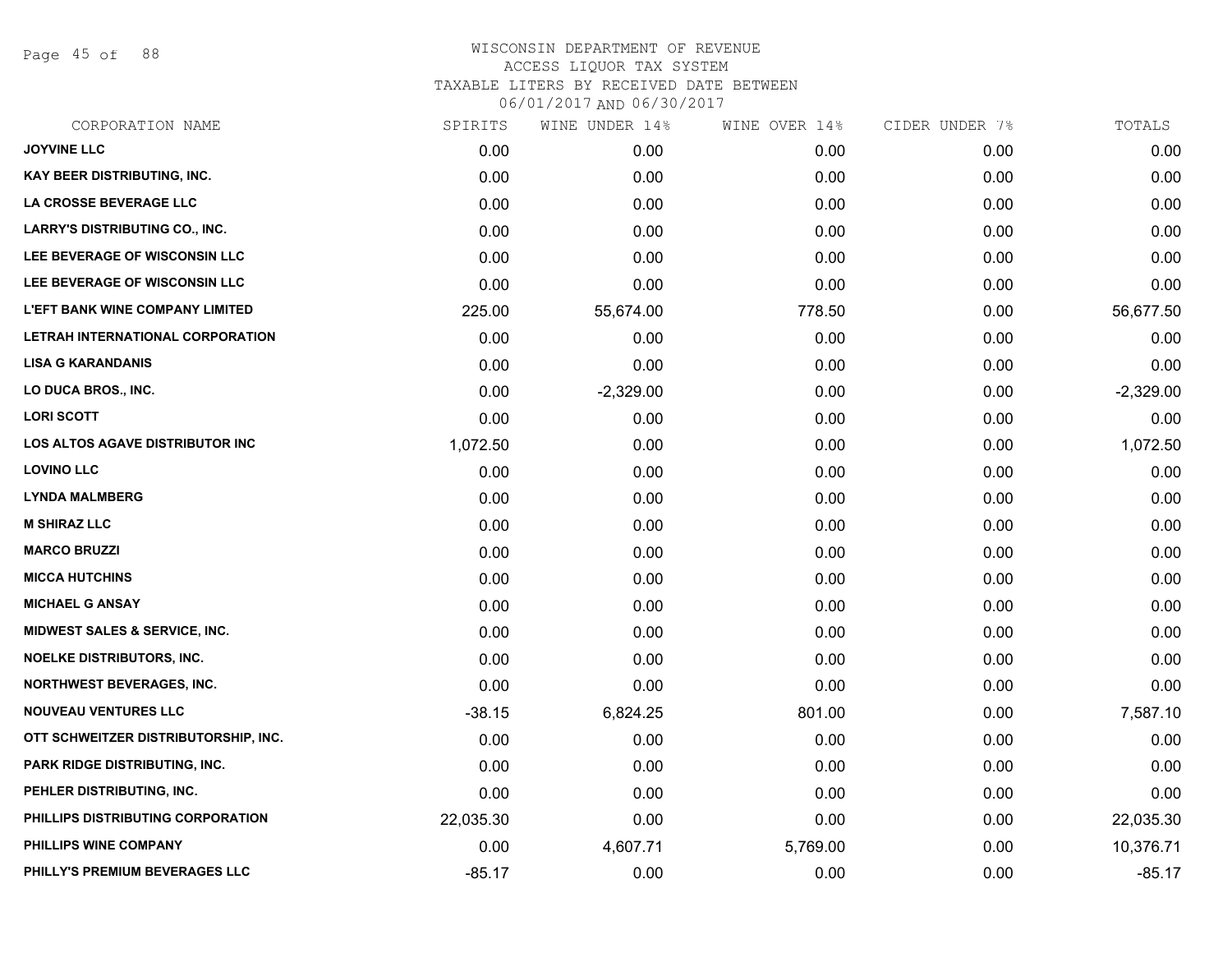Page 45 of 88

|           | WINE UNDER 14% |          | CIDER UNDER 7% | TOTALS        |
|-----------|----------------|----------|----------------|---------------|
| 0.00      | 0.00           | 0.00     | 0.00           | 0.00          |
| 0.00      | 0.00           | 0.00     | 0.00           | 0.00          |
| 0.00      | 0.00           | 0.00     | 0.00           | 0.00          |
| 0.00      | 0.00           | 0.00     | 0.00           | 0.00          |
| 0.00      | 0.00           | 0.00     | 0.00           | 0.00          |
| 0.00      | 0.00           | 0.00     | 0.00           | 0.00          |
| 225.00    | 55,674.00      | 778.50   | 0.00           | 56,677.50     |
| 0.00      | 0.00           | 0.00     | 0.00           | 0.00          |
| 0.00      | 0.00           | 0.00     | 0.00           | 0.00          |
| 0.00      | $-2,329.00$    | 0.00     | 0.00           | $-2,329.00$   |
| 0.00      | 0.00           | 0.00     | 0.00           | 0.00          |
| 1,072.50  | 0.00           | 0.00     | 0.00           | 1,072.50      |
| 0.00      | 0.00           | 0.00     | 0.00           | 0.00          |
| 0.00      | 0.00           | 0.00     | 0.00           | 0.00          |
| 0.00      | 0.00           | 0.00     | 0.00           | 0.00          |
| 0.00      | 0.00           | 0.00     | 0.00           | 0.00          |
| 0.00      | 0.00           | 0.00     | 0.00           | 0.00          |
| 0.00      | 0.00           | 0.00     | 0.00           | 0.00          |
| 0.00      | 0.00           | 0.00     | 0.00           | 0.00          |
| 0.00      | 0.00           | 0.00     | 0.00           | 0.00          |
| 0.00      | 0.00           | 0.00     | 0.00           | 0.00          |
| $-38.15$  | 6,824.25       | 801.00   | 0.00           | 7,587.10      |
| 0.00      | 0.00           | 0.00     | 0.00           | 0.00          |
| 0.00      | 0.00           | 0.00     | 0.00           | 0.00          |
| 0.00      | 0.00           | 0.00     | 0.00           | 0.00          |
| 22,035.30 | 0.00           | 0.00     | 0.00           | 22,035.30     |
| 0.00      | 4,607.71       | 5,769.00 | 0.00           | 10,376.71     |
| $-85.17$  | 0.00           | 0.00     | 0.00           | $-85.17$      |
|           | SPIRITS        |          |                | WINE OVER 14% |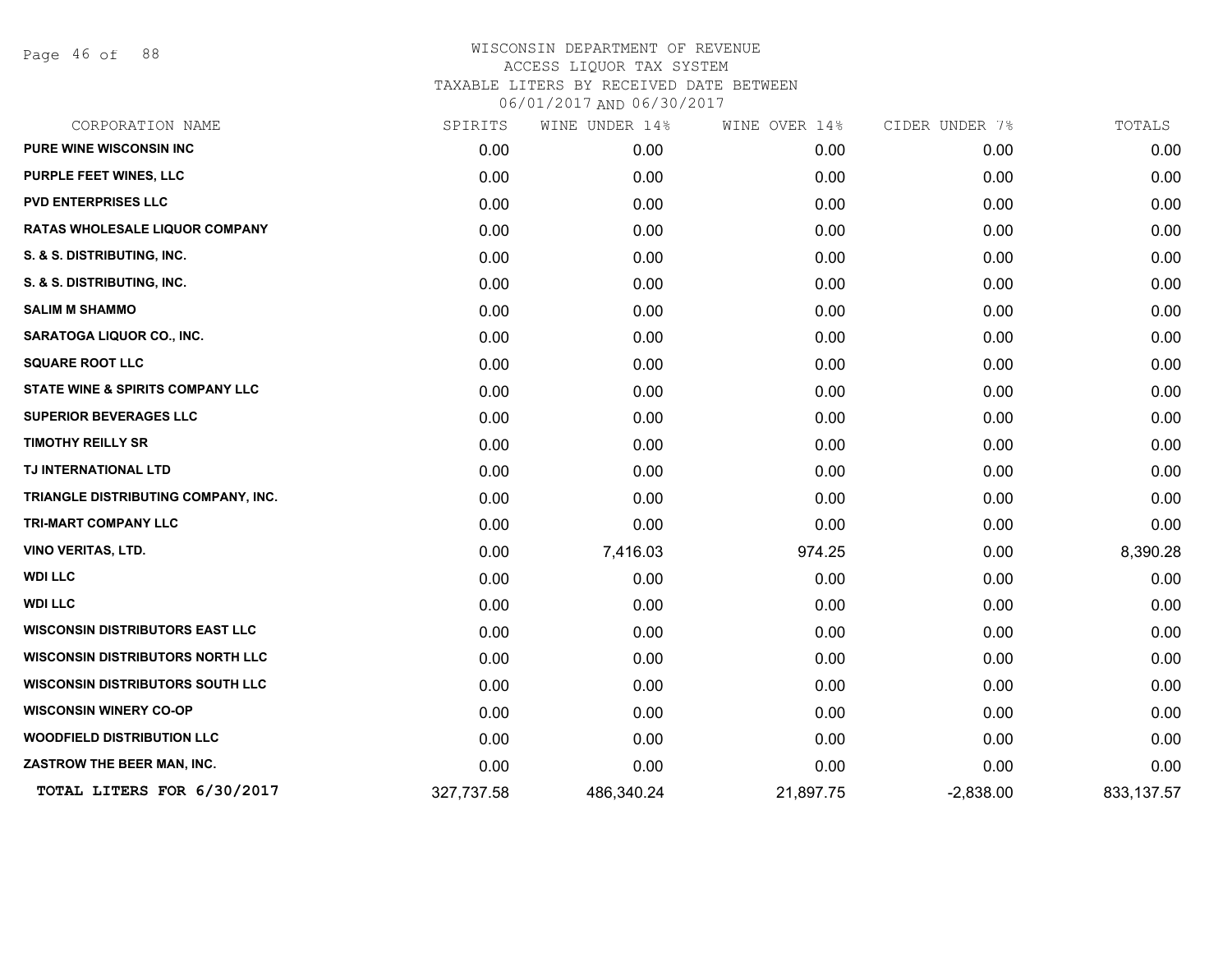Page 46 of 88

| CORPORATION NAME                            | SPIRITS    | WINE UNDER 14% | WINE OVER 14% | CIDER UNDER 7% | TOTALS     |
|---------------------------------------------|------------|----------------|---------------|----------------|------------|
| <b>PURE WINE WISCONSIN INC</b>              | 0.00       | 0.00           | 0.00          | 0.00           | 0.00       |
| PURPLE FEET WINES, LLC                      | 0.00       | 0.00           | 0.00          | 0.00           | 0.00       |
| <b>PVD ENTERPRISES LLC</b>                  | 0.00       | 0.00           | 0.00          | 0.00           | 0.00       |
| RATAS WHOLESALE LIQUOR COMPANY              | 0.00       | 0.00           | 0.00          | 0.00           | 0.00       |
| S. & S. DISTRIBUTING, INC.                  | 0.00       | 0.00           | 0.00          | 0.00           | 0.00       |
| S. & S. DISTRIBUTING, INC.                  | 0.00       | 0.00           | 0.00          | 0.00           | 0.00       |
| <b>SALIM M SHAMMO</b>                       | 0.00       | 0.00           | 0.00          | 0.00           | 0.00       |
| <b>SARATOGA LIQUOR CO., INC.</b>            | 0.00       | 0.00           | 0.00          | 0.00           | 0.00       |
| <b>SQUARE ROOT LLC</b>                      | 0.00       | 0.00           | 0.00          | 0.00           | 0.00       |
| <b>STATE WINE &amp; SPIRITS COMPANY LLC</b> | 0.00       | 0.00           | 0.00          | 0.00           | 0.00       |
| <b>SUPERIOR BEVERAGES LLC</b>               | 0.00       | 0.00           | 0.00          | 0.00           | 0.00       |
| <b>TIMOTHY REILLY SR</b>                    | 0.00       | 0.00           | 0.00          | 0.00           | 0.00       |
| TJ INTERNATIONAL LTD                        | 0.00       | 0.00           | 0.00          | 0.00           | 0.00       |
| TRIANGLE DISTRIBUTING COMPANY, INC.         | 0.00       | 0.00           | 0.00          | 0.00           | 0.00       |
| <b>TRI-MART COMPANY LLC</b>                 | 0.00       | 0.00           | 0.00          | 0.00           | 0.00       |
| <b>VINO VERITAS, LTD.</b>                   | 0.00       | 7,416.03       | 974.25        | 0.00           | 8,390.28   |
| <b>WDI LLC</b>                              | 0.00       | 0.00           | 0.00          | 0.00           | 0.00       |
| <b>WDI LLC</b>                              | 0.00       | 0.00           | 0.00          | 0.00           | 0.00       |
| <b>WISCONSIN DISTRIBUTORS EAST LLC</b>      | 0.00       | 0.00           | 0.00          | 0.00           | 0.00       |
| <b>WISCONSIN DISTRIBUTORS NORTH LLC</b>     | 0.00       | 0.00           | 0.00          | 0.00           | 0.00       |
| <b>WISCONSIN DISTRIBUTORS SOUTH LLC</b>     | 0.00       | 0.00           | 0.00          | 0.00           | 0.00       |
| <b>WISCONSIN WINERY CO-OP</b>               | 0.00       | 0.00           | 0.00          | 0.00           | 0.00       |
| <b>WOODFIELD DISTRIBUTION LLC</b>           | 0.00       | 0.00           | 0.00          | 0.00           | 0.00       |
| ZASTROW THE BEER MAN, INC.                  | 0.00       | 0.00           | 0.00          | 0.00           | 0.00       |
| TOTAL LITERS FOR 6/30/2017                  | 327,737.58 | 486,340.24     | 21,897.75     | $-2,838.00$    | 833,137.57 |
|                                             |            |                |               |                |            |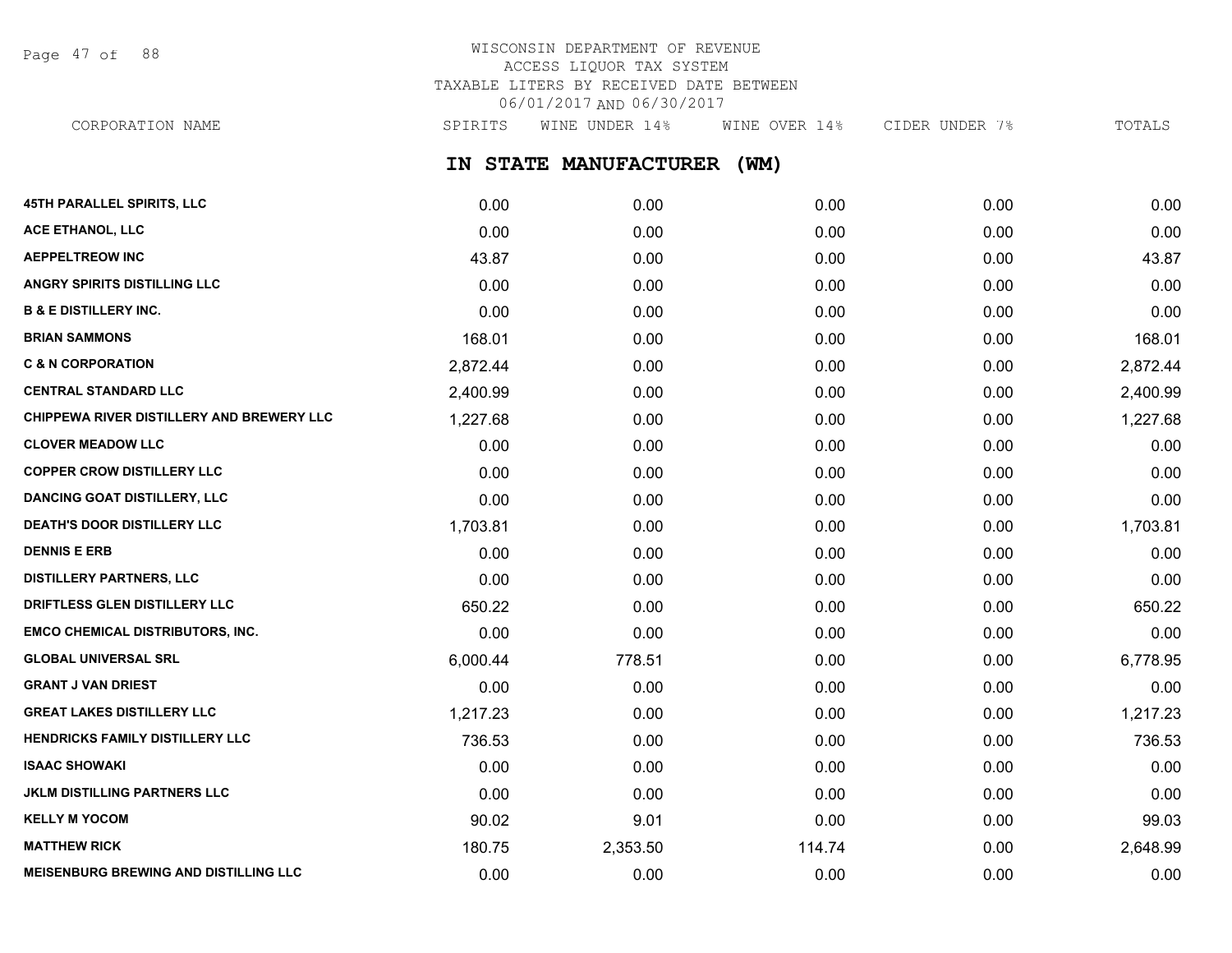Page 47 of 88

# WISCONSIN DEPARTMENT OF REVENUE ACCESS LIQUOR TAX SYSTEM TAXABLE LITERS BY RECEIVED DATE BETWEEN 06/01/2017 AND 06/30/2017

CORPORATION NAME SPIRITS WINE UNDER 14% WINE OVER 14% CIDER UNDER 7% TOTALS

**IN STATE MANUFACTURER (WM)**

| <b>45TH PARALLEL SPIRITS, LLC</b>            | 0.00     | 0.00     | 0.00   | 0.00 | 0.00     |
|----------------------------------------------|----------|----------|--------|------|----------|
| ACE ETHANOL, LLC                             | 0.00     | 0.00     | 0.00   | 0.00 | 0.00     |
| <b>AEPPELTREOW INC</b>                       | 43.87    | 0.00     | 0.00   | 0.00 | 43.87    |
| <b>ANGRY SPIRITS DISTILLING LLC</b>          | 0.00     | 0.00     | 0.00   | 0.00 | 0.00     |
| <b>B &amp; E DISTILLERY INC.</b>             | 0.00     | 0.00     | 0.00   | 0.00 | 0.00     |
| <b>BRIAN SAMMONS</b>                         | 168.01   | 0.00     | 0.00   | 0.00 | 168.01   |
| <b>C &amp; N CORPORATION</b>                 | 2,872.44 | 0.00     | 0.00   | 0.00 | 2,872.44 |
| <b>CENTRAL STANDARD LLC</b>                  | 2,400.99 | 0.00     | 0.00   | 0.00 | 2,400.99 |
| CHIPPEWA RIVER DISTILLERY AND BREWERY LLC    | 1,227.68 | 0.00     | 0.00   | 0.00 | 1,227.68 |
| <b>CLOVER MEADOW LLC</b>                     | 0.00     | 0.00     | 0.00   | 0.00 | 0.00     |
| <b>COPPER CROW DISTILLERY LLC</b>            | 0.00     | 0.00     | 0.00   | 0.00 | 0.00     |
| <b>DANCING GOAT DISTILLERY, LLC</b>          | 0.00     | 0.00     | 0.00   | 0.00 | 0.00     |
| <b>DEATH'S DOOR DISTILLERY LLC</b>           | 1,703.81 | 0.00     | 0.00   | 0.00 | 1,703.81 |
| <b>DENNIS E ERB</b>                          | 0.00     | 0.00     | 0.00   | 0.00 | 0.00     |
| <b>DISTILLERY PARTNERS, LLC</b>              | 0.00     | 0.00     | 0.00   | 0.00 | 0.00     |
| DRIFTLESS GLEN DISTILLERY LLC                | 650.22   | 0.00     | 0.00   | 0.00 | 650.22   |
| <b>EMCO CHEMICAL DISTRIBUTORS, INC.</b>      | 0.00     | 0.00     | 0.00   | 0.00 | 0.00     |
| <b>GLOBAL UNIVERSAL SRL</b>                  | 6,000.44 | 778.51   | 0.00   | 0.00 | 6,778.95 |
| <b>GRANT J VAN DRIEST</b>                    | 0.00     | 0.00     | 0.00   | 0.00 | 0.00     |
| <b>GREAT LAKES DISTILLERY LLC</b>            | 1,217.23 | 0.00     | 0.00   | 0.00 | 1,217.23 |
| HENDRICKS FAMILY DISTILLERY LLC              | 736.53   | 0.00     | 0.00   | 0.00 | 736.53   |
| <b>ISAAC SHOWAKI</b>                         | 0.00     | 0.00     | 0.00   | 0.00 | 0.00     |
| <b>JKLM DISTILLING PARTNERS LLC</b>          | 0.00     | 0.00     | 0.00   | 0.00 | 0.00     |
| <b>KELLY M YOCOM</b>                         | 90.02    | 9.01     | 0.00   | 0.00 | 99.03    |
| <b>MATTHEW RICK</b>                          | 180.75   | 2,353.50 | 114.74 | 0.00 | 2,648.99 |
| <b>MEISENBURG BREWING AND DISTILLING LLC</b> | 0.00     | 0.00     | 0.00   | 0.00 | 0.00     |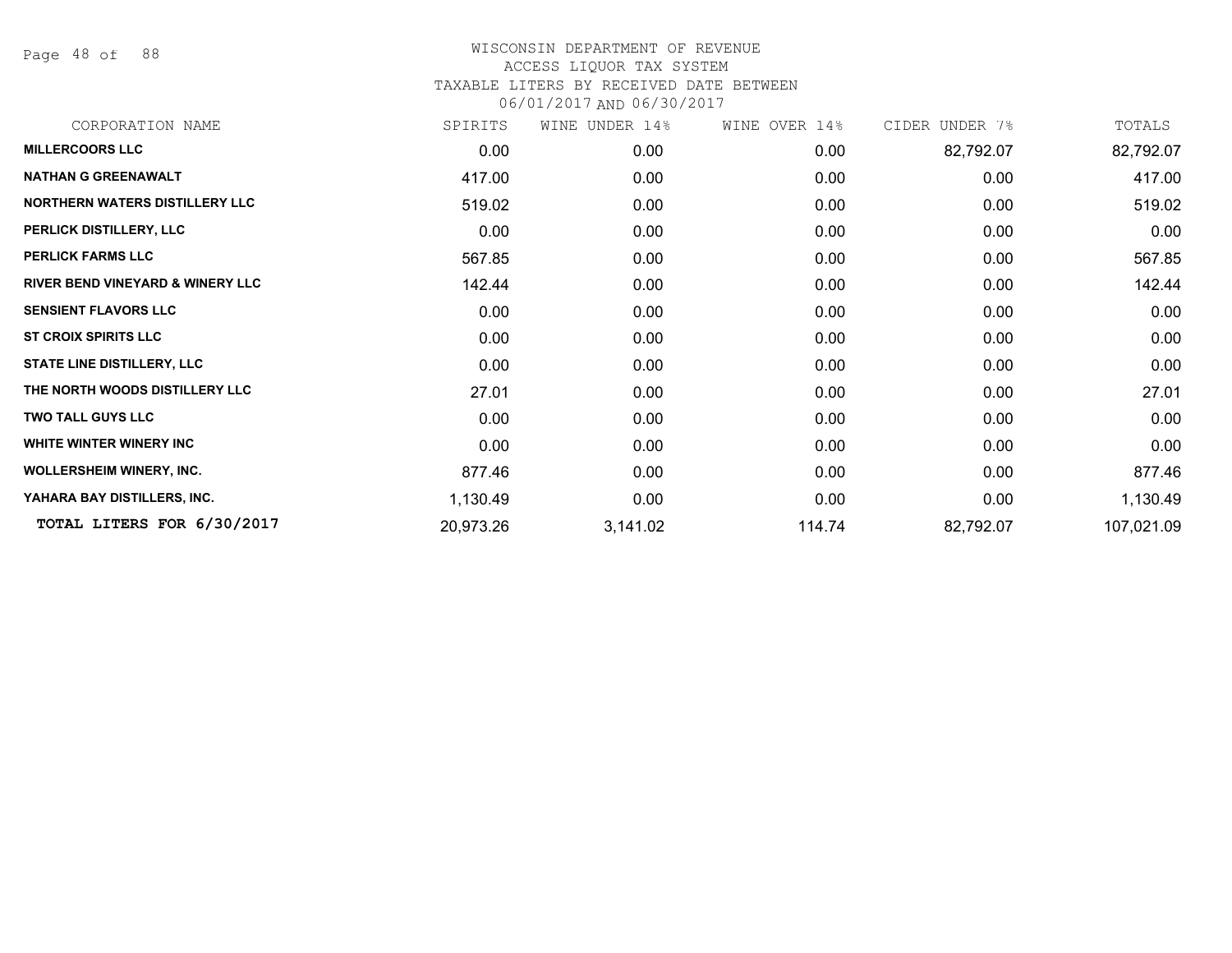Page 48 of 88

| CORPORATION NAME                            | SPIRITS   | WINE UNDER 14% | WINE OVER 14% | CIDER UNDER 7% | TOTALS     |
|---------------------------------------------|-----------|----------------|---------------|----------------|------------|
| <b>MILLERCOORS LLC</b>                      | 0.00      | 0.00           | 0.00          | 82,792.07      | 82,792.07  |
| <b>NATHAN G GREENAWALT</b>                  | 417.00    | 0.00           | 0.00          | 0.00           | 417.00     |
| NORTHERN WATERS DISTILLERY LLC              | 519.02    | 0.00           | 0.00          | 0.00           | 519.02     |
| PERLICK DISTILLERY, LLC                     | 0.00      | 0.00           | 0.00          | 0.00           | 0.00       |
| <b>PERLICK FARMS LLC</b>                    | 567.85    | 0.00           | 0.00          | 0.00           | 567.85     |
| <b>RIVER BEND VINEYARD &amp; WINERY LLC</b> | 142.44    | 0.00           | 0.00          | 0.00           | 142.44     |
| <b>SENSIENT FLAVORS LLC</b>                 | 0.00      | 0.00           | 0.00          | 0.00           | 0.00       |
| <b>ST CROIX SPIRITS LLC</b>                 | 0.00      | 0.00           | 0.00          | 0.00           | 0.00       |
| <b>STATE LINE DISTILLERY, LLC</b>           | 0.00      | 0.00           | 0.00          | 0.00           | 0.00       |
| THE NORTH WOODS DISTILLERY LLC              | 27.01     | 0.00           | 0.00          | 0.00           | 27.01      |
| <b>TWO TALL GUYS LLC</b>                    | 0.00      | 0.00           | 0.00          | 0.00           | 0.00       |
| <b>WHITE WINTER WINERY INC</b>              | 0.00      | 0.00           | 0.00          | 0.00           | 0.00       |
| <b>WOLLERSHEIM WINERY, INC.</b>             | 877.46    | 0.00           | 0.00          | 0.00           | 877.46     |
| YAHARA BAY DISTILLERS, INC.                 | 1,130.49  | 0.00           | 0.00          | 0.00           | 1,130.49   |
| TOTAL LITERS FOR 6/30/2017                  | 20,973.26 | 3,141.02       | 114.74        | 82,792.07      | 107,021.09 |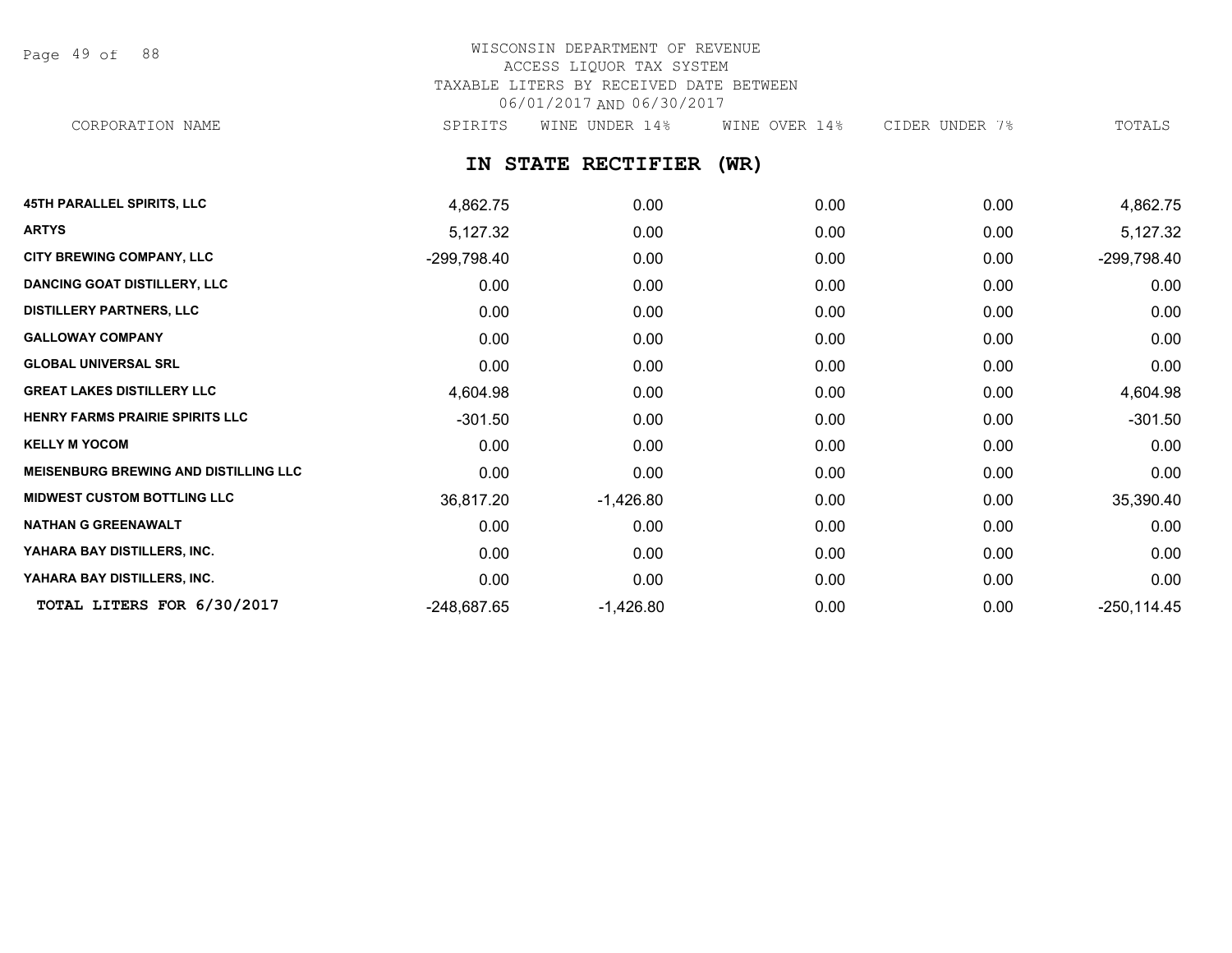Page 49 of 88

# WISCONSIN DEPARTMENT OF REVENUE ACCESS LIQUOR TAX SYSTEM TAXABLE LITERS BY RECEIVED DATE BETWEEN 06/01/2017 AND 06/30/2017

CORPORATION NAME SPIRITS WINE UNDER 14% WINE OVER 14% CIDER UNDER 7% TOTALS

**IN STATE RECTIFIER (WR)**

| <b>45TH PARALLEL SPIRITS, LLC</b>            | 4,862.75      | 0.00        | 0.00 | 0.00 | 4,862.75       |
|----------------------------------------------|---------------|-------------|------|------|----------------|
| <b>ARTYS</b>                                 | 5,127.32      | 0.00        | 0.00 | 0.00 | 5,127.32       |
| CITY BREWING COMPANY, LLC                    | -299,798.40   | 0.00        | 0.00 | 0.00 | $-299,798.40$  |
| <b>DANCING GOAT DISTILLERY, LLC</b>          | 0.00          | 0.00        | 0.00 | 0.00 | 0.00           |
| <b>DISTILLERY PARTNERS, LLC</b>              | 0.00          | 0.00        | 0.00 | 0.00 | 0.00           |
| <b>GALLOWAY COMPANY</b>                      | 0.00          | 0.00        | 0.00 | 0.00 | 0.00           |
| <b>GLOBAL UNIVERSAL SRL</b>                  | 0.00          | 0.00        | 0.00 | 0.00 | 0.00           |
| <b>GREAT LAKES DISTILLERY LLC</b>            | 4,604.98      | 0.00        | 0.00 | 0.00 | 4,604.98       |
| HENRY FARMS PRAIRIE SPIRITS LLC              | $-301.50$     | 0.00        | 0.00 | 0.00 | $-301.50$      |
| <b>KELLY M YOCOM</b>                         | 0.00          | 0.00        | 0.00 | 0.00 | 0.00           |
| <b>MEISENBURG BREWING AND DISTILLING LLC</b> | 0.00          | 0.00        | 0.00 | 0.00 | 0.00           |
| <b>MIDWEST CUSTOM BOTTLING LLC</b>           | 36,817.20     | $-1,426.80$ | 0.00 | 0.00 | 35,390.40      |
| <b>NATHAN G GREENAWALT</b>                   | 0.00          | 0.00        | 0.00 | 0.00 | 0.00           |
| YAHARA BAY DISTILLERS, INC.                  | 0.00          | 0.00        | 0.00 | 0.00 | 0.00           |
| YAHARA BAY DISTILLERS, INC.                  | 0.00          | 0.00        | 0.00 | 0.00 | 0.00           |
| TOTAL LITERS FOR 6/30/2017                   | $-248,687.65$ | $-1,426.80$ | 0.00 | 0.00 | $-250, 114.45$ |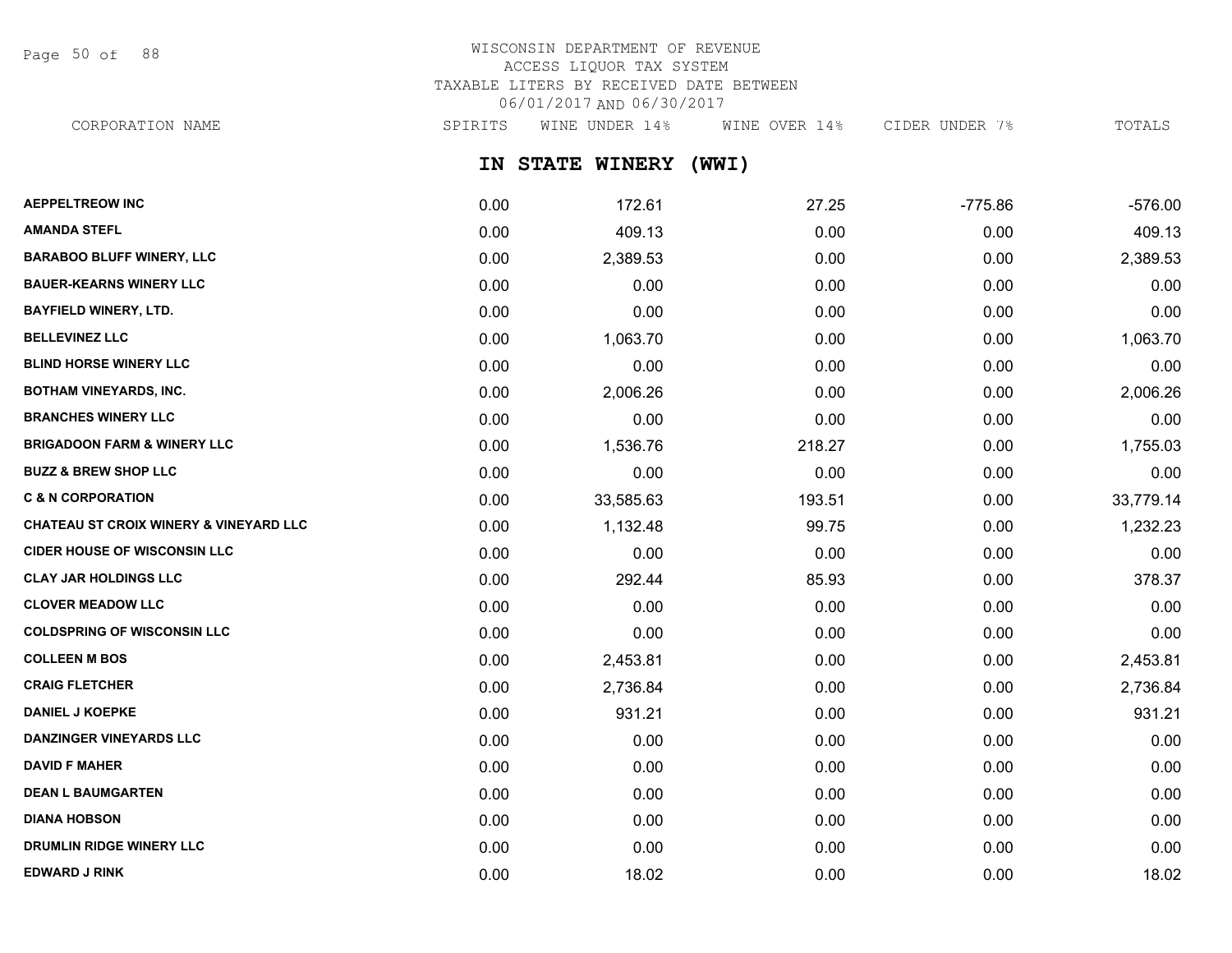Page 50 of 88

### WISCONSIN DEPARTMENT OF REVENUE ACCESS LIQUOR TAX SYSTEM TAXABLE LITERS BY RECEIVED DATE BETWEEN 06/01/2017 AND 06/30/2017 CORPORATION NAME SPIRITS WINE UNDER 14% WINE OVER 14% CIDER UNDER 7% TOTALS

**IN STATE WINERY (WWI) AEPPELTREOW INC** 0.00 172.61 27.25 -775.86 -576.00 **AMANDA STEFL** 0.00 409.13 0.00 0.00 409.13 **BARABOO BLUFF WINERY, LLC** 0.00 2,389.53 0.00 0.00 2,389.53 **BAUER-KEARNS WINERY LLC** 0.00 0.00 0.00 0.00 0.00 **BAYFIELD WINERY, LTD.** 0.00 0.00 0.00 0.00 0.00 **BELLEVINEZ LLC** 0.00 1,063.70 0.00 0.00 1,063.70 **BLIND HORSE WINERY LLC** 0.00 0.00 0.00 0.00 0.00 **BOTHAM VINEYARDS, INC.** 0.00 2,006.26 0.00 0.00 2,006.26 **BRANCHES WINERY LLC** 0.00 0.00 0.00 0.00 0.00

**BRIGADOON FARM & WINERY LLC** 0.00 1,536.76 218.27 0.00 1,755.03 **BUZZ & BREW SHOP LLC** 0.00 0.00 0.00 0.00 0.00 **C & N CORPORATION** 0.00 33,585.63 193.51 0.00 33,779.14 **CHATEAU ST CROIX WINERY & VINEYARD LLC** 0.00 1,132.48 99.75 0.00 1,232.23 **CIDER HOUSE OF WISCONSIN LLC** 0.00 0.00 0.00 0.00 0.00 **CLAY JAR HOLDINGS LLC** 0.00 292.44 85.93 0.00 378.37 **CLOVER MEADOW LLC** 0.00 0.00 0.00 0.00 0.00 **COLDSPRING OF WISCONSIN LLC** 0.00 0.00 0.00 0.00 0.00 **COLLEEN M BOS** 0.00 2,453.81 0.00 0.00 2,453.81 **CRAIG FLETCHER** 0.00 2,736.84 0.00 0.00 2,736.84 **DANIEL J KOEPKE** 0.00 931.21 0.00 0.00 931.21 **DANZINGER VINEYARDS LLC** 0.00 0.00 0.00 0.00 0.00 **DAVID F MAHER** 0.00 0.00 0.00 0.00 0.00 **DEAN L BAUMGARTEN** 0.00 0.00 0.00 0.00 0.00 **DIANA HOBSON** 0.00 0.00 0.00 0.00 0.00

**DRUMLIN RIDGE WINERY LLC** 0.00 0.00 0.00 0.00 0.00 **EDWARD J RINK** 0.00 18.02 0.00 0.00 18.02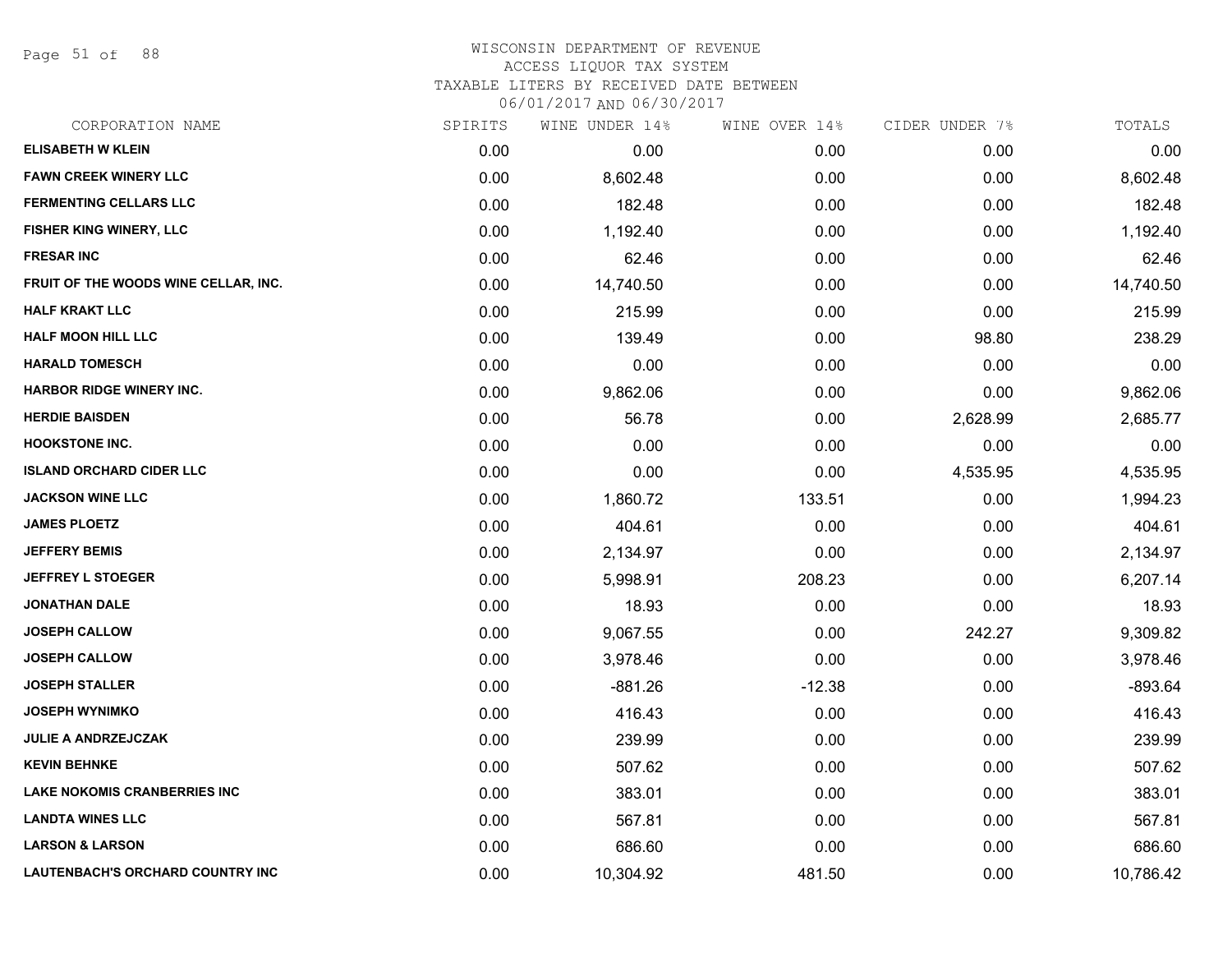Page 51 of 88

#### WISCONSIN DEPARTMENT OF REVENUE ACCESS LIQUOR TAX SYSTEM

TAXABLE LITERS BY RECEIVED DATE BETWEEN

| CORPORATION NAME                     | SPIRITS | WINE UNDER 14% | WINE OVER 14% | CIDER UNDER 7% | TOTALS    |
|--------------------------------------|---------|----------------|---------------|----------------|-----------|
| <b>ELISABETH W KLEIN</b>             | 0.00    | 0.00           | 0.00          | 0.00           | 0.00      |
| <b>FAWN CREEK WINERY LLC</b>         | 0.00    | 8,602.48       | 0.00          | 0.00           | 8,602.48  |
| <b>FERMENTING CELLARS LLC</b>        | 0.00    | 182.48         | 0.00          | 0.00           | 182.48    |
| FISHER KING WINERY, LLC              | 0.00    | 1,192.40       | 0.00          | 0.00           | 1,192.40  |
| <b>FRESAR INC</b>                    | 0.00    | 62.46          | 0.00          | 0.00           | 62.46     |
| FRUIT OF THE WOODS WINE CELLAR, INC. | 0.00    | 14,740.50      | 0.00          | 0.00           | 14,740.50 |
| <b>HALF KRAKT LLC</b>                | 0.00    | 215.99         | 0.00          | 0.00           | 215.99    |
| <b>HALF MOON HILL LLC</b>            | 0.00    | 139.49         | 0.00          | 98.80          | 238.29    |
| <b>HARALD TOMESCH</b>                | 0.00    | 0.00           | 0.00          | 0.00           | 0.00      |
| <b>HARBOR RIDGE WINERY INC.</b>      | 0.00    | 9,862.06       | 0.00          | 0.00           | 9,862.06  |
| <b>HERDIE BAISDEN</b>                | 0.00    | 56.78          | 0.00          | 2,628.99       | 2,685.77  |
| <b>HOOKSTONE INC.</b>                | 0.00    | 0.00           | 0.00          | 0.00           | 0.00      |
| <b>ISLAND ORCHARD CIDER LLC</b>      | 0.00    | 0.00           | 0.00          | 4,535.95       | 4,535.95  |
| <b>JACKSON WINE LLC</b>              | 0.00    | 1,860.72       | 133.51        | 0.00           | 1,994.23  |
| <b>JAMES PLOETZ</b>                  | 0.00    | 404.61         | 0.00          | 0.00           | 404.61    |
| <b>JEFFERY BEMIS</b>                 | 0.00    | 2,134.97       | 0.00          | 0.00           | 2,134.97  |
| <b>JEFFREY L STOEGER</b>             | 0.00    | 5,998.91       | 208.23        | 0.00           | 6,207.14  |
| <b>JONATHAN DALE</b>                 | 0.00    | 18.93          | 0.00          | 0.00           | 18.93     |
| <b>JOSEPH CALLOW</b>                 | 0.00    | 9,067.55       | 0.00          | 242.27         | 9,309.82  |
| <b>JOSEPH CALLOW</b>                 | 0.00    | 3,978.46       | 0.00          | 0.00           | 3,978.46  |
| <b>JOSEPH STALLER</b>                | 0.00    | $-881.26$      | $-12.38$      | 0.00           | $-893.64$ |
| <b>JOSEPH WYNIMKO</b>                | 0.00    | 416.43         | 0.00          | 0.00           | 416.43    |
| <b>JULIE A ANDRZEJCZAK</b>           | 0.00    | 239.99         | 0.00          | 0.00           | 239.99    |
| <b>KEVIN BEHNKE</b>                  | 0.00    | 507.62         | 0.00          | 0.00           | 507.62    |
| <b>LAKE NOKOMIS CRANBERRIES INC</b>  | 0.00    | 383.01         | 0.00          | 0.00           | 383.01    |
| <b>LANDTA WINES LLC</b>              | 0.00    | 567.81         | 0.00          | 0.00           | 567.81    |
| <b>LARSON &amp; LARSON</b>           | 0.00    | 686.60         | 0.00          | 0.00           | 686.60    |
| LAUTENBACH'S ORCHARD COUNTRY INC     | 0.00    | 10,304.92      | 481.50        | 0.00           | 10,786.42 |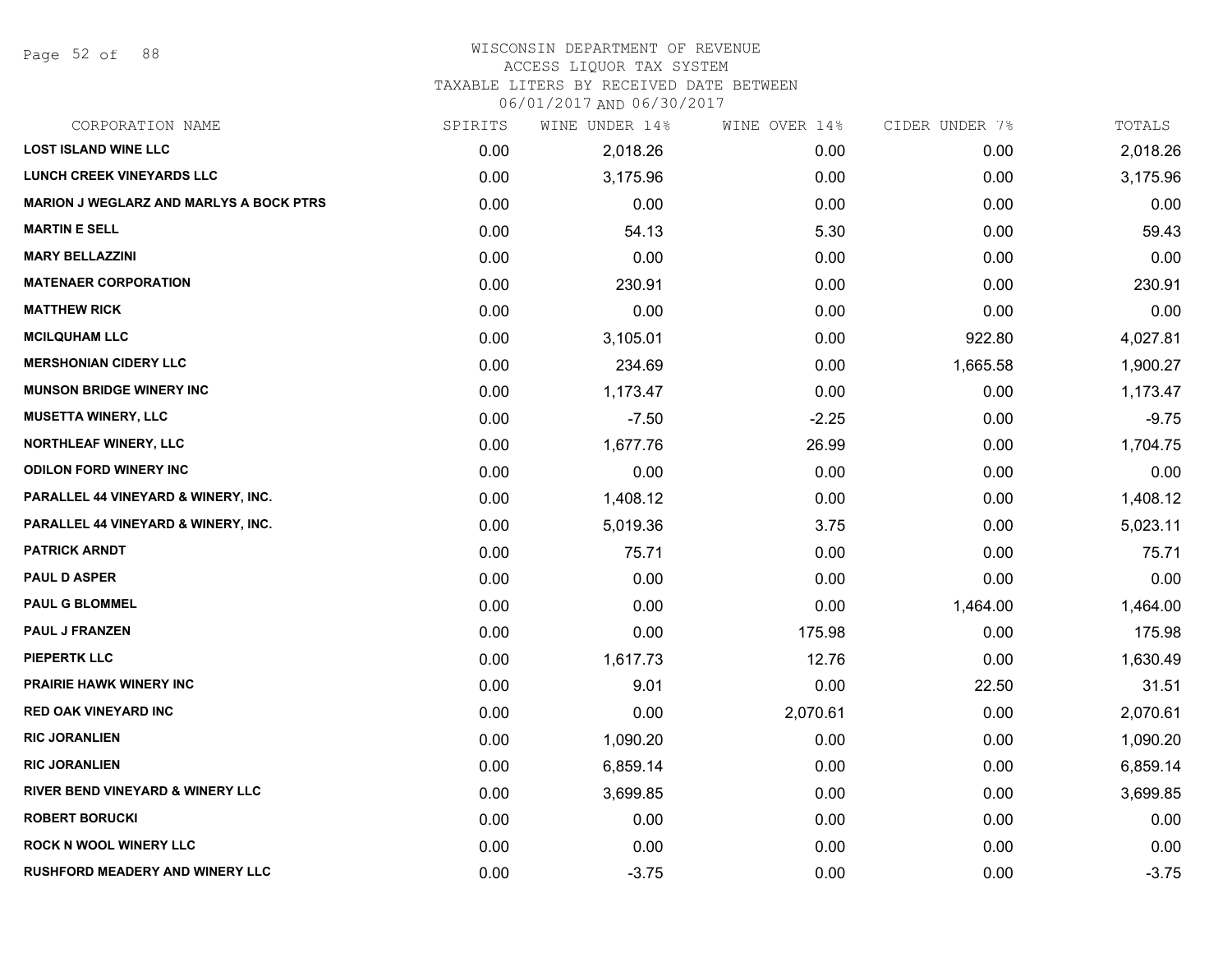Page 52 of 88

### WISCONSIN DEPARTMENT OF REVENUE

#### ACCESS LIQUOR TAX SYSTEM

TAXABLE LITERS BY RECEIVED DATE BETWEEN

| CORPORATION NAME                               | SPIRITS | WINE UNDER 14% | WINE OVER 14% | CIDER UNDER 7% | TOTALS   |
|------------------------------------------------|---------|----------------|---------------|----------------|----------|
| <b>LOST ISLAND WINE LLC</b>                    | 0.00    | 2,018.26       | 0.00          | 0.00           | 2,018.26 |
| <b>LUNCH CREEK VINEYARDS LLC</b>               | 0.00    | 3,175.96       | 0.00          | 0.00           | 3,175.96 |
| <b>MARION J WEGLARZ AND MARLYS A BOCK PTRS</b> | 0.00    | 0.00           | 0.00          | 0.00           | 0.00     |
| <b>MARTIN E SELL</b>                           | 0.00    | 54.13          | 5.30          | 0.00           | 59.43    |
| <b>MARY BELLAZZINI</b>                         | 0.00    | 0.00           | 0.00          | 0.00           | 0.00     |
| <b>MATENAER CORPORATION</b>                    | 0.00    | 230.91         | 0.00          | 0.00           | 230.91   |
| <b>MATTHEW RICK</b>                            | 0.00    | 0.00           | 0.00          | 0.00           | 0.00     |
| <b>MCILQUHAM LLC</b>                           | 0.00    | 3,105.01       | 0.00          | 922.80         | 4,027.81 |
| <b>MERSHONIAN CIDERY LLC</b>                   | 0.00    | 234.69         | 0.00          | 1,665.58       | 1,900.27 |
| <b>MUNSON BRIDGE WINERY INC</b>                | 0.00    | 1,173.47       | 0.00          | 0.00           | 1,173.47 |
| <b>MUSETTA WINERY, LLC</b>                     | 0.00    | $-7.50$        | $-2.25$       | 0.00           | $-9.75$  |
| NORTHLEAF WINERY, LLC                          | 0.00    | 1,677.76       | 26.99         | 0.00           | 1,704.75 |
| <b>ODILON FORD WINERY INC</b>                  | 0.00    | 0.00           | 0.00          | 0.00           | 0.00     |
| PARALLEL 44 VINEYARD & WINERY, INC.            | 0.00    | 1,408.12       | 0.00          | 0.00           | 1,408.12 |
| PARALLEL 44 VINEYARD & WINERY, INC.            | 0.00    | 5,019.36       | 3.75          | 0.00           | 5,023.11 |
| <b>PATRICK ARNDT</b>                           | 0.00    | 75.71          | 0.00          | 0.00           | 75.71    |
| <b>PAUL D ASPER</b>                            | 0.00    | 0.00           | 0.00          | 0.00           | 0.00     |
| <b>PAUL G BLOMMEL</b>                          | 0.00    | 0.00           | 0.00          | 1,464.00       | 1,464.00 |
| PAUL J FRANZEN                                 | 0.00    | 0.00           | 175.98        | 0.00           | 175.98   |
| <b>PIEPERTK LLC</b>                            | 0.00    | 1,617.73       | 12.76         | 0.00           | 1,630.49 |
| <b>PRAIRIE HAWK WINERY INC</b>                 | 0.00    | 9.01           | 0.00          | 22.50          | 31.51    |
| <b>RED OAK VINEYARD INC</b>                    | 0.00    | 0.00           | 2,070.61      | 0.00           | 2,070.61 |
| <b>RIC JORANLIEN</b>                           | 0.00    | 1,090.20       | 0.00          | 0.00           | 1,090.20 |
| <b>RIC JORANLIEN</b>                           | 0.00    | 6,859.14       | 0.00          | 0.00           | 6,859.14 |
| <b>RIVER BEND VINEYARD &amp; WINERY LLC</b>    | 0.00    | 3,699.85       | 0.00          | 0.00           | 3,699.85 |
| <b>ROBERT BORUCKI</b>                          | 0.00    | 0.00           | 0.00          | 0.00           | 0.00     |
| <b>ROCK N WOOL WINERY LLC</b>                  | 0.00    | 0.00           | 0.00          | 0.00           | 0.00     |
| <b>RUSHFORD MEADERY AND WINERY LLC</b>         | 0.00    | $-3.75$        | 0.00          | 0.00           | $-3.75$  |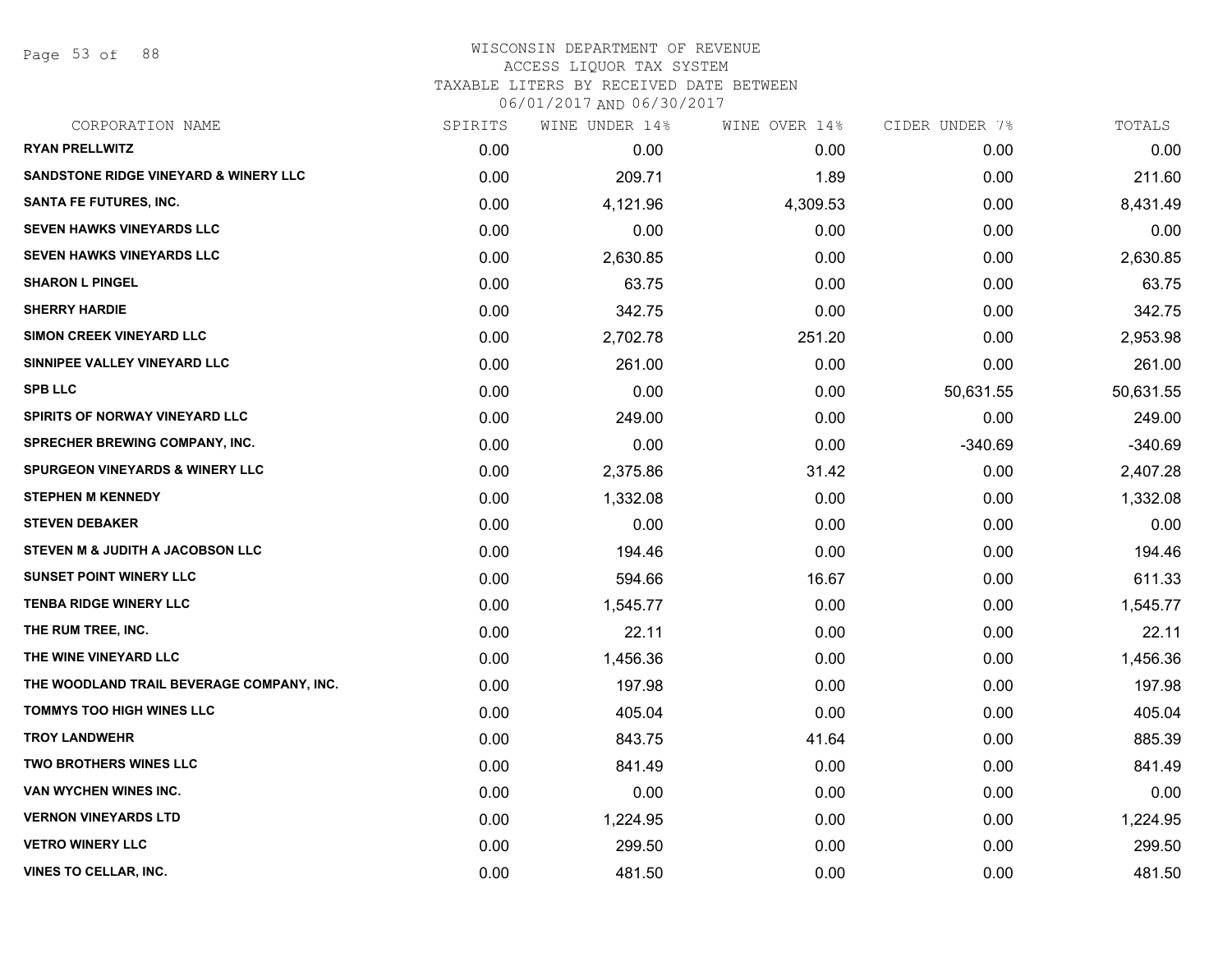Page 53 of 88

# WISCONSIN DEPARTMENT OF REVENUE ACCESS LIQUOR TAX SYSTEM TAXABLE LITERS BY RECEIVED DATE BETWEEN

| CORPORATION NAME                                 | SPIRITS | WINE UNDER 14% | WINE OVER 14% | CIDER UNDER 7% | TOTALS    |
|--------------------------------------------------|---------|----------------|---------------|----------------|-----------|
| <b>RYAN PRELLWITZ</b>                            | 0.00    | 0.00           | 0.00          | 0.00           | 0.00      |
| <b>SANDSTONE RIDGE VINEYARD &amp; WINERY LLC</b> | 0.00    | 209.71         | 1.89          | 0.00           | 211.60    |
| <b>SANTA FE FUTURES, INC.</b>                    | 0.00    | 4,121.96       | 4,309.53      | 0.00           | 8,431.49  |
| <b>SEVEN HAWKS VINEYARDS LLC</b>                 | 0.00    | 0.00           | 0.00          | 0.00           | 0.00      |
| <b>SEVEN HAWKS VINEYARDS LLC</b>                 | 0.00    | 2,630.85       | 0.00          | 0.00           | 2,630.85  |
| <b>SHARON L PINGEL</b>                           | 0.00    | 63.75          | 0.00          | 0.00           | 63.75     |
| <b>SHERRY HARDIE</b>                             | 0.00    | 342.75         | 0.00          | 0.00           | 342.75    |
| <b>SIMON CREEK VINEYARD LLC</b>                  | 0.00    | 2,702.78       | 251.20        | 0.00           | 2,953.98  |
| SINNIPEE VALLEY VINEYARD LLC                     | 0.00    | 261.00         | 0.00          | 0.00           | 261.00    |
| <b>SPB LLC</b>                                   | 0.00    | 0.00           | 0.00          | 50,631.55      | 50,631.55 |
| SPIRITS OF NORWAY VINEYARD LLC                   | 0.00    | 249.00         | 0.00          | 0.00           | 249.00    |
| SPRECHER BREWING COMPANY, INC.                   | 0.00    | 0.00           | 0.00          | $-340.69$      | $-340.69$ |
| <b>SPURGEON VINEYARDS &amp; WINERY LLC</b>       | 0.00    | 2,375.86       | 31.42         | 0.00           | 2,407.28  |
| <b>STEPHEN M KENNEDY</b>                         | 0.00    | 1,332.08       | 0.00          | 0.00           | 1,332.08  |
| <b>STEVEN DEBAKER</b>                            | 0.00    | 0.00           | 0.00          | 0.00           | 0.00      |
| STEVEN M & JUDITH A JACOBSON LLC                 | 0.00    | 194.46         | 0.00          | 0.00           | 194.46    |
| <b>SUNSET POINT WINERY LLC</b>                   | 0.00    | 594.66         | 16.67         | 0.00           | 611.33    |
| <b>TENBA RIDGE WINERY LLC</b>                    | 0.00    | 1,545.77       | 0.00          | 0.00           | 1,545.77  |
| THE RUM TREE, INC.                               | 0.00    | 22.11          | 0.00          | 0.00           | 22.11     |
| THE WINE VINEYARD LLC                            | 0.00    | 1,456.36       | 0.00          | 0.00           | 1,456.36  |
| THE WOODLAND TRAIL BEVERAGE COMPANY, INC.        | 0.00    | 197.98         | 0.00          | 0.00           | 197.98    |
| <b>TOMMYS TOO HIGH WINES LLC</b>                 | 0.00    | 405.04         | 0.00          | 0.00           | 405.04    |
| <b>TROY LANDWEHR</b>                             | 0.00    | 843.75         | 41.64         | 0.00           | 885.39    |
| <b>TWO BROTHERS WINES LLC</b>                    | 0.00    | 841.49         | 0.00          | 0.00           | 841.49    |
| VAN WYCHEN WINES INC.                            | 0.00    | 0.00           | 0.00          | 0.00           | 0.00      |
| <b>VERNON VINEYARDS LTD</b>                      | 0.00    | 1,224.95       | 0.00          | 0.00           | 1,224.95  |
| <b>VETRO WINERY LLC</b>                          | 0.00    | 299.50         | 0.00          | 0.00           | 299.50    |
| <b>VINES TO CELLAR, INC.</b>                     | 0.00    | 481.50         | 0.00          | 0.00           | 481.50    |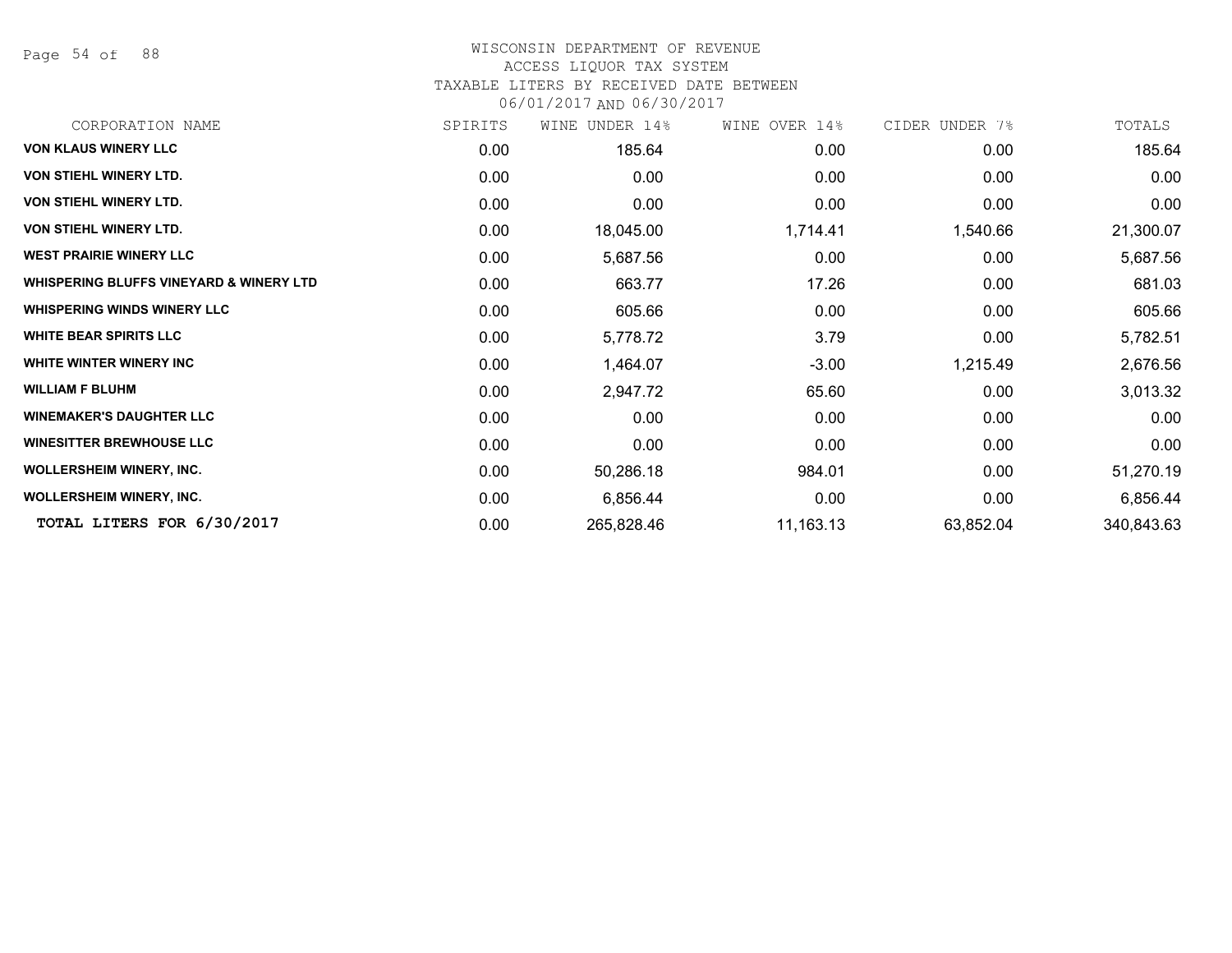Page 54 of 88

# WISCONSIN DEPARTMENT OF REVENUE

# ACCESS LIQUOR TAX SYSTEM

TAXABLE LITERS BY RECEIVED DATE BETWEEN

| CORPORATION NAME                        | SPIRITS | WINE UNDER 14% | WINE OVER 14% | CIDER UNDER 7% | TOTALS     |
|-----------------------------------------|---------|----------------|---------------|----------------|------------|
| <b>VON KLAUS WINERY LLC</b>             | 0.00    | 185.64         | 0.00          | 0.00           | 185.64     |
| VON STIEHL WINERY LTD.                  | 0.00    | 0.00           | 0.00          | 0.00           | 0.00       |
| VON STIEHL WINERY LTD.                  | 0.00    | 0.00           | 0.00          | 0.00           | 0.00       |
| VON STIEHL WINERY LTD.                  | 0.00    | 18,045.00      | 1,714.41      | 1,540.66       | 21,300.07  |
| <b>WEST PRAIRIE WINERY LLC</b>          | 0.00    | 5,687.56       | 0.00          | 0.00           | 5,687.56   |
| WHISPERING BLUFFS VINEYARD & WINERY LTD | 0.00    | 663.77         | 17.26         | 0.00           | 681.03     |
| <b>WHISPERING WINDS WINERY LLC</b>      | 0.00    | 605.66         | 0.00          | 0.00           | 605.66     |
| <b>WHITE BEAR SPIRITS LLC</b>           | 0.00    | 5,778.72       | 3.79          | 0.00           | 5,782.51   |
| WHITE WINTER WINERY INC                 | 0.00    | 1,464.07       | $-3.00$       | 1,215.49       | 2,676.56   |
| <b>WILLIAM F BLUHM</b>                  | 0.00    | 2,947.72       | 65.60         | 0.00           | 3,013.32   |
| <b>WINEMAKER'S DAUGHTER LLC</b>         | 0.00    | 0.00           | 0.00          | 0.00           | 0.00       |
| <b>WINESITTER BREWHOUSE LLC</b>         | 0.00    | 0.00           | 0.00          | 0.00           | 0.00       |
| <b>WOLLERSHEIM WINERY, INC.</b>         | 0.00    | 50,286.18      | 984.01        | 0.00           | 51,270.19  |
| <b>WOLLERSHEIM WINERY, INC.</b>         | 0.00    | 6,856.44       | 0.00          | 0.00           | 6,856.44   |
| TOTAL LITERS FOR 6/30/2017              | 0.00    | 265,828.46     | 11,163.13     | 63,852.04      | 340,843.63 |
|                                         |         |                |               |                |            |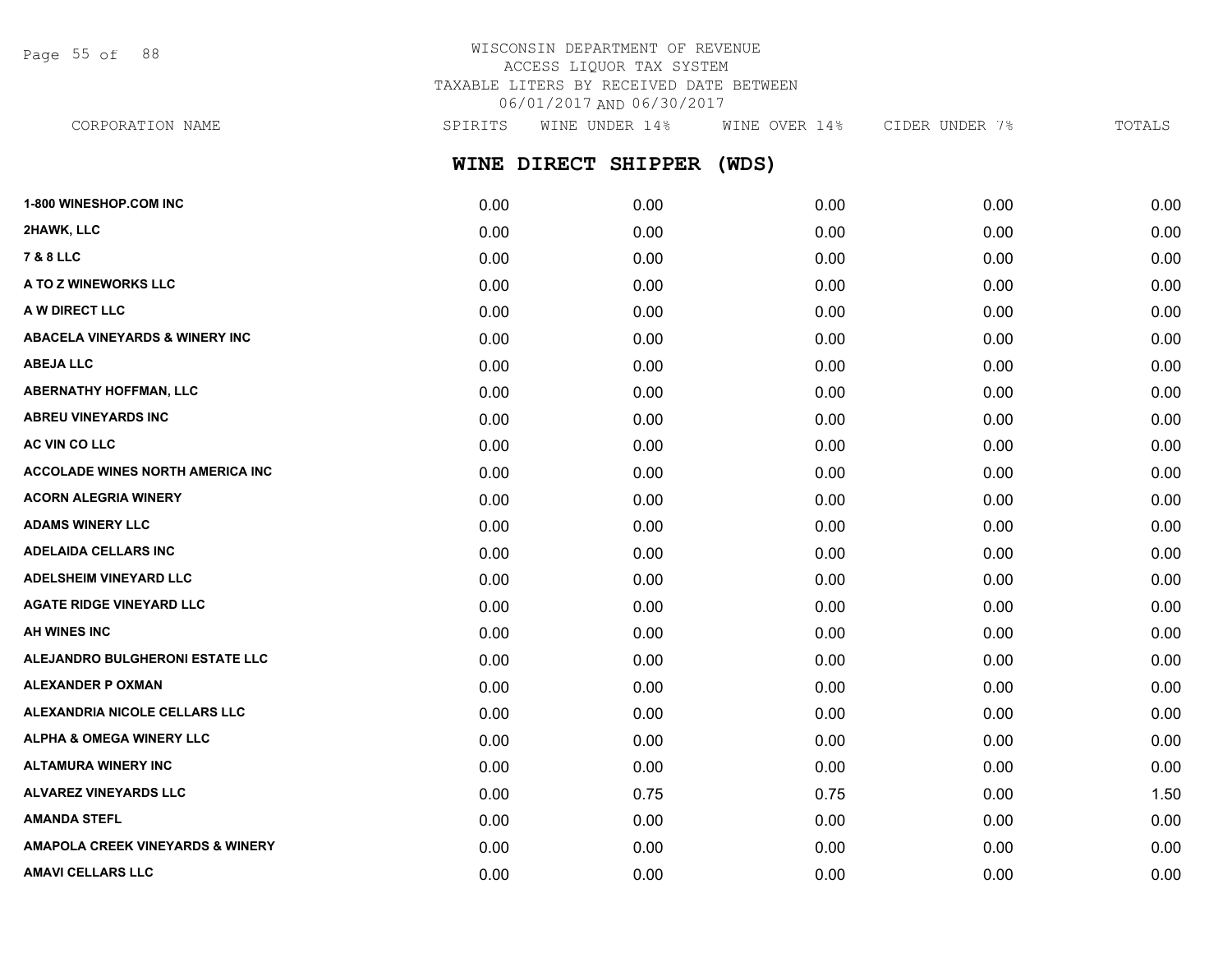Page 55 of 88

# WISCONSIN DEPARTMENT OF REVENUE ACCESS LIQUOR TAX SYSTEM TAXABLE LITERS BY RECEIVED DATE BETWEEN 06/01/2017 AND 06/30/2017

**WINE DIRECT SHIPPER (WDS) 1-800 WINESHOP.COM INC** 0.00 0.00 0.00 0.00 0.00 **2HAWK, LLC** 0.00 0.00 0.00 0.00 0.00 **7 & 8 LLC** 0.00 0.00 0.00 0.00 0.00 **A TO Z WINEWORKS LLC** 0.00 0.00 0.00 0.00 0.00 **A W DIRECT LLC** 0.00 0.00 0.00 0.00 0.00 **ABACELA VINEYARDS & WINERY INC** 0.00 0.00 0.00 0.00 0.00 **ABEJA LLC** 0.00 0.00 0.00 0.00 0.00 **ABERNATHY HOFFMAN, LLC** 0.00 0.00 0.00 0.00 0.00 **ABREU VINEYARDS INC** 0.00 0.00 0.00 0.00 0.00 **AC VIN CO LLC** 0.00 0.00 0.00 0.00 0.00 **ACCOLADE WINES NORTH AMERICA INC** 0.00 0.00 0.00 0.00 0.00 **ACORN ALEGRIA WINERY** 0.00 0.00 0.00 0.00 0.00 **ADAMS WINERY LLC** 0.00 0.00 0.00 0.00 0.00 **ADELAIDA CELLARS INC** 0.00 0.00 0.00 0.00 0.00 **ADELSHEIM VINEYARD LLC** 0.00 0.00 0.00 0.00 0.00 CORPORATION NAME SPIRITS WINE UNDER 14% WINE OVER 14% CIDER UNDER 7% TOTALS

**AGATE RIDGE VINEYARD LLC** 0.00 0.00 0.00 0.00 0.00 **AH WINES INC** 0.00 0.00 0.00 0.00 0.00 **ALEJANDRO BULGHERONI ESTATE LLC** 0.00 0.00 0.00 0.00 0.00 **ALEXANDER P OXMAN** 0.00 0.00 0.00 0.00 0.00 **ALEXANDRIA NICOLE CELLARS LLC** 0.00 0.00 0.00 0.00 0.00 **ALPHA & OMEGA WINERY LLC** 0.00 0.00 0.00 0.00 0.00 **ALTAMURA WINERY INC** 0.00 0.00 0.00 0.00 0.00 **ALVAREZ VINEYARDS LLC** 0.00 0.75 0.75 0.00 1.50 **AMANDA STEFL** 0.00 0.00 0.00 0.00 0.00 **AMAPOLA CREEK VINEYARDS & WINERY** 0.00 0.00 0.00 0.00 0.00 **AMAVI CELLARS LLC** 0.00 0.00 0.00 0.00 0.00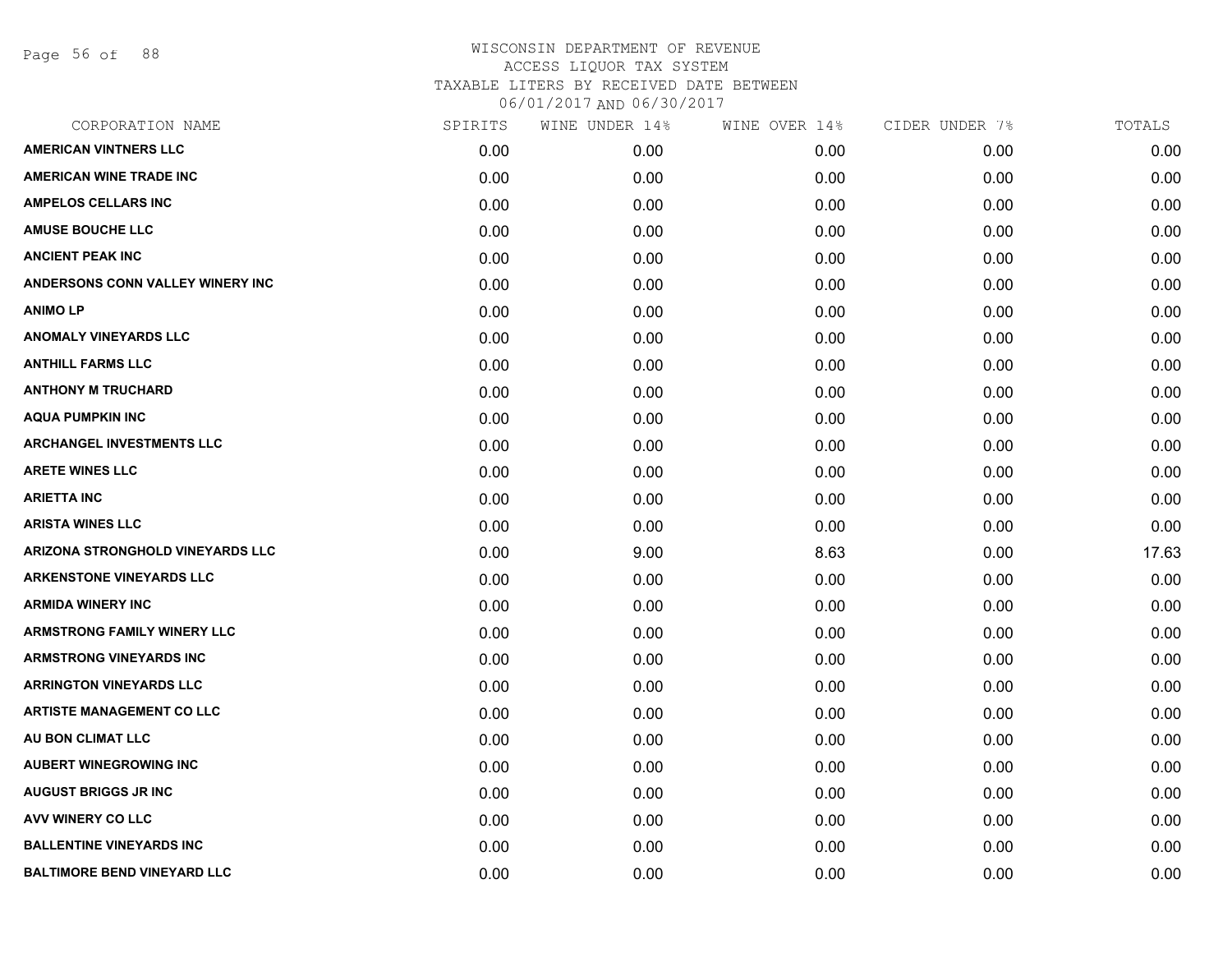Page 56 of 88

| CORPORATION NAME                   | SPIRITS | WINE UNDER 14% | WINE OVER 14% | CIDER UNDER 7% | TOTALS |
|------------------------------------|---------|----------------|---------------|----------------|--------|
| <b>AMERICAN VINTNERS LLC</b>       | 0.00    | 0.00           | 0.00          | 0.00           | 0.00   |
| <b>AMERICAN WINE TRADE INC</b>     | 0.00    | 0.00           | 0.00          | 0.00           | 0.00   |
| <b>AMPELOS CELLARS INC</b>         | 0.00    | 0.00           | 0.00          | 0.00           | 0.00   |
| <b>AMUSE BOUCHE LLC</b>            | 0.00    | 0.00           | 0.00          | 0.00           | 0.00   |
| <b>ANCIENT PEAK INC</b>            | 0.00    | 0.00           | 0.00          | 0.00           | 0.00   |
| ANDERSONS CONN VALLEY WINERY INC   | 0.00    | 0.00           | 0.00          | 0.00           | 0.00   |
| <b>ANIMOLP</b>                     | 0.00    | 0.00           | 0.00          | 0.00           | 0.00   |
| <b>ANOMALY VINEYARDS LLC</b>       | 0.00    | 0.00           | 0.00          | 0.00           | 0.00   |
| <b>ANTHILL FARMS LLC</b>           | 0.00    | 0.00           | 0.00          | 0.00           | 0.00   |
| <b>ANTHONY M TRUCHARD</b>          | 0.00    | 0.00           | 0.00          | 0.00           | 0.00   |
| <b>AQUA PUMPKIN INC</b>            | 0.00    | 0.00           | 0.00          | 0.00           | 0.00   |
| <b>ARCHANGEL INVESTMENTS LLC</b>   | 0.00    | 0.00           | 0.00          | 0.00           | 0.00   |
| <b>ARETE WINES LLC</b>             | 0.00    | 0.00           | 0.00          | 0.00           | 0.00   |
| <b>ARIETTA INC</b>                 | 0.00    | 0.00           | 0.00          | 0.00           | 0.00   |
| <b>ARISTA WINES LLC</b>            | 0.00    | 0.00           | 0.00          | 0.00           | 0.00   |
| ARIZONA STRONGHOLD VINEYARDS LLC   | 0.00    | 9.00           | 8.63          | 0.00           | 17.63  |
| <b>ARKENSTONE VINEYARDS LLC</b>    | 0.00    | 0.00           | 0.00          | 0.00           | 0.00   |
| <b>ARMIDA WINERY INC</b>           | 0.00    | 0.00           | 0.00          | 0.00           | 0.00   |
| <b>ARMSTRONG FAMILY WINERY LLC</b> | 0.00    | 0.00           | 0.00          | 0.00           | 0.00   |
| <b>ARMSTRONG VINEYARDS INC</b>     | 0.00    | 0.00           | 0.00          | 0.00           | 0.00   |
| <b>ARRINGTON VINEYARDS LLC</b>     | 0.00    | 0.00           | 0.00          | 0.00           | 0.00   |
| <b>ARTISTE MANAGEMENT CO LLC</b>   | 0.00    | 0.00           | 0.00          | 0.00           | 0.00   |
| AU BON CLIMAT LLC                  | 0.00    | 0.00           | 0.00          | 0.00           | 0.00   |
| <b>AUBERT WINEGROWING INC</b>      | 0.00    | 0.00           | 0.00          | 0.00           | 0.00   |
| <b>AUGUST BRIGGS JR INC</b>        | 0.00    | 0.00           | 0.00          | 0.00           | 0.00   |
| <b>AVV WINERY CO LLC</b>           | 0.00    | 0.00           | 0.00          | 0.00           | 0.00   |
| <b>BALLENTINE VINEYARDS INC</b>    | 0.00    | 0.00           | 0.00          | 0.00           | 0.00   |
| <b>BALTIMORE BEND VINEYARD LLC</b> | 0.00    | 0.00           | 0.00          | 0.00           | 0.00   |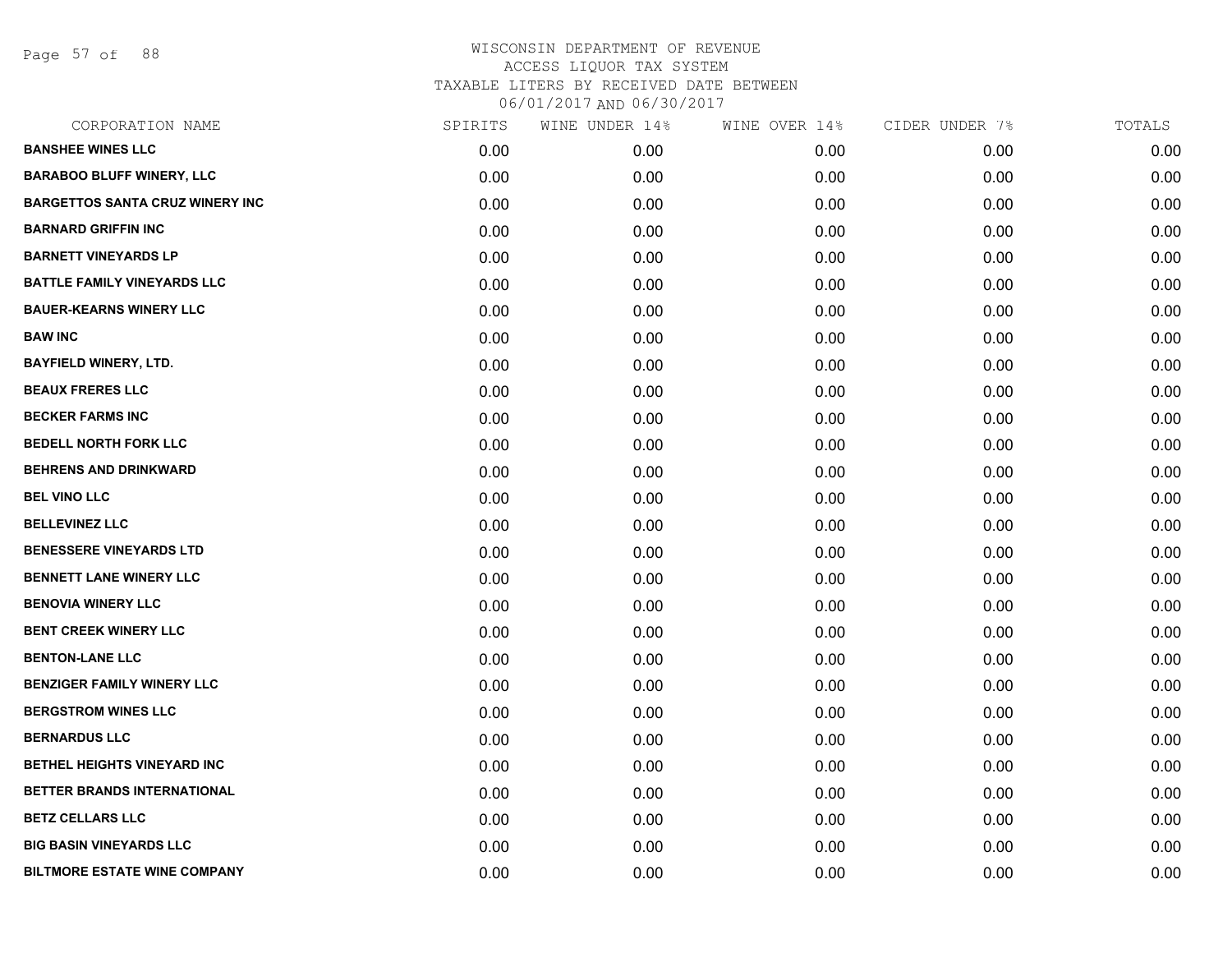Page 57 of 88

| CORPORATION NAME                       | SPIRITS | WINE UNDER 14% | WINE OVER 14% | CIDER UNDER 7% | TOTALS |
|----------------------------------------|---------|----------------|---------------|----------------|--------|
| <b>BANSHEE WINES LLC</b>               | 0.00    | 0.00           | 0.00          | 0.00           | 0.00   |
| <b>BARABOO BLUFF WINERY, LLC</b>       | 0.00    | 0.00           | 0.00          | 0.00           | 0.00   |
| <b>BARGETTOS SANTA CRUZ WINERY INC</b> | 0.00    | 0.00           | 0.00          | 0.00           | 0.00   |
| <b>BARNARD GRIFFIN INC</b>             | 0.00    | 0.00           | 0.00          | 0.00           | 0.00   |
| <b>BARNETT VINEYARDS LP</b>            | 0.00    | 0.00           | 0.00          | 0.00           | 0.00   |
| <b>BATTLE FAMILY VINEYARDS LLC</b>     | 0.00    | 0.00           | 0.00          | 0.00           | 0.00   |
| <b>BAUER-KEARNS WINERY LLC</b>         | 0.00    | 0.00           | 0.00          | 0.00           | 0.00   |
| <b>BAW INC</b>                         | 0.00    | 0.00           | 0.00          | 0.00           | 0.00   |
| <b>BAYFIELD WINERY, LTD.</b>           | 0.00    | 0.00           | 0.00          | 0.00           | 0.00   |
| <b>BEAUX FRERES LLC</b>                | 0.00    | 0.00           | 0.00          | 0.00           | 0.00   |
| <b>BECKER FARMS INC</b>                | 0.00    | 0.00           | 0.00          | 0.00           | 0.00   |
| <b>BEDELL NORTH FORK LLC</b>           | 0.00    | 0.00           | 0.00          | 0.00           | 0.00   |
| <b>BEHRENS AND DRINKWARD</b>           | 0.00    | 0.00           | 0.00          | 0.00           | 0.00   |
| <b>BEL VINO LLC</b>                    | 0.00    | 0.00           | 0.00          | 0.00           | 0.00   |
| <b>BELLEVINEZ LLC</b>                  | 0.00    | 0.00           | 0.00          | 0.00           | 0.00   |
| <b>BENESSERE VINEYARDS LTD</b>         | 0.00    | 0.00           | 0.00          | 0.00           | 0.00   |
| <b>BENNETT LANE WINERY LLC</b>         | 0.00    | 0.00           | 0.00          | 0.00           | 0.00   |
| <b>BENOVIA WINERY LLC</b>              | 0.00    | 0.00           | 0.00          | 0.00           | 0.00   |
| <b>BENT CREEK WINERY LLC</b>           | 0.00    | 0.00           | 0.00          | 0.00           | 0.00   |
| <b>BENTON-LANE LLC</b>                 | 0.00    | 0.00           | 0.00          | 0.00           | 0.00   |
| <b>BENZIGER FAMILY WINERY LLC</b>      | 0.00    | 0.00           | 0.00          | 0.00           | 0.00   |
| <b>BERGSTROM WINES LLC</b>             | 0.00    | 0.00           | 0.00          | 0.00           | 0.00   |
| <b>BERNARDUS LLC</b>                   | 0.00    | 0.00           | 0.00          | 0.00           | 0.00   |
| BETHEL HEIGHTS VINEYARD INC            | 0.00    | 0.00           | 0.00          | 0.00           | 0.00   |
| BETTER BRANDS INTERNATIONAL            | 0.00    | 0.00           | 0.00          | 0.00           | 0.00   |
| <b>BETZ CELLARS LLC</b>                | 0.00    | 0.00           | 0.00          | 0.00           | 0.00   |
| <b>BIG BASIN VINEYARDS LLC</b>         | 0.00    | 0.00           | 0.00          | 0.00           | 0.00   |
| <b>BILTMORE ESTATE WINE COMPANY</b>    | 0.00    | 0.00           | 0.00          | 0.00           | 0.00   |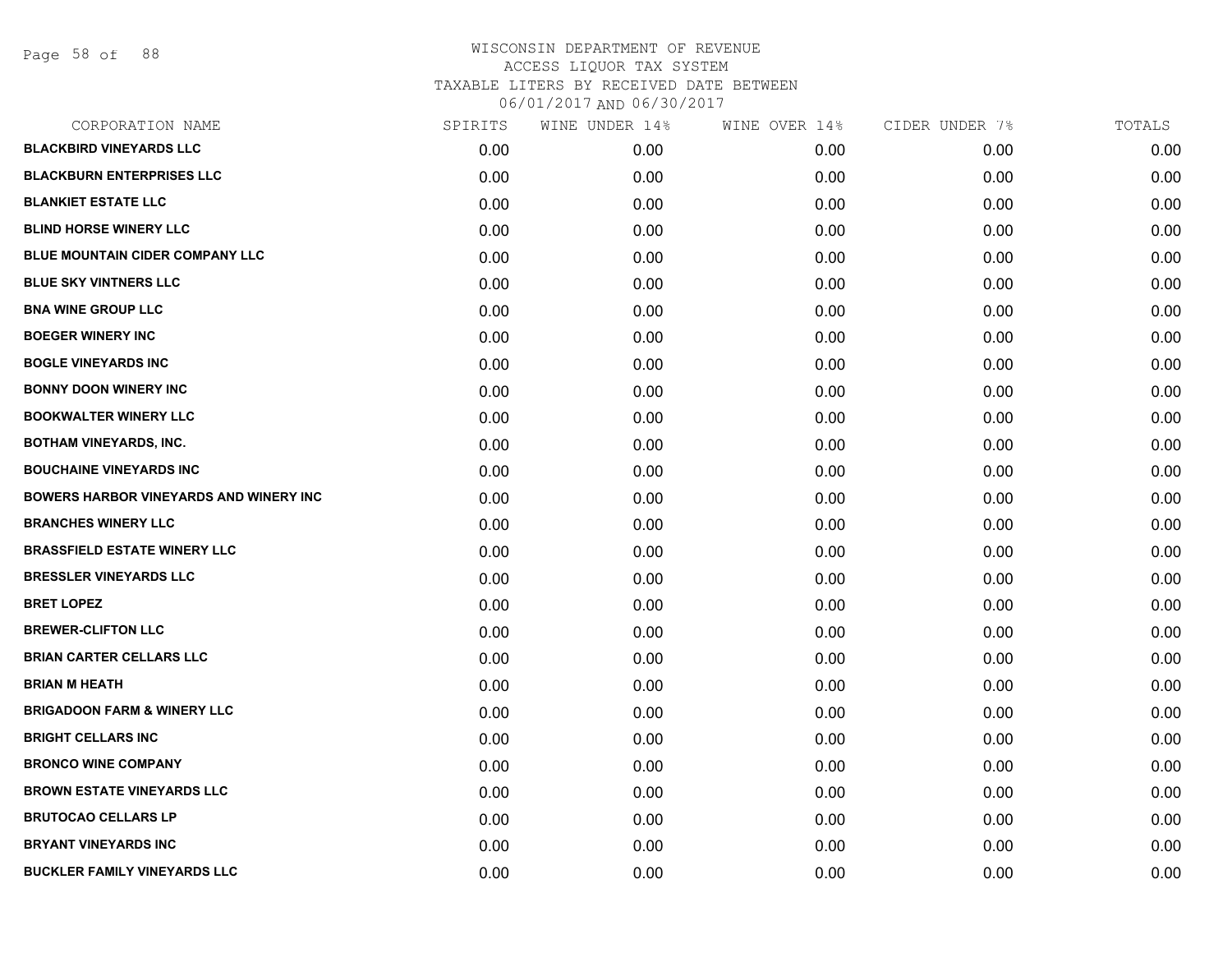| CORPORATION NAME                              | SPIRITS | WINE UNDER 14% | WINE OVER 14% | CIDER UNDER 7% | TOTALS |
|-----------------------------------------------|---------|----------------|---------------|----------------|--------|
| <b>BLACKBIRD VINEYARDS LLC</b>                | 0.00    | 0.00           | 0.00          | 0.00           | 0.00   |
| <b>BLACKBURN ENTERPRISES LLC</b>              | 0.00    | 0.00           | 0.00          | 0.00           | 0.00   |
| <b>BLANKIET ESTATE LLC</b>                    | 0.00    | 0.00           | 0.00          | 0.00           | 0.00   |
| <b>BLIND HORSE WINERY LLC</b>                 | 0.00    | 0.00           | 0.00          | 0.00           | 0.00   |
| <b>BLUE MOUNTAIN CIDER COMPANY LLC</b>        | 0.00    | 0.00           | 0.00          | 0.00           | 0.00   |
| <b>BLUE SKY VINTNERS LLC</b>                  | 0.00    | 0.00           | 0.00          | 0.00           | 0.00   |
| <b>BNA WINE GROUP LLC</b>                     | 0.00    | 0.00           | 0.00          | 0.00           | 0.00   |
| <b>BOEGER WINERY INC</b>                      | 0.00    | 0.00           | 0.00          | 0.00           | 0.00   |
| <b>BOGLE VINEYARDS INC</b>                    | 0.00    | 0.00           | 0.00          | 0.00           | 0.00   |
| <b>BONNY DOON WINERY INC</b>                  | 0.00    | 0.00           | 0.00          | 0.00           | 0.00   |
| <b>BOOKWALTER WINERY LLC</b>                  | 0.00    | 0.00           | 0.00          | 0.00           | 0.00   |
| <b>BOTHAM VINEYARDS, INC.</b>                 | 0.00    | 0.00           | 0.00          | 0.00           | 0.00   |
| <b>BOUCHAINE VINEYARDS INC</b>                | 0.00    | 0.00           | 0.00          | 0.00           | 0.00   |
| <b>BOWERS HARBOR VINEYARDS AND WINERY INC</b> | 0.00    | 0.00           | 0.00          | 0.00           | 0.00   |
| <b>BRANCHES WINERY LLC</b>                    | 0.00    | 0.00           | 0.00          | 0.00           | 0.00   |
| <b>BRASSFIELD ESTATE WINERY LLC</b>           | 0.00    | 0.00           | 0.00          | 0.00           | 0.00   |
| <b>BRESSLER VINEYARDS LLC</b>                 | 0.00    | 0.00           | 0.00          | 0.00           | 0.00   |
| <b>BRET LOPEZ</b>                             | 0.00    | 0.00           | 0.00          | 0.00           | 0.00   |
| <b>BREWER-CLIFTON LLC</b>                     | 0.00    | 0.00           | 0.00          | 0.00           | 0.00   |
| <b>BRIAN CARTER CELLARS LLC</b>               | 0.00    | 0.00           | 0.00          | 0.00           | 0.00   |
| <b>BRIAN M HEATH</b>                          | 0.00    | 0.00           | 0.00          | 0.00           | 0.00   |
| <b>BRIGADOON FARM &amp; WINERY LLC</b>        | 0.00    | 0.00           | 0.00          | 0.00           | 0.00   |
| <b>BRIGHT CELLARS INC</b>                     | 0.00    | 0.00           | 0.00          | 0.00           | 0.00   |
| <b>BRONCO WINE COMPANY</b>                    | 0.00    | 0.00           | 0.00          | 0.00           | 0.00   |
| <b>BROWN ESTATE VINEYARDS LLC</b>             | 0.00    | 0.00           | 0.00          | 0.00           | 0.00   |
| <b>BRUTOCAO CELLARS LP</b>                    | 0.00    | 0.00           | 0.00          | 0.00           | 0.00   |
| <b>BRYANT VINEYARDS INC</b>                   | 0.00    | 0.00           | 0.00          | 0.00           | 0.00   |
| <b>BUCKLER FAMILY VINEYARDS LLC</b>           | 0.00    | 0.00           | 0.00          | 0.00           | 0.00   |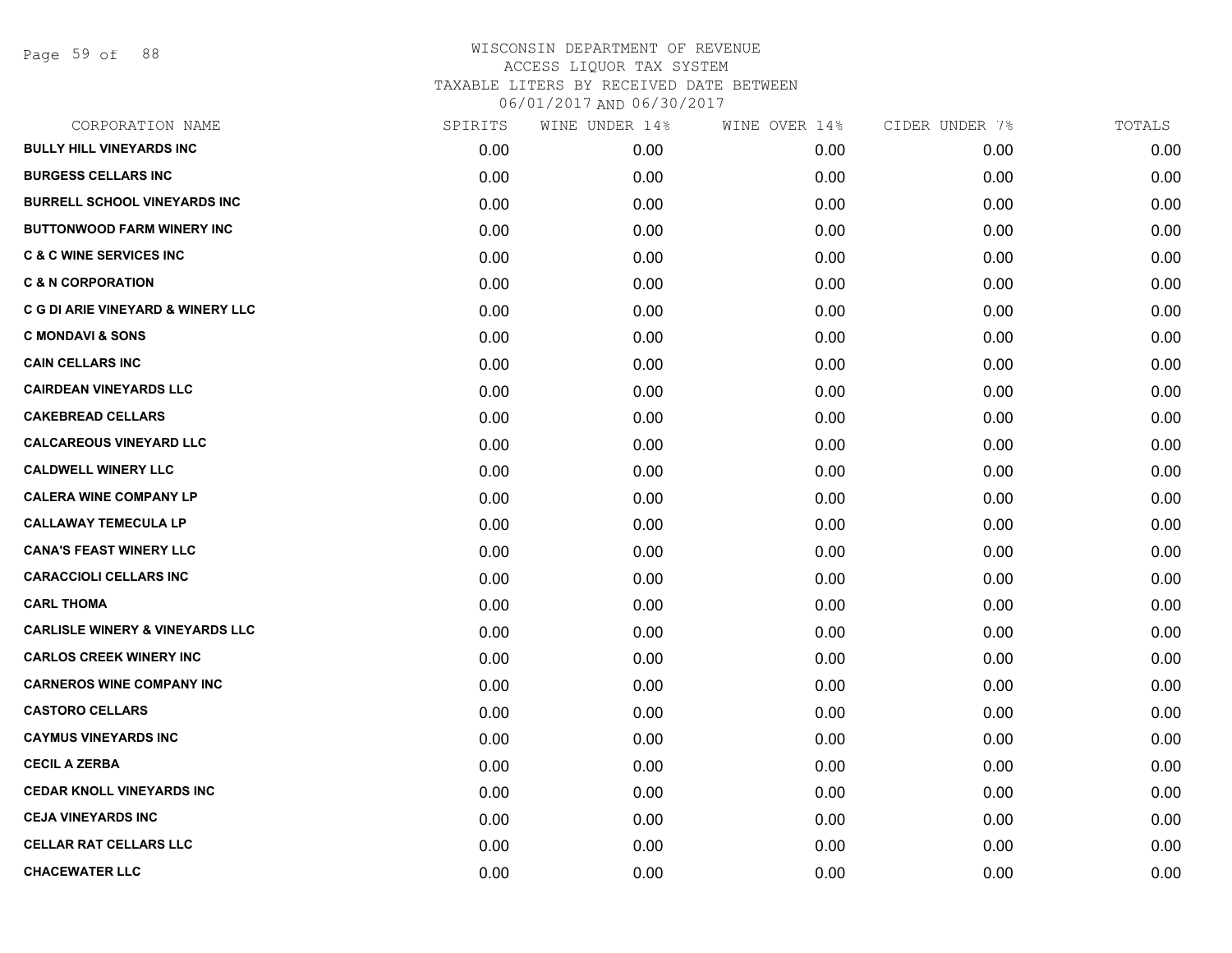Page 59 of 88

| CORPORATION NAME                           | SPIRITS | WINE UNDER 14% | WINE OVER 14% | CIDER UNDER 7% | TOTALS |
|--------------------------------------------|---------|----------------|---------------|----------------|--------|
| <b>BULLY HILL VINEYARDS INC</b>            | 0.00    | 0.00           | 0.00          | 0.00           | 0.00   |
| <b>BURGESS CELLARS INC</b>                 | 0.00    | 0.00           | 0.00          | 0.00           | 0.00   |
| <b>BURRELL SCHOOL VINEYARDS INC</b>        | 0.00    | 0.00           | 0.00          | 0.00           | 0.00   |
| <b>BUTTONWOOD FARM WINERY INC</b>          | 0.00    | 0.00           | 0.00          | 0.00           | 0.00   |
| <b>C &amp; C WINE SERVICES INC</b>         | 0.00    | 0.00           | 0.00          | 0.00           | 0.00   |
| <b>C &amp; N CORPORATION</b>               | 0.00    | 0.00           | 0.00          | 0.00           | 0.00   |
| C G DI ARIE VINEYARD & WINERY LLC          | 0.00    | 0.00           | 0.00          | 0.00           | 0.00   |
| <b>C MONDAVI &amp; SONS</b>                | 0.00    | 0.00           | 0.00          | 0.00           | 0.00   |
| <b>CAIN CELLARS INC</b>                    | 0.00    | 0.00           | 0.00          | 0.00           | 0.00   |
| <b>CAIRDEAN VINEYARDS LLC</b>              | 0.00    | 0.00           | 0.00          | 0.00           | 0.00   |
| <b>CAKEBREAD CELLARS</b>                   | 0.00    | 0.00           | 0.00          | 0.00           | 0.00   |
| <b>CALCAREOUS VINEYARD LLC</b>             | 0.00    | 0.00           | 0.00          | 0.00           | 0.00   |
| <b>CALDWELL WINERY LLC</b>                 | 0.00    | 0.00           | 0.00          | 0.00           | 0.00   |
| <b>CALERA WINE COMPANY LP</b>              | 0.00    | 0.00           | 0.00          | 0.00           | 0.00   |
| <b>CALLAWAY TEMECULA LP</b>                | 0.00    | 0.00           | 0.00          | 0.00           | 0.00   |
| <b>CANA'S FEAST WINERY LLC</b>             | 0.00    | 0.00           | 0.00          | 0.00           | 0.00   |
| <b>CARACCIOLI CELLARS INC</b>              | 0.00    | 0.00           | 0.00          | 0.00           | 0.00   |
| <b>CARL THOMA</b>                          | 0.00    | 0.00           | 0.00          | 0.00           | 0.00   |
| <b>CARLISLE WINERY &amp; VINEYARDS LLC</b> | 0.00    | 0.00           | 0.00          | 0.00           | 0.00   |
| <b>CARLOS CREEK WINERY INC</b>             | 0.00    | 0.00           | 0.00          | 0.00           | 0.00   |
| <b>CARNEROS WINE COMPANY INC</b>           | 0.00    | 0.00           | 0.00          | 0.00           | 0.00   |
| <b>CASTORO CELLARS</b>                     | 0.00    | 0.00           | 0.00          | 0.00           | 0.00   |
| <b>CAYMUS VINEYARDS INC</b>                | 0.00    | 0.00           | 0.00          | 0.00           | 0.00   |
| <b>CECIL A ZERBA</b>                       | 0.00    | 0.00           | 0.00          | 0.00           | 0.00   |
| <b>CEDAR KNOLL VINEYARDS INC</b>           | 0.00    | 0.00           | 0.00          | 0.00           | 0.00   |
| <b>CEJA VINEYARDS INC</b>                  | 0.00    | 0.00           | 0.00          | 0.00           | 0.00   |
| <b>CELLAR RAT CELLARS LLC</b>              | 0.00    | 0.00           | 0.00          | 0.00           | 0.00   |
| <b>CHACEWATER LLC</b>                      | 0.00    | 0.00           | 0.00          | 0.00           | 0.00   |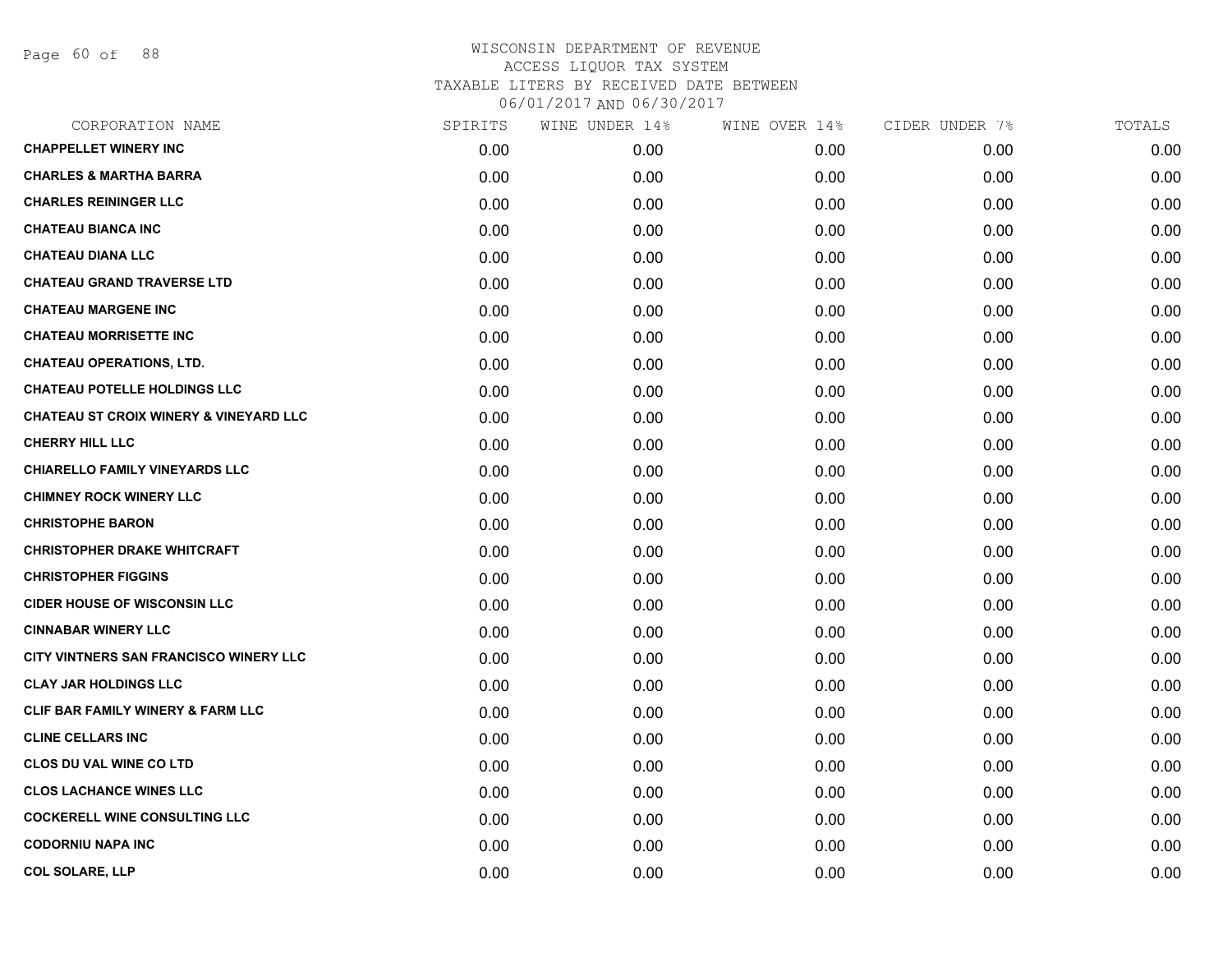Page 60 of 88

| CORPORATION NAME                                  | SPIRITS | WINE UNDER 14% | WINE OVER 14% | CIDER UNDER 7% | TOTALS |
|---------------------------------------------------|---------|----------------|---------------|----------------|--------|
| <b>CHAPPELLET WINERY INC</b>                      | 0.00    | 0.00           | 0.00          | 0.00           | 0.00   |
| <b>CHARLES &amp; MARTHA BARRA</b>                 | 0.00    | 0.00           | 0.00          | 0.00           | 0.00   |
| <b>CHARLES REININGER LLC</b>                      | 0.00    | 0.00           | 0.00          | 0.00           | 0.00   |
| <b>CHATEAU BIANCA INC</b>                         | 0.00    | 0.00           | 0.00          | 0.00           | 0.00   |
| <b>CHATEAU DIANA LLC</b>                          | 0.00    | 0.00           | 0.00          | 0.00           | 0.00   |
| <b>CHATEAU GRAND TRAVERSE LTD</b>                 | 0.00    | 0.00           | 0.00          | 0.00           | 0.00   |
| <b>CHATEAU MARGENE INC</b>                        | 0.00    | 0.00           | 0.00          | 0.00           | 0.00   |
| <b>CHATEAU MORRISETTE INC</b>                     | 0.00    | 0.00           | 0.00          | 0.00           | 0.00   |
| <b>CHATEAU OPERATIONS, LTD.</b>                   | 0.00    | 0.00           | 0.00          | 0.00           | 0.00   |
| <b>CHATEAU POTELLE HOLDINGS LLC</b>               | 0.00    | 0.00           | 0.00          | 0.00           | 0.00   |
| <b>CHATEAU ST CROIX WINERY &amp; VINEYARD LLC</b> | 0.00    | 0.00           | 0.00          | 0.00           | 0.00   |
| <b>CHERRY HILL LLC</b>                            | 0.00    | 0.00           | 0.00          | 0.00           | 0.00   |
| <b>CHIARELLO FAMILY VINEYARDS LLC</b>             | 0.00    | 0.00           | 0.00          | 0.00           | 0.00   |
| <b>CHIMNEY ROCK WINERY LLC</b>                    | 0.00    | 0.00           | 0.00          | 0.00           | 0.00   |
| <b>CHRISTOPHE BARON</b>                           | 0.00    | 0.00           | 0.00          | 0.00           | 0.00   |
| <b>CHRISTOPHER DRAKE WHITCRAFT</b>                | 0.00    | 0.00           | 0.00          | 0.00           | 0.00   |
| <b>CHRISTOPHER FIGGINS</b>                        | 0.00    | 0.00           | 0.00          | 0.00           | 0.00   |
| <b>CIDER HOUSE OF WISCONSIN LLC</b>               | 0.00    | 0.00           | 0.00          | 0.00           | 0.00   |
| <b>CINNABAR WINERY LLC</b>                        | 0.00    | 0.00           | 0.00          | 0.00           | 0.00   |
| CITY VINTNERS SAN FRANCISCO WINERY LLC            | 0.00    | 0.00           | 0.00          | 0.00           | 0.00   |
| <b>CLAY JAR HOLDINGS LLC</b>                      | 0.00    | 0.00           | 0.00          | 0.00           | 0.00   |
| <b>CLIF BAR FAMILY WINERY &amp; FARM LLC</b>      | 0.00    | 0.00           | 0.00          | 0.00           | 0.00   |
| <b>CLINE CELLARS INC</b>                          | 0.00    | 0.00           | 0.00          | 0.00           | 0.00   |
| <b>CLOS DU VAL WINE CO LTD</b>                    | 0.00    | 0.00           | 0.00          | 0.00           | 0.00   |
| <b>CLOS LACHANCE WINES LLC</b>                    | 0.00    | 0.00           | 0.00          | 0.00           | 0.00   |
| <b>COCKERELL WINE CONSULTING LLC</b>              | 0.00    | 0.00           | 0.00          | 0.00           | 0.00   |
| <b>CODORNIU NAPA INC</b>                          | 0.00    | 0.00           | 0.00          | 0.00           | 0.00   |
| <b>COL SOLARE, LLP</b>                            | 0.00    | 0.00           | 0.00          | 0.00           | 0.00   |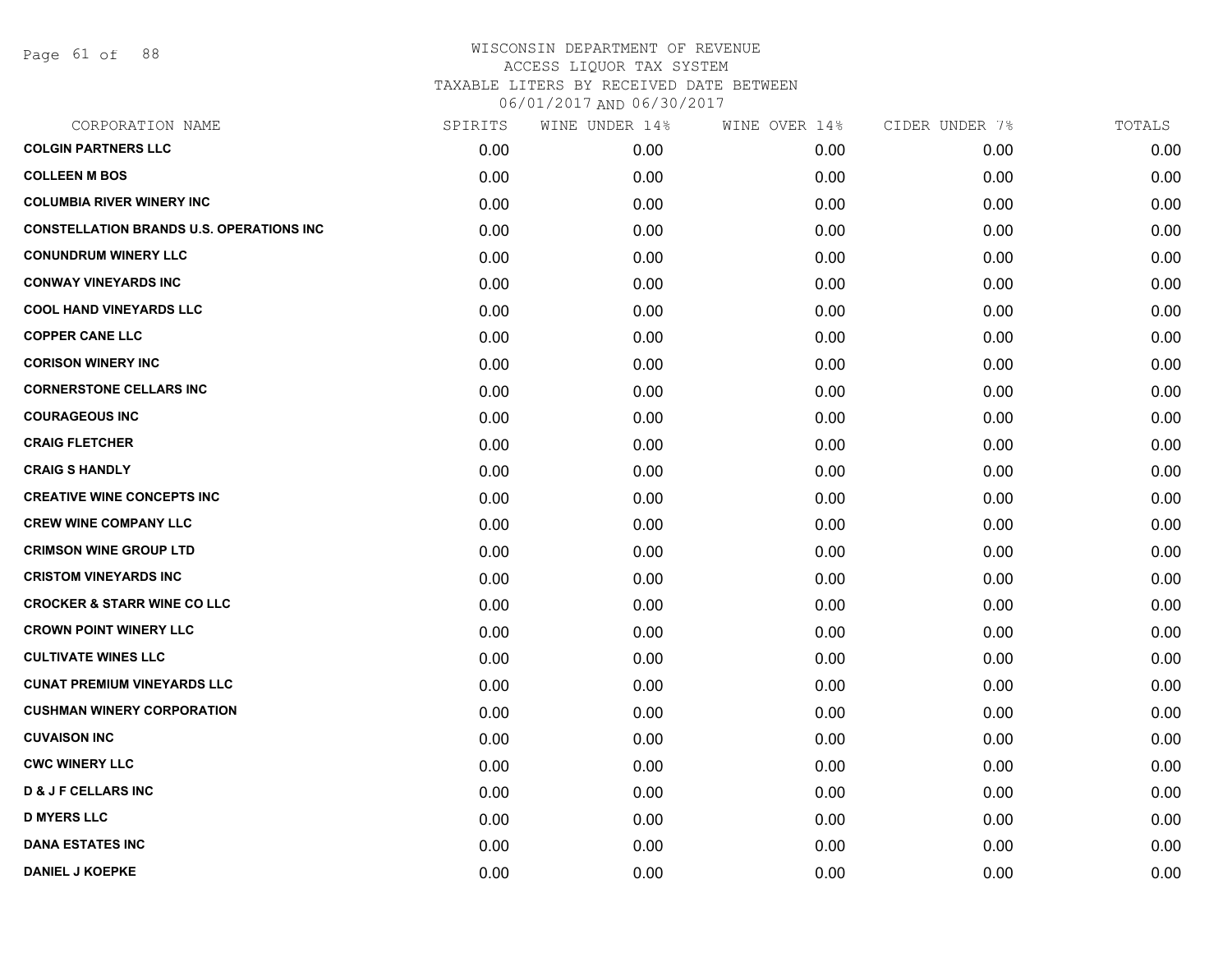| CORPORATION NAME                                | SPIRITS | WINE UNDER 14% | WINE OVER 14% | CIDER UNDER 7% | TOTALS |
|-------------------------------------------------|---------|----------------|---------------|----------------|--------|
| <b>COLGIN PARTNERS LLC</b>                      | 0.00    | 0.00           | 0.00          | 0.00           | 0.00   |
| <b>COLLEEN M BOS</b>                            | 0.00    | 0.00           | 0.00          | 0.00           | 0.00   |
| <b>COLUMBIA RIVER WINERY INC</b>                | 0.00    | 0.00           | 0.00          | 0.00           | 0.00   |
| <b>CONSTELLATION BRANDS U.S. OPERATIONS INC</b> | 0.00    | 0.00           | 0.00          | 0.00           | 0.00   |
| <b>CONUNDRUM WINERY LLC</b>                     | 0.00    | 0.00           | 0.00          | 0.00           | 0.00   |
| <b>CONWAY VINEYARDS INC</b>                     | 0.00    | 0.00           | 0.00          | 0.00           | 0.00   |
| <b>COOL HAND VINEYARDS LLC</b>                  | 0.00    | 0.00           | 0.00          | 0.00           | 0.00   |
| <b>COPPER CANE LLC</b>                          | 0.00    | 0.00           | 0.00          | 0.00           | 0.00   |
| <b>CORISON WINERY INC</b>                       | 0.00    | 0.00           | 0.00          | 0.00           | 0.00   |
| <b>CORNERSTONE CELLARS INC</b>                  | 0.00    | 0.00           | 0.00          | 0.00           | 0.00   |
| <b>COURAGEOUS INC</b>                           | 0.00    | 0.00           | 0.00          | 0.00           | 0.00   |
| <b>CRAIG FLETCHER</b>                           | 0.00    | 0.00           | 0.00          | 0.00           | 0.00   |
| <b>CRAIG S HANDLY</b>                           | 0.00    | 0.00           | 0.00          | 0.00           | 0.00   |
| <b>CREATIVE WINE CONCEPTS INC</b>               | 0.00    | 0.00           | 0.00          | 0.00           | 0.00   |
| <b>CREW WINE COMPANY LLC</b>                    | 0.00    | 0.00           | 0.00          | 0.00           | 0.00   |
| <b>CRIMSON WINE GROUP LTD</b>                   | 0.00    | 0.00           | 0.00          | 0.00           | 0.00   |
| <b>CRISTOM VINEYARDS INC</b>                    | 0.00    | 0.00           | 0.00          | 0.00           | 0.00   |
| <b>CROCKER &amp; STARR WINE CO LLC</b>          | 0.00    | 0.00           | 0.00          | 0.00           | 0.00   |
| <b>CROWN POINT WINERY LLC</b>                   | 0.00    | 0.00           | 0.00          | 0.00           | 0.00   |
| <b>CULTIVATE WINES LLC</b>                      | 0.00    | 0.00           | 0.00          | 0.00           | 0.00   |
| <b>CUNAT PREMIUM VINEYARDS LLC</b>              | 0.00    | 0.00           | 0.00          | 0.00           | 0.00   |
| <b>CUSHMAN WINERY CORPORATION</b>               | 0.00    | 0.00           | 0.00          | 0.00           | 0.00   |
| <b>CUVAISON INC</b>                             | 0.00    | 0.00           | 0.00          | 0.00           | 0.00   |
| <b>CWC WINERY LLC</b>                           | 0.00    | 0.00           | 0.00          | 0.00           | 0.00   |
| <b>D &amp; J F CELLARS INC</b>                  | 0.00    | 0.00           | 0.00          | 0.00           | 0.00   |
| <b>D MYERS LLC</b>                              | 0.00    | 0.00           | 0.00          | 0.00           | 0.00   |
| <b>DANA ESTATES INC</b>                         | 0.00    | 0.00           | 0.00          | 0.00           | 0.00   |
| <b>DANIEL J KOEPKE</b>                          | 0.00    | 0.00           | 0.00          | 0.00           | 0.00   |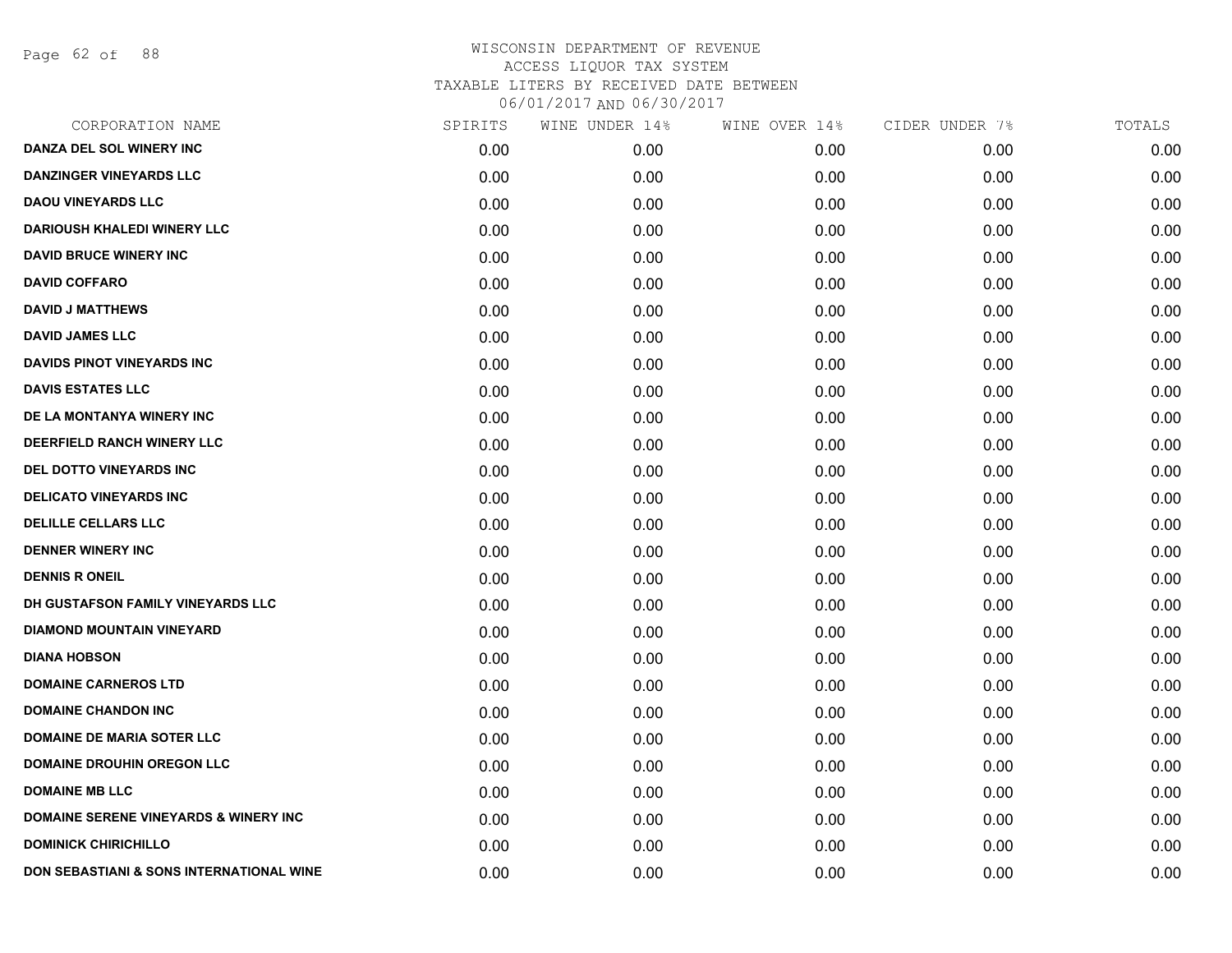Page 62 of 88

| CORPORATION NAME                                 | SPIRITS | WINE UNDER 14% | WINE OVER 14% | CIDER UNDER 7% | TOTALS |
|--------------------------------------------------|---------|----------------|---------------|----------------|--------|
| DANZA DEL SOL WINERY INC                         | 0.00    | 0.00           | 0.00          | 0.00           | 0.00   |
| <b>DANZINGER VINEYARDS LLC</b>                   | 0.00    | 0.00           | 0.00          | 0.00           | 0.00   |
| <b>DAOU VINEYARDS LLC</b>                        | 0.00    | 0.00           | 0.00          | 0.00           | 0.00   |
| <b>DARIOUSH KHALEDI WINERY LLC</b>               | 0.00    | 0.00           | 0.00          | 0.00           | 0.00   |
| <b>DAVID BRUCE WINERY INC</b>                    | 0.00    | 0.00           | 0.00          | 0.00           | 0.00   |
| <b>DAVID COFFARO</b>                             | 0.00    | 0.00           | 0.00          | 0.00           | 0.00   |
| <b>DAVID J MATTHEWS</b>                          | 0.00    | 0.00           | 0.00          | 0.00           | 0.00   |
| <b>DAVID JAMES LLC</b>                           | 0.00    | 0.00           | 0.00          | 0.00           | 0.00   |
| <b>DAVIDS PINOT VINEYARDS INC</b>                | 0.00    | 0.00           | 0.00          | 0.00           | 0.00   |
| <b>DAVIS ESTATES LLC</b>                         | 0.00    | 0.00           | 0.00          | 0.00           | 0.00   |
| DE LA MONTANYA WINERY INC                        | 0.00    | 0.00           | 0.00          | 0.00           | 0.00   |
| DEERFIELD RANCH WINERY LLC                       | 0.00    | 0.00           | 0.00          | 0.00           | 0.00   |
| DEL DOTTO VINEYARDS INC                          | 0.00    | 0.00           | 0.00          | 0.00           | 0.00   |
| <b>DELICATO VINEYARDS INC</b>                    | 0.00    | 0.00           | 0.00          | 0.00           | 0.00   |
| <b>DELILLE CELLARS LLC</b>                       | 0.00    | 0.00           | 0.00          | 0.00           | 0.00   |
| <b>DENNER WINERY INC</b>                         | 0.00    | 0.00           | 0.00          | 0.00           | 0.00   |
| <b>DENNIS R ONEIL</b>                            | 0.00    | 0.00           | 0.00          | 0.00           | 0.00   |
| DH GUSTAFSON FAMILY VINEYARDS LLC                | 0.00    | 0.00           | 0.00          | 0.00           | 0.00   |
| <b>DIAMOND MOUNTAIN VINEYARD</b>                 | 0.00    | 0.00           | 0.00          | 0.00           | 0.00   |
| <b>DIANA HOBSON</b>                              | 0.00    | 0.00           | 0.00          | 0.00           | 0.00   |
| <b>DOMAINE CARNEROS LTD</b>                      | 0.00    | 0.00           | 0.00          | 0.00           | 0.00   |
| <b>DOMAINE CHANDON INC</b>                       | 0.00    | 0.00           | 0.00          | 0.00           | 0.00   |
| <b>DOMAINE DE MARIA SOTER LLC</b>                | 0.00    | 0.00           | 0.00          | 0.00           | 0.00   |
| <b>DOMAINE DROUHIN OREGON LLC</b>                | 0.00    | 0.00           | 0.00          | 0.00           | 0.00   |
| <b>DOMAINE MB LLC</b>                            | 0.00    | 0.00           | 0.00          | 0.00           | 0.00   |
| <b>DOMAINE SERENE VINEYARDS &amp; WINERY INC</b> | 0.00    | 0.00           | 0.00          | 0.00           | 0.00   |
| <b>DOMINICK CHIRICHILLO</b>                      | 0.00    | 0.00           | 0.00          | 0.00           | 0.00   |
| DON SEBASTIANI & SONS INTERNATIONAL WINE         | 0.00    | 0.00           | 0.00          | 0.00           | 0.00   |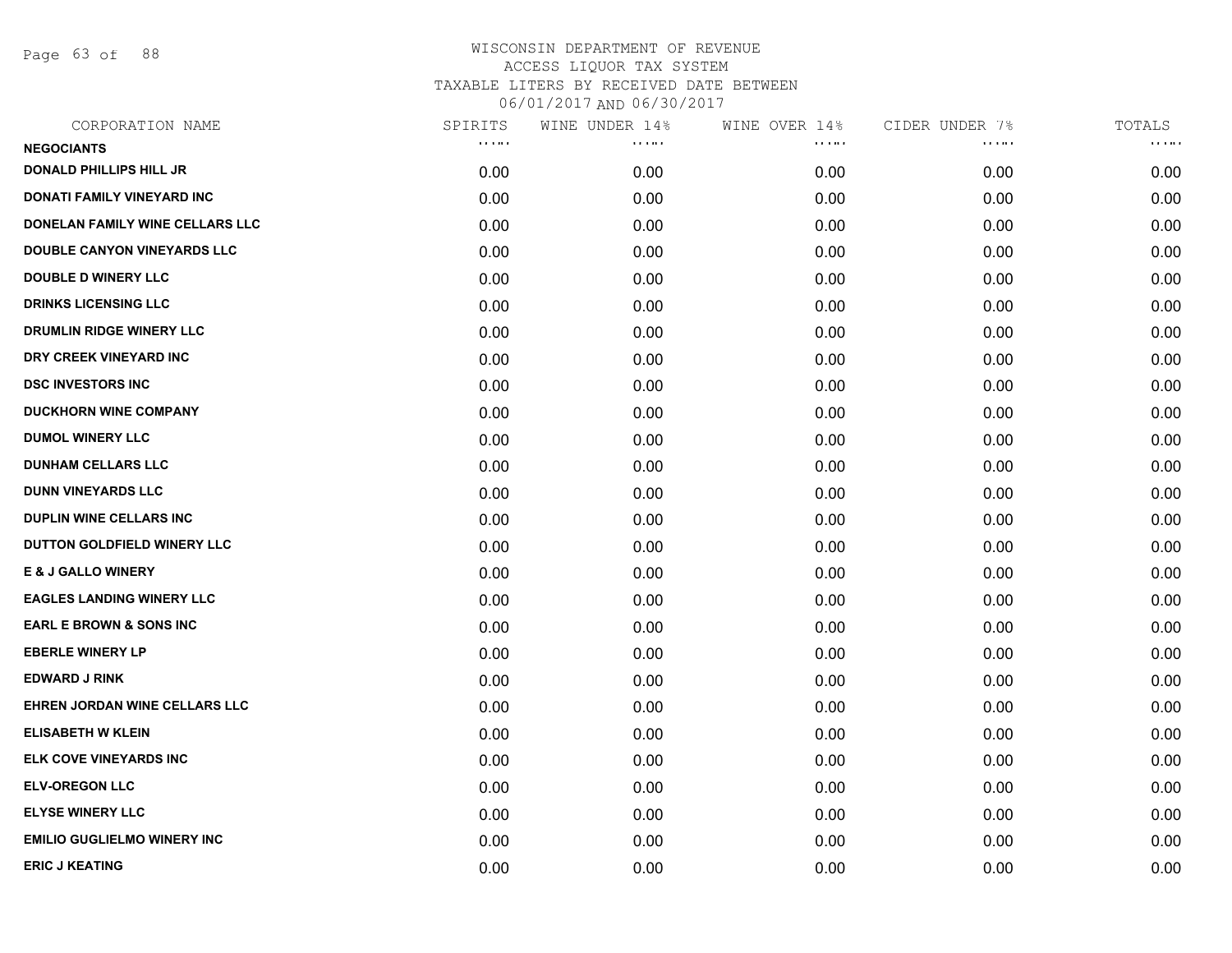Page 63 of 88

| CORPORATION NAME                   | SPIRITS                            | WINE UNDER 14% | WINE OVER 14% | CIDER UNDER 7%                     | TOTALS       |
|------------------------------------|------------------------------------|----------------|---------------|------------------------------------|--------------|
| <b>NEGOCIANTS</b>                  | $\alpha$ , $\alpha$ , and $\alpha$ | .              | .             | $\alpha$ , $\alpha$ , and $\alpha$ | <b>COLOR</b> |
| <b>DONALD PHILLIPS HILL JR</b>     | 0.00                               | 0.00           | 0.00          | 0.00                               | 0.00         |
| DONATI FAMILY VINEYARD INC         | 0.00                               | 0.00           | 0.00          | 0.00                               | 0.00         |
| DONELAN FAMILY WINE CELLARS LLC    | 0.00                               | 0.00           | 0.00          | 0.00                               | 0.00         |
| <b>DOUBLE CANYON VINEYARDS LLC</b> | 0.00                               | 0.00           | 0.00          | 0.00                               | 0.00         |
| <b>DOUBLE D WINERY LLC</b>         | 0.00                               | 0.00           | 0.00          | 0.00                               | 0.00         |
| <b>DRINKS LICENSING LLC</b>        | 0.00                               | 0.00           | 0.00          | 0.00                               | 0.00         |
| <b>DRUMLIN RIDGE WINERY LLC</b>    | 0.00                               | 0.00           | 0.00          | 0.00                               | 0.00         |
| DRY CREEK VINEYARD INC             | 0.00                               | 0.00           | 0.00          | 0.00                               | 0.00         |
| <b>DSC INVESTORS INC</b>           | 0.00                               | 0.00           | 0.00          | 0.00                               | 0.00         |
| <b>DUCKHORN WINE COMPANY</b>       | 0.00                               | 0.00           | 0.00          | 0.00                               | 0.00         |
| <b>DUMOL WINERY LLC</b>            | 0.00                               | 0.00           | 0.00          | 0.00                               | 0.00         |
| <b>DUNHAM CELLARS LLC</b>          | 0.00                               | 0.00           | 0.00          | 0.00                               | 0.00         |
| <b>DUNN VINEYARDS LLC</b>          | 0.00                               | 0.00           | 0.00          | 0.00                               | 0.00         |
| <b>DUPLIN WINE CELLARS INC</b>     | 0.00                               | 0.00           | 0.00          | 0.00                               | 0.00         |
| DUTTON GOLDFIELD WINERY LLC        | 0.00                               | 0.00           | 0.00          | 0.00                               | 0.00         |
| <b>E &amp; J GALLO WINERY</b>      | 0.00                               | 0.00           | 0.00          | 0.00                               | 0.00         |
| <b>EAGLES LANDING WINERY LLC</b>   | 0.00                               | 0.00           | 0.00          | 0.00                               | 0.00         |
| <b>EARL E BROWN &amp; SONS INC</b> | 0.00                               | 0.00           | 0.00          | 0.00                               | 0.00         |
| <b>EBERLE WINERY LP</b>            | 0.00                               | 0.00           | 0.00          | 0.00                               | 0.00         |
| <b>EDWARD J RINK</b>               | 0.00                               | 0.00           | 0.00          | 0.00                               | 0.00         |
| EHREN JORDAN WINE CELLARS LLC      | 0.00                               | 0.00           | 0.00          | 0.00                               | 0.00         |
| <b>ELISABETH W KLEIN</b>           | 0.00                               | 0.00           | 0.00          | 0.00                               | 0.00         |
| ELK COVE VINEYARDS INC             | 0.00                               | 0.00           | 0.00          | 0.00                               | 0.00         |
| <b>ELV-OREGON LLC</b>              | 0.00                               | 0.00           | 0.00          | 0.00                               | 0.00         |
| <b>ELYSE WINERY LLC</b>            | 0.00                               | 0.00           | 0.00          | 0.00                               | 0.00         |
| <b>EMILIO GUGLIELMO WINERY INC</b> | 0.00                               | 0.00           | 0.00          | 0.00                               | 0.00         |
| <b>ERIC J KEATING</b>              | 0.00                               | 0.00           | 0.00          | 0.00                               | 0.00         |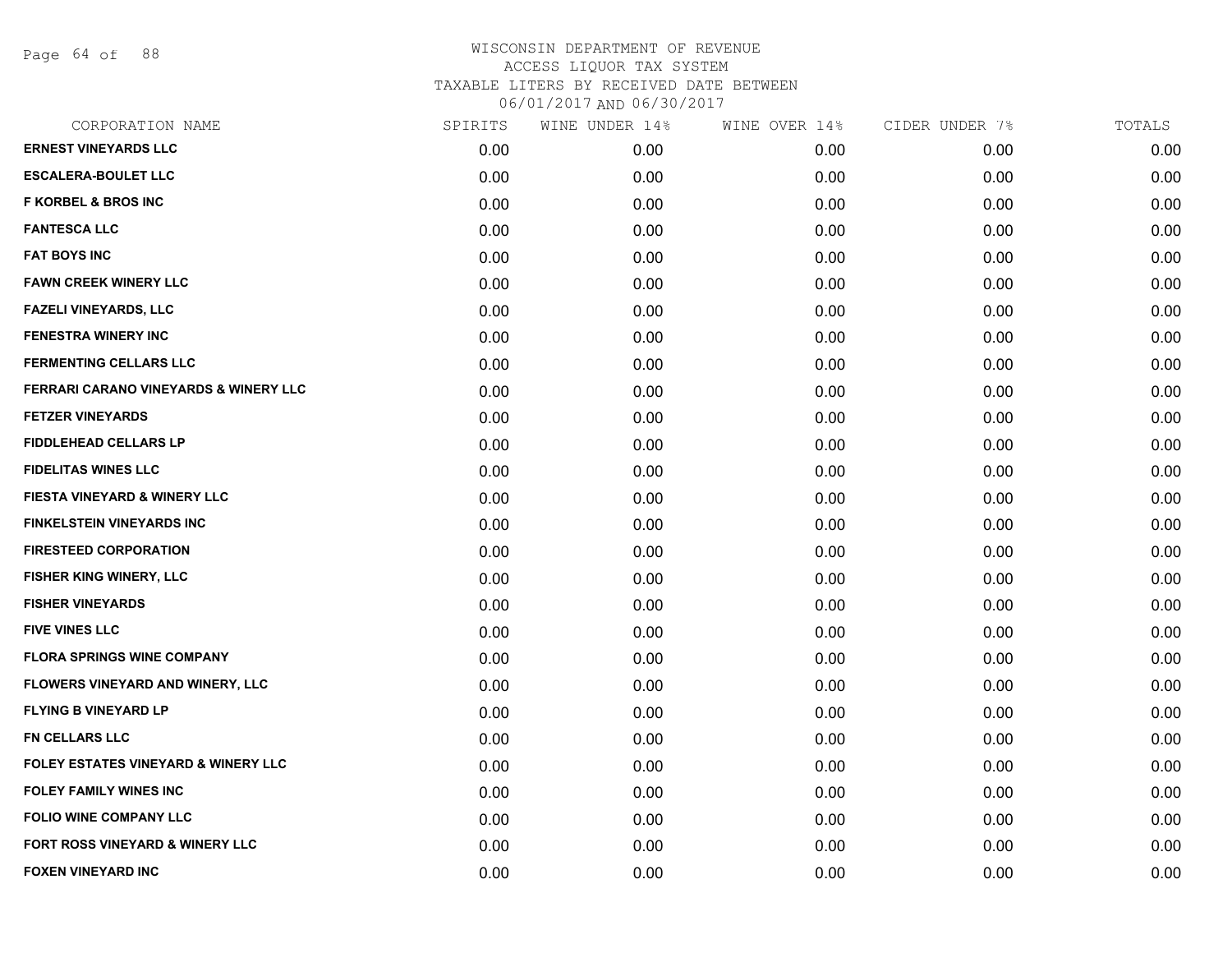Page 64 of 88

| CORPORATION NAME                                 | SPIRITS | WINE UNDER 14% | WINE OVER 14% | CIDER UNDER 7% | TOTALS |
|--------------------------------------------------|---------|----------------|---------------|----------------|--------|
| <b>ERNEST VINEYARDS LLC</b>                      | 0.00    | 0.00           | 0.00          | 0.00           | 0.00   |
| <b>ESCALERA-BOULET LLC</b>                       | 0.00    | 0.00           | 0.00          | 0.00           | 0.00   |
| <b>F KORBEL &amp; BROS INC</b>                   | 0.00    | 0.00           | 0.00          | 0.00           | 0.00   |
| <b>FANTESCA LLC</b>                              | 0.00    | 0.00           | 0.00          | 0.00           | 0.00   |
| <b>FAT BOYS INC</b>                              | 0.00    | 0.00           | 0.00          | 0.00           | 0.00   |
| <b>FAWN CREEK WINERY LLC</b>                     | 0.00    | 0.00           | 0.00          | 0.00           | 0.00   |
| <b>FAZELI VINEYARDS, LLC</b>                     | 0.00    | 0.00           | 0.00          | 0.00           | 0.00   |
| <b>FENESTRA WINERY INC</b>                       | 0.00    | 0.00           | 0.00          | 0.00           | 0.00   |
| <b>FERMENTING CELLARS LLC</b>                    | 0.00    | 0.00           | 0.00          | 0.00           | 0.00   |
| <b>FERRARI CARANO VINEYARDS &amp; WINERY LLC</b> | 0.00    | 0.00           | 0.00          | 0.00           | 0.00   |
| <b>FETZER VINEYARDS</b>                          | 0.00    | 0.00           | 0.00          | 0.00           | 0.00   |
| <b>FIDDLEHEAD CELLARS LP</b>                     | 0.00    | 0.00           | 0.00          | 0.00           | 0.00   |
| <b>FIDELITAS WINES LLC</b>                       | 0.00    | 0.00           | 0.00          | 0.00           | 0.00   |
| FIESTA VINEYARD & WINERY LLC                     | 0.00    | 0.00           | 0.00          | 0.00           | 0.00   |
| <b>FINKELSTEIN VINEYARDS INC</b>                 | 0.00    | 0.00           | 0.00          | 0.00           | 0.00   |
| <b>FIRESTEED CORPORATION</b>                     | 0.00    | 0.00           | 0.00          | 0.00           | 0.00   |
| FISHER KING WINERY, LLC                          | 0.00    | 0.00           | 0.00          | 0.00           | 0.00   |
| <b>FISHER VINEYARDS</b>                          | 0.00    | 0.00           | 0.00          | 0.00           | 0.00   |
| <b>FIVE VINES LLC</b>                            | 0.00    | 0.00           | 0.00          | 0.00           | 0.00   |
| <b>FLORA SPRINGS WINE COMPANY</b>                | 0.00    | 0.00           | 0.00          | 0.00           | 0.00   |
| <b>FLOWERS VINEYARD AND WINERY, LLC</b>          | 0.00    | 0.00           | 0.00          | 0.00           | 0.00   |
| <b>FLYING B VINEYARD LP</b>                      | 0.00    | 0.00           | 0.00          | 0.00           | 0.00   |
| <b>FN CELLARS LLC</b>                            | 0.00    | 0.00           | 0.00          | 0.00           | 0.00   |
| <b>FOLEY ESTATES VINEYARD &amp; WINERY LLC</b>   | 0.00    | 0.00           | 0.00          | 0.00           | 0.00   |
| <b>FOLEY FAMILY WINES INC</b>                    | 0.00    | 0.00           | 0.00          | 0.00           | 0.00   |
| <b>FOLIO WINE COMPANY LLC</b>                    | 0.00    | 0.00           | 0.00          | 0.00           | 0.00   |
| <b>FORT ROSS VINEYARD &amp; WINERY LLC</b>       | 0.00    | 0.00           | 0.00          | 0.00           | 0.00   |
| <b>FOXEN VINEYARD INC</b>                        | 0.00    | 0.00           | 0.00          | 0.00           | 0.00   |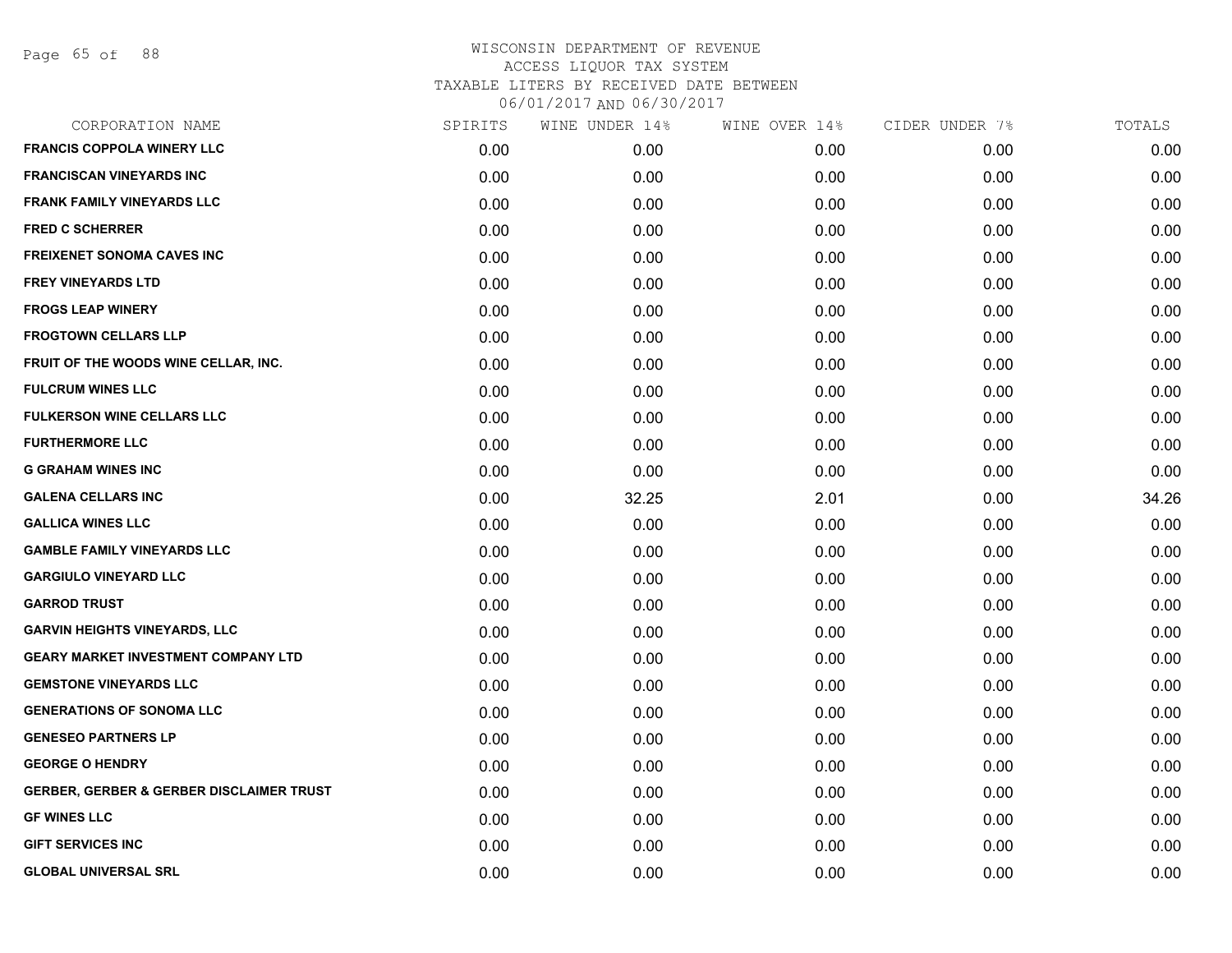Page 65 of 88

| CORPORATION NAME                                    | SPIRITS | WINE UNDER 14% | WINE OVER 14% | CIDER UNDER 7% | TOTALS |
|-----------------------------------------------------|---------|----------------|---------------|----------------|--------|
| <b>FRANCIS COPPOLA WINERY LLC</b>                   | 0.00    | 0.00           | 0.00          | 0.00           | 0.00   |
| <b>FRANCISCAN VINEYARDS INC</b>                     | 0.00    | 0.00           | 0.00          | 0.00           | 0.00   |
| <b>FRANK FAMILY VINEYARDS LLC</b>                   | 0.00    | 0.00           | 0.00          | 0.00           | 0.00   |
| <b>FRED C SCHERRER</b>                              | 0.00    | 0.00           | 0.00          | 0.00           | 0.00   |
| <b>FREIXENET SONOMA CAVES INC</b>                   | 0.00    | 0.00           | 0.00          | 0.00           | 0.00   |
| <b>FREY VINEYARDS LTD</b>                           | 0.00    | 0.00           | 0.00          | 0.00           | 0.00   |
| <b>FROGS LEAP WINERY</b>                            | 0.00    | 0.00           | 0.00          | 0.00           | 0.00   |
| <b>FROGTOWN CELLARS LLP</b>                         | 0.00    | 0.00           | 0.00          | 0.00           | 0.00   |
| FRUIT OF THE WOODS WINE CELLAR, INC.                | 0.00    | 0.00           | 0.00          | 0.00           | 0.00   |
| <b>FULCRUM WINES LLC</b>                            | 0.00    | 0.00           | 0.00          | 0.00           | 0.00   |
| <b>FULKERSON WINE CELLARS LLC</b>                   | 0.00    | 0.00           | 0.00          | 0.00           | 0.00   |
| <b>FURTHERMORE LLC</b>                              | 0.00    | 0.00           | 0.00          | 0.00           | 0.00   |
| <b>G GRAHAM WINES INC</b>                           | 0.00    | 0.00           | 0.00          | 0.00           | 0.00   |
| <b>GALENA CELLARS INC</b>                           | 0.00    | 32.25          | 2.01          | 0.00           | 34.26  |
| <b>GALLICA WINES LLC</b>                            | 0.00    | 0.00           | 0.00          | 0.00           | 0.00   |
| <b>GAMBLE FAMILY VINEYARDS LLC</b>                  | 0.00    | 0.00           | 0.00          | 0.00           | 0.00   |
| <b>GARGIULO VINEYARD LLC</b>                        | 0.00    | 0.00           | 0.00          | 0.00           | 0.00   |
| <b>GARROD TRUST</b>                                 | 0.00    | 0.00           | 0.00          | 0.00           | 0.00   |
| <b>GARVIN HEIGHTS VINEYARDS, LLC</b>                | 0.00    | 0.00           | 0.00          | 0.00           | 0.00   |
| <b>GEARY MARKET INVESTMENT COMPANY LTD</b>          | 0.00    | 0.00           | 0.00          | 0.00           | 0.00   |
| <b>GEMSTONE VINEYARDS LLC</b>                       | 0.00    | 0.00           | 0.00          | 0.00           | 0.00   |
| <b>GENERATIONS OF SONOMA LLC</b>                    | 0.00    | 0.00           | 0.00          | 0.00           | 0.00   |
| <b>GENESEO PARTNERS LP</b>                          | 0.00    | 0.00           | 0.00          | 0.00           | 0.00   |
| <b>GEORGE O HENDRY</b>                              | 0.00    | 0.00           | 0.00          | 0.00           | 0.00   |
| <b>GERBER, GERBER &amp; GERBER DISCLAIMER TRUST</b> | 0.00    | 0.00           | 0.00          | 0.00           | 0.00   |
| <b>GF WINES LLC</b>                                 | 0.00    | 0.00           | 0.00          | 0.00           | 0.00   |
| <b>GIFT SERVICES INC</b>                            | 0.00    | 0.00           | 0.00          | 0.00           | 0.00   |
| <b>GLOBAL UNIVERSAL SRL</b>                         | 0.00    | 0.00           | 0.00          | 0.00           | 0.00   |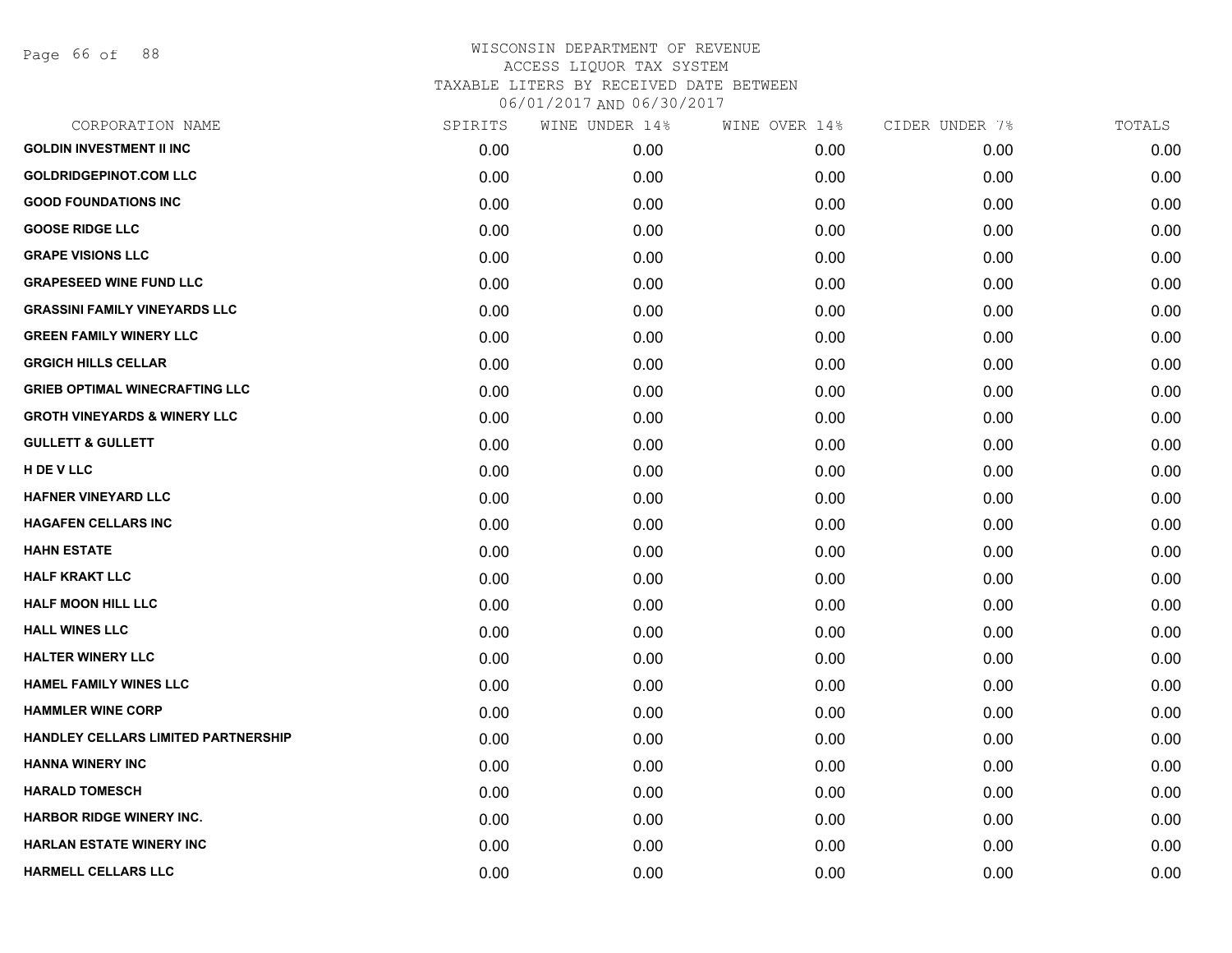Page 66 of 88

| CORPORATION NAME                        | SPIRITS | WINE UNDER 14% | WINE OVER 14% | CIDER UNDER 7% | TOTALS |
|-----------------------------------------|---------|----------------|---------------|----------------|--------|
| <b>GOLDIN INVESTMENT II INC</b>         | 0.00    | 0.00           | 0.00          | 0.00           | 0.00   |
| <b>GOLDRIDGEPINOT.COM LLC</b>           | 0.00    | 0.00           | 0.00          | 0.00           | 0.00   |
| <b>GOOD FOUNDATIONS INC</b>             | 0.00    | 0.00           | 0.00          | 0.00           | 0.00   |
| <b>GOOSE RIDGE LLC</b>                  | 0.00    | 0.00           | 0.00          | 0.00           | 0.00   |
| <b>GRAPE VISIONS LLC</b>                | 0.00    | 0.00           | 0.00          | 0.00           | 0.00   |
| <b>GRAPESEED WINE FUND LLC</b>          | 0.00    | 0.00           | 0.00          | 0.00           | 0.00   |
| <b>GRASSINI FAMILY VINEYARDS LLC</b>    | 0.00    | 0.00           | 0.00          | 0.00           | 0.00   |
| <b>GREEN FAMILY WINERY LLC</b>          | 0.00    | 0.00           | 0.00          | 0.00           | 0.00   |
| <b>GRGICH HILLS CELLAR</b>              | 0.00    | 0.00           | 0.00          | 0.00           | 0.00   |
| <b>GRIEB OPTIMAL WINECRAFTING LLC</b>   | 0.00    | 0.00           | 0.00          | 0.00           | 0.00   |
| <b>GROTH VINEYARDS &amp; WINERY LLC</b> | 0.00    | 0.00           | 0.00          | 0.00           | 0.00   |
| <b>GULLETT &amp; GULLETT</b>            | 0.00    | 0.00           | 0.00          | 0.00           | 0.00   |
| H DE V LLC                              | 0.00    | 0.00           | 0.00          | 0.00           | 0.00   |
| <b>HAFNER VINEYARD LLC</b>              | 0.00    | 0.00           | 0.00          | 0.00           | 0.00   |
| <b>HAGAFEN CELLARS INC</b>              | 0.00    | 0.00           | 0.00          | 0.00           | 0.00   |
| <b>HAHN ESTATE</b>                      | 0.00    | 0.00           | 0.00          | 0.00           | 0.00   |
| <b>HALF KRAKT LLC</b>                   | 0.00    | 0.00           | 0.00          | 0.00           | 0.00   |
| <b>HALF MOON HILL LLC</b>               | 0.00    | 0.00           | 0.00          | 0.00           | 0.00   |
| <b>HALL WINES LLC</b>                   | 0.00    | 0.00           | 0.00          | 0.00           | 0.00   |
| <b>HALTER WINERY LLC</b>                | 0.00    | 0.00           | 0.00          | 0.00           | 0.00   |
| <b>HAMEL FAMILY WINES LLC</b>           | 0.00    | 0.00           | 0.00          | 0.00           | 0.00   |
| <b>HAMMLER WINE CORP</b>                | 0.00    | 0.00           | 0.00          | 0.00           | 0.00   |
| HANDLEY CELLARS LIMITED PARTNERSHIP     | 0.00    | 0.00           | 0.00          | 0.00           | 0.00   |
| <b>HANNA WINERY INC</b>                 | 0.00    | 0.00           | 0.00          | 0.00           | 0.00   |
| <b>HARALD TOMESCH</b>                   | 0.00    | 0.00           | 0.00          | 0.00           | 0.00   |
| <b>HARBOR RIDGE WINERY INC.</b>         | 0.00    | 0.00           | 0.00          | 0.00           | 0.00   |
| <b>HARLAN ESTATE WINERY INC</b>         | 0.00    | 0.00           | 0.00          | 0.00           | 0.00   |
| <b>HARMELL CELLARS LLC</b>              | 0.00    | 0.00           | 0.00          | 0.00           | 0.00   |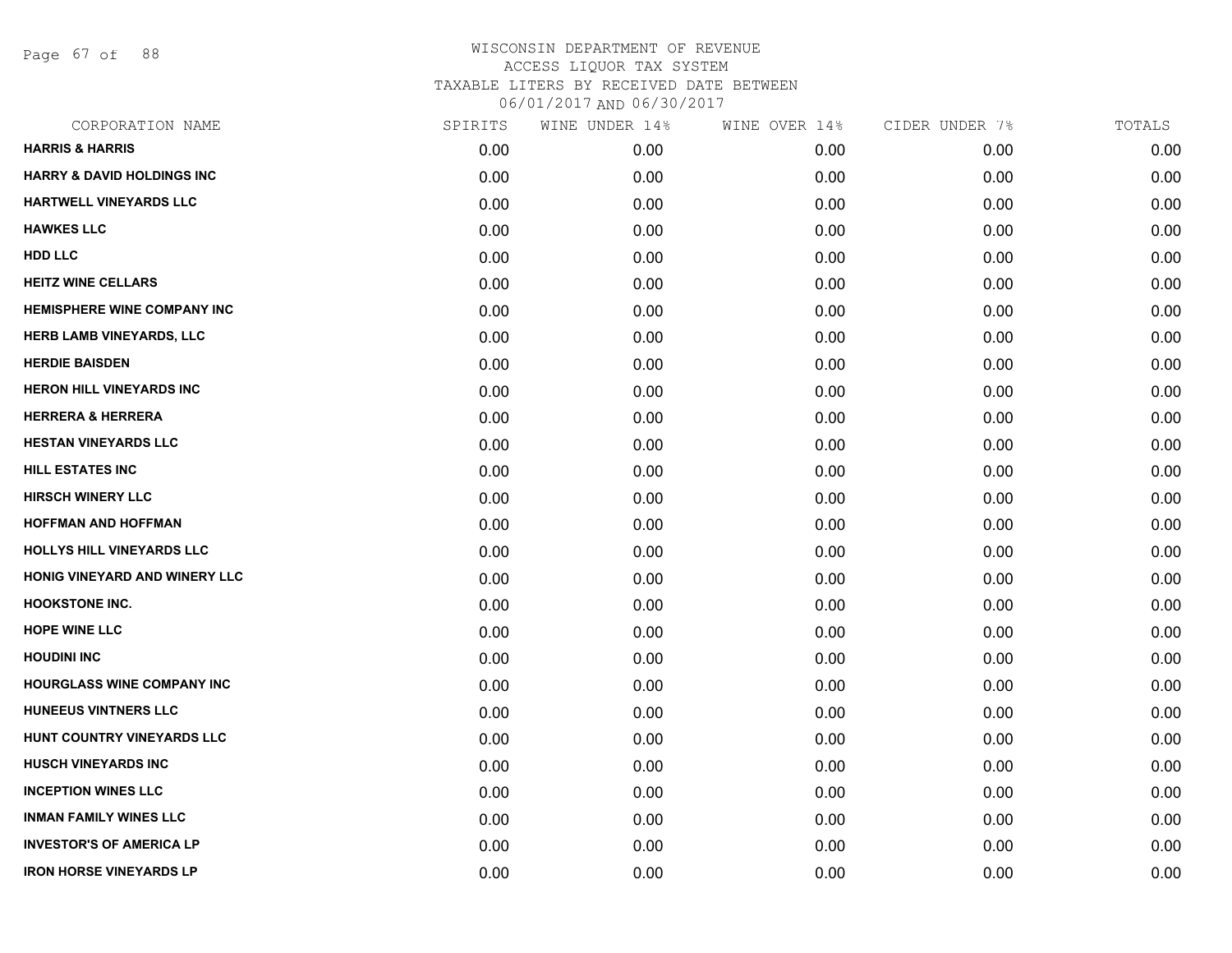Page 67 of 88

| CORPORATION NAME                      | SPIRITS | WINE UNDER 14% | WINE OVER 14% | CIDER UNDER 7% | TOTALS |
|---------------------------------------|---------|----------------|---------------|----------------|--------|
| <b>HARRIS &amp; HARRIS</b>            | 0.00    | 0.00           | 0.00          | 0.00           | 0.00   |
| <b>HARRY &amp; DAVID HOLDINGS INC</b> | 0.00    | 0.00           | 0.00          | 0.00           | 0.00   |
| HARTWELL VINEYARDS LLC                | 0.00    | 0.00           | 0.00          | 0.00           | 0.00   |
| <b>HAWKES LLC</b>                     | 0.00    | 0.00           | 0.00          | 0.00           | 0.00   |
| <b>HDD LLC</b>                        | 0.00    | 0.00           | 0.00          | 0.00           | 0.00   |
| <b>HEITZ WINE CELLARS</b>             | 0.00    | 0.00           | 0.00          | 0.00           | 0.00   |
| <b>HEMISPHERE WINE COMPANY INC</b>    | 0.00    | 0.00           | 0.00          | 0.00           | 0.00   |
| <b>HERB LAMB VINEYARDS, LLC</b>       | 0.00    | 0.00           | 0.00          | 0.00           | 0.00   |
| <b>HERDIE BAISDEN</b>                 | 0.00    | 0.00           | 0.00          | 0.00           | 0.00   |
| <b>HERON HILL VINEYARDS INC</b>       | 0.00    | 0.00           | 0.00          | 0.00           | 0.00   |
| <b>HERRERA &amp; HERRERA</b>          | 0.00    | 0.00           | 0.00          | 0.00           | 0.00   |
| <b>HESTAN VINEYARDS LLC</b>           | 0.00    | 0.00           | 0.00          | 0.00           | 0.00   |
| <b>HILL ESTATES INC</b>               | 0.00    | 0.00           | 0.00          | 0.00           | 0.00   |
| <b>HIRSCH WINERY LLC</b>              | 0.00    | 0.00           | 0.00          | 0.00           | 0.00   |
| <b>HOFFMAN AND HOFFMAN</b>            | 0.00    | 0.00           | 0.00          | 0.00           | 0.00   |
| HOLLYS HILL VINEYARDS LLC             | 0.00    | 0.00           | 0.00          | 0.00           | 0.00   |
| HONIG VINEYARD AND WINERY LLC         | 0.00    | 0.00           | 0.00          | 0.00           | 0.00   |
| <b>HOOKSTONE INC.</b>                 | 0.00    | 0.00           | 0.00          | 0.00           | 0.00   |
| <b>HOPE WINE LLC</b>                  | 0.00    | 0.00           | 0.00          | 0.00           | 0.00   |
| <b>HOUDINI INC</b>                    | 0.00    | 0.00           | 0.00          | 0.00           | 0.00   |
| <b>HOURGLASS WINE COMPANY INC</b>     | 0.00    | 0.00           | 0.00          | 0.00           | 0.00   |
| <b>HUNEEUS VINTNERS LLC</b>           | 0.00    | 0.00           | 0.00          | 0.00           | 0.00   |
| HUNT COUNTRY VINEYARDS LLC            | 0.00    | 0.00           | 0.00          | 0.00           | 0.00   |
| <b>HUSCH VINEYARDS INC</b>            | 0.00    | 0.00           | 0.00          | 0.00           | 0.00   |
| <b>INCEPTION WINES LLC</b>            | 0.00    | 0.00           | 0.00          | 0.00           | 0.00   |
| <b>INMAN FAMILY WINES LLC</b>         | 0.00    | 0.00           | 0.00          | 0.00           | 0.00   |
| <b>INVESTOR'S OF AMERICA LP</b>       | 0.00    | 0.00           | 0.00          | 0.00           | 0.00   |
| <b>IRON HORSE VINEYARDS LP</b>        | 0.00    | 0.00           | 0.00          | 0.00           | 0.00   |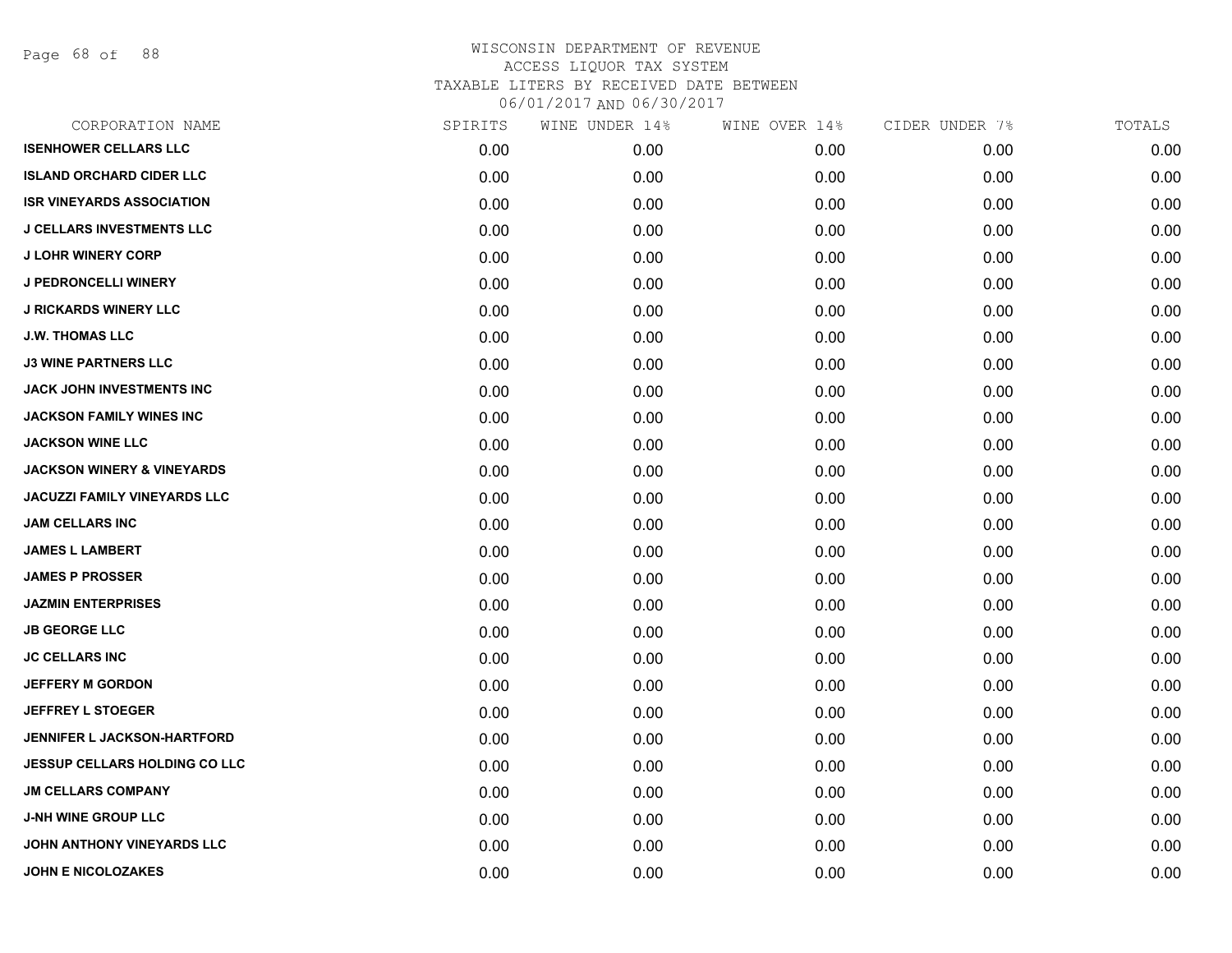Page 68 of 88

| CORPORATION NAME                      | SPIRITS | WINE UNDER 14% | WINE OVER 14% | CIDER UNDER 7% | TOTALS |
|---------------------------------------|---------|----------------|---------------|----------------|--------|
| <b>ISENHOWER CELLARS LLC</b>          | 0.00    | 0.00           | 0.00          | 0.00           | 0.00   |
| <b>ISLAND ORCHARD CIDER LLC</b>       | 0.00    | 0.00           | 0.00          | 0.00           | 0.00   |
| <b>ISR VINEYARDS ASSOCIATION</b>      | 0.00    | 0.00           | 0.00          | 0.00           | 0.00   |
| <b>J CELLARS INVESTMENTS LLC</b>      | 0.00    | 0.00           | 0.00          | 0.00           | 0.00   |
| <b>J LOHR WINERY CORP</b>             | 0.00    | 0.00           | 0.00          | 0.00           | 0.00   |
| <b>J PEDRONCELLI WINERY</b>           | 0.00    | 0.00           | 0.00          | 0.00           | 0.00   |
| <b>J RICKARDS WINERY LLC</b>          | 0.00    | 0.00           | 0.00          | 0.00           | 0.00   |
| <b>J.W. THOMAS LLC</b>                | 0.00    | 0.00           | 0.00          | 0.00           | 0.00   |
| <b>J3 WINE PARTNERS LLC</b>           | 0.00    | 0.00           | 0.00          | 0.00           | 0.00   |
| JACK JOHN INVESTMENTS INC             | 0.00    | 0.00           | 0.00          | 0.00           | 0.00   |
| JACKSON FAMILY WINES INC              | 0.00    | 0.00           | 0.00          | 0.00           | 0.00   |
| <b>JACKSON WINE LLC</b>               | 0.00    | 0.00           | 0.00          | 0.00           | 0.00   |
| <b>JACKSON WINERY &amp; VINEYARDS</b> | 0.00    | 0.00           | 0.00          | 0.00           | 0.00   |
| <b>JACUZZI FAMILY VINEYARDS LLC</b>   | 0.00    | 0.00           | 0.00          | 0.00           | 0.00   |
| JAM CELLARS INC                       | 0.00    | 0.00           | 0.00          | 0.00           | 0.00   |
| <b>JAMES L LAMBERT</b>                | 0.00    | 0.00           | 0.00          | 0.00           | 0.00   |
| <b>JAMES P PROSSER</b>                | 0.00    | 0.00           | 0.00          | 0.00           | 0.00   |
| <b>JAZMIN ENTERPRISES</b>             | 0.00    | 0.00           | 0.00          | 0.00           | 0.00   |
| <b>JB GEORGE LLC</b>                  | 0.00    | 0.00           | 0.00          | 0.00           | 0.00   |
| <b>JC CELLARS INC</b>                 | 0.00    | 0.00           | 0.00          | 0.00           | 0.00   |
| <b>JEFFERY M GORDON</b>               | 0.00    | 0.00           | 0.00          | 0.00           | 0.00   |
| JEFFREY L STOEGER                     | 0.00    | 0.00           | 0.00          | 0.00           | 0.00   |
| <b>JENNIFER L JACKSON-HARTFORD</b>    | 0.00    | 0.00           | 0.00          | 0.00           | 0.00   |
| <b>JESSUP CELLARS HOLDING CO LLC</b>  | 0.00    | 0.00           | 0.00          | 0.00           | 0.00   |
| <b>JM CELLARS COMPANY</b>             | 0.00    | 0.00           | 0.00          | 0.00           | 0.00   |
| <b>J-NH WINE GROUP LLC</b>            | 0.00    | 0.00           | 0.00          | 0.00           | 0.00   |
| JOHN ANTHONY VINEYARDS LLC            | 0.00    | 0.00           | 0.00          | 0.00           | 0.00   |
| <b>JOHN E NICOLOZAKES</b>             | 0.00    | 0.00           | 0.00          | 0.00           | 0.00   |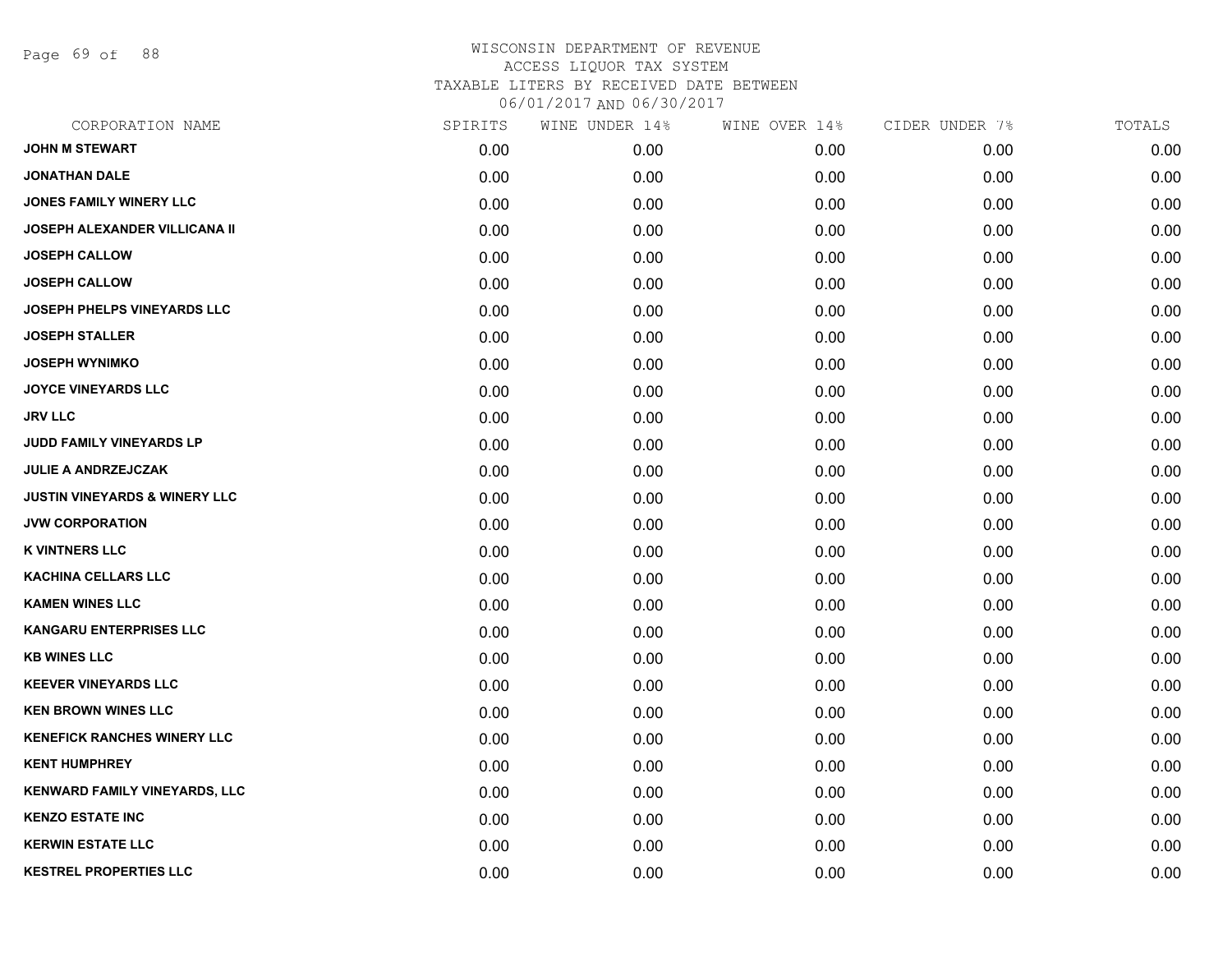Page 69 of 88

| CORPORATION NAME                         | SPIRITS | WINE UNDER 14% | WINE OVER 14% | CIDER UNDER 7% | TOTALS |
|------------------------------------------|---------|----------------|---------------|----------------|--------|
| <b>JOHN M STEWART</b>                    | 0.00    | 0.00           | 0.00          | 0.00           | 0.00   |
| <b>JONATHAN DALE</b>                     | 0.00    | 0.00           | 0.00          | 0.00           | 0.00   |
| JONES FAMILY WINERY LLC                  | 0.00    | 0.00           | 0.00          | 0.00           | 0.00   |
| JOSEPH ALEXANDER VILLICANA II            | 0.00    | 0.00           | 0.00          | 0.00           | 0.00   |
| <b>JOSEPH CALLOW</b>                     | 0.00    | 0.00           | 0.00          | 0.00           | 0.00   |
| <b>JOSEPH CALLOW</b>                     | 0.00    | 0.00           | 0.00          | 0.00           | 0.00   |
| JOSEPH PHELPS VINEYARDS LLC              | 0.00    | 0.00           | 0.00          | 0.00           | 0.00   |
| <b>JOSEPH STALLER</b>                    | 0.00    | 0.00           | 0.00          | 0.00           | 0.00   |
| <b>JOSEPH WYNIMKO</b>                    | 0.00    | 0.00           | 0.00          | 0.00           | 0.00   |
| <b>JOYCE VINEYARDS LLC</b>               | 0.00    | 0.00           | 0.00          | 0.00           | 0.00   |
| <b>JRV LLC</b>                           | 0.00    | 0.00           | 0.00          | 0.00           | 0.00   |
| JUDD FAMILY VINEYARDS LP                 | 0.00    | 0.00           | 0.00          | 0.00           | 0.00   |
| <b>JULIE A ANDRZEJCZAK</b>               | 0.00    | 0.00           | 0.00          | 0.00           | 0.00   |
| <b>JUSTIN VINEYARDS &amp; WINERY LLC</b> | 0.00    | 0.00           | 0.00          | 0.00           | 0.00   |
| <b>JVW CORPORATION</b>                   | 0.00    | 0.00           | 0.00          | 0.00           | 0.00   |
| <b>K VINTNERS LLC</b>                    | 0.00    | 0.00           | 0.00          | 0.00           | 0.00   |
| <b>KACHINA CELLARS LLC</b>               | 0.00    | 0.00           | 0.00          | 0.00           | 0.00   |
| <b>KAMEN WINES LLC</b>                   | 0.00    | 0.00           | 0.00          | 0.00           | 0.00   |
| <b>KANGARU ENTERPRISES LLC</b>           | 0.00    | 0.00           | 0.00          | 0.00           | 0.00   |
| <b>KB WINES LLC</b>                      | 0.00    | 0.00           | 0.00          | 0.00           | 0.00   |
| <b>KEEVER VINEYARDS LLC</b>              | 0.00    | 0.00           | 0.00          | 0.00           | 0.00   |
| <b>KEN BROWN WINES LLC</b>               | 0.00    | 0.00           | 0.00          | 0.00           | 0.00   |
| <b>KENEFICK RANCHES WINERY LLC</b>       | 0.00    | 0.00           | 0.00          | 0.00           | 0.00   |
| <b>KENT HUMPHREY</b>                     | 0.00    | 0.00           | 0.00          | 0.00           | 0.00   |
| <b>KENWARD FAMILY VINEYARDS, LLC</b>     | 0.00    | 0.00           | 0.00          | 0.00           | 0.00   |
| <b>KENZO ESTATE INC</b>                  | 0.00    | 0.00           | 0.00          | 0.00           | 0.00   |
| <b>KERWIN ESTATE LLC</b>                 | 0.00    | 0.00           | 0.00          | 0.00           | 0.00   |
| <b>KESTREL PROPERTIES LLC</b>            | 0.00    | 0.00           | 0.00          | 0.00           | 0.00   |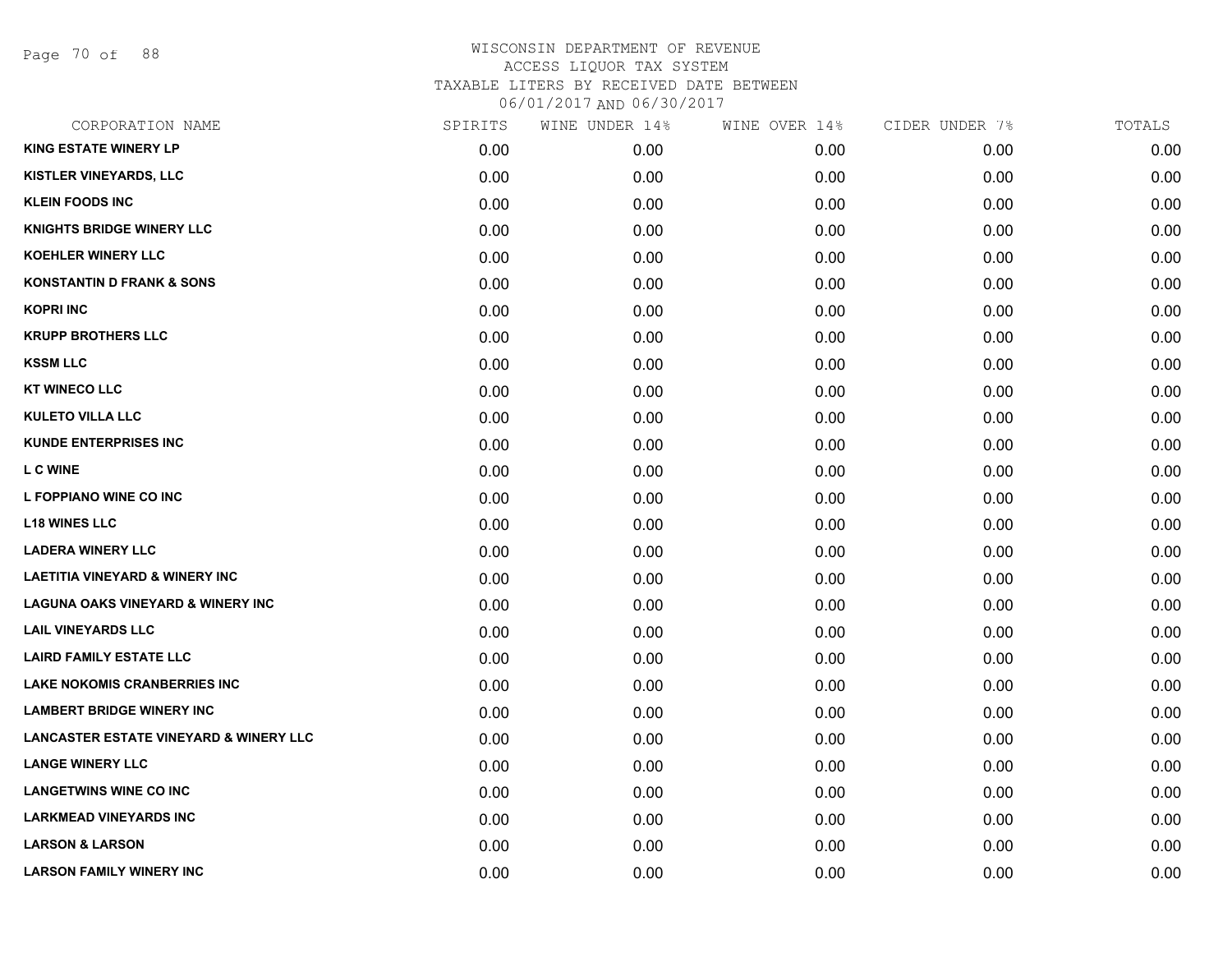Page 70 of 88

| CORPORATION NAME                                  | SPIRITS | WINE UNDER 14% | WINE OVER 14% | CIDER UNDER 7% | TOTALS |
|---------------------------------------------------|---------|----------------|---------------|----------------|--------|
| <b>KING ESTATE WINERY LP</b>                      | 0.00    | 0.00           | 0.00          | 0.00           | 0.00   |
| KISTLER VINEYARDS, LLC                            | 0.00    | 0.00           | 0.00          | 0.00           | 0.00   |
| <b>KLEIN FOODS INC</b>                            | 0.00    | 0.00           | 0.00          | 0.00           | 0.00   |
| <b>KNIGHTS BRIDGE WINERY LLC</b>                  | 0.00    | 0.00           | 0.00          | 0.00           | 0.00   |
| KOEHLER WINERY LLC                                | 0.00    | 0.00           | 0.00          | 0.00           | 0.00   |
| <b>KONSTANTIN D FRANK &amp; SONS</b>              | 0.00    | 0.00           | 0.00          | 0.00           | 0.00   |
| <b>KOPRI INC</b>                                  | 0.00    | 0.00           | 0.00          | 0.00           | 0.00   |
| <b>KRUPP BROTHERS LLC</b>                         | 0.00    | 0.00           | 0.00          | 0.00           | 0.00   |
| <b>KSSM LLC</b>                                   | 0.00    | 0.00           | 0.00          | 0.00           | 0.00   |
| <b>KT WINECO LLC</b>                              | 0.00    | 0.00           | 0.00          | 0.00           | 0.00   |
| <b>KULETO VILLA LLC</b>                           | 0.00    | 0.00           | 0.00          | 0.00           | 0.00   |
| <b>KUNDE ENTERPRISES INC</b>                      | 0.00    | 0.00           | 0.00          | 0.00           | 0.00   |
| <b>LC WINE</b>                                    | 0.00    | 0.00           | 0.00          | 0.00           | 0.00   |
| L FOPPIANO WINE CO INC                            | 0.00    | 0.00           | 0.00          | 0.00           | 0.00   |
| <b>L18 WINES LLC</b>                              | 0.00    | 0.00           | 0.00          | 0.00           | 0.00   |
| <b>LADERA WINERY LLC</b>                          | 0.00    | 0.00           | 0.00          | 0.00           | 0.00   |
| <b>LAETITIA VINEYARD &amp; WINERY INC</b>         | 0.00    | 0.00           | 0.00          | 0.00           | 0.00   |
| <b>LAGUNA OAKS VINEYARD &amp; WINERY INC</b>      | 0.00    | 0.00           | 0.00          | 0.00           | 0.00   |
| <b>LAIL VINEYARDS LLC</b>                         | 0.00    | 0.00           | 0.00          | 0.00           | 0.00   |
| <b>LAIRD FAMILY ESTATE LLC</b>                    | 0.00    | 0.00           | 0.00          | 0.00           | 0.00   |
| <b>LAKE NOKOMIS CRANBERRIES INC</b>               | 0.00    | 0.00           | 0.00          | 0.00           | 0.00   |
| <b>LAMBERT BRIDGE WINERY INC</b>                  | 0.00    | 0.00           | 0.00          | 0.00           | 0.00   |
| <b>LANCASTER ESTATE VINEYARD &amp; WINERY LLC</b> | 0.00    | 0.00           | 0.00          | 0.00           | 0.00   |
| <b>LANGE WINERY LLC</b>                           | 0.00    | 0.00           | 0.00          | 0.00           | 0.00   |
| <b>LANGETWINS WINE CO INC</b>                     | 0.00    | 0.00           | 0.00          | 0.00           | 0.00   |
| <b>LARKMEAD VINEYARDS INC</b>                     | 0.00    | 0.00           | 0.00          | 0.00           | 0.00   |
| <b>LARSON &amp; LARSON</b>                        | 0.00    | 0.00           | 0.00          | 0.00           | 0.00   |
| <b>LARSON FAMILY WINERY INC</b>                   | 0.00    | 0.00           | 0.00          | 0.00           | 0.00   |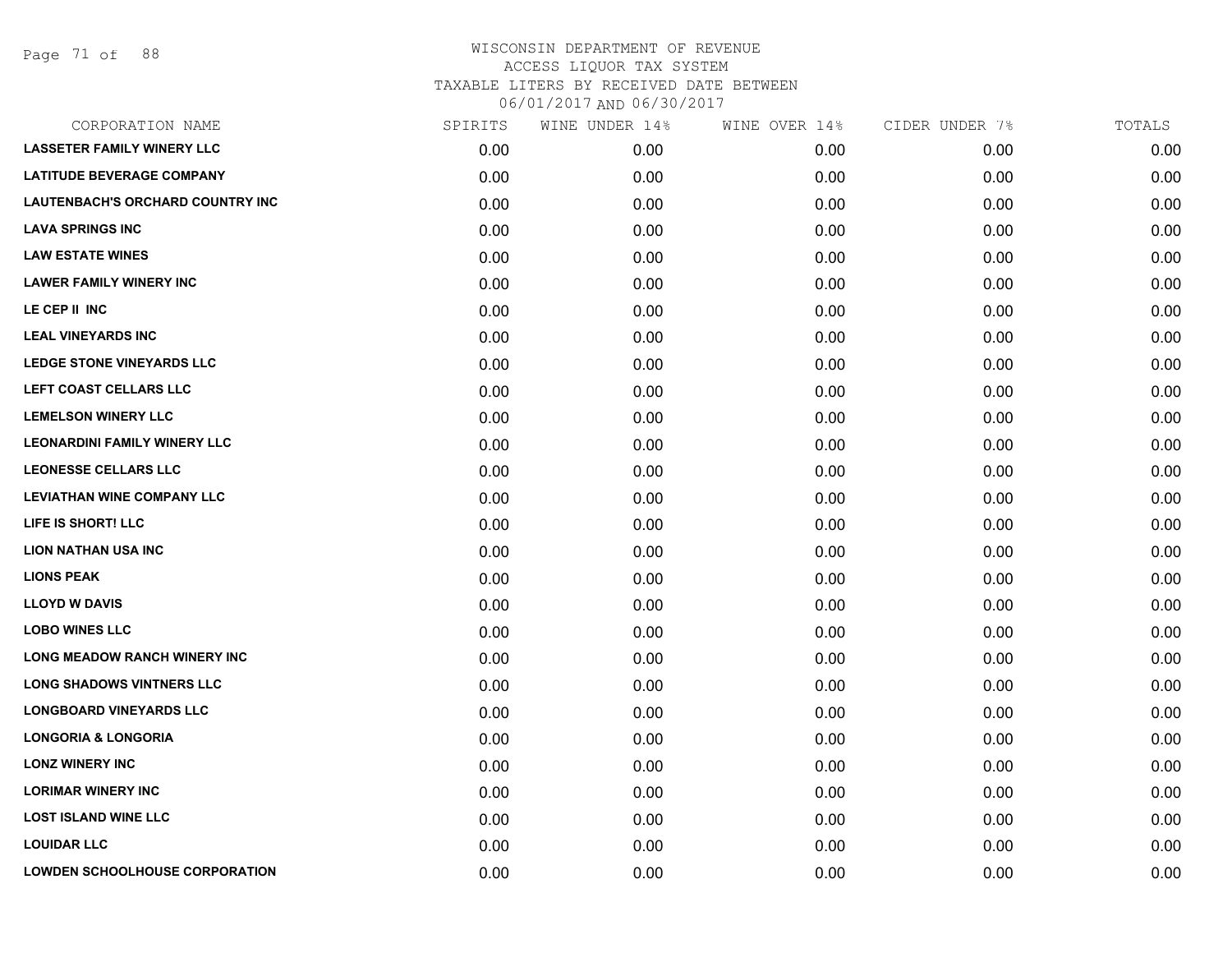| <b>LASSETER FAMILY WINERY LLC</b><br><b>LATITUDE BEVERAGE COMPANY</b><br><b>LAUTENBACH'S ORCHARD COUNTRY INC</b><br><b>LAVA SPRINGS INC</b><br><b>LAW ESTATE WINES</b><br><b>LAWER FAMILY WINERY INC</b> | 0.00<br>0.00<br>0.00<br>0.00<br>0.00<br>0.00<br>0.00<br>0.00<br>0.00 | 0.00<br>0.00<br>0.00<br>0.00<br>0.00<br>0.00<br>0.00<br>0.00<br>0.00 | 0.00<br>0.00<br>0.00<br>0.00<br>0.00<br>0.00<br>0.00<br>0.00 | 0.00<br>0.00<br>0.00<br>0.00<br>0.00<br>0.00<br>0.00<br>0.00 | 0.00<br>0.00<br>0.00<br>0.00<br>0.00<br>0.00<br>0.00 |
|----------------------------------------------------------------------------------------------------------------------------------------------------------------------------------------------------------|----------------------------------------------------------------------|----------------------------------------------------------------------|--------------------------------------------------------------|--------------------------------------------------------------|------------------------------------------------------|
|                                                                                                                                                                                                          |                                                                      |                                                                      |                                                              |                                                              |                                                      |
|                                                                                                                                                                                                          |                                                                      |                                                                      |                                                              |                                                              |                                                      |
|                                                                                                                                                                                                          |                                                                      |                                                                      |                                                              |                                                              |                                                      |
|                                                                                                                                                                                                          |                                                                      |                                                                      |                                                              |                                                              |                                                      |
|                                                                                                                                                                                                          |                                                                      |                                                                      |                                                              |                                                              |                                                      |
|                                                                                                                                                                                                          |                                                                      |                                                                      |                                                              |                                                              |                                                      |
| LE CEP II INC                                                                                                                                                                                            |                                                                      |                                                                      |                                                              |                                                              |                                                      |
| <b>LEAL VINEYARDS INC</b>                                                                                                                                                                                |                                                                      |                                                                      |                                                              |                                                              | 0.00                                                 |
| LEDGE STONE VINEYARDS LLC                                                                                                                                                                                |                                                                      |                                                                      | 0.00                                                         | 0.00                                                         | 0.00                                                 |
| LEFT COAST CELLARS LLC                                                                                                                                                                                   | 0.00                                                                 | 0.00                                                                 | 0.00                                                         | 0.00                                                         | 0.00                                                 |
| <b>LEMELSON WINERY LLC</b>                                                                                                                                                                               | 0.00                                                                 | 0.00                                                                 | 0.00                                                         | 0.00                                                         | 0.00                                                 |
| <b>LEONARDINI FAMILY WINERY LLC</b>                                                                                                                                                                      | 0.00                                                                 | 0.00                                                                 | 0.00                                                         | 0.00                                                         | 0.00                                                 |
| <b>LEONESSE CELLARS LLC</b>                                                                                                                                                                              | 0.00                                                                 | 0.00                                                                 | 0.00                                                         | 0.00                                                         | 0.00                                                 |
| <b>LEVIATHAN WINE COMPANY LLC</b>                                                                                                                                                                        | 0.00                                                                 | 0.00                                                                 | 0.00                                                         | 0.00                                                         | 0.00                                                 |
| LIFE IS SHORT! LLC                                                                                                                                                                                       | 0.00                                                                 | 0.00                                                                 | 0.00                                                         | 0.00                                                         | 0.00                                                 |
| <b>LION NATHAN USA INC</b>                                                                                                                                                                               | 0.00                                                                 | 0.00                                                                 | 0.00                                                         | 0.00                                                         | 0.00                                                 |
| <b>LIONS PEAK</b>                                                                                                                                                                                        | 0.00                                                                 | 0.00                                                                 | 0.00                                                         | 0.00                                                         | 0.00                                                 |
| <b>LLOYD W DAVIS</b>                                                                                                                                                                                     | 0.00                                                                 | 0.00                                                                 | 0.00                                                         | 0.00                                                         | 0.00                                                 |
| <b>LOBO WINES LLC</b>                                                                                                                                                                                    | 0.00                                                                 | 0.00                                                                 | 0.00                                                         | 0.00                                                         | 0.00                                                 |
| <b>LONG MEADOW RANCH WINERY INC</b>                                                                                                                                                                      | 0.00                                                                 | 0.00                                                                 | 0.00                                                         | 0.00                                                         | 0.00                                                 |
| <b>LONG SHADOWS VINTNERS LLC</b>                                                                                                                                                                         | 0.00                                                                 | 0.00                                                                 | 0.00                                                         | 0.00                                                         | 0.00                                                 |
| <b>LONGBOARD VINEYARDS LLC</b>                                                                                                                                                                           | 0.00                                                                 | 0.00                                                                 | 0.00                                                         | 0.00                                                         | 0.00                                                 |
| <b>LONGORIA &amp; LONGORIA</b>                                                                                                                                                                           | 0.00                                                                 | 0.00                                                                 | 0.00                                                         | 0.00                                                         | 0.00                                                 |
| <b>LONZ WINERY INC</b>                                                                                                                                                                                   | 0.00                                                                 | 0.00                                                                 | 0.00                                                         | 0.00                                                         | 0.00                                                 |
| <b>LORIMAR WINERY INC</b>                                                                                                                                                                                | 0.00                                                                 | 0.00                                                                 | 0.00                                                         | 0.00                                                         | 0.00                                                 |
| <b>LOST ISLAND WINE LLC</b>                                                                                                                                                                              | 0.00                                                                 | 0.00                                                                 | 0.00                                                         | 0.00                                                         | 0.00                                                 |
| <b>LOUIDAR LLC</b>                                                                                                                                                                                       | 0.00                                                                 | 0.00                                                                 | 0.00                                                         | 0.00                                                         | 0.00                                                 |
| <b>LOWDEN SCHOOLHOUSE CORPORATION</b>                                                                                                                                                                    | 0.00                                                                 | 0.00                                                                 | 0.00                                                         | 0.00                                                         | 0.00                                                 |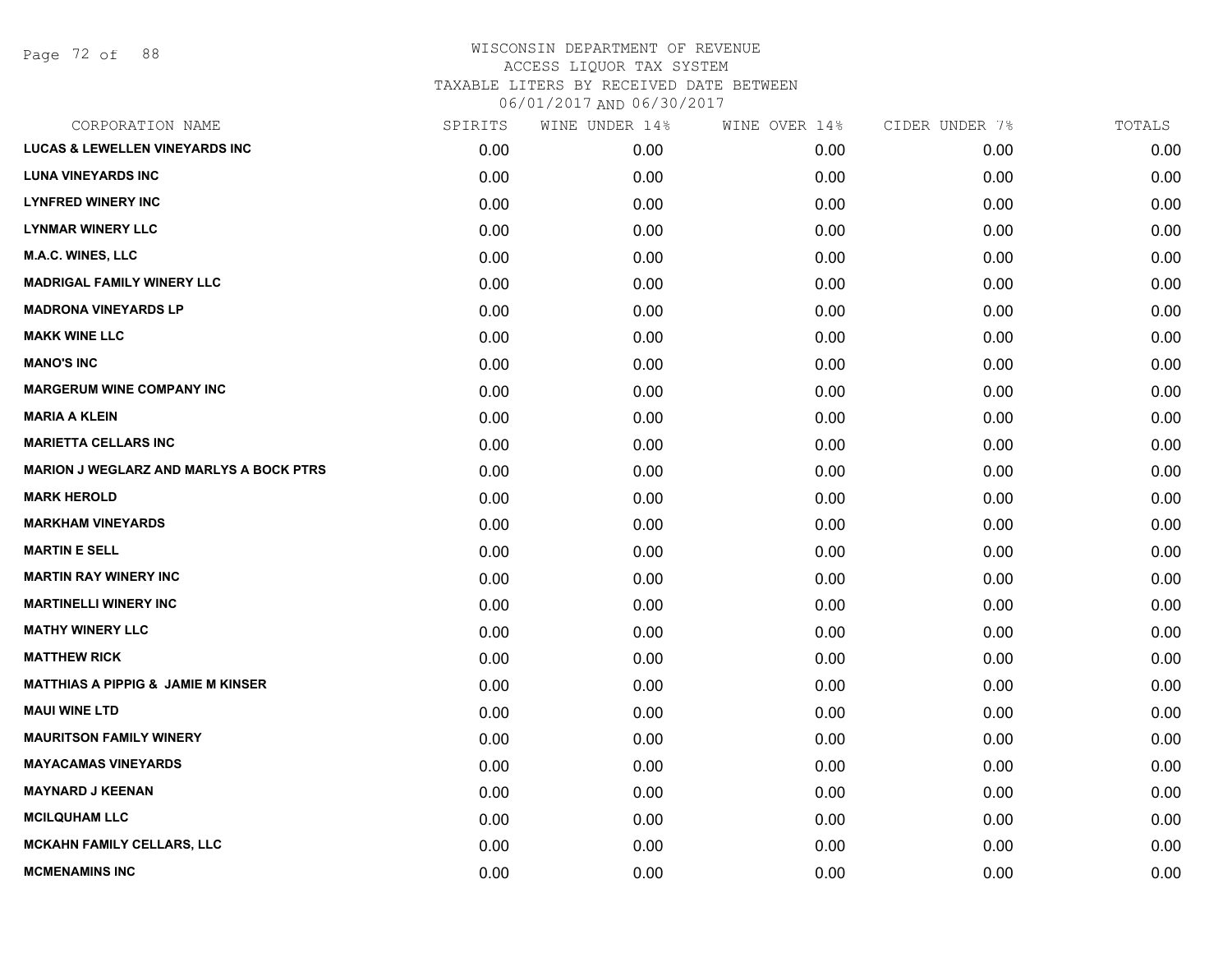Page 72 of 88

| CORPORATION NAME                               | SPIRITS | WINE UNDER 14% | WINE OVER 14% | CIDER UNDER 7% | TOTALS |
|------------------------------------------------|---------|----------------|---------------|----------------|--------|
| <b>LUCAS &amp; LEWELLEN VINEYARDS INC</b>      | 0.00    | 0.00           | 0.00          | 0.00           | 0.00   |
| <b>LUNA VINEYARDS INC</b>                      | 0.00    | 0.00           | 0.00          | 0.00           | 0.00   |
| <b>LYNFRED WINERY INC</b>                      | 0.00    | 0.00           | 0.00          | 0.00           | 0.00   |
| <b>LYNMAR WINERY LLC</b>                       | 0.00    | 0.00           | 0.00          | 0.00           | 0.00   |
| M.A.C. WINES, LLC                              | 0.00    | 0.00           | 0.00          | 0.00           | 0.00   |
| <b>MADRIGAL FAMILY WINERY LLC</b>              | 0.00    | 0.00           | 0.00          | 0.00           | 0.00   |
| <b>MADRONA VINEYARDS LP</b>                    | 0.00    | 0.00           | 0.00          | 0.00           | 0.00   |
| <b>MAKK WINE LLC</b>                           | 0.00    | 0.00           | 0.00          | 0.00           | 0.00   |
| <b>MANO'S INC</b>                              | 0.00    | 0.00           | 0.00          | 0.00           | 0.00   |
| <b>MARGERUM WINE COMPANY INC</b>               | 0.00    | 0.00           | 0.00          | 0.00           | 0.00   |
| <b>MARIA A KLEIN</b>                           | 0.00    | 0.00           | 0.00          | 0.00           | 0.00   |
| <b>MARIETTA CELLARS INC</b>                    | 0.00    | 0.00           | 0.00          | 0.00           | 0.00   |
| <b>MARION J WEGLARZ AND MARLYS A BOCK PTRS</b> | 0.00    | 0.00           | 0.00          | 0.00           | 0.00   |
| <b>MARK HEROLD</b>                             | 0.00    | 0.00           | 0.00          | 0.00           | 0.00   |
| <b>MARKHAM VINEYARDS</b>                       | 0.00    | 0.00           | 0.00          | 0.00           | 0.00   |
| <b>MARTIN E SELL</b>                           | 0.00    | 0.00           | 0.00          | 0.00           | 0.00   |
| <b>MARTIN RAY WINERY INC</b>                   | 0.00    | 0.00           | 0.00          | 0.00           | 0.00   |
| <b>MARTINELLI WINERY INC</b>                   | 0.00    | 0.00           | 0.00          | 0.00           | 0.00   |
| <b>MATHY WINERY LLC</b>                        | 0.00    | 0.00           | 0.00          | 0.00           | 0.00   |
| <b>MATTHEW RICK</b>                            | 0.00    | 0.00           | 0.00          | 0.00           | 0.00   |
| <b>MATTHIAS A PIPPIG &amp; JAMIE M KINSER</b>  | 0.00    | 0.00           | 0.00          | 0.00           | 0.00   |
| <b>MAUI WINE LTD</b>                           | 0.00    | 0.00           | 0.00          | 0.00           | 0.00   |
| <b>MAURITSON FAMILY WINERY</b>                 | 0.00    | 0.00           | 0.00          | 0.00           | 0.00   |
| <b>MAYACAMAS VINEYARDS</b>                     | 0.00    | 0.00           | 0.00          | 0.00           | 0.00   |
| <b>MAYNARD J KEENAN</b>                        | 0.00    | 0.00           | 0.00          | 0.00           | 0.00   |
| <b>MCILQUHAM LLC</b>                           | 0.00    | 0.00           | 0.00          | 0.00           | 0.00   |
| <b>MCKAHN FAMILY CELLARS, LLC</b>              | 0.00    | 0.00           | 0.00          | 0.00           | 0.00   |
| <b>MCMENAMINS INC</b>                          | 0.00    | 0.00           | 0.00          | 0.00           | 0.00   |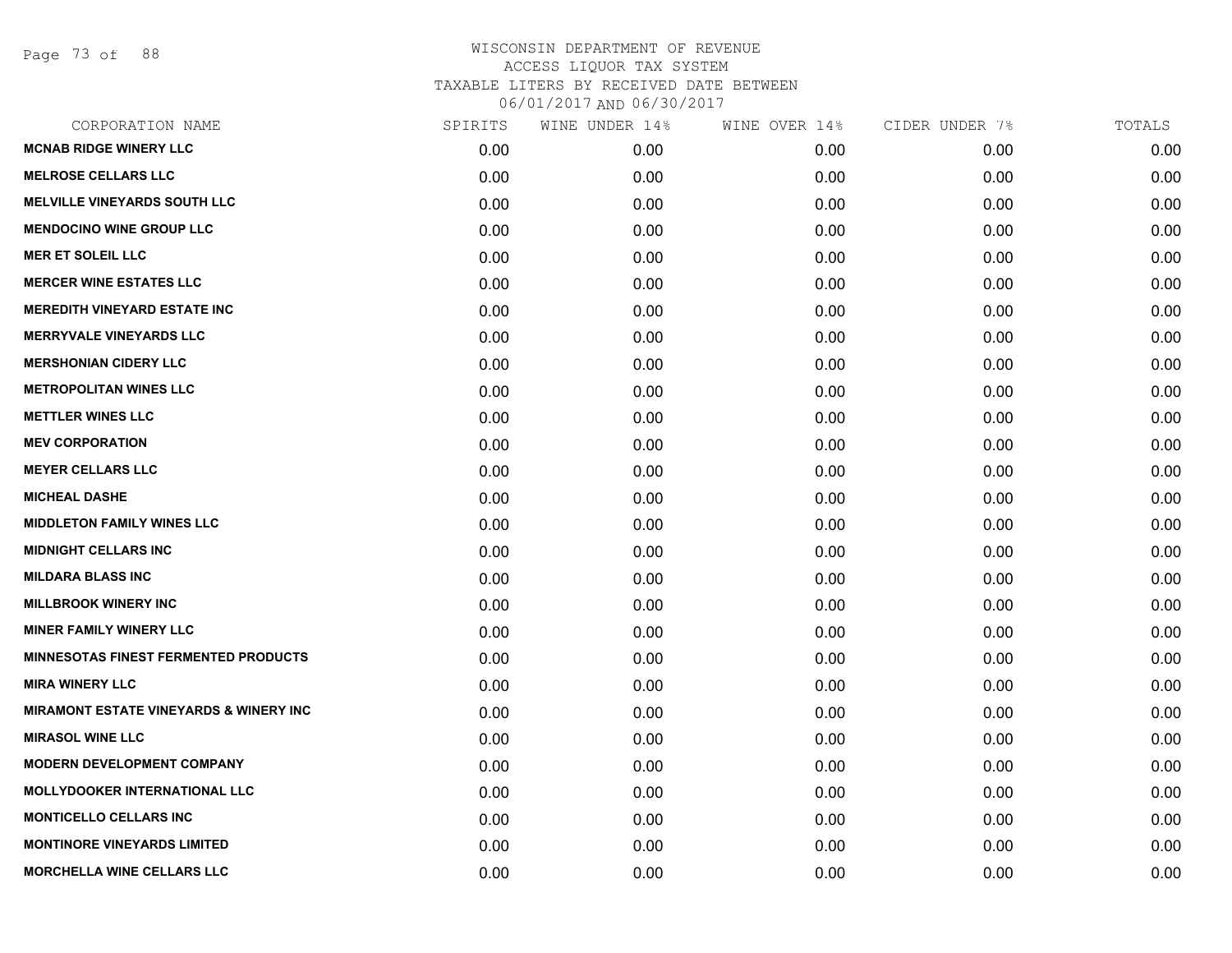Page 73 of 88

| CORPORATION NAME                                  | SPIRITS | WINE UNDER 14% | WINE OVER 14% | CIDER UNDER 7% | TOTALS |
|---------------------------------------------------|---------|----------------|---------------|----------------|--------|
| <b>MCNAB RIDGE WINERY LLC</b>                     | 0.00    | 0.00           | 0.00          | 0.00           | 0.00   |
| <b>MELROSE CELLARS LLC</b>                        | 0.00    | 0.00           | 0.00          | 0.00           | 0.00   |
| <b>MELVILLE VINEYARDS SOUTH LLC</b>               | 0.00    | 0.00           | 0.00          | 0.00           | 0.00   |
| <b>MENDOCINO WINE GROUP LLC</b>                   | 0.00    | 0.00           | 0.00          | 0.00           | 0.00   |
| <b>MER ET SOLEIL LLC</b>                          | 0.00    | 0.00           | 0.00          | 0.00           | 0.00   |
| <b>MERCER WINE ESTATES LLC</b>                    | 0.00    | 0.00           | 0.00          | 0.00           | 0.00   |
| <b>MEREDITH VINEYARD ESTATE INC</b>               | 0.00    | 0.00           | 0.00          | 0.00           | 0.00   |
| <b>MERRYVALE VINEYARDS LLC</b>                    | 0.00    | 0.00           | 0.00          | 0.00           | 0.00   |
| <b>MERSHONIAN CIDERY LLC</b>                      | 0.00    | 0.00           | 0.00          | 0.00           | 0.00   |
| <b>METROPOLITAN WINES LLC</b>                     | 0.00    | 0.00           | 0.00          | 0.00           | 0.00   |
| <b>METTLER WINES LLC</b>                          | 0.00    | 0.00           | 0.00          | 0.00           | 0.00   |
| <b>MEV CORPORATION</b>                            | 0.00    | 0.00           | 0.00          | 0.00           | 0.00   |
| <b>MEYER CELLARS LLC</b>                          | 0.00    | 0.00           | 0.00          | 0.00           | 0.00   |
| <b>MICHEAL DASHE</b>                              | 0.00    | 0.00           | 0.00          | 0.00           | 0.00   |
| <b>MIDDLETON FAMILY WINES LLC</b>                 | 0.00    | 0.00           | 0.00          | 0.00           | 0.00   |
| <b>MIDNIGHT CELLARS INC</b>                       | 0.00    | 0.00           | 0.00          | 0.00           | 0.00   |
| <b>MILDARA BLASS INC</b>                          | 0.00    | 0.00           | 0.00          | 0.00           | 0.00   |
| <b>MILLBROOK WINERY INC</b>                       | 0.00    | 0.00           | 0.00          | 0.00           | 0.00   |
| <b>MINER FAMILY WINERY LLC</b>                    | 0.00    | 0.00           | 0.00          | 0.00           | 0.00   |
| <b>MINNESOTAS FINEST FERMENTED PRODUCTS</b>       | 0.00    | 0.00           | 0.00          | 0.00           | 0.00   |
| <b>MIRA WINERY LLC</b>                            | 0.00    | 0.00           | 0.00          | 0.00           | 0.00   |
| <b>MIRAMONT ESTATE VINEYARDS &amp; WINERY INC</b> | 0.00    | 0.00           | 0.00          | 0.00           | 0.00   |
| <b>MIRASOL WINE LLC</b>                           | 0.00    | 0.00           | 0.00          | 0.00           | 0.00   |
| <b>MODERN DEVELOPMENT COMPANY</b>                 | 0.00    | 0.00           | 0.00          | 0.00           | 0.00   |
| <b>MOLLYDOOKER INTERNATIONAL LLC</b>              | 0.00    | 0.00           | 0.00          | 0.00           | 0.00   |
| <b>MONTICELLO CELLARS INC</b>                     | 0.00    | 0.00           | 0.00          | 0.00           | 0.00   |
| <b>MONTINORE VINEYARDS LIMITED</b>                | 0.00    | 0.00           | 0.00          | 0.00           | 0.00   |
| MORCHELLA WINE CELLARS LLC                        | 0.00    | 0.00           | 0.00          | 0.00           | 0.00   |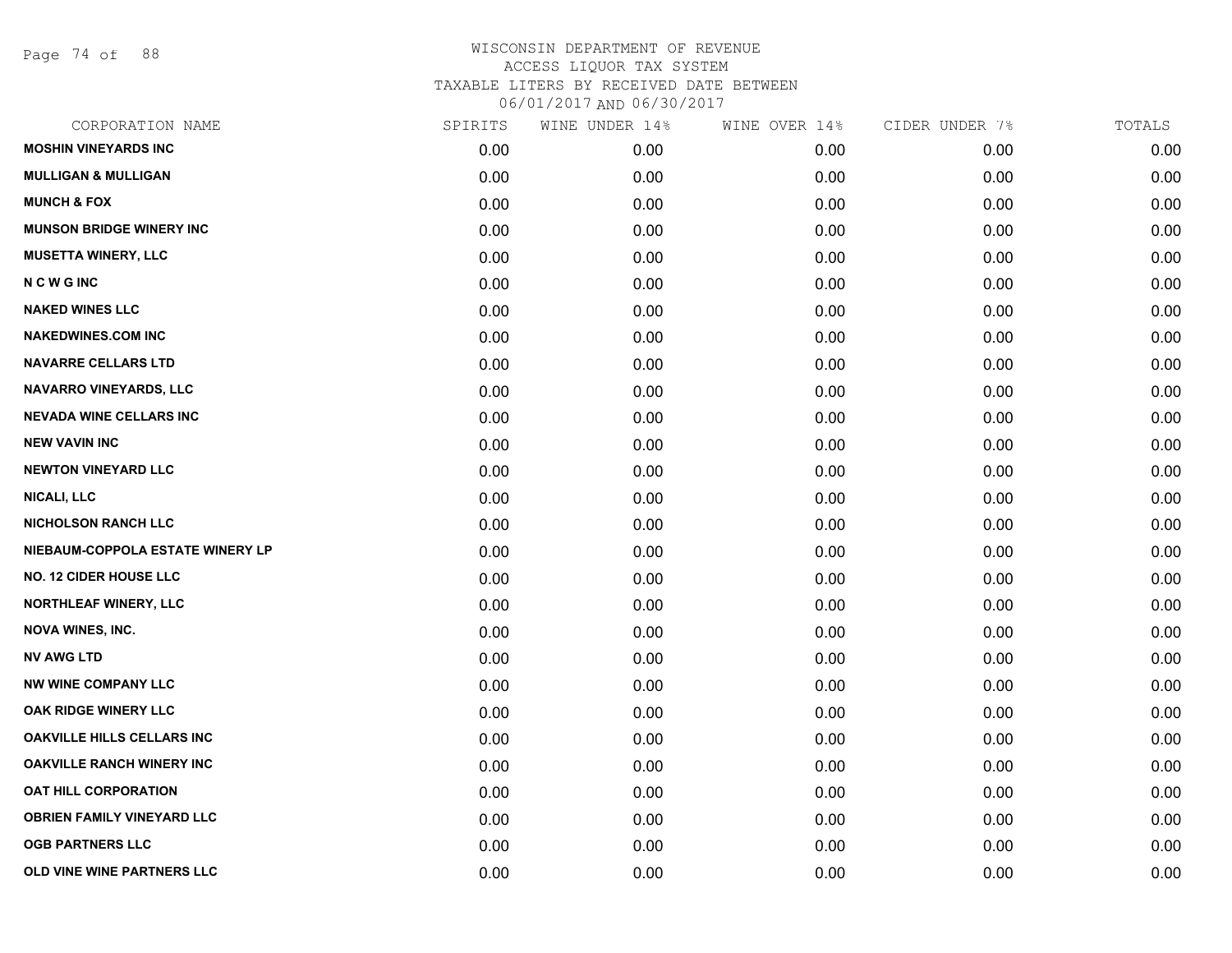Page 74 of 88

| CORPORATION NAME                  | SPIRITS | WINE UNDER 14% | WINE OVER 14% | CIDER UNDER 7% | TOTALS |
|-----------------------------------|---------|----------------|---------------|----------------|--------|
| <b>MOSHIN VINEYARDS INC</b>       | 0.00    | 0.00           | 0.00          | 0.00           | 0.00   |
| <b>MULLIGAN &amp; MULLIGAN</b>    | 0.00    | 0.00           | 0.00          | 0.00           | 0.00   |
| <b>MUNCH &amp; FOX</b>            | 0.00    | 0.00           | 0.00          | 0.00           | 0.00   |
| <b>MUNSON BRIDGE WINERY INC</b>   | 0.00    | 0.00           | 0.00          | 0.00           | 0.00   |
| <b>MUSETTA WINERY, LLC</b>        | 0.00    | 0.00           | 0.00          | 0.00           | 0.00   |
| <b>NCWGINC</b>                    | 0.00    | 0.00           | 0.00          | 0.00           | 0.00   |
| <b>NAKED WINES LLC</b>            | 0.00    | 0.00           | 0.00          | 0.00           | 0.00   |
| <b>NAKEDWINES.COM INC</b>         | 0.00    | 0.00           | 0.00          | 0.00           | 0.00   |
| <b>NAVARRE CELLARS LTD</b>        | 0.00    | 0.00           | 0.00          | 0.00           | 0.00   |
| <b>NAVARRO VINEYARDS, LLC</b>     | 0.00    | 0.00           | 0.00          | 0.00           | 0.00   |
| <b>NEVADA WINE CELLARS INC</b>    | 0.00    | 0.00           | 0.00          | 0.00           | 0.00   |
| <b>NEW VAVIN INC</b>              | 0.00    | 0.00           | 0.00          | 0.00           | 0.00   |
| <b>NEWTON VINEYARD LLC</b>        | 0.00    | 0.00           | 0.00          | 0.00           | 0.00   |
| <b>NICALI, LLC</b>                | 0.00    | 0.00           | 0.00          | 0.00           | 0.00   |
| <b>NICHOLSON RANCH LLC</b>        | 0.00    | 0.00           | 0.00          | 0.00           | 0.00   |
| NIEBAUM-COPPOLA ESTATE WINERY LP  | 0.00    | 0.00           | 0.00          | 0.00           | 0.00   |
| <b>NO. 12 CIDER HOUSE LLC</b>     | 0.00    | 0.00           | 0.00          | 0.00           | 0.00   |
| <b>NORTHLEAF WINERY, LLC</b>      | 0.00    | 0.00           | 0.00          | 0.00           | 0.00   |
| <b>NOVA WINES, INC.</b>           | 0.00    | 0.00           | 0.00          | 0.00           | 0.00   |
| <b>NV AWG LTD</b>                 | 0.00    | 0.00           | 0.00          | 0.00           | 0.00   |
| <b>NW WINE COMPANY LLC</b>        | 0.00    | 0.00           | 0.00          | 0.00           | 0.00   |
| OAK RIDGE WINERY LLC              | 0.00    | 0.00           | 0.00          | 0.00           | 0.00   |
| <b>OAKVILLE HILLS CELLARS INC</b> | 0.00    | 0.00           | 0.00          | 0.00           | 0.00   |
| <b>OAKVILLE RANCH WINERY INC</b>  | 0.00    | 0.00           | 0.00          | 0.00           | 0.00   |
| <b>OAT HILL CORPORATION</b>       | 0.00    | 0.00           | 0.00          | 0.00           | 0.00   |
| <b>OBRIEN FAMILY VINEYARD LLC</b> | 0.00    | 0.00           | 0.00          | 0.00           | 0.00   |
| <b>OGB PARTNERS LLC</b>           | 0.00    | 0.00           | 0.00          | 0.00           | 0.00   |
| OLD VINE WINE PARTNERS LLC        | 0.00    | 0.00           | 0.00          | 0.00           | 0.00   |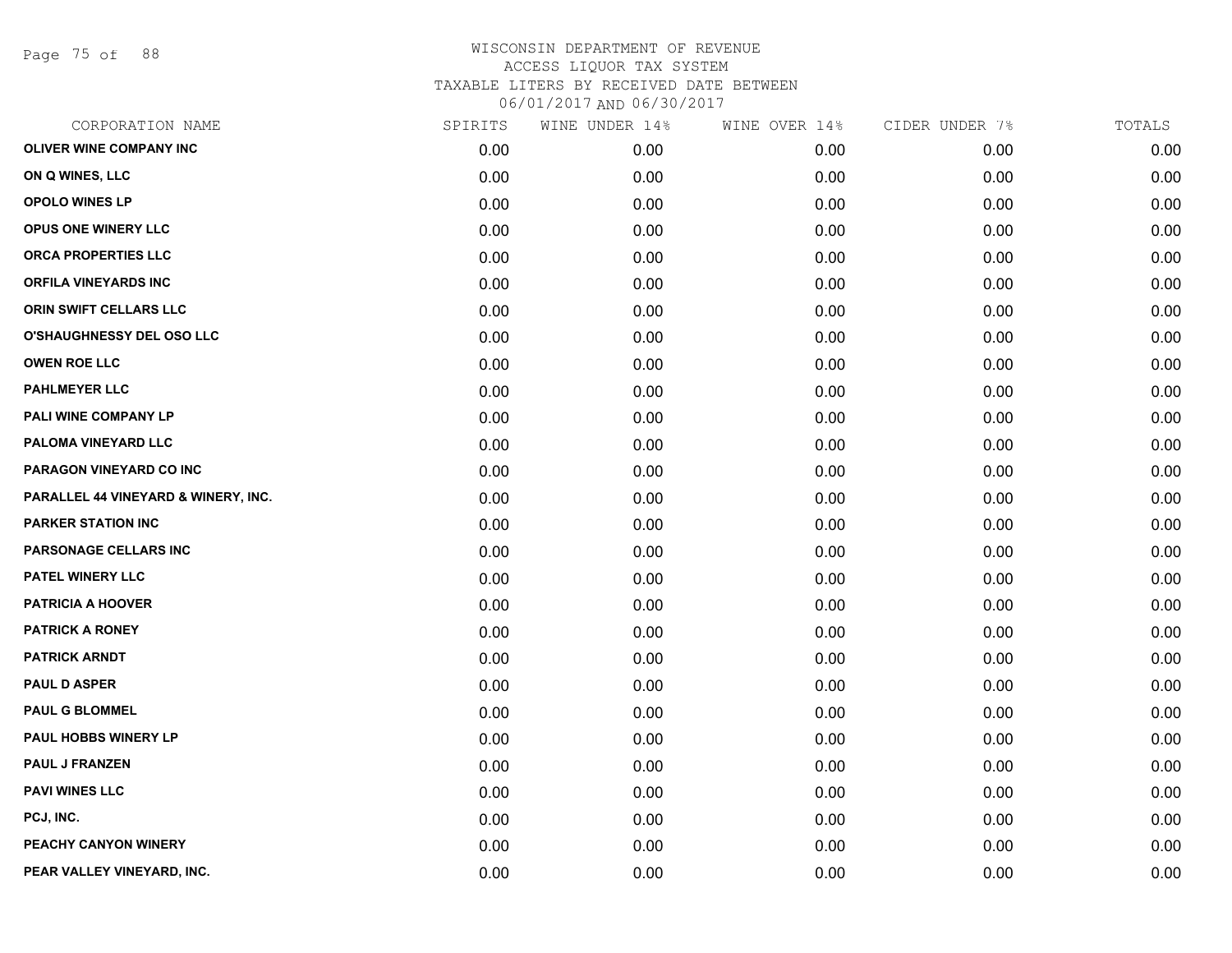Page 75 of 88

| CORPORATION NAME                    | SPIRITS | WINE UNDER 14% | WINE OVER 14% | CIDER UNDER 7% | TOTALS |
|-------------------------------------|---------|----------------|---------------|----------------|--------|
| OLIVER WINE COMPANY INC             | 0.00    | 0.00           | 0.00          | 0.00           | 0.00   |
| ON Q WINES, LLC                     | 0.00    | 0.00           | 0.00          | 0.00           | 0.00   |
| <b>OPOLO WINES LP</b>               | 0.00    | 0.00           | 0.00          | 0.00           | 0.00   |
| OPUS ONE WINERY LLC                 | 0.00    | 0.00           | 0.00          | 0.00           | 0.00   |
| ORCA PROPERTIES LLC                 | 0.00    | 0.00           | 0.00          | 0.00           | 0.00   |
| <b>ORFILA VINEYARDS INC</b>         | 0.00    | 0.00           | 0.00          | 0.00           | 0.00   |
| ORIN SWIFT CELLARS LLC              | 0.00    | 0.00           | 0.00          | 0.00           | 0.00   |
| <b>O'SHAUGHNESSY DEL OSO LLC</b>    | 0.00    | 0.00           | 0.00          | 0.00           | 0.00   |
| <b>OWEN ROE LLC</b>                 | 0.00    | 0.00           | 0.00          | 0.00           | 0.00   |
| <b>PAHLMEYER LLC</b>                | 0.00    | 0.00           | 0.00          | 0.00           | 0.00   |
| PALI WINE COMPANY LP                | 0.00    | 0.00           | 0.00          | 0.00           | 0.00   |
| PALOMA VINEYARD LLC                 | 0.00    | 0.00           | 0.00          | 0.00           | 0.00   |
| PARAGON VINEYARD CO INC             | 0.00    | 0.00           | 0.00          | 0.00           | 0.00   |
| PARALLEL 44 VINEYARD & WINERY, INC. | 0.00    | 0.00           | 0.00          | 0.00           | 0.00   |
| <b>PARKER STATION INC</b>           | 0.00    | 0.00           | 0.00          | 0.00           | 0.00   |
| PARSONAGE CELLARS INC               | 0.00    | 0.00           | 0.00          | 0.00           | 0.00   |
| <b>PATEL WINERY LLC</b>             | 0.00    | 0.00           | 0.00          | 0.00           | 0.00   |
| <b>PATRICIA A HOOVER</b>            | 0.00    | 0.00           | 0.00          | 0.00           | 0.00   |
| <b>PATRICK A RONEY</b>              | 0.00    | 0.00           | 0.00          | 0.00           | 0.00   |
| <b>PATRICK ARNDT</b>                | 0.00    | 0.00           | 0.00          | 0.00           | 0.00   |
| <b>PAUL D ASPER</b>                 | 0.00    | 0.00           | 0.00          | 0.00           | 0.00   |
| <b>PAUL G BLOMMEL</b>               | 0.00    | 0.00           | 0.00          | 0.00           | 0.00   |
| PAUL HOBBS WINERY LP                | 0.00    | 0.00           | 0.00          | 0.00           | 0.00   |
| <b>PAUL J FRANZEN</b>               | 0.00    | 0.00           | 0.00          | 0.00           | 0.00   |
| <b>PAVI WINES LLC</b>               | 0.00    | 0.00           | 0.00          | 0.00           | 0.00   |
| PCJ, INC.                           | 0.00    | 0.00           | 0.00          | 0.00           | 0.00   |
| PEACHY CANYON WINERY                | 0.00    | 0.00           | 0.00          | 0.00           | 0.00   |
| PEAR VALLEY VINEYARD, INC.          | 0.00    | 0.00           | 0.00          | 0.00           | 0.00   |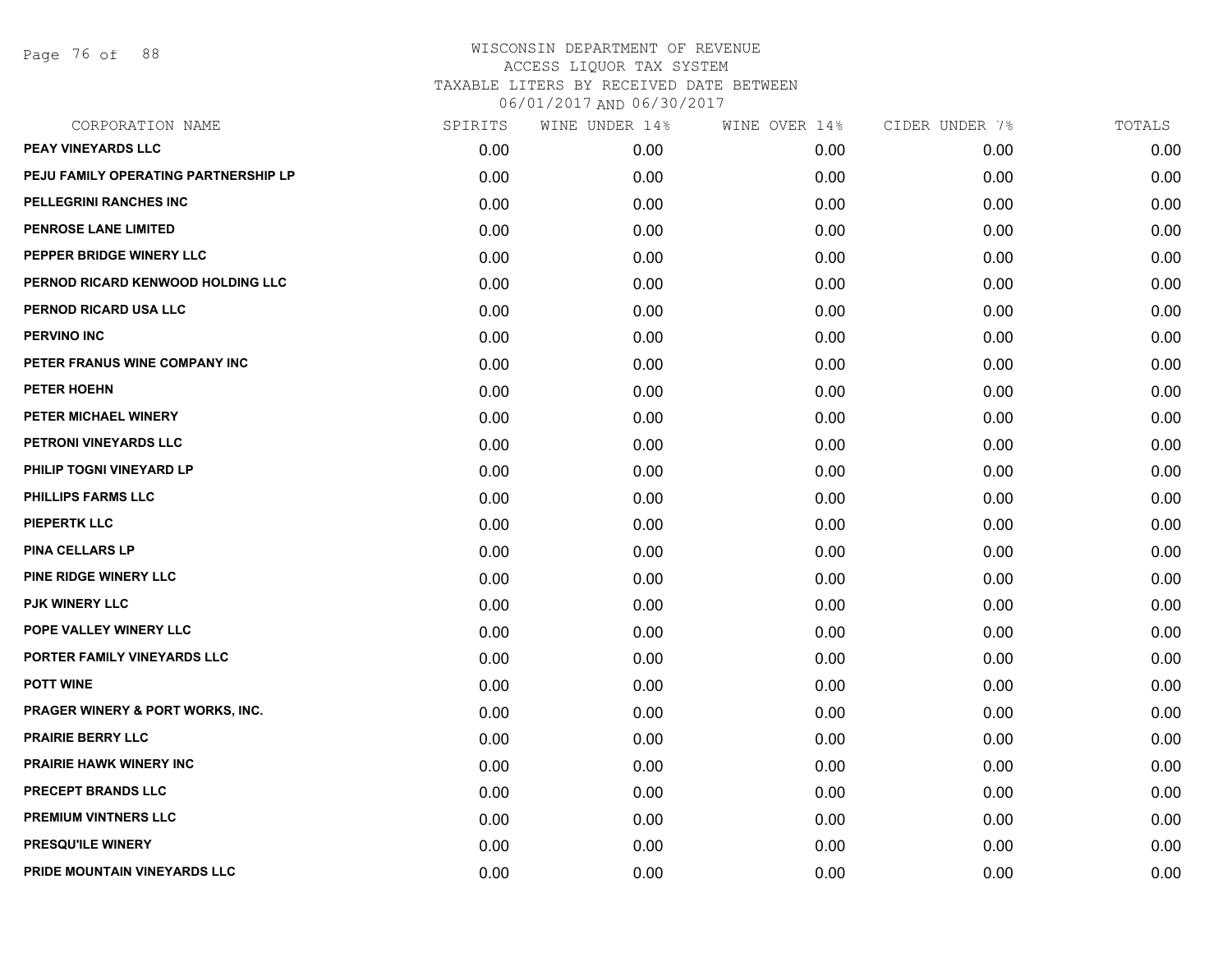Page 76 of 88

| CORPORATION NAME                     | SPIRITS | WINE UNDER 14% | WINE OVER 14% | CIDER UNDER 7% | TOTALS |
|--------------------------------------|---------|----------------|---------------|----------------|--------|
| PEAY VINEYARDS LLC                   | 0.00    | 0.00           | 0.00          | 0.00           | 0.00   |
| PEJU FAMILY OPERATING PARTNERSHIP LP | 0.00    | 0.00           | 0.00          | 0.00           | 0.00   |
| PELLEGRINI RANCHES INC               | 0.00    | 0.00           | 0.00          | 0.00           | 0.00   |
| PENROSE LANE LIMITED                 | 0.00    | 0.00           | 0.00          | 0.00           | 0.00   |
| PEPPER BRIDGE WINERY LLC             | 0.00    | 0.00           | 0.00          | 0.00           | 0.00   |
| PERNOD RICARD KENWOOD HOLDING LLC    | 0.00    | 0.00           | 0.00          | 0.00           | 0.00   |
| PERNOD RICARD USA LLC                | 0.00    | 0.00           | 0.00          | 0.00           | 0.00   |
| <b>PERVINO INC</b>                   | 0.00    | 0.00           | 0.00          | 0.00           | 0.00   |
| PETER FRANUS WINE COMPANY INC        | 0.00    | 0.00           | 0.00          | 0.00           | 0.00   |
| <b>PETER HOEHN</b>                   | 0.00    | 0.00           | 0.00          | 0.00           | 0.00   |
| PETER MICHAEL WINERY                 | 0.00    | 0.00           | 0.00          | 0.00           | 0.00   |
| PETRONI VINEYARDS LLC                | 0.00    | 0.00           | 0.00          | 0.00           | 0.00   |
| PHILIP TOGNI VINEYARD LP             | 0.00    | 0.00           | 0.00          | 0.00           | 0.00   |
| <b>PHILLIPS FARMS LLC</b>            | 0.00    | 0.00           | 0.00          | 0.00           | 0.00   |
| <b>PIEPERTK LLC</b>                  | 0.00    | 0.00           | 0.00          | 0.00           | 0.00   |
| <b>PINA CELLARS LP</b>               | 0.00    | 0.00           | 0.00          | 0.00           | 0.00   |
| PINE RIDGE WINERY LLC                | 0.00    | 0.00           | 0.00          | 0.00           | 0.00   |
| <b>PJK WINERY LLC</b>                | 0.00    | 0.00           | 0.00          | 0.00           | 0.00   |
| POPE VALLEY WINERY LLC               | 0.00    | 0.00           | 0.00          | 0.00           | 0.00   |
| PORTER FAMILY VINEYARDS LLC          | 0.00    | 0.00           | 0.00          | 0.00           | 0.00   |
| <b>POTT WINE</b>                     | 0.00    | 0.00           | 0.00          | 0.00           | 0.00   |
| PRAGER WINERY & PORT WORKS, INC.     | 0.00    | 0.00           | 0.00          | 0.00           | 0.00   |
| <b>PRAIRIE BERRY LLC</b>             | 0.00    | 0.00           | 0.00          | 0.00           | 0.00   |
| PRAIRIE HAWK WINERY INC              | 0.00    | 0.00           | 0.00          | 0.00           | 0.00   |
| PRECEPT BRANDS LLC                   | 0.00    | 0.00           | 0.00          | 0.00           | 0.00   |
| PREMIUM VINTNERS LLC                 | 0.00    | 0.00           | 0.00          | 0.00           | 0.00   |
| <b>PRESQU'ILE WINERY</b>             | 0.00    | 0.00           | 0.00          | 0.00           | 0.00   |
| PRIDE MOUNTAIN VINEYARDS LLC         | 0.00    | 0.00           | 0.00          | 0.00           | 0.00   |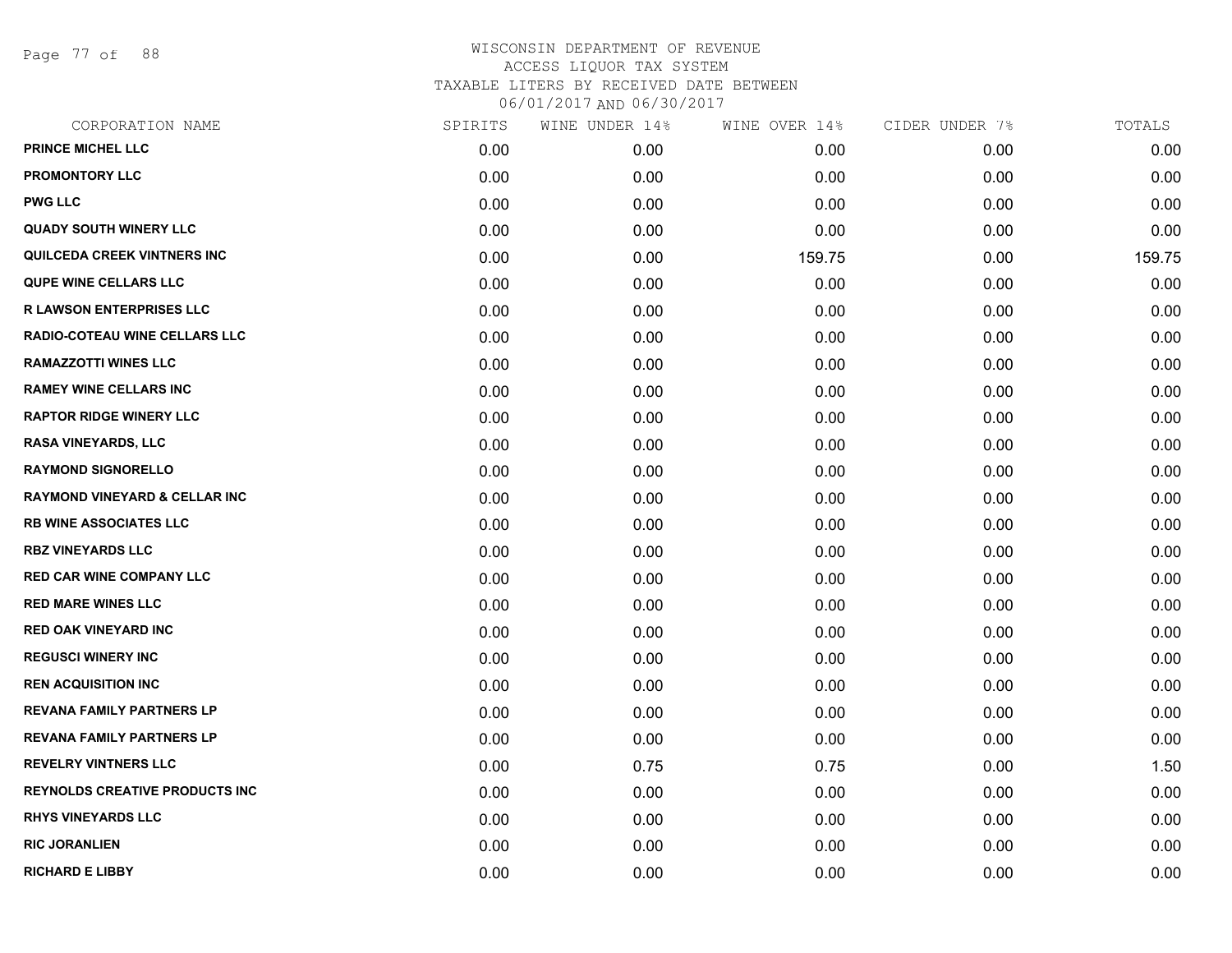Page 77 of 88

| CORPORATION NAME                         | SPIRITS | WINE UNDER 14% | WINE OVER 14% | CIDER UNDER 7% | TOTALS |
|------------------------------------------|---------|----------------|---------------|----------------|--------|
| <b>PRINCE MICHEL LLC</b>                 | 0.00    | 0.00           | 0.00          | 0.00           | 0.00   |
| <b>PROMONTORY LLC</b>                    | 0.00    | 0.00           | 0.00          | 0.00           | 0.00   |
| <b>PWG LLC</b>                           | 0.00    | 0.00           | 0.00          | 0.00           | 0.00   |
| <b>QUADY SOUTH WINERY LLC</b>            | 0.00    | 0.00           | 0.00          | 0.00           | 0.00   |
| <b>QUILCEDA CREEK VINTNERS INC</b>       | 0.00    | 0.00           | 159.75        | 0.00           | 159.75 |
| <b>QUPE WINE CELLARS LLC</b>             | 0.00    | 0.00           | 0.00          | 0.00           | 0.00   |
| <b>R LAWSON ENTERPRISES LLC</b>          | 0.00    | 0.00           | 0.00          | 0.00           | 0.00   |
| RADIO-COTEAU WINE CELLARS LLC            | 0.00    | 0.00           | 0.00          | 0.00           | 0.00   |
| <b>RAMAZZOTTI WINES LLC</b>              | 0.00    | 0.00           | 0.00          | 0.00           | 0.00   |
| <b>RAMEY WINE CELLARS INC</b>            | 0.00    | 0.00           | 0.00          | 0.00           | 0.00   |
| <b>RAPTOR RIDGE WINERY LLC</b>           | 0.00    | 0.00           | 0.00          | 0.00           | 0.00   |
| <b>RASA VINEYARDS, LLC</b>               | 0.00    | 0.00           | 0.00          | 0.00           | 0.00   |
| <b>RAYMOND SIGNORELLO</b>                | 0.00    | 0.00           | 0.00          | 0.00           | 0.00   |
| <b>RAYMOND VINEYARD &amp; CELLAR INC</b> | 0.00    | 0.00           | 0.00          | 0.00           | 0.00   |
| <b>RB WINE ASSOCIATES LLC</b>            | 0.00    | 0.00           | 0.00          | 0.00           | 0.00   |
| <b>RBZ VINEYARDS LLC</b>                 | 0.00    | 0.00           | 0.00          | 0.00           | 0.00   |
| <b>RED CAR WINE COMPANY LLC</b>          | 0.00    | 0.00           | 0.00          | 0.00           | 0.00   |
| <b>RED MARE WINES LLC</b>                | 0.00    | 0.00           | 0.00          | 0.00           | 0.00   |
| <b>RED OAK VINEYARD INC</b>              | 0.00    | 0.00           | 0.00          | 0.00           | 0.00   |
| <b>REGUSCI WINERY INC</b>                | 0.00    | 0.00           | 0.00          | 0.00           | 0.00   |
| <b>REN ACQUISITION INC</b>               | 0.00    | 0.00           | 0.00          | 0.00           | 0.00   |
| <b>REVANA FAMILY PARTNERS LP</b>         | 0.00    | 0.00           | 0.00          | 0.00           | 0.00   |
| <b>REVANA FAMILY PARTNERS LP</b>         | 0.00    | 0.00           | 0.00          | 0.00           | 0.00   |
| <b>REVELRY VINTNERS LLC</b>              | 0.00    | 0.75           | 0.75          | 0.00           | 1.50   |
| <b>REYNOLDS CREATIVE PRODUCTS INC</b>    | 0.00    | 0.00           | 0.00          | 0.00           | 0.00   |
| <b>RHYS VINEYARDS LLC</b>                | 0.00    | 0.00           | 0.00          | 0.00           | 0.00   |
| <b>RIC JORANLIEN</b>                     | 0.00    | 0.00           | 0.00          | 0.00           | 0.00   |
| <b>RICHARD E LIBBY</b>                   | 0.00    | 0.00           | 0.00          | 0.00           | 0.00   |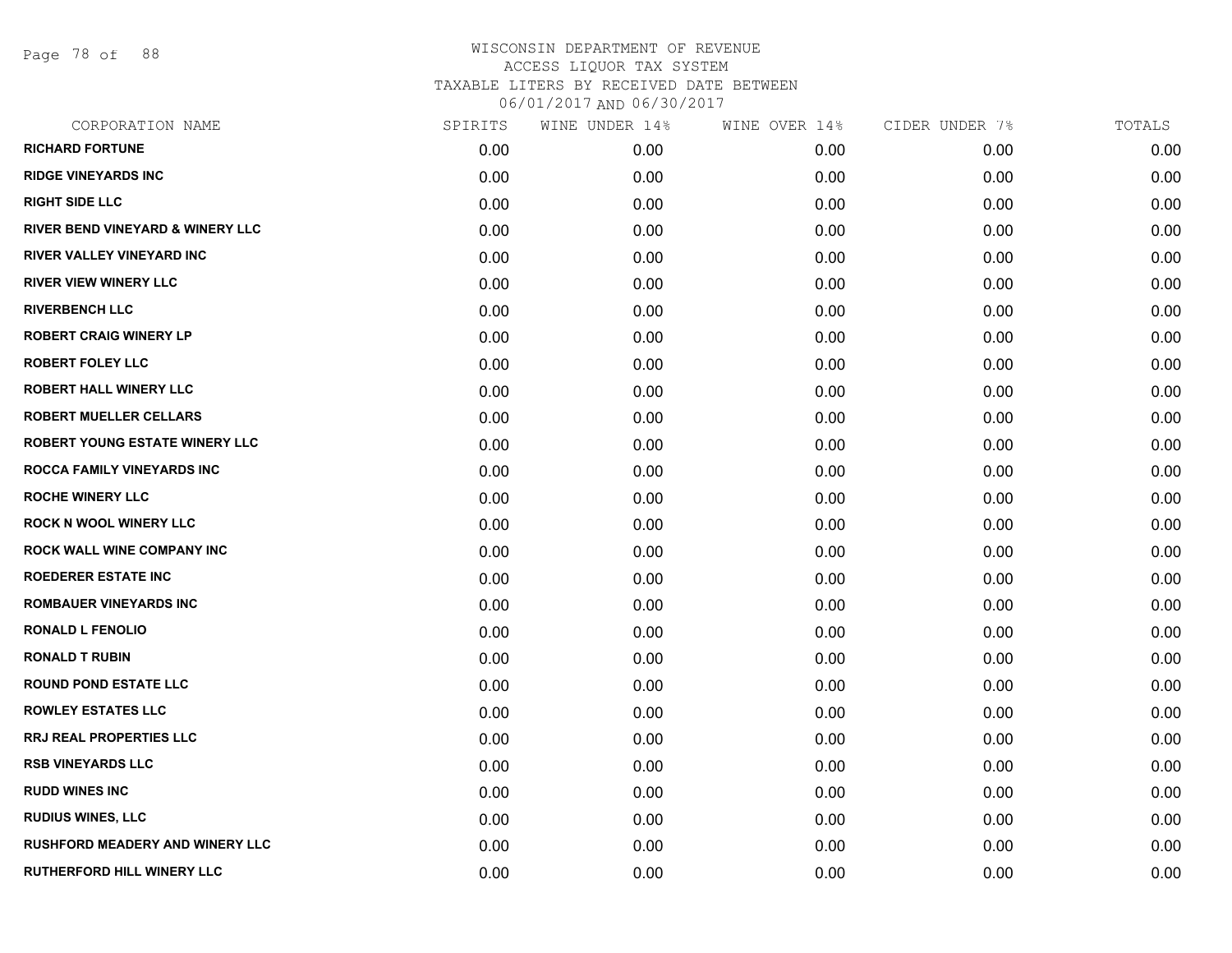Page 78 of 88

| CORPORATION NAME                            | SPIRITS | WINE UNDER 14% | WINE OVER 14% | CIDER UNDER 7% | TOTALS |
|---------------------------------------------|---------|----------------|---------------|----------------|--------|
| <b>RICHARD FORTUNE</b>                      | 0.00    | 0.00           | 0.00          | 0.00           | 0.00   |
| <b>RIDGE VINEYARDS INC</b>                  | 0.00    | 0.00           | 0.00          | 0.00           | 0.00   |
| <b>RIGHT SIDE LLC</b>                       | 0.00    | 0.00           | 0.00          | 0.00           | 0.00   |
| <b>RIVER BEND VINEYARD &amp; WINERY LLC</b> | 0.00    | 0.00           | 0.00          | 0.00           | 0.00   |
| <b>RIVER VALLEY VINEYARD INC</b>            | 0.00    | 0.00           | 0.00          | 0.00           | 0.00   |
| <b>RIVER VIEW WINERY LLC</b>                | 0.00    | 0.00           | 0.00          | 0.00           | 0.00   |
| <b>RIVERBENCH LLC</b>                       | 0.00    | 0.00           | 0.00          | 0.00           | 0.00   |
| <b>ROBERT CRAIG WINERY LP</b>               | 0.00    | 0.00           | 0.00          | 0.00           | 0.00   |
| <b>ROBERT FOLEY LLC</b>                     | 0.00    | 0.00           | 0.00          | 0.00           | 0.00   |
| <b>ROBERT HALL WINERY LLC</b>               | 0.00    | 0.00           | 0.00          | 0.00           | 0.00   |
| <b>ROBERT MUELLER CELLARS</b>               | 0.00    | 0.00           | 0.00          | 0.00           | 0.00   |
| <b>ROBERT YOUNG ESTATE WINERY LLC</b>       | 0.00    | 0.00           | 0.00          | 0.00           | 0.00   |
| ROCCA FAMILY VINEYARDS INC                  | 0.00    | 0.00           | 0.00          | 0.00           | 0.00   |
| <b>ROCHE WINERY LLC</b>                     | 0.00    | 0.00           | 0.00          | 0.00           | 0.00   |
| <b>ROCK N WOOL WINERY LLC</b>               | 0.00    | 0.00           | 0.00          | 0.00           | 0.00   |
| ROCK WALL WINE COMPANY INC                  | 0.00    | 0.00           | 0.00          | 0.00           | 0.00   |
| <b>ROEDERER ESTATE INC</b>                  | 0.00    | 0.00           | 0.00          | 0.00           | 0.00   |
| <b>ROMBAUER VINEYARDS INC</b>               | 0.00    | 0.00           | 0.00          | 0.00           | 0.00   |
| <b>RONALD L FENOLIO</b>                     | 0.00    | 0.00           | 0.00          | 0.00           | 0.00   |
| <b>RONALD T RUBIN</b>                       | 0.00    | 0.00           | 0.00          | 0.00           | 0.00   |
| <b>ROUND POND ESTATE LLC</b>                | 0.00    | 0.00           | 0.00          | 0.00           | 0.00   |
| <b>ROWLEY ESTATES LLC</b>                   | 0.00    | 0.00           | 0.00          | 0.00           | 0.00   |
| RRJ REAL PROPERTIES LLC                     | 0.00    | 0.00           | 0.00          | 0.00           | 0.00   |
| <b>RSB VINEYARDS LLC</b>                    | 0.00    | 0.00           | 0.00          | 0.00           | 0.00   |
| <b>RUDD WINES INC</b>                       | 0.00    | 0.00           | 0.00          | 0.00           | 0.00   |
| <b>RUDIUS WINES, LLC</b>                    | 0.00    | 0.00           | 0.00          | 0.00           | 0.00   |
| <b>RUSHFORD MEADERY AND WINERY LLC</b>      | 0.00    | 0.00           | 0.00          | 0.00           | 0.00   |
| <b>RUTHERFORD HILL WINERY LLC</b>           | 0.00    | 0.00           | 0.00          | 0.00           | 0.00   |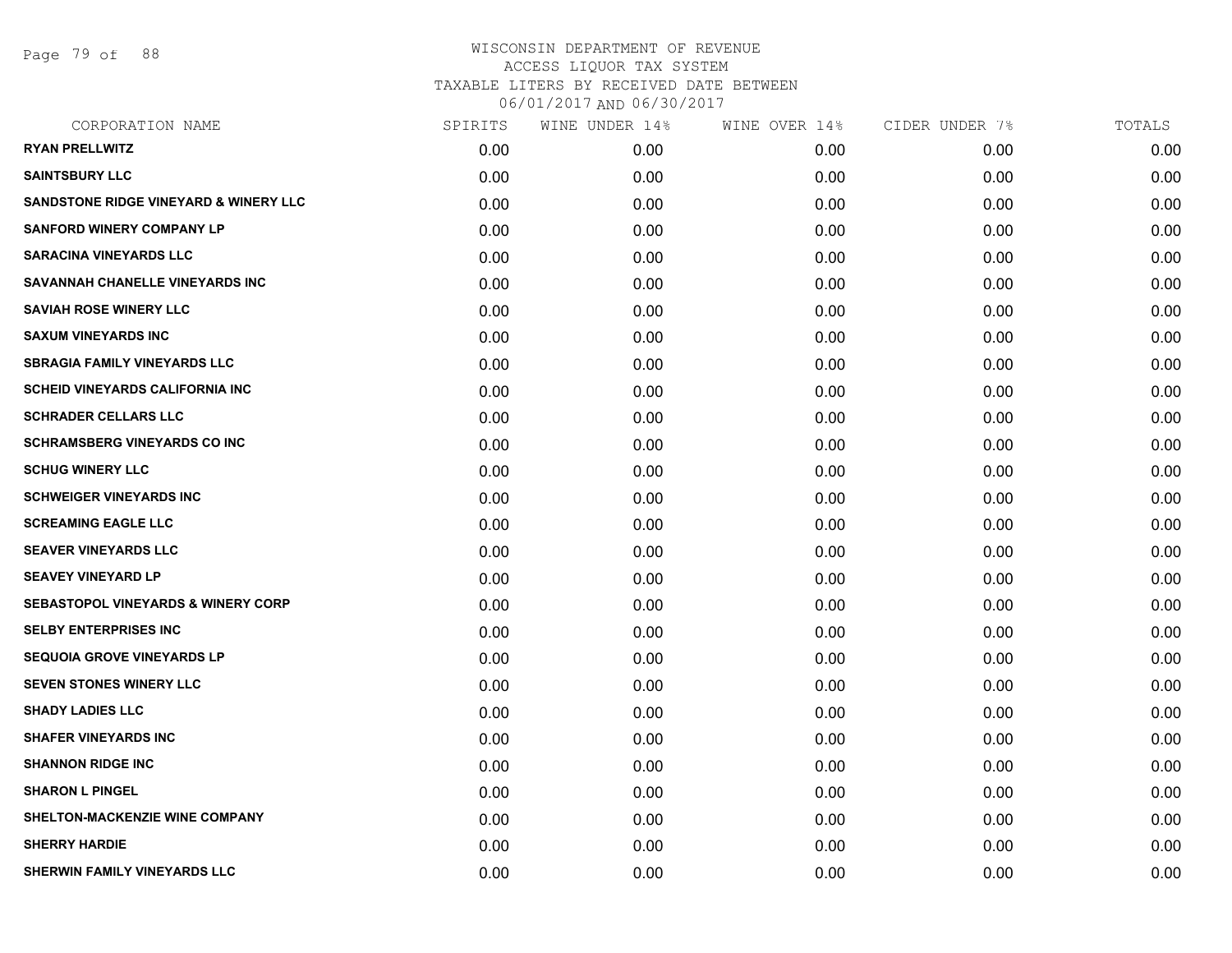Page 79 of 88

| CORPORATION NAME                                 | SPIRITS | WINE UNDER 14% | WINE OVER 14% | CIDER UNDER 7% | TOTALS |
|--------------------------------------------------|---------|----------------|---------------|----------------|--------|
| <b>RYAN PRELLWITZ</b>                            | 0.00    | 0.00           | 0.00          | 0.00           | 0.00   |
| <b>SAINTSBURY LLC</b>                            | 0.00    | 0.00           | 0.00          | 0.00           | 0.00   |
| <b>SANDSTONE RIDGE VINEYARD &amp; WINERY LLC</b> | 0.00    | 0.00           | 0.00          | 0.00           | 0.00   |
| <b>SANFORD WINERY COMPANY LP</b>                 | 0.00    | 0.00           | 0.00          | 0.00           | 0.00   |
| <b>SARACINA VINEYARDS LLC</b>                    | 0.00    | 0.00           | 0.00          | 0.00           | 0.00   |
| SAVANNAH CHANELLE VINEYARDS INC                  | 0.00    | 0.00           | 0.00          | 0.00           | 0.00   |
| <b>SAVIAH ROSE WINERY LLC</b>                    | 0.00    | 0.00           | 0.00          | 0.00           | 0.00   |
| <b>SAXUM VINEYARDS INC</b>                       | 0.00    | 0.00           | 0.00          | 0.00           | 0.00   |
| <b>SBRAGIA FAMILY VINEYARDS LLC</b>              | 0.00    | 0.00           | 0.00          | 0.00           | 0.00   |
| <b>SCHEID VINEYARDS CALIFORNIA INC.</b>          | 0.00    | 0.00           | 0.00          | 0.00           | 0.00   |
| <b>SCHRADER CELLARS LLC</b>                      | 0.00    | 0.00           | 0.00          | 0.00           | 0.00   |
| <b>SCHRAMSBERG VINEYARDS CO INC</b>              | 0.00    | 0.00           | 0.00          | 0.00           | 0.00   |
| <b>SCHUG WINERY LLC</b>                          | 0.00    | 0.00           | 0.00          | 0.00           | 0.00   |
| <b>SCHWEIGER VINEYARDS INC</b>                   | 0.00    | 0.00           | 0.00          | 0.00           | 0.00   |
| <b>SCREAMING EAGLE LLC</b>                       | 0.00    | 0.00           | 0.00          | 0.00           | 0.00   |
| <b>SEAVER VINEYARDS LLC</b>                      | 0.00    | 0.00           | 0.00          | 0.00           | 0.00   |
| <b>SEAVEY VINEYARD LP</b>                        | 0.00    | 0.00           | 0.00          | 0.00           | 0.00   |
| <b>SEBASTOPOL VINEYARDS &amp; WINERY CORP</b>    | 0.00    | 0.00           | 0.00          | 0.00           | 0.00   |
| <b>SELBY ENTERPRISES INC</b>                     | 0.00    | 0.00           | 0.00          | 0.00           | 0.00   |
| <b>SEQUOIA GROVE VINEYARDS LP</b>                | 0.00    | 0.00           | 0.00          | 0.00           | 0.00   |
| <b>SEVEN STONES WINERY LLC</b>                   | 0.00    | 0.00           | 0.00          | 0.00           | 0.00   |
| <b>SHADY LADIES LLC</b>                          | 0.00    | 0.00           | 0.00          | 0.00           | 0.00   |
| <b>SHAFER VINEYARDS INC</b>                      | 0.00    | 0.00           | 0.00          | 0.00           | 0.00   |
| <b>SHANNON RIDGE INC</b>                         | 0.00    | 0.00           | 0.00          | 0.00           | 0.00   |
| <b>SHARON L PINGEL</b>                           | 0.00    | 0.00           | 0.00          | 0.00           | 0.00   |
| SHELTON-MACKENZIE WINE COMPANY                   | 0.00    | 0.00           | 0.00          | 0.00           | 0.00   |
| <b>SHERRY HARDIE</b>                             | 0.00    | 0.00           | 0.00          | 0.00           | 0.00   |
| SHERWIN FAMILY VINEYARDS LLC                     | 0.00    | 0.00           | 0.00          | 0.00           | 0.00   |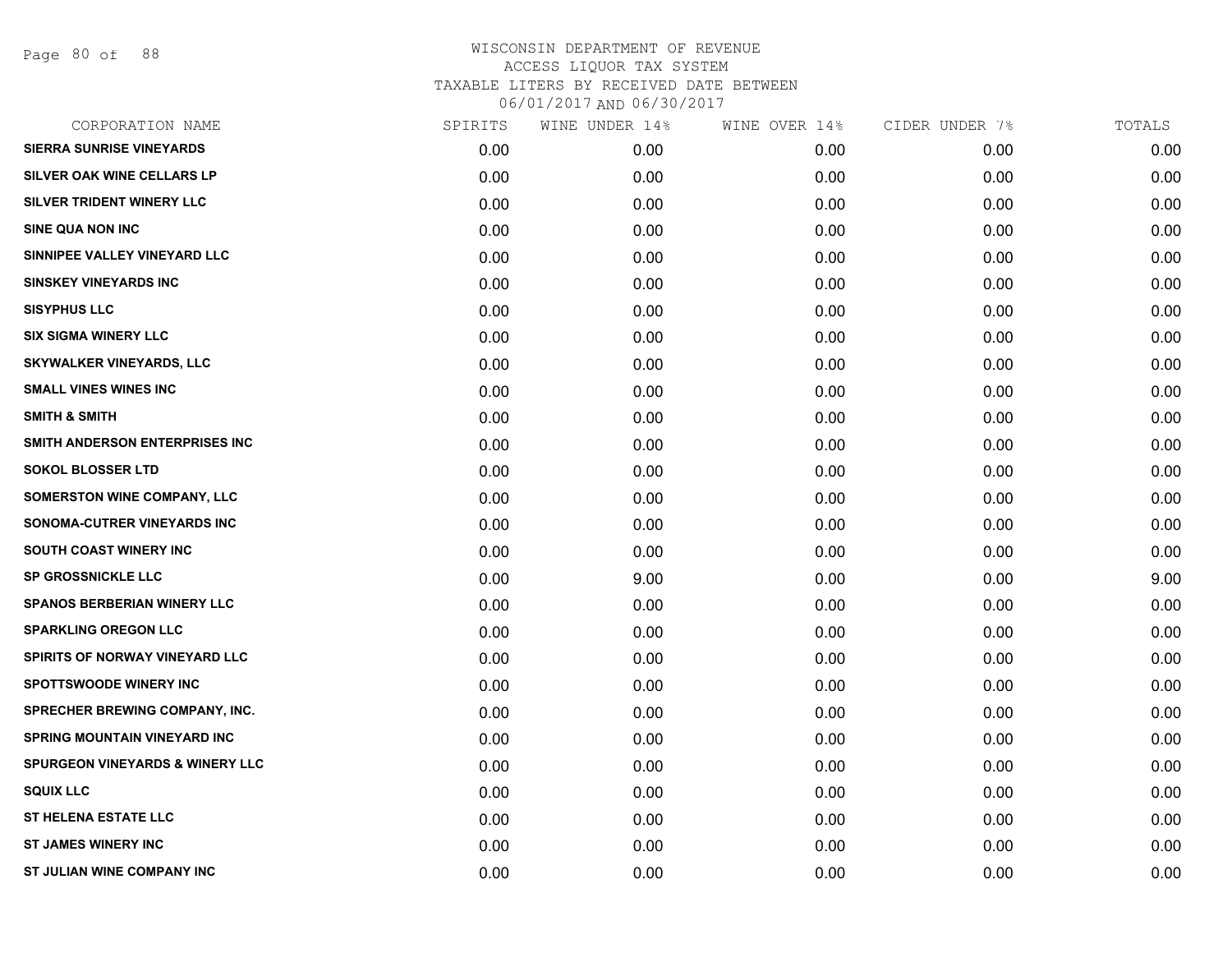Page 80 of 88

| CORPORATION NAME                           | SPIRITS | WINE UNDER 14% | WINE OVER 14% | CIDER UNDER 7% | TOTALS |
|--------------------------------------------|---------|----------------|---------------|----------------|--------|
| <b>SIERRA SUNRISE VINEYARDS</b>            | 0.00    | 0.00           | 0.00          | 0.00           | 0.00   |
| <b>SILVER OAK WINE CELLARS LP</b>          | 0.00    | 0.00           | 0.00          | 0.00           | 0.00   |
| SILVER TRIDENT WINERY LLC                  | 0.00    | 0.00           | 0.00          | 0.00           | 0.00   |
| <b>SINE QUA NON INC</b>                    | 0.00    | 0.00           | 0.00          | 0.00           | 0.00   |
| SINNIPEE VALLEY VINEYARD LLC               | 0.00    | 0.00           | 0.00          | 0.00           | 0.00   |
| <b>SINSKEY VINEYARDS INC</b>               | 0.00    | 0.00           | 0.00          | 0.00           | 0.00   |
| <b>SISYPHUS LLC</b>                        | 0.00    | 0.00           | 0.00          | 0.00           | 0.00   |
| <b>SIX SIGMA WINERY LLC</b>                | 0.00    | 0.00           | 0.00          | 0.00           | 0.00   |
| <b>SKYWALKER VINEYARDS, LLC</b>            | 0.00    | 0.00           | 0.00          | 0.00           | 0.00   |
| <b>SMALL VINES WINES INC</b>               | 0.00    | 0.00           | 0.00          | 0.00           | 0.00   |
| <b>SMITH &amp; SMITH</b>                   | 0.00    | 0.00           | 0.00          | 0.00           | 0.00   |
| SMITH ANDERSON ENTERPRISES INC             | 0.00    | 0.00           | 0.00          | 0.00           | 0.00   |
| <b>SOKOL BLOSSER LTD</b>                   | 0.00    | 0.00           | 0.00          | 0.00           | 0.00   |
| <b>SOMERSTON WINE COMPANY, LLC</b>         | 0.00    | 0.00           | 0.00          | 0.00           | 0.00   |
| SONOMA-CUTRER VINEYARDS INC                | 0.00    | 0.00           | 0.00          | 0.00           | 0.00   |
| SOUTH COAST WINERY INC                     | 0.00    | 0.00           | 0.00          | 0.00           | 0.00   |
| <b>SP GROSSNICKLE LLC</b>                  | 0.00    | 9.00           | 0.00          | 0.00           | 9.00   |
| <b>SPANOS BERBERIAN WINERY LLC</b>         | 0.00    | 0.00           | 0.00          | 0.00           | 0.00   |
| <b>SPARKLING OREGON LLC</b>                | 0.00    | 0.00           | 0.00          | 0.00           | 0.00   |
| SPIRITS OF NORWAY VINEYARD LLC             | 0.00    | 0.00           | 0.00          | 0.00           | 0.00   |
| <b>SPOTTSWOODE WINERY INC</b>              | 0.00    | 0.00           | 0.00          | 0.00           | 0.00   |
| SPRECHER BREWING COMPANY, INC.             | 0.00    | 0.00           | 0.00          | 0.00           | 0.00   |
| SPRING MOUNTAIN VINEYARD INC               | 0.00    | 0.00           | 0.00          | 0.00           | 0.00   |
| <b>SPURGEON VINEYARDS &amp; WINERY LLC</b> | 0.00    | 0.00           | 0.00          | 0.00           | 0.00   |
| <b>SQUIX LLC</b>                           | 0.00    | 0.00           | 0.00          | 0.00           | 0.00   |
| <b>ST HELENA ESTATE LLC</b>                | 0.00    | 0.00           | 0.00          | 0.00           | 0.00   |
| <b>ST JAMES WINERY INC</b>                 | 0.00    | 0.00           | 0.00          | 0.00           | 0.00   |
| ST JULIAN WINE COMPANY INC                 | 0.00    | 0.00           | 0.00          | 0.00           | 0.00   |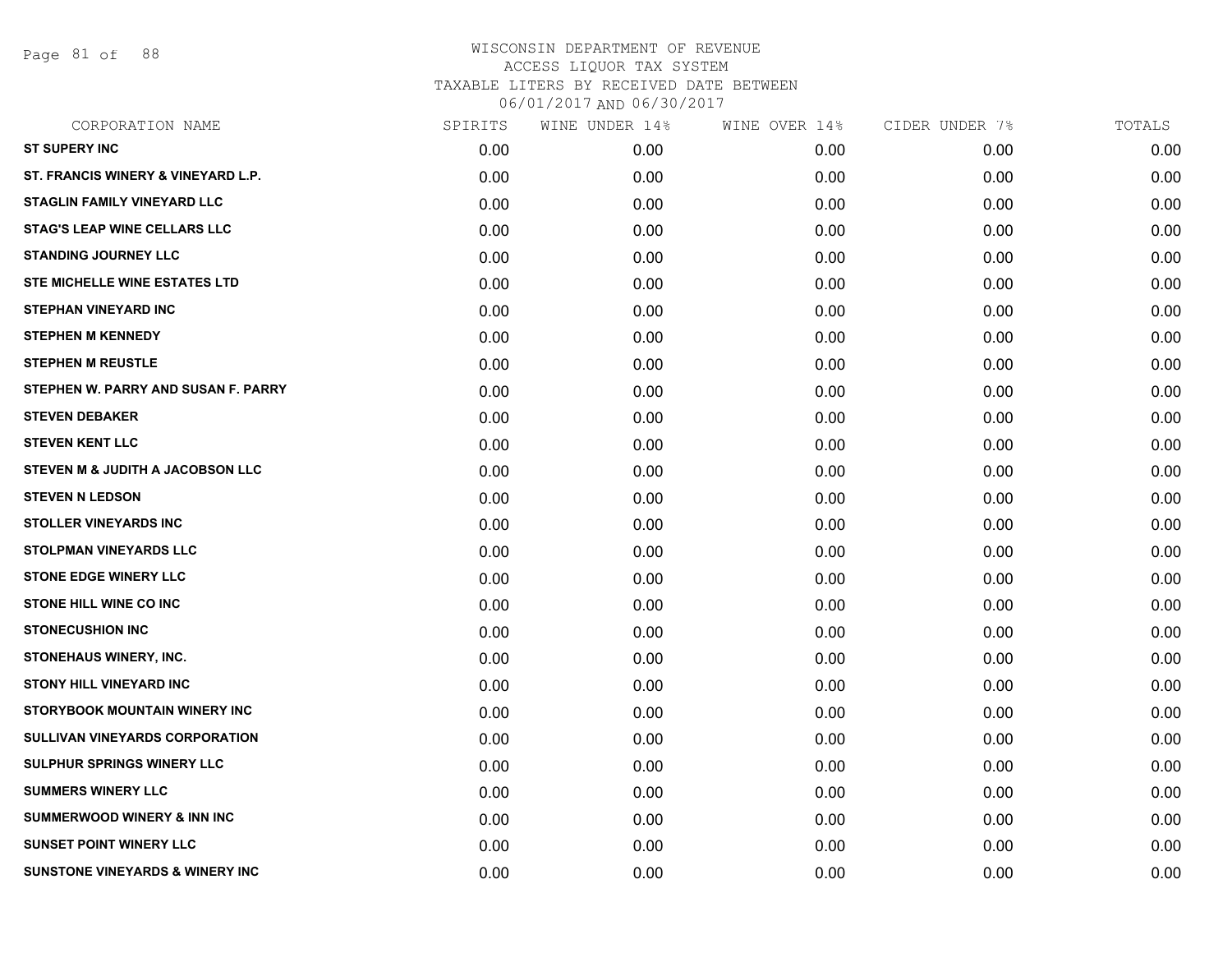Page 81 of 88

| CORPORATION NAME                           | SPIRITS | WINE UNDER 14% | WINE OVER 14% | CIDER UNDER 7% | TOTALS |
|--------------------------------------------|---------|----------------|---------------|----------------|--------|
| <b>ST SUPERY INC</b>                       | 0.00    | 0.00           | 0.00          | 0.00           | 0.00   |
| ST. FRANCIS WINERY & VINEYARD L.P.         | 0.00    | 0.00           | 0.00          | 0.00           | 0.00   |
| STAGLIN FAMILY VINEYARD LLC                | 0.00    | 0.00           | 0.00          | 0.00           | 0.00   |
| <b>STAG'S LEAP WINE CELLARS LLC</b>        | 0.00    | 0.00           | 0.00          | 0.00           | 0.00   |
| <b>STANDING JOURNEY LLC</b>                | 0.00    | 0.00           | 0.00          | 0.00           | 0.00   |
| <b>STE MICHELLE WINE ESTATES LTD</b>       | 0.00    | 0.00           | 0.00          | 0.00           | 0.00   |
| <b>STEPHAN VINEYARD INC</b>                | 0.00    | 0.00           | 0.00          | 0.00           | 0.00   |
| <b>STEPHEN M KENNEDY</b>                   | 0.00    | 0.00           | 0.00          | 0.00           | 0.00   |
| <b>STEPHEN M REUSTLE</b>                   | 0.00    | 0.00           | 0.00          | 0.00           | 0.00   |
| STEPHEN W. PARRY AND SUSAN F. PARRY        | 0.00    | 0.00           | 0.00          | 0.00           | 0.00   |
| <b>STEVEN DEBAKER</b>                      | 0.00    | 0.00           | 0.00          | 0.00           | 0.00   |
| <b>STEVEN KENT LLC</b>                     | 0.00    | 0.00           | 0.00          | 0.00           | 0.00   |
| STEVEN M & JUDITH A JACOBSON LLC           | 0.00    | 0.00           | 0.00          | 0.00           | 0.00   |
| <b>STEVEN N LEDSON</b>                     | 0.00    | 0.00           | 0.00          | 0.00           | 0.00   |
| <b>STOLLER VINEYARDS INC</b>               | 0.00    | 0.00           | 0.00          | 0.00           | 0.00   |
| <b>STOLPMAN VINEYARDS LLC</b>              | 0.00    | 0.00           | 0.00          | 0.00           | 0.00   |
| <b>STONE EDGE WINERY LLC</b>               | 0.00    | 0.00           | 0.00          | 0.00           | 0.00   |
| STONE HILL WINE CO INC                     | 0.00    | 0.00           | 0.00          | 0.00           | 0.00   |
| <b>STONECUSHION INC</b>                    | 0.00    | 0.00           | 0.00          | 0.00           | 0.00   |
| STONEHAUS WINERY, INC.                     | 0.00    | 0.00           | 0.00          | 0.00           | 0.00   |
| <b>STONY HILL VINEYARD INC</b>             | 0.00    | 0.00           | 0.00          | 0.00           | 0.00   |
| STORYBOOK MOUNTAIN WINERY INC              | 0.00    | 0.00           | 0.00          | 0.00           | 0.00   |
| <b>SULLIVAN VINEYARDS CORPORATION</b>      | 0.00    | 0.00           | 0.00          | 0.00           | 0.00   |
| <b>SULPHUR SPRINGS WINERY LLC</b>          | 0.00    | 0.00           | 0.00          | 0.00           | 0.00   |
| <b>SUMMERS WINERY LLC</b>                  | 0.00    | 0.00           | 0.00          | 0.00           | 0.00   |
| <b>SUMMERWOOD WINERY &amp; INN INC</b>     | 0.00    | 0.00           | 0.00          | 0.00           | 0.00   |
| <b>SUNSET POINT WINERY LLC</b>             | 0.00    | 0.00           | 0.00          | 0.00           | 0.00   |
| <b>SUNSTONE VINEYARDS &amp; WINERY INC</b> | 0.00    | 0.00           | 0.00          | 0.00           | 0.00   |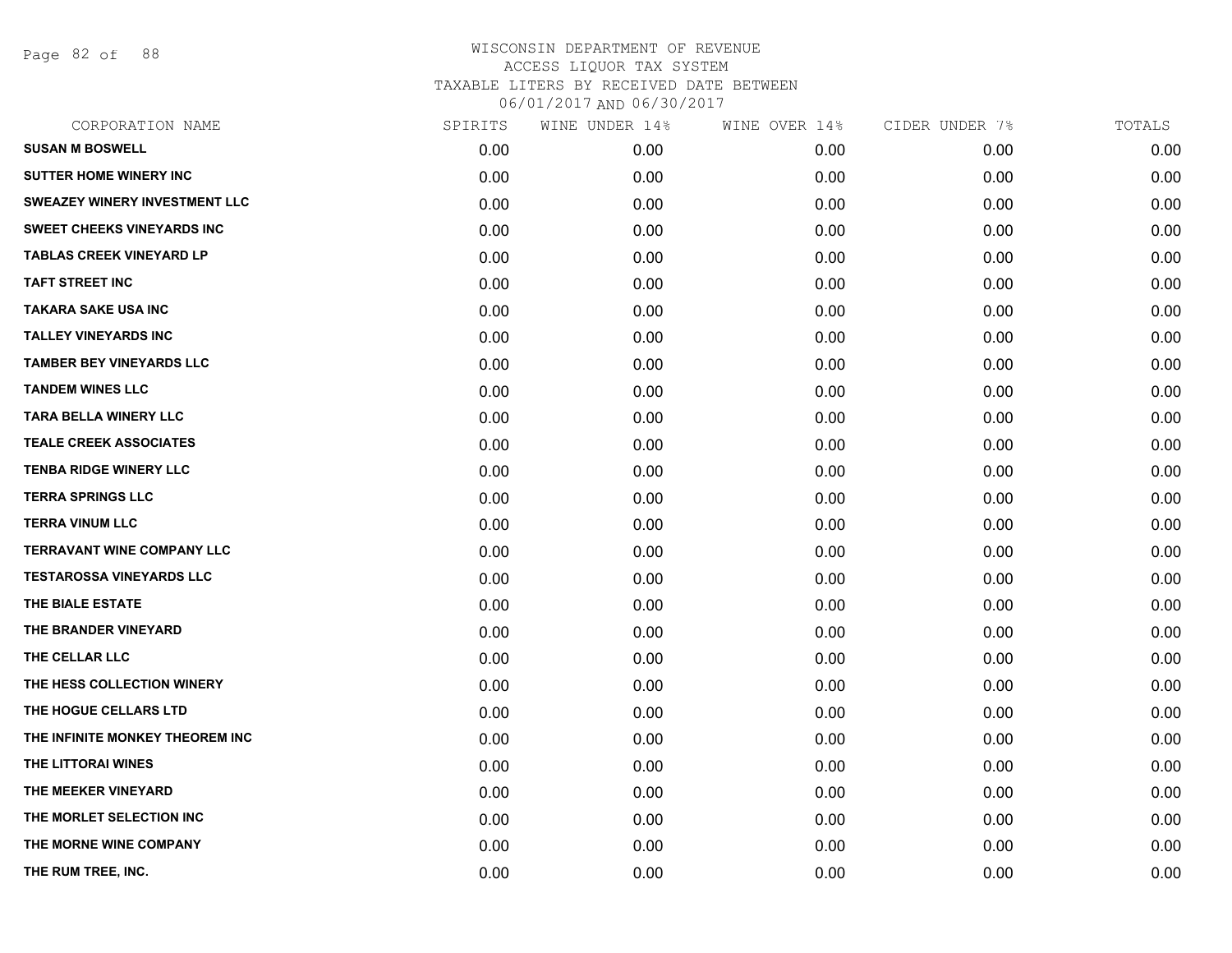Page 82 of 88

| CORPORATION NAME                     | SPIRITS | WINE UNDER 14% | WINE OVER 14% | CIDER UNDER 7% | TOTALS |
|--------------------------------------|---------|----------------|---------------|----------------|--------|
| <b>SUSAN M BOSWELL</b>               | 0.00    | 0.00           | 0.00          | 0.00           | 0.00   |
| <b>SUTTER HOME WINERY INC</b>        | 0.00    | 0.00           | 0.00          | 0.00           | 0.00   |
| <b>SWEAZEY WINERY INVESTMENT LLC</b> | 0.00    | 0.00           | 0.00          | 0.00           | 0.00   |
| <b>SWEET CHEEKS VINEYARDS INC</b>    | 0.00    | 0.00           | 0.00          | 0.00           | 0.00   |
| <b>TABLAS CREEK VINEYARD LP</b>      | 0.00    | 0.00           | 0.00          | 0.00           | 0.00   |
| <b>TAFT STREET INC</b>               | 0.00    | 0.00           | 0.00          | 0.00           | 0.00   |
| <b>TAKARA SAKE USA INC</b>           | 0.00    | 0.00           | 0.00          | 0.00           | 0.00   |
| <b>TALLEY VINEYARDS INC</b>          | 0.00    | 0.00           | 0.00          | 0.00           | 0.00   |
| <b>TAMBER BEY VINEYARDS LLC</b>      | 0.00    | 0.00           | 0.00          | 0.00           | 0.00   |
| <b>TANDEM WINES LLC</b>              | 0.00    | 0.00           | 0.00          | 0.00           | 0.00   |
| <b>TARA BELLA WINERY LLC</b>         | 0.00    | 0.00           | 0.00          | 0.00           | 0.00   |
| <b>TEALE CREEK ASSOCIATES</b>        | 0.00    | 0.00           | 0.00          | 0.00           | 0.00   |
| <b>TENBA RIDGE WINERY LLC</b>        | 0.00    | 0.00           | 0.00          | 0.00           | 0.00   |
| <b>TERRA SPRINGS LLC</b>             | 0.00    | 0.00           | 0.00          | 0.00           | 0.00   |
| <b>TERRA VINUM LLC</b>               | 0.00    | 0.00           | 0.00          | 0.00           | 0.00   |
| <b>TERRAVANT WINE COMPANY LLC</b>    | 0.00    | 0.00           | 0.00          | 0.00           | 0.00   |
| <b>TESTAROSSA VINEYARDS LLC</b>      | 0.00    | 0.00           | 0.00          | 0.00           | 0.00   |
| THE BIALE ESTATE                     | 0.00    | 0.00           | 0.00          | 0.00           | 0.00   |
| THE BRANDER VINEYARD                 | 0.00    | 0.00           | 0.00          | 0.00           | 0.00   |
| THE CELLAR LLC                       | 0.00    | 0.00           | 0.00          | 0.00           | 0.00   |
| THE HESS COLLECTION WINERY           | 0.00    | 0.00           | 0.00          | 0.00           | 0.00   |
| THE HOGUE CELLARS LTD                | 0.00    | 0.00           | 0.00          | 0.00           | 0.00   |
| THE INFINITE MONKEY THEOREM INC      | 0.00    | 0.00           | 0.00          | 0.00           | 0.00   |
| THE LITTORAI WINES                   | 0.00    | 0.00           | 0.00          | 0.00           | 0.00   |
| THE MEEKER VINEYARD                  | 0.00    | 0.00           | 0.00          | 0.00           | 0.00   |
| THE MORLET SELECTION INC             | 0.00    | 0.00           | 0.00          | 0.00           | 0.00   |
| THE MORNE WINE COMPANY               | 0.00    | 0.00           | 0.00          | 0.00           | 0.00   |
| THE RUM TREE, INC.                   | 0.00    | 0.00           | 0.00          | 0.00           | 0.00   |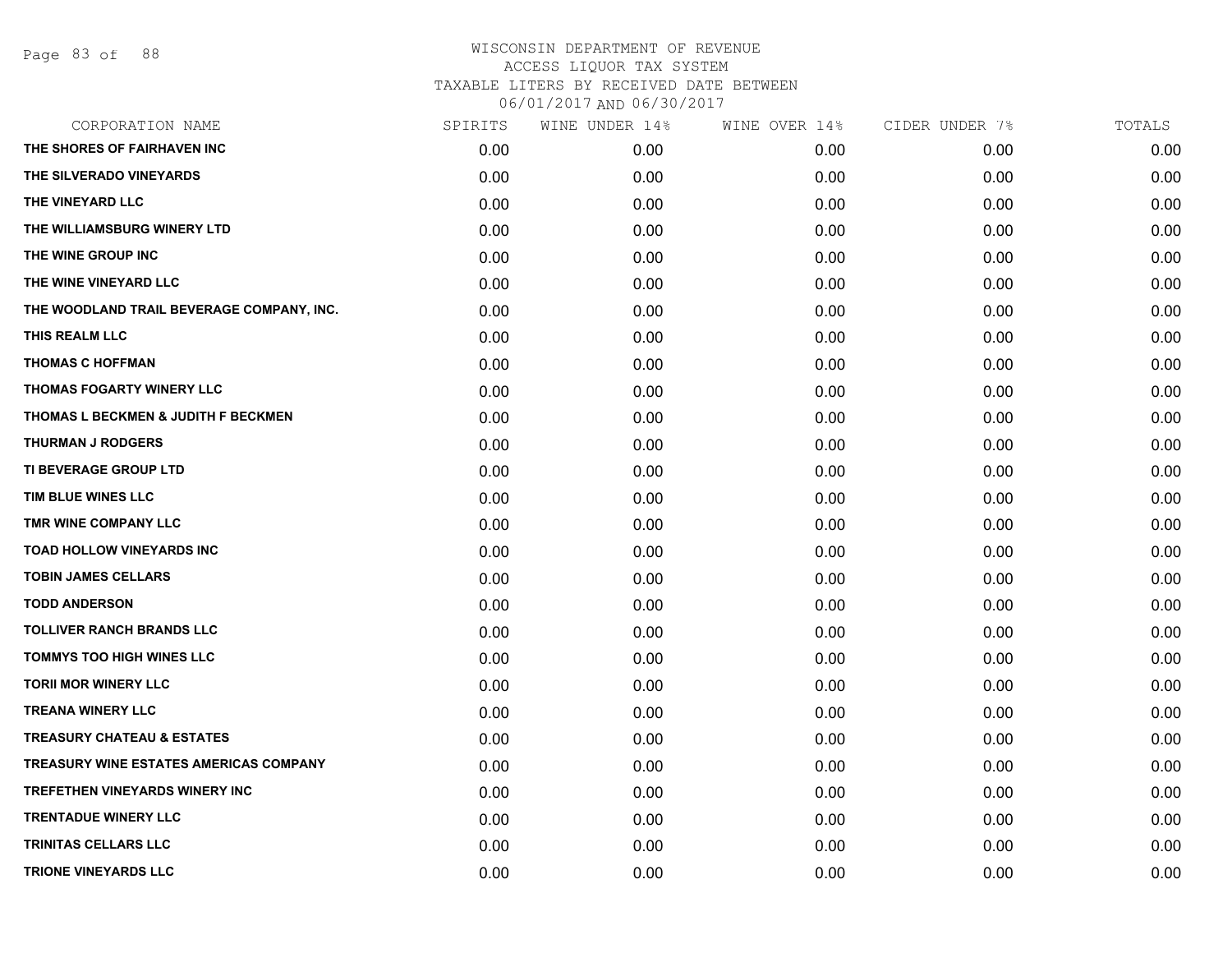## WISCONSIN DEPARTMENT OF REVENUE ACCESS LIQUOR TAX SYSTEM TAXABLE LITERS BY RECEIVED DATE BETWEEN

06/01/2017 AND 06/30/2017

| CORPORATION NAME                              | SPIRITS | WINE UNDER 14% | WINE OVER 14% | CIDER UNDER 7% | TOTALS |
|-----------------------------------------------|---------|----------------|---------------|----------------|--------|
| THE SHORES OF FAIRHAVEN INC                   | 0.00    | 0.00           | 0.00          | 0.00           | 0.00   |
| THE SILVERADO VINEYARDS                       | 0.00    | 0.00           | 0.00          | 0.00           | 0.00   |
| THE VINEYARD LLC                              | 0.00    | 0.00           | 0.00          | 0.00           | 0.00   |
| THE WILLIAMSBURG WINERY LTD                   | 0.00    | 0.00           | 0.00          | 0.00           | 0.00   |
| THE WINE GROUP INC                            | 0.00    | 0.00           | 0.00          | 0.00           | 0.00   |
| THE WINE VINEYARD LLC                         | 0.00    | 0.00           | 0.00          | 0.00           | 0.00   |
| THE WOODLAND TRAIL BEVERAGE COMPANY, INC.     | 0.00    | 0.00           | 0.00          | 0.00           | 0.00   |
| THIS REALM LLC                                | 0.00    | 0.00           | 0.00          | 0.00           | 0.00   |
| <b>THOMAS C HOFFMAN</b>                       | 0.00    | 0.00           | 0.00          | 0.00           | 0.00   |
| <b>THOMAS FOGARTY WINERY LLC</b>              | 0.00    | 0.00           | 0.00          | 0.00           | 0.00   |
| THOMAS L BECKMEN & JUDITH F BECKMEN           | 0.00    | 0.00           | 0.00          | 0.00           | 0.00   |
| <b>THURMAN J RODGERS</b>                      | 0.00    | 0.00           | 0.00          | 0.00           | 0.00   |
| TI BEVERAGE GROUP LTD                         | 0.00    | 0.00           | 0.00          | 0.00           | 0.00   |
| TIM BLUE WINES LLC                            | 0.00    | 0.00           | 0.00          | 0.00           | 0.00   |
| TMR WINE COMPANY LLC                          | 0.00    | 0.00           | 0.00          | 0.00           | 0.00   |
| TOAD HOLLOW VINEYARDS INC                     | 0.00    | 0.00           | 0.00          | 0.00           | 0.00   |
| <b>TOBIN JAMES CELLARS</b>                    | 0.00    | 0.00           | 0.00          | 0.00           | 0.00   |
| <b>TODD ANDERSON</b>                          | 0.00    | 0.00           | 0.00          | 0.00           | 0.00   |
| <b>TOLLIVER RANCH BRANDS LLC</b>              | 0.00    | 0.00           | 0.00          | 0.00           | 0.00   |
| <b>TOMMYS TOO HIGH WINES LLC</b>              | 0.00    | 0.00           | 0.00          | 0.00           | 0.00   |
| <b>TORII MOR WINERY LLC</b>                   | 0.00    | 0.00           | 0.00          | 0.00           | 0.00   |
| <b>TREANA WINERY LLC</b>                      | 0.00    | 0.00           | 0.00          | 0.00           | 0.00   |
| <b>TREASURY CHATEAU &amp; ESTATES</b>         | 0.00    | 0.00           | 0.00          | 0.00           | 0.00   |
| <b>TREASURY WINE ESTATES AMERICAS COMPANY</b> | 0.00    | 0.00           | 0.00          | 0.00           | 0.00   |
| TREFETHEN VINEYARDS WINERY INC                | 0.00    | 0.00           | 0.00          | 0.00           | 0.00   |
| <b>TRENTADUE WINERY LLC</b>                   | 0.00    | 0.00           | 0.00          | 0.00           | 0.00   |
| <b>TRINITAS CELLARS LLC</b>                   | 0.00    | 0.00           | 0.00          | 0.00           | 0.00   |
| <b>TRIONE VINEYARDS LLC</b>                   | 0.00    | 0.00           | 0.00          | 0.00           | 0.00   |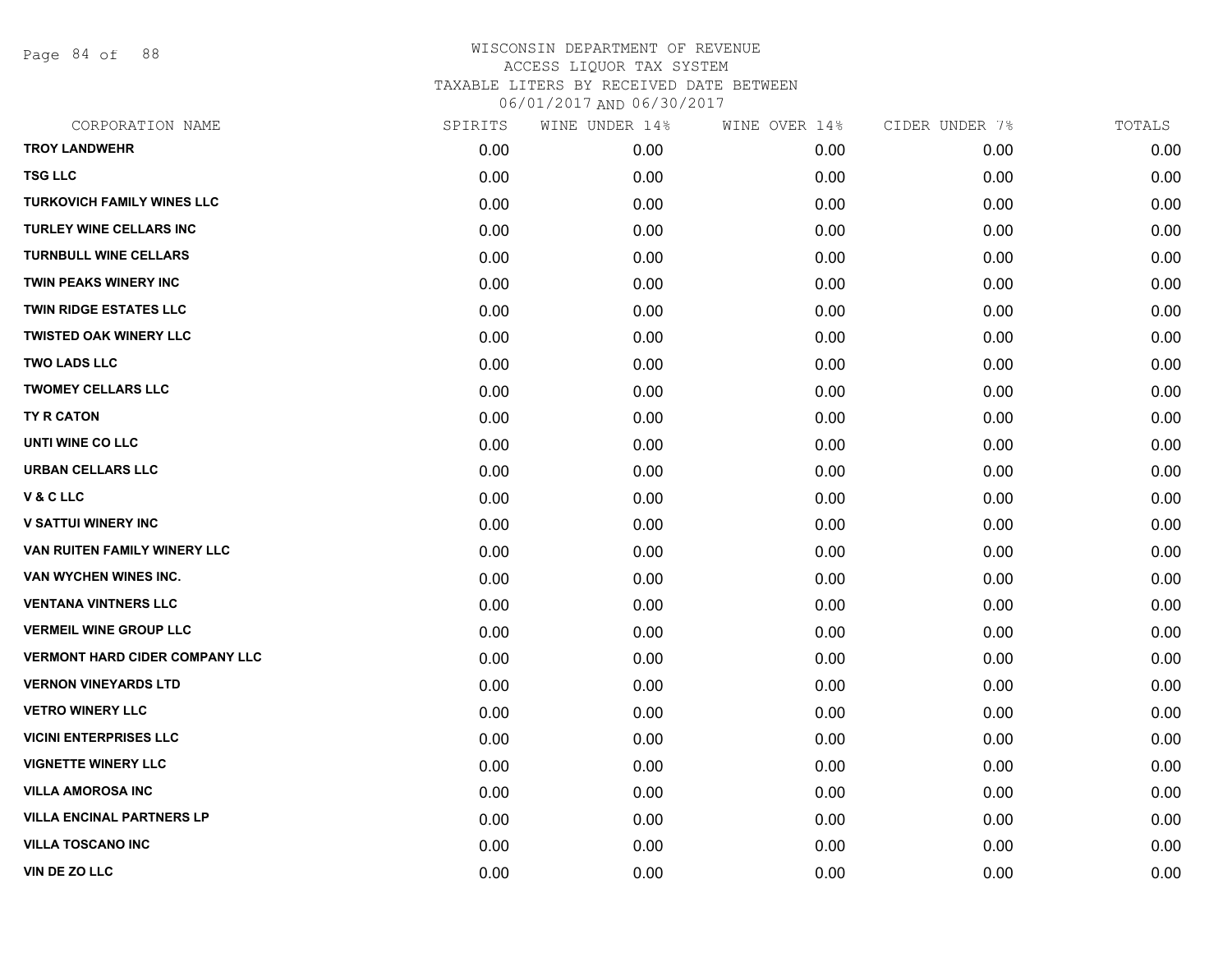Page 84 of 88

| CORPORATION NAME                      | SPIRITS | WINE UNDER 14% | WINE OVER 14% | CIDER UNDER 7% | TOTALS |
|---------------------------------------|---------|----------------|---------------|----------------|--------|
| <b>TROY LANDWEHR</b>                  | 0.00    | 0.00           | 0.00          | 0.00           | 0.00   |
| <b>TSG LLC</b>                        | 0.00    | 0.00           | 0.00          | 0.00           | 0.00   |
| <b>TURKOVICH FAMILY WINES LLC</b>     | 0.00    | 0.00           | 0.00          | 0.00           | 0.00   |
| <b>TURLEY WINE CELLARS INC</b>        | 0.00    | 0.00           | 0.00          | 0.00           | 0.00   |
| <b>TURNBULL WINE CELLARS</b>          | 0.00    | 0.00           | 0.00          | 0.00           | 0.00   |
| TWIN PEAKS WINERY INC                 | 0.00    | 0.00           | 0.00          | 0.00           | 0.00   |
| <b>TWIN RIDGE ESTATES LLC</b>         | 0.00    | 0.00           | 0.00          | 0.00           | 0.00   |
| <b>TWISTED OAK WINERY LLC</b>         | 0.00    | 0.00           | 0.00          | 0.00           | 0.00   |
| <b>TWO LADS LLC</b>                   | 0.00    | 0.00           | 0.00          | 0.00           | 0.00   |
| <b>TWOMEY CELLARS LLC</b>             | 0.00    | 0.00           | 0.00          | 0.00           | 0.00   |
| TY R CATON                            | 0.00    | 0.00           | 0.00          | 0.00           | 0.00   |
| UNTI WINE CO LLC                      | 0.00    | 0.00           | 0.00          | 0.00           | 0.00   |
| URBAN CELLARS LLC                     | 0.00    | 0.00           | 0.00          | 0.00           | 0.00   |
| V&CLLC                                | 0.00    | 0.00           | 0.00          | 0.00           | 0.00   |
| <b>V SATTUI WINERY INC</b>            | 0.00    | 0.00           | 0.00          | 0.00           | 0.00   |
| VAN RUITEN FAMILY WINERY LLC          | 0.00    | 0.00           | 0.00          | 0.00           | 0.00   |
| <b>VAN WYCHEN WINES INC.</b>          | 0.00    | 0.00           | 0.00          | 0.00           | 0.00   |
| <b>VENTANA VINTNERS LLC</b>           | 0.00    | 0.00           | 0.00          | 0.00           | 0.00   |
| <b>VERMEIL WINE GROUP LLC</b>         | 0.00    | 0.00           | 0.00          | 0.00           | 0.00   |
| <b>VERMONT HARD CIDER COMPANY LLC</b> | 0.00    | 0.00           | 0.00          | 0.00           | 0.00   |
| <b>VERNON VINEYARDS LTD</b>           | 0.00    | 0.00           | 0.00          | 0.00           | 0.00   |
| <b>VETRO WINERY LLC</b>               | 0.00    | 0.00           | 0.00          | 0.00           | 0.00   |
| <b>VICINI ENTERPRISES LLC</b>         | 0.00    | 0.00           | 0.00          | 0.00           | 0.00   |
| <b>VIGNETTE WINERY LLC</b>            | 0.00    | 0.00           | 0.00          | 0.00           | 0.00   |
| <b>VILLA AMOROSA INC</b>              | 0.00    | 0.00           | 0.00          | 0.00           | 0.00   |
| <b>VILLA ENCINAL PARTNERS LP</b>      | 0.00    | 0.00           | 0.00          | 0.00           | 0.00   |
| <b>VILLA TOSCANO INC</b>              | 0.00    | 0.00           | 0.00          | 0.00           | 0.00   |
| VIN DE ZO LLC                         | 0.00    | 0.00           | 0.00          | 0.00           | 0.00   |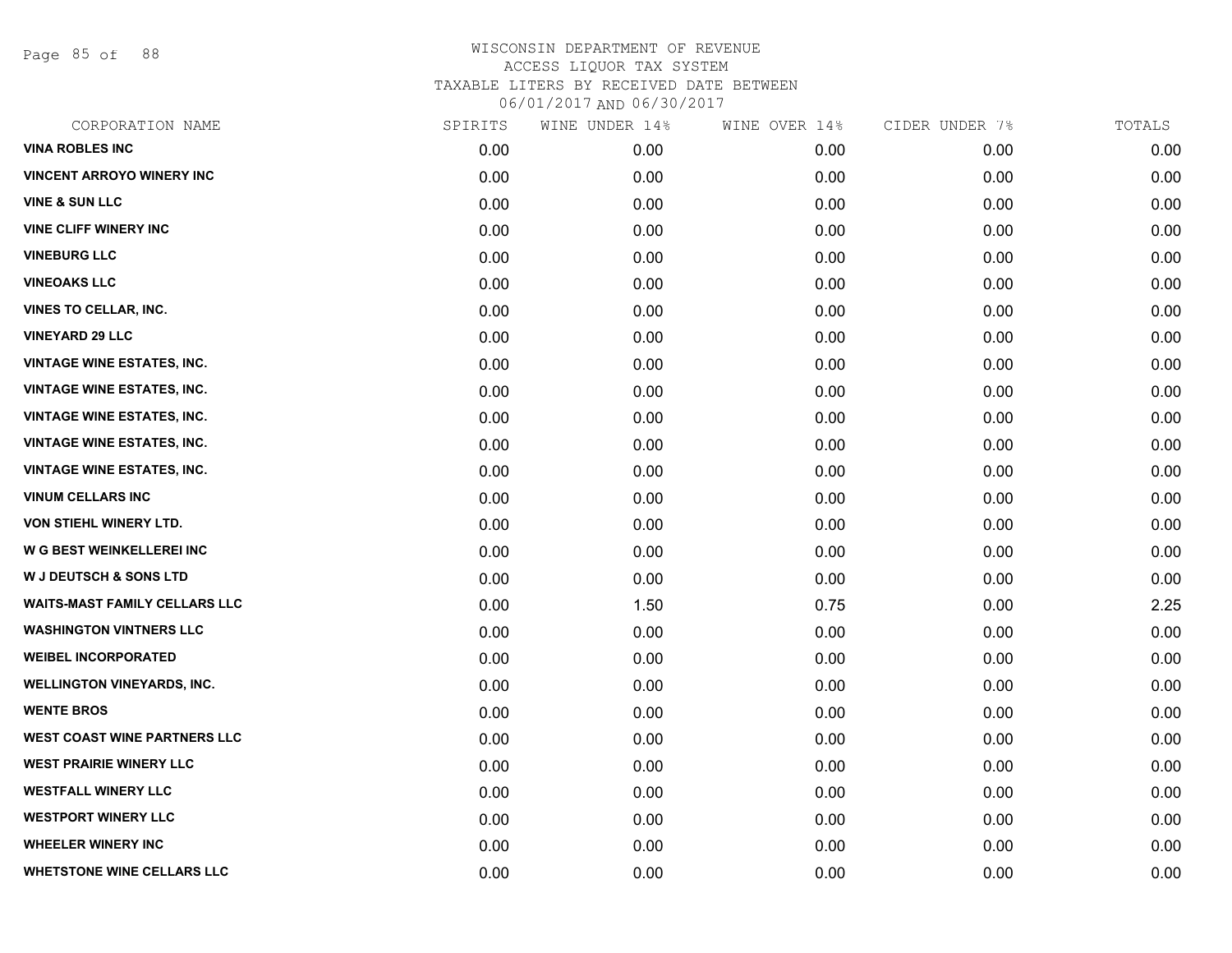Page 85 of 88

| CORPORATION NAME                     | SPIRITS | WINE UNDER 14% | WINE OVER 14% | CIDER UNDER 7% | TOTALS |
|--------------------------------------|---------|----------------|---------------|----------------|--------|
| <b>VINA ROBLES INC</b>               | 0.00    | 0.00           | 0.00          | 0.00           | 0.00   |
| <b>VINCENT ARROYO WINERY INC</b>     | 0.00    | 0.00           | 0.00          | 0.00           | 0.00   |
| <b>VINE &amp; SUN LLC</b>            | 0.00    | 0.00           | 0.00          | 0.00           | 0.00   |
| <b>VINE CLIFF WINERY INC</b>         | 0.00    | 0.00           | 0.00          | 0.00           | 0.00   |
| <b>VINEBURG LLC</b>                  | 0.00    | 0.00           | 0.00          | 0.00           | 0.00   |
| <b>VINEOAKS LLC</b>                  | 0.00    | 0.00           | 0.00          | 0.00           | 0.00   |
| <b>VINES TO CELLAR, INC.</b>         | 0.00    | 0.00           | 0.00          | 0.00           | 0.00   |
| <b>VINEYARD 29 LLC</b>               | 0.00    | 0.00           | 0.00          | 0.00           | 0.00   |
| <b>VINTAGE WINE ESTATES, INC.</b>    | 0.00    | 0.00           | 0.00          | 0.00           | 0.00   |
| <b>VINTAGE WINE ESTATES, INC.</b>    | 0.00    | 0.00           | 0.00          | 0.00           | 0.00   |
| <b>VINTAGE WINE ESTATES, INC.</b>    | 0.00    | 0.00           | 0.00          | 0.00           | 0.00   |
| <b>VINTAGE WINE ESTATES, INC.</b>    | 0.00    | 0.00           | 0.00          | 0.00           | 0.00   |
| <b>VINTAGE WINE ESTATES, INC.</b>    | 0.00    | 0.00           | 0.00          | 0.00           | 0.00   |
| <b>VINUM CELLARS INC</b>             | 0.00    | 0.00           | 0.00          | 0.00           | 0.00   |
| VON STIEHL WINERY LTD.               | 0.00    | 0.00           | 0.00          | 0.00           | 0.00   |
| W G BEST WEINKELLEREI INC            | 0.00    | 0.00           | 0.00          | 0.00           | 0.00   |
| <b>W J DEUTSCH &amp; SONS LTD</b>    | 0.00    | 0.00           | 0.00          | 0.00           | 0.00   |
| <b>WAITS-MAST FAMILY CELLARS LLC</b> | 0.00    | 1.50           | 0.75          | 0.00           | 2.25   |
| <b>WASHINGTON VINTNERS LLC</b>       | 0.00    | 0.00           | 0.00          | 0.00           | 0.00   |
| <b>WEIBEL INCORPORATED</b>           | 0.00    | 0.00           | 0.00          | 0.00           | 0.00   |
| <b>WELLINGTON VINEYARDS, INC.</b>    | 0.00    | 0.00           | 0.00          | 0.00           | 0.00   |
| <b>WENTE BROS</b>                    | 0.00    | 0.00           | 0.00          | 0.00           | 0.00   |
| <b>WEST COAST WINE PARTNERS LLC</b>  | 0.00    | 0.00           | 0.00          | 0.00           | 0.00   |
| <b>WEST PRAIRIE WINERY LLC</b>       | 0.00    | 0.00           | 0.00          | 0.00           | 0.00   |
| <b>WESTFALL WINERY LLC</b>           | 0.00    | 0.00           | 0.00          | 0.00           | 0.00   |
| <b>WESTPORT WINERY LLC</b>           | 0.00    | 0.00           | 0.00          | 0.00           | 0.00   |
| <b>WHEELER WINERY INC</b>            | 0.00    | 0.00           | 0.00          | 0.00           | 0.00   |
| <b>WHETSTONE WINE CELLARS LLC</b>    | 0.00    | 0.00           | 0.00          | 0.00           | 0.00   |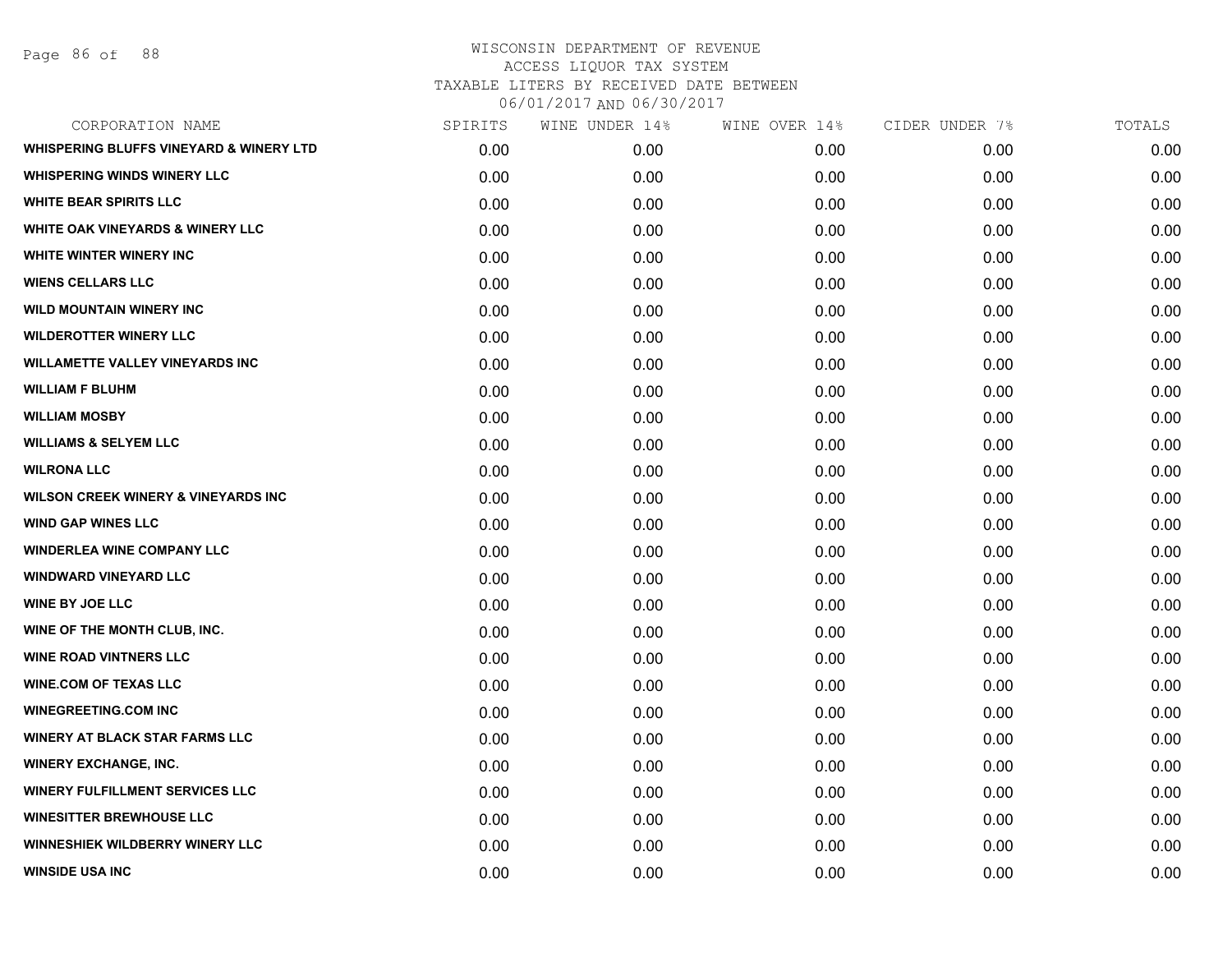| CORPORATION NAME                                   | SPIRITS | WINE UNDER 14% | WINE OVER 14% | CIDER UNDER 7% | TOTALS |
|----------------------------------------------------|---------|----------------|---------------|----------------|--------|
| <b>WHISPERING BLUFFS VINEYARD &amp; WINERY LTD</b> | 0.00    | 0.00           | 0.00          | 0.00           | 0.00   |
| <b>WHISPERING WINDS WINERY LLC</b>                 | 0.00    | 0.00           | 0.00          | 0.00           | 0.00   |
| <b>WHITE BEAR SPIRITS LLC</b>                      | 0.00    | 0.00           | 0.00          | 0.00           | 0.00   |
| <b>WHITE OAK VINEYARDS &amp; WINERY LLC</b>        | 0.00    | 0.00           | 0.00          | 0.00           | 0.00   |
| WHITE WINTER WINERY INC                            | 0.00    | 0.00           | 0.00          | 0.00           | 0.00   |
| <b>WIENS CELLARS LLC</b>                           | 0.00    | 0.00           | 0.00          | 0.00           | 0.00   |
| <b>WILD MOUNTAIN WINERY INC</b>                    | 0.00    | 0.00           | 0.00          | 0.00           | 0.00   |
| <b>WILDEROTTER WINERY LLC</b>                      | 0.00    | 0.00           | 0.00          | 0.00           | 0.00   |
| <b>WILLAMETTE VALLEY VINEYARDS INC</b>             | 0.00    | 0.00           | 0.00          | 0.00           | 0.00   |
| <b>WILLIAM F BLUHM</b>                             | 0.00    | 0.00           | 0.00          | 0.00           | 0.00   |
| <b>WILLIAM MOSBY</b>                               | 0.00    | 0.00           | 0.00          | 0.00           | 0.00   |
| <b>WILLIAMS &amp; SELYEM LLC</b>                   | 0.00    | 0.00           | 0.00          | 0.00           | 0.00   |
| <b>WILRONA LLC</b>                                 | 0.00    | 0.00           | 0.00          | 0.00           | 0.00   |
| <b>WILSON CREEK WINERY &amp; VINEYARDS INC</b>     | 0.00    | 0.00           | 0.00          | 0.00           | 0.00   |
| <b>WIND GAP WINES LLC</b>                          | 0.00    | 0.00           | 0.00          | 0.00           | 0.00   |
| <b>WINDERLEA WINE COMPANY LLC</b>                  | 0.00    | 0.00           | 0.00          | 0.00           | 0.00   |
| <b>WINDWARD VINEYARD LLC</b>                       | 0.00    | 0.00           | 0.00          | 0.00           | 0.00   |
| <b>WINE BY JOE LLC</b>                             | 0.00    | 0.00           | 0.00          | 0.00           | 0.00   |
| WINE OF THE MONTH CLUB, INC.                       | 0.00    | 0.00           | 0.00          | 0.00           | 0.00   |
| <b>WINE ROAD VINTNERS LLC</b>                      | 0.00    | 0.00           | 0.00          | 0.00           | 0.00   |
| <b>WINE.COM OF TEXAS LLC</b>                       | 0.00    | 0.00           | 0.00          | 0.00           | 0.00   |
| <b>WINEGREETING.COM INC</b>                        | 0.00    | 0.00           | 0.00          | 0.00           | 0.00   |
| <b>WINERY AT BLACK STAR FARMS LLC</b>              | 0.00    | 0.00           | 0.00          | 0.00           | 0.00   |
| <b>WINERY EXCHANGE, INC.</b>                       | 0.00    | 0.00           | 0.00          | 0.00           | 0.00   |
| <b>WINERY FULFILLMENT SERVICES LLC</b>             | 0.00    | 0.00           | 0.00          | 0.00           | 0.00   |
| <b>WINESITTER BREWHOUSE LLC</b>                    | 0.00    | 0.00           | 0.00          | 0.00           | 0.00   |
| WINNESHIEK WILDBERRY WINERY LLC                    | 0.00    | 0.00           | 0.00          | 0.00           | 0.00   |
| <b>WINSIDE USA INC</b>                             | 0.00    | 0.00           | 0.00          | 0.00           | 0.00   |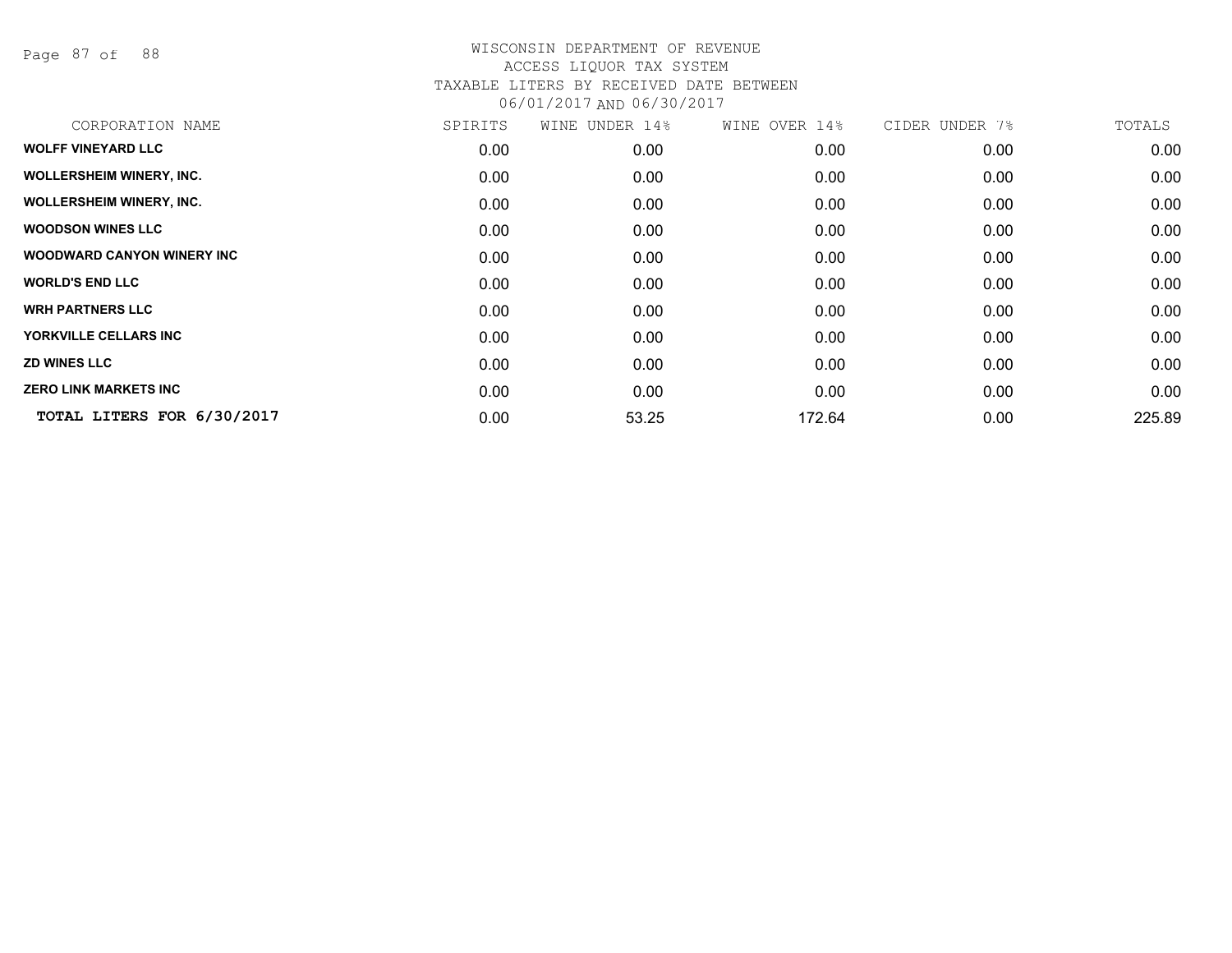Page 87 of 88

| CORPORATION NAME                   | SPIRITS | WINE UNDER 14% | WINE OVER 14% | CIDER UNDER 7% | TOTALS |
|------------------------------------|---------|----------------|---------------|----------------|--------|
| <b>WOLFF VINEYARD LLC</b>          | 0.00    | 0.00           | 0.00          | 0.00           | 0.00   |
| <b>WOLLERSHEIM WINERY, INC.</b>    | 0.00    | 0.00           | 0.00          | 0.00           | 0.00   |
| <b>WOLLERSHEIM WINERY, INC.</b>    | 0.00    | 0.00           | 0.00          | 0.00           | 0.00   |
| <b>WOODSON WINES LLC</b>           | 0.00    | 0.00           | 0.00          | 0.00           | 0.00   |
| <b>WOODWARD CANYON WINERY INC.</b> | 0.00    | 0.00           | 0.00          | 0.00           | 0.00   |
| <b>WORLD'S END LLC</b>             | 0.00    | 0.00           | 0.00          | 0.00           | 0.00   |
| <b>WRH PARTNERS LLC</b>            | 0.00    | 0.00           | 0.00          | 0.00           | 0.00   |
| YORKVILLE CELLARS INC              | 0.00    | 0.00           | 0.00          | 0.00           | 0.00   |
| <b>ZD WINES LLC</b>                | 0.00    | 0.00           | 0.00          | 0.00           | 0.00   |
| <b>ZERO LINK MARKETS INC</b>       | 0.00    | 0.00           | 0.00          | 0.00           | 0.00   |
| TOTAL LITERS FOR 6/30/2017         | 0.00    | 53.25          | 172.64        | 0.00           | 225.89 |